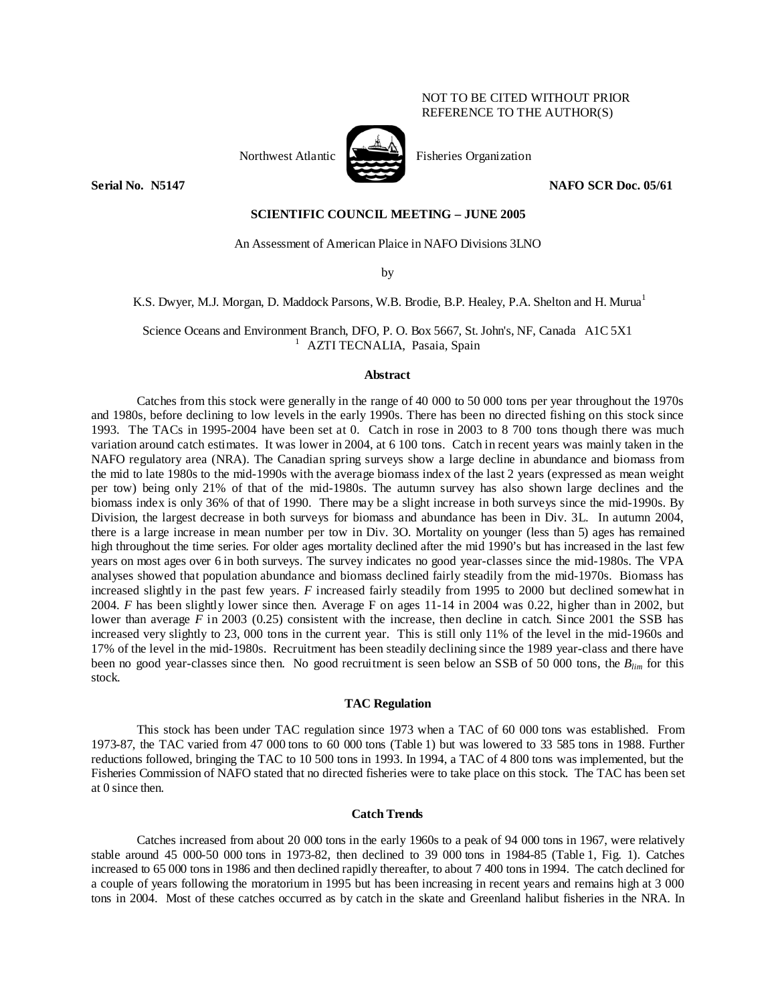# NOT TO BE CITED WITHOUT PRIOR REFERENCE TO THE AUTHOR(S)



Northwest Atlantic **No. 2008** Fisheries Organization

**Serial No. 3.5147 NAFO SCR Doc. 05/61 NAFO SCR Doc. 05/61** 

## **SCIENTIFIC COUNCIL MEETING – JUNE 2005**

An Assessment of American Plaice in NAFO Divisions 3LNO

by

K.S. Dwyer, M.J. Morgan, D. Maddock Parsons, W.B. Brodie, B.P. Healey, P.A. Shelton and H. Murua<sup>1</sup>

Science Oceans and Environment Branch, DFO, P. O. Box 5667, St. John's, NF, Canada A1C 5X1<br>
<sup>1</sup> AZTI TECNALIA, Pasaia, Spain

## **Abstract**

Catches from this stock were generally in the range of 40 000 to 50 000 tons per year throughout the 1970s and 1980s, before declining to low levels in the early 1990s. There has been no directed fishing on this stock since 1993. The TACs in 1995-2004 have been set at 0. Catch in rose in 2003 to 8 700 tons though there was much variation around catch estimates. It was lower in 2004, at 6 100 tons. Catch in recent years was mainly taken in the NAFO regulatory area (NRA). The Canadian spring surveys show a large decline in abundance and biomass from the mid to late 1980s to the mid-1990s with the average biomass index of the last 2 years (expressed as mean weight per tow) being only 21% of that of the mid-1980s. The autumn survey has also shown large declines and the biomass index is only 36% of that of 1990. There may be a slight increase in both surveys since the mid-1990s. By Division, the largest decrease in both surveys for biomass and abundance has been in Div. 3L. In autumn 2004, there is a large increase in mean number per tow in Div. 3O. Mortality on younger (less than 5) ages has remained high throughout the time series. For older ages mortality declined after the mid 1990's but has increased in the last few years on most ages over 6 in both surveys. The survey indicates no good year-classes since the mid-1980s. The VPA analyses showed that population abundance and biomass declined fairly steadily from the mid-1970s. Biomass has increased slightly in the past few years. *F* increased fairly steadily from 1995 to 2000 but declined somewhat in 2004. *F* has been slightly lower since then. Average F on ages 11-14 in 2004 was 0.22, higher than in 2002, but lower than average *F* in 2003 (0.25) consistent with the increase, then decline in catch. Since 2001 the SSB has increased very slightly to 23, 000 tons in the current year. This is still only 11% of the level in the mid-1960s and 17% of the level in the mid-1980s. Recruitment has been steadily declining since the 1989 year-class and there have been no good year-classes since then. No good recruitment is seen below an SSB of 50 000 tons, the *Blim* for this stock.

# **TAC Regulation**

 This stock has been under TAC regulation since 1973 when a TAC of 60 000 tons was established. From 1973-87, the TAC varied from 47 000 tons to 60 000 tons (Table 1) but was lowered to 33 585 tons in 1988. Further reductions followed, bringing the TAC to 10 500 tons in 1993. In 1994, a TAC of 4 800 tons was implemented, but the Fisheries Commission of NAFO stated that no directed fisheries were to take place on this stock. The TAC has been set at 0 since then.

# **Catch Trends**

 Catches increased from about 20 000 tons in the early 1960s to a peak of 94 000 tons in 1967, were relatively stable around 45 000-50 000 tons in 1973-82, then declined to 39 000 tons in 1984-85 (Table 1, Fig. 1). Catches increased to 65 000 tons in 1986 and then declined rapidly thereafter, to about 7 400 tons in 1994. The catch declined for a couple of years following the moratorium in 1995 but has been increasing in recent years and remains high at 3 000 tons in 2004. Most of these catches occurred as by catch in the skate and Greenland halibut fisheries in the NRA. In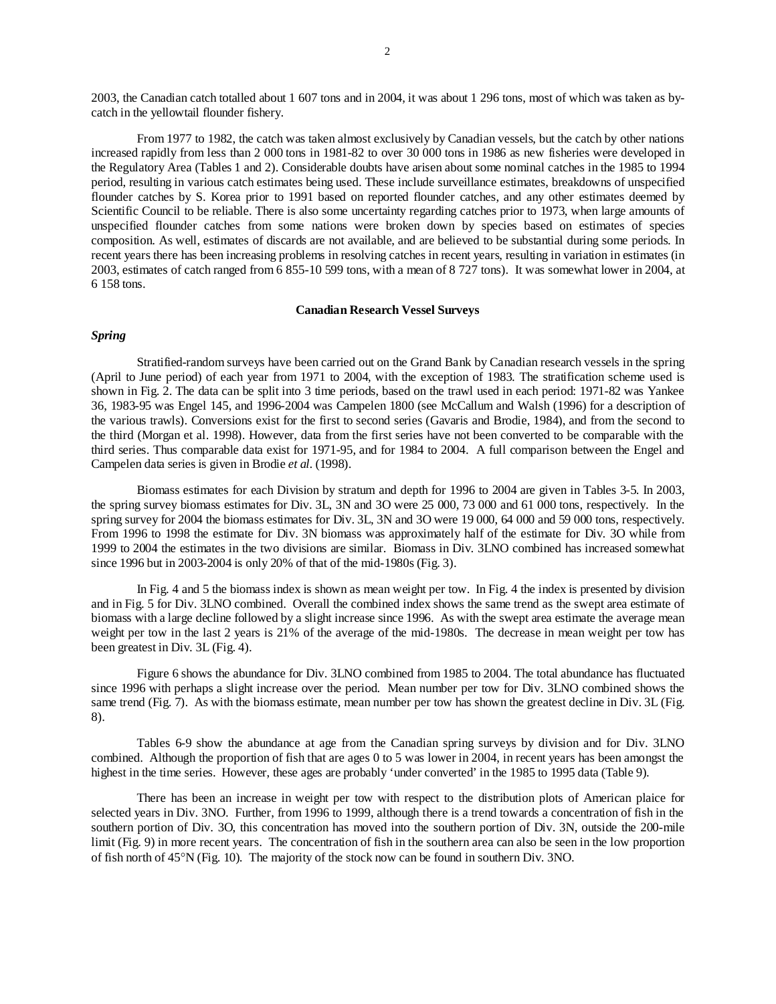2003, the Canadian catch totalled about 1 607 tons and in 2004, it was about 1 296 tons, most of which was taken as bycatch in the yellowtail flounder fishery.

 From 1977 to 1982, the catch was taken almost exclusively by Canadian vessels, but the catch by other nations increased rapidly from less than 2 000 tons in 1981-82 to over 30 000 tons in 1986 as new fisheries were developed in the Regulatory Area (Tables 1 and 2). Considerable doubts have arisen about some nominal catches in the 1985 to 1994 period, resulting in various catch estimates being used. These include surveillance estimates, breakdowns of unspecified flounder catches by S. Korea prior to 1991 based on reported flounder catches, and any other estimates deemed by Scientific Council to be reliable. There is also some uncertainty regarding catches prior to 1973, when large amounts of unspecified flounder catches from some nations were broken down by species based on estimates of species composition. As well, estimates of discards are not available, and are believed to be substantial during some periods. In recent years there has been increasing problems in resolving catches in recent years, resulting in variation in estimates (in 2003, estimates of catch ranged from 6 855-10 599 tons, with a mean of 8 727 tons). It was somewhat lower in 2004, at 6 158 tons.

#### **Canadian Research Vessel Surveys**

# *Spring*

 Stratified-random surveys have been carried out on the Grand Bank by Canadian research vessels in the spring (April to June period) of each year from 1971 to 2004, with the exception of 1983. The stratification scheme used is shown in Fig. 2. The data can be split into 3 time periods, based on the trawl used in each period: 1971-82 was Yankee 36, 1983-95 was Engel 145, and 1996-2004 was Campelen 1800 (see McCallum and Walsh (1996) for a description of the various trawls). Conversions exist for the first to second series (Gavaris and Brodie, 1984), and from the second to the third (Morgan et al. 1998). However, data from the first series have not been converted to be comparable with the third series. Thus comparable data exist for 1971-95, and for 1984 to 2004. A full comparison between the Engel and Campelen data series is given in Brodie *et al.* (1998).

 Biomass estimates for each Division by stratum and depth for 1996 to 2004 are given in Tables 3-5. In 2003, the spring survey biomass estimates for Div. 3L, 3N and 3O were 25 000, 73 000 and 61 000 tons, respectively. In the spring survey for 2004 the biomass estimates for Div. 3L, 3N and 3O were 19 000, 64 000 and 59 000 tons, respectively. From 1996 to 1998 the estimate for Div. 3N biomass was approximately half of the estimate for Div. 3O while from 1999 to 2004 the estimates in the two divisions are similar. Biomass in Div. 3LNO combined has increased somewhat since 1996 but in 2003-2004 is only 20% of that of the mid-1980s (Fig. 3).

 In Fig. 4 and 5 the biomass index is shown as mean weight per tow. In Fig. 4 the index is presented by division and in Fig. 5 for Div. 3LNO combined. Overall the combined index shows the same trend as the swept area estimate of biomass with a large decline followed by a slight increase since 1996. As with the swept area estimate the average mean weight per tow in the last 2 years is 21% of the average of the mid-1980s. The decrease in mean weight per tow has been greatest in Div. 3L (Fig. 4).

 Figure 6 shows the abundance for Div. 3LNO combined from 1985 to 2004. The total abundance has fluctuated since 1996 with perhaps a slight increase over the period. Mean number per tow for Div. 3LNO combined shows the same trend (Fig. 7). As with the biomass estimate, mean number per tow has shown the greatest decline in Div. 3L (Fig. 8).

 Tables 6-9 show the abundance at age from the Canadian spring surveys by division and for Div. 3LNO combined. Although the proportion of fish that are ages 0 to 5 was lower in 2004, in recent years has been amongst the highest in the time series. However, these ages are probably 'under converted' in the 1985 to 1995 data (Table 9).

 There has been an increase in weight per tow with respect to the distribution plots of American plaice for selected years in Div. 3NO. Further, from 1996 to 1999, although there is a trend towards a concentration of fish in the southern portion of Div. 3O, this concentration has moved into the southern portion of Div. 3N, outside the 200-mile limit (Fig. 9) in more recent years. The concentration of fish in the southern area can also be seen in the low proportion of fish north of 45°N (Fig. 10). The majority of the stock now can be found in southern Div. 3NO.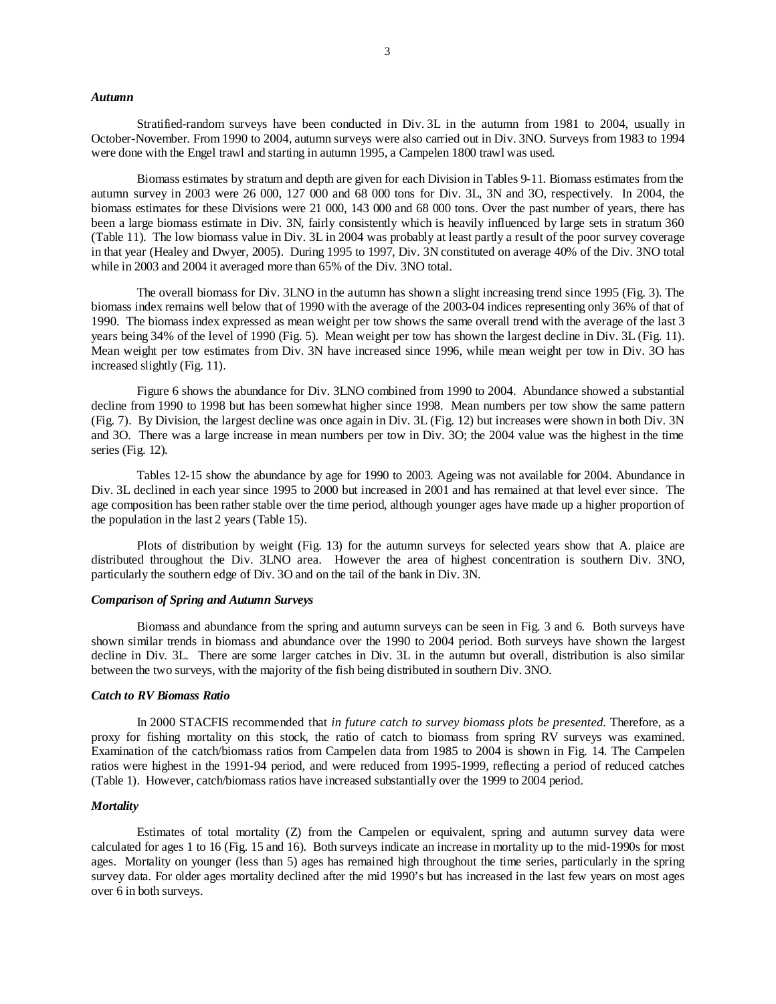#### *Autumn*

 Stratified-random surveys have been conducted in Div. 3L in the autumn from 1981 to 2004, usually in October-November. From 1990 to 2004, autumn surveys were also carried out in Div. 3NO. Surveys from 1983 to 1994 were done with the Engel trawl and starting in autumn 1995, a Campelen 1800 trawl was used.

 Biomass estimates by stratum and depth are given for each Division in Tables 9-11. Biomass estimates from the autumn survey in 2003 were 26 000, 127 000 and 68 000 tons for Div. 3L, 3N and 3O, respectively. In 2004, the biomass estimates for these Divisions were 21 000, 143 000 and 68 000 tons. Over the past number of years, there has been a large biomass estimate in Div. 3N, fairly consistently which is heavily influenced by large sets in stratum 360 (Table 11). The low biomass value in Div. 3L in 2004 was probably at least partly a result of the poor survey coverage in that year (Healey and Dwyer, 2005). During 1995 to 1997, Div. 3N constituted on average 40% of the Div. 3NO total while in 2003 and 2004 it averaged more than 65% of the Div. 3NO total.

 The overall biomass for Div. 3LNO in the autumn has shown a slight increasing trend since 1995 (Fig. 3). The biomass index remains well below that of 1990 with the average of the 2003-04 indices representing only 36% of that of 1990. The biomass index expressed as mean weight per tow shows the same overall trend with the average of the last 3 years being 34% of the level of 1990 (Fig. 5). Mean weight per tow has shown the largest decline in Div. 3L (Fig. 11). Mean weight per tow estimates from Div. 3N have increased since 1996, while mean weight per tow in Div. 3O has increased slightly (Fig. 11).

 Figure 6 shows the abundance for Div. 3LNO combined from 1990 to 2004. Abundance showed a substantial decline from 1990 to 1998 but has been somewhat higher since 1998. Mean numbers per tow show the same pattern (Fig. 7). By Division, the largest decline was once again in Div. 3L (Fig. 12) but increases were shown in both Div. 3N and 3O. There was a large increase in mean numbers per tow in Div. 3O; the 2004 value was the highest in the time series (Fig. 12).

 Tables 12-15 show the abundance by age for 1990 to 2003. Ageing was not available for 2004. Abundance in Div. 3L declined in each year since 1995 to 2000 but increased in 2001 and has remained at that level ever since. The age composition has been rather stable over the time period, although younger ages have made up a higher proportion of the population in the last 2 years (Table 15).

 Plots of distribution by weight (Fig. 13) for the autumn surveys for selected years show that A. plaice are distributed throughout the Div. 3LNO area. However the area of highest concentration is southern Div. 3NO, particularly the southern edge of Div. 3O and on the tail of the bank in Div. 3N.

## *Comparison of Spring and Autumn Surveys*

 Biomass and abundance from the spring and autumn surveys can be seen in Fig. 3 and 6. Both surveys have shown similar trends in biomass and abundance over the 1990 to 2004 period. Both surveys have shown the largest decline in Div. 3L. There are some larger catches in Div. 3L in the autumn but overall, distribution is also similar between the two surveys, with the majority of the fish being distributed in southern Div. 3NO.

#### *Catch to RV Biomass Ratio*

 In 2000 STACFIS recommended that *in future catch to survey biomass plots be presented.* Therefore, as a proxy for fishing mortality on this stock, the ratio of catch to biomass from spring RV surveys was examined. Examination of the catch/biomass ratios from Campelen data from 1985 to 2004 is shown in Fig. 14. The Campelen ratios were highest in the 1991-94 period, and were reduced from 1995-1999, reflecting a period of reduced catches (Table 1). However, catch/biomass ratios have increased substantially over the 1999 to 2004 period.

#### *Mortality*

 Estimates of total mortality (Z) from the Campelen or equivalent, spring and autumn survey data were calculated for ages 1 to 16 (Fig. 15 and 16). Both surveys indicate an increase in mortality up to the mid-1990s for most ages. Mortality on younger (less than 5) ages has remained high throughout the time series, particularly in the spring survey data. For older ages mortality declined after the mid 1990's but has increased in the last few years on most ages over 6 in both surveys.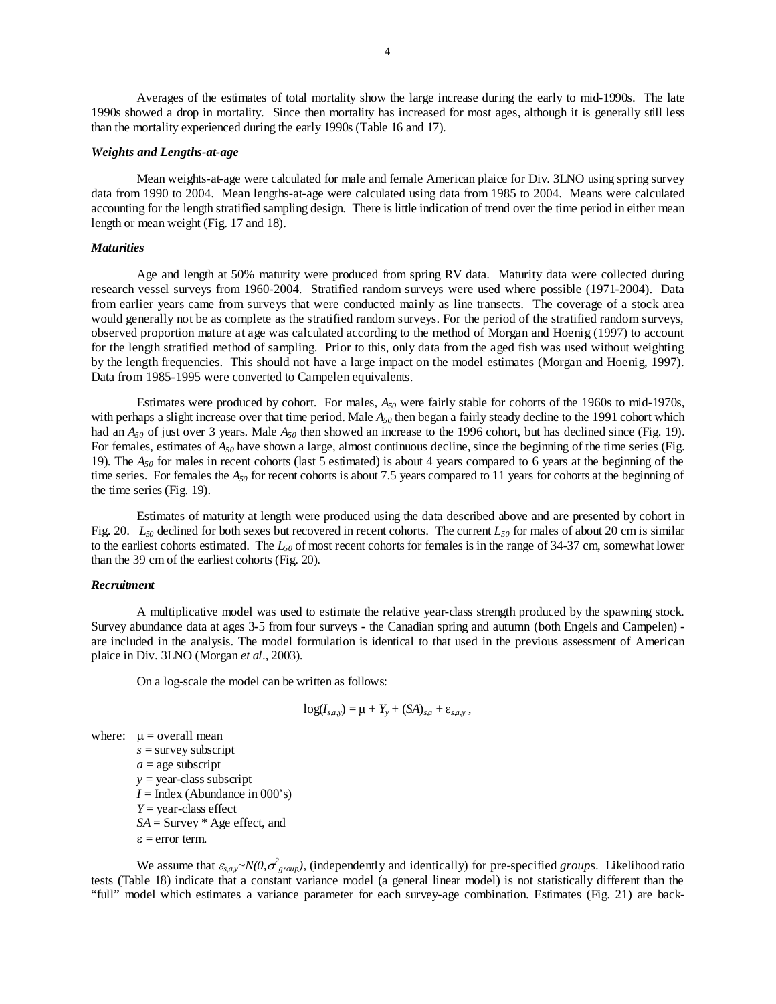Averages of the estimates of total mortality show the large increase during the early to mid-1990s. The late 1990s showed a drop in mortality. Since then mortality has increased for most ages, although it is generally still less than the mortality experienced during the early 1990s (Table 16 and 17).

### *Weights and Lengths-at-age*

 Mean weights-at-age were calculated for male and female American plaice for Div. 3LNO using spring survey data from 1990 to 2004. Mean lengths-at-age were calculated using data from 1985 to 2004. Means were calculated accounting for the length stratified sampling design. There is little indication of trend over the time period in either mean length or mean weight (Fig. 17 and 18).

## *Maturities*

 Age and length at 50% maturity were produced from spring RV data. Maturity data were collected during research vessel surveys from 1960-2004. Stratified random surveys were used where possible (1971-2004). Data from earlier years came from surveys that were conducted mainly as line transects. The coverage of a stock area would generally not be as complete as the stratified random surveys. For the period of the stratified random surveys, observed proportion mature at age was calculated according to the method of Morgan and Hoenig (1997) to account for the length stratified method of sampling. Prior to this, only data from the aged fish was used without weighting by the length frequencies. This should not have a large impact on the model estimates (Morgan and Hoenig, 1997). Data from 1985-1995 were converted to Campelen equivalents.

 Estimates were produced by cohort. For males, *A50* were fairly stable for cohorts of the 1960s to mid-1970s, with perhaps a slight increase over that time period. Male  $A_{50}$  then began a fairly steady decline to the 1991 cohort which had an *A50* of just over 3 years. Male *A50* then showed an increase to the 1996 cohort, but has declined since (Fig. 19). For females, estimates of  $A_{50}$  have shown a large, almost continuous decline, since the beginning of the time series (Fig. 19). The *A50* for males in recent cohorts (last 5 estimated) is about 4 years compared to 6 years at the beginning of the time series. For females the  $A_{50}$  for recent cohorts is about 7.5 years compared to 11 years for cohorts at the beginning of the time series (Fig. 19).

 Estimates of maturity at length were produced using the data described above and are presented by cohort in Fig. 20.  $L_{50}$  declined for both sexes but recovered in recent cohorts. The current  $L_{50}$  for males of about 20 cm is similar to the earliest cohorts estimated. The  $L_{50}$  of most recent cohorts for females is in the range of 34-37 cm, somewhat lower than the 39 cm of the earliest cohorts (Fig. 20).

#### *Recruitment*

 A multiplicative model was used to estimate the relative year-class strength produced by the spawning stock. Survey abundance data at ages 3-5 from four surveys - the Canadian spring and autumn (both Engels and Campelen) are included in the analysis. The model formulation is identical to that used in the previous assessment of American plaice in Div. 3LNO (Morgan *et al*., 2003).

On a log-scale the model can be written as follows:

$$
\log(I_{s,a,y}) = \mu + Y_y + (SA)_{s,a} + \varepsilon_{s,a,y},
$$

where:  $\mu$  = overall mean

*s* = survey subscript  $a =$ age subscript *y* = year-class subscript  $I = \text{Index}$  (Abundance in 000's) *Y* = year-class effect *SA* = Survey \* Age effect, and  $\varepsilon$  = error term.

We assume that  $\varepsilon_{s,a,y} \sim N(0, \sigma_{group}^2)$ , (independently and identically) for pre-specified *groups*. Likelihood ratio tests (Table 18) indicate that a constant variance model (a general linear model) is not statistically different than the "full" model which estimates a variance parameter for each survey-age combination. Estimates (Fig. 21) are back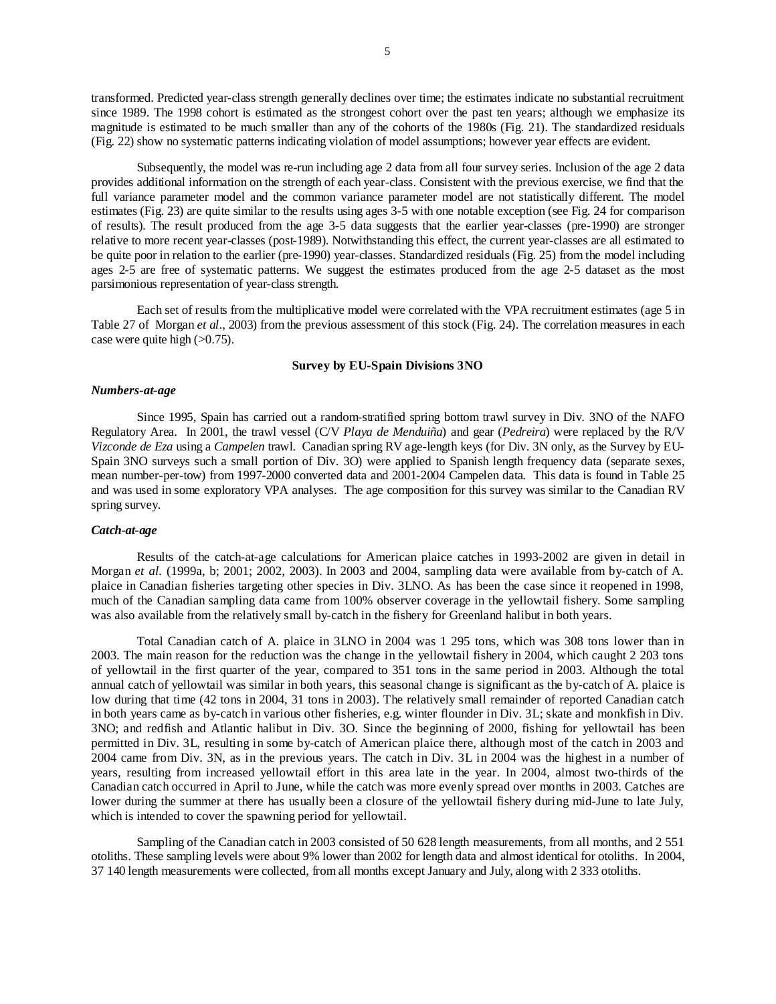transformed. Predicted year-class strength generally declines over time; the estimates indicate no substantial recruitment since 1989. The 1998 cohort is estimated as the strongest cohort over the past ten years; although we emphasize its magnitude is estimated to be much smaller than any of the cohorts of the 1980s (Fig. 21). The standardized residuals (Fig. 22) show no systematic patterns indicating violation of model assumptions; however year effects are evident.

 Subsequently, the model was re-run including age 2 data from all four survey series. Inclusion of the age 2 data provides additional information on the strength of each year-class. Consistent with the previous exercise, we find that the full variance parameter model and the common variance parameter model are not statistically different. The model estimates (Fig. 23) are quite similar to the results using ages 3-5 with one notable exception (see Fig. 24 for comparison of results). The result produced from the age 3-5 data suggests that the earlier year-classes (pre-1990) are stronger relative to more recent year-classes (post-1989). Notwithstanding this effect, the current year-classes are all estimated to be quite poor in relation to the earlier (pre-1990) year-classes. Standardized residuals (Fig. 25) from the model including ages 2-5 are free of systematic patterns. We suggest the estimates produced from the age 2-5 dataset as the most parsimonious representation of year-class strength.

 Each set of results from the multiplicative model were correlated with the VPA recruitment estimates (age 5 in Table 27 of Morgan *et al*., 2003) from the previous assessment of this stock (Fig. 24). The correlation measures in each case were quite high  $(>0.75)$ .

## **Survey by EU-Spain Divisions 3NO**

#### *Numbers-at-age*

 Since 1995, Spain has carried out a random-stratified spring bottom trawl survey in Div. 3NO of the NAFO Regulatory Area. In 2001, the trawl vessel (C/V *Playa de Menduiña*) and gear (*Pedreira*) were replaced by the R/V *Vizconde de Eza* using a *Campelen* trawl. Canadian spring RV age-length keys (for Div. 3N only, as the Survey by EU-Spain 3NO surveys such a small portion of Div. 3O) were applied to Spanish length frequency data (separate sexes, mean number-per-tow) from 1997-2000 converted data and 2001-2004 Campelen data. This data is found in Table 25 and was used in some exploratory VPA analyses. The age composition for this survey was similar to the Canadian RV spring survey.

# *Catch-at-age*

Results of the catch-at-age calculations for American plaice catches in 1993-2002 are given in detail in Morgan *et al.* (1999a, b; 2001; 2002, 2003). In 2003 and 2004, sampling data were available from by-catch of A. plaice in Canadian fisheries targeting other species in Div. 3LNO. As has been the case since it reopened in 1998, much of the Canadian sampling data came from 100% observer coverage in the yellowtail fishery. Some sampling was also available from the relatively small by-catch in the fishery for Greenland halibut in both years.

Total Canadian catch of A. plaice in 3LNO in 2004 was 1 295 tons, which was 308 tons lower than in 2003. The main reason for the reduction was the change in the yellowtail fishery in 2004, which caught 2 203 tons of yellowtail in the first quarter of the year, compared to 351 tons in the same period in 2003. Although the total annual catch of yellowtail was similar in both years, this seasonal change is significant as the by-catch of A. plaice is low during that time (42 tons in 2004, 31 tons in 2003). The relatively small remainder of reported Canadian catch in both years came as by-catch in various other fisheries, e.g. winter flounder in Div. 3L; skate and monkfish in Div. 3NO; and redfish and Atlantic halibut in Div. 3O. Since the beginning of 2000, fishing for yellowtail has been permitted in Div. 3L, resulting in some by-catch of American plaice there, although most of the catch in 2003 and 2004 came from Div. 3N, as in the previous years. The catch in Div. 3L in 2004 was the highest in a number of years, resulting from increased yellowtail effort in this area late in the year. In 2004, almost two-thirds of the Canadian catch occurred in April to June, while the catch was more evenly spread over months in 2003. Catches are lower during the summer at there has usually been a closure of the yellowtail fishery during mid-June to late July, which is intended to cover the spawning period for yellowtail.

Sampling of the Canadian catch in 2003 consisted of 50 628 length measurements, from all months, and 2 551 otoliths. These sampling levels were about 9% lower than 2002 for length data and almost identical for otoliths. In 2004, 37 140 length measurements were collected, from all months except January and July, along with 2 333 otoliths.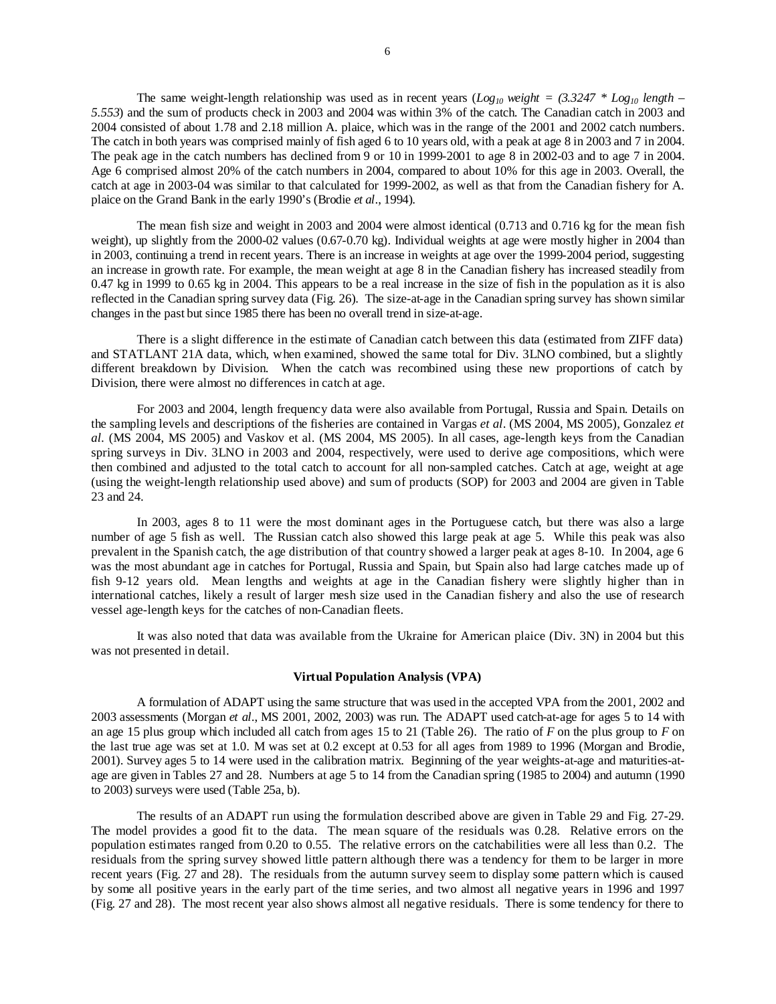The same weight-length relationship was used as in recent years (*Log<sub>10</sub> weight = (3.3247 \* Log<sub>10</sub> length – 5.553*) and the sum of products check in 2003 and 2004 was within 3% of the catch. The Canadian catch in 2003 and 2004 consisted of about 1.78 and 2.18 million A. plaice, which was in the range of the 2001 and 2002 catch numbers. The catch in both years was comprised mainly of fish aged 6 to 10 years old, with a peak at age 8 in 2003 and 7 in 2004. The peak age in the catch numbers has declined from 9 or 10 in 1999-2001 to age 8 in 2002-03 and to age 7 in 2004. Age 6 comprised almost 20% of the catch numbers in 2004, compared to about 10% for this age in 2003. Overall, the catch at age in 2003-04 was similar to that calculated for 1999-2002, as well as that from the Canadian fishery for A. plaice on the Grand Bank in the early 1990's (Brodie *et al*., 1994).

The mean fish size and weight in 2003 and 2004 were almost identical (0.713 and 0.716 kg for the mean fish weight), up slightly from the 2000-02 values (0.67-0.70 kg). Individual weights at age were mostly higher in 2004 than in 2003, continuing a trend in recent years. There is an increase in weights at age over the 1999-2004 period, suggesting an increase in growth rate. For example, the mean weight at age 8 in the Canadian fishery has increased steadily from 0.47 kg in 1999 to 0.65 kg in 2004. This appears to be a real increase in the size of fish in the population as it is also reflected in the Canadian spring survey data (Fig. 26). The size-at-age in the Canadian spring survey has shown similar changes in the past but since 1985 there has been no overall trend in size-at-age.

 There is a slight difference in the estimate of Canadian catch between this data (estimated from ZIFF data) and STATLANT 21A data, which, when examined, showed the same total for Div. 3LNO combined, but a slightly different breakdown by Division. When the catch was recombined using these new proportions of catch by Division, there were almost no differences in catch at age.

For 2003 and 2004, length frequency data were also available from Portugal, Russia and Spain. Details on the sampling levels and descriptions of the fisheries are contained in Vargas *et al*. (MS 2004, MS 2005), Gonzalez *et al.* (MS 2004, MS 2005) and Vaskov et al. (MS 2004, MS 2005). In all cases, age-length keys from the Canadian spring surveys in Div. 3LNO in 2003 and 2004, respectively, were used to derive age compositions, which were then combined and adjusted to the total catch to account for all non-sampled catches. Catch at age, weight at age (using the weight-length relationship used above) and sum of products (SOP) for 2003 and 2004 are given in Table 23 and 24.

 In 2003, ages 8 to 11 were the most dominant ages in the Portuguese catch, but there was also a large number of age 5 fish as well. The Russian catch also showed this large peak at age 5. While this peak was also prevalent in the Spanish catch, the age distribution of that country showed a larger peak at ages 8-10. In 2004, age 6 was the most abundant age in catches for Portugal, Russia and Spain, but Spain also had large catches made up of fish 9-12 years old. Mean lengths and weights at age in the Canadian fishery were slightly higher than in international catches, likely a result of larger mesh size used in the Canadian fishery and also the use of research vessel age-length keys for the catches of non-Canadian fleets.

It was also noted that data was available from the Ukraine for American plaice (Div. 3N) in 2004 but this was not presented in detail.

# **Virtual Population Analysis (VPA)**

 A formulation of ADAPT using the same structure that was used in the accepted VPA from the 2001, 2002 and 2003 assessments (Morgan *et al*., MS 2001, 2002, 2003) was run. The ADAPT used catch-at-age for ages 5 to 14 with an age 15 plus group which included all catch from ages 15 to 21 (Table 26). The ratio of *F* on the plus group to *F* on the last true age was set at 1.0. M was set at 0.2 except at 0.53 for all ages from 1989 to 1996 (Morgan and Brodie, 2001). Survey ages 5 to 14 were used in the calibration matrix. Beginning of the year weights-at-age and maturities-atage are given in Tables 27 and 28. Numbers at age 5 to 14 from the Canadian spring (1985 to 2004) and autumn (1990 to 2003) surveys were used (Table 25a, b).

 The results of an ADAPT run using the formulation described above are given in Table 29 and Fig. 27-29. The model provides a good fit to the data. The mean square of the residuals was 0.28. Relative errors on the population estimates ranged from 0.20 to 0.55. The relative errors on the catchabilities were all less than 0.2. The residuals from the spring survey showed little pattern although there was a tendency for them to be larger in more recent years (Fig. 27 and 28). The residuals from the autumn survey seem to display some pattern which is caused by some all positive years in the early part of the time series, and two almost all negative years in 1996 and 1997 (Fig. 27 and 28). The most recent year also shows almost all negative residuals. There is some tendency for there to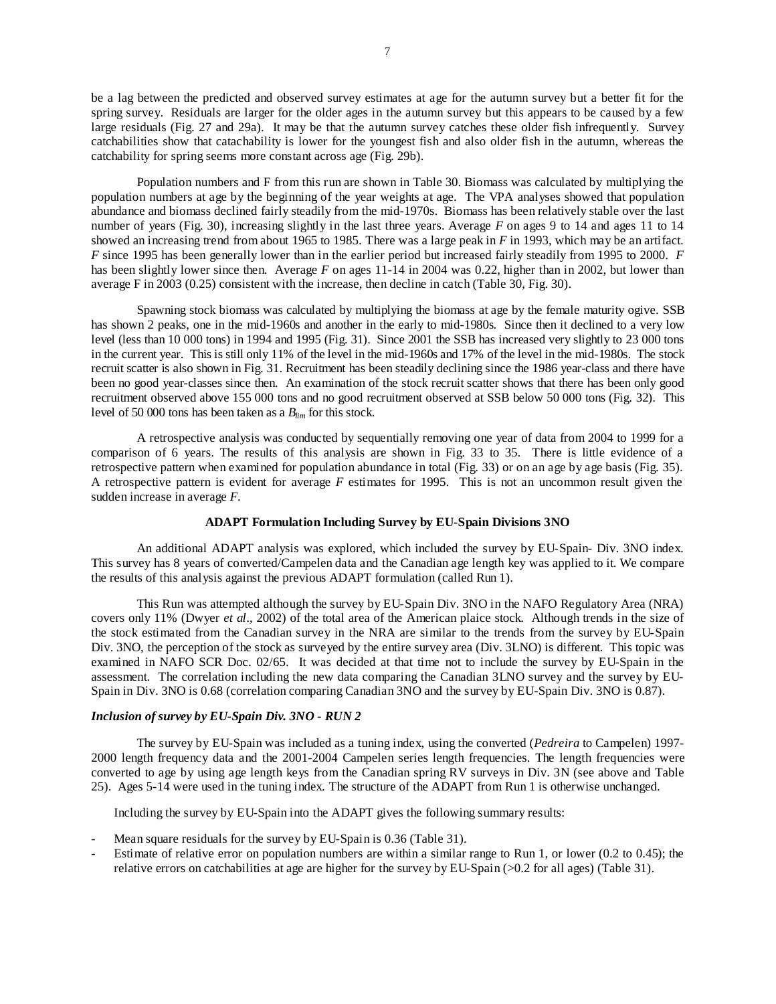be a lag between the predicted and observed survey estimates at age for the autumn survey but a better fit for the spring survey. Residuals are larger for the older ages in the autumn survey but this appears to be caused by a few large residuals (Fig. 27 and 29a). It may be that the autumn survey catches these older fish infrequently. Survey catchabilities show that catachability is lower for the youngest fish and also older fish in the autumn, whereas the catchability for spring seems more constant across age (Fig. 29b).

 Population numbers and F from this run are shown in Table 30. Biomass was calculated by multiplying the population numbers at age by the beginning of the year weights at age. The VPA analyses showed that population abundance and biomass declined fairly steadily from the mid-1970s. Biomass has been relatively stable over the last number of years (Fig. 30), increasing slightly in the last three years. Average *F* on ages 9 to 14 and ages 11 to 14 showed an increasing trend from about 1965 to 1985. There was a large peak in *F* in 1993, which may be an artifact. *F* since 1995 has been generally lower than in the earlier period but increased fairly steadily from 1995 to 2000. *F* has been slightly lower since then. Average *F* on ages 11-14 in 2004 was 0.22, higher than in 2002, but lower than average F in 2003 (0.25) consistent with the increase, then decline in catch (Table 30, Fig. 30).

 Spawning stock biomass was calculated by multiplying the biomass at age by the female maturity ogive. SSB has shown 2 peaks, one in the mid-1960s and another in the early to mid-1980s. Since then it declined to a very low level (less than 10 000 tons) in 1994 and 1995 (Fig. 31). Since 2001 the SSB has increased very slightly to 23 000 tons in the current year. This is still only 11% of the level in the mid-1960s and 17% of the level in the mid-1980s. The stock recruit scatter is also shown in Fig. 31. Recruitment has been steadily declining since the 1986 year-class and there have been no good year-classes since then. An examination of the stock recruit scatter shows that there has been only good recruitment observed above 155 000 tons and no good recruitment observed at SSB below 50 000 tons (Fig. 32). This level of 50 000 tons has been taken as a *Blim* for this stock.

 A retrospective analysis was conducted by sequentially removing one year of data from 2004 to 1999 for a comparison of 6 years. The results of this analysis are shown in Fig. 33 to 35. There is little evidence of a retrospective pattern when examined for population abundance in total (Fig. 33) or on an age by age basis (Fig. 35). A retrospective pattern is evident for average *F* estimates for 1995. This is not an uncommon result given the sudden increase in average *F*.

# **ADAPT Formulation Including Survey by EU-Spain Divisions 3NO**

An additional ADAPT analysis was explored, which included the survey by EU-Spain- Div. 3NO index. This survey has 8 years of converted/Campelen data and the Canadian age length key was applied to it. We compare the results of this analysis against the previous ADAPT formulation (called Run 1).

This Run was attempted although the survey by EU-Spain Div. 3NO in the NAFO Regulatory Area (NRA) covers only 11% (Dwyer *et al*., 2002) of the total area of the American plaice stock. Although trends in the size of the stock estimated from the Canadian survey in the NRA are similar to the trends from the survey by EU-Spain Div. 3NO, the perception of the stock as surveyed by the entire survey area (Div. 3LNO) is different. This topic was examined in NAFO SCR Doc. 02/65. It was decided at that time not to include the survey by EU-Spain in the assessment. The correlation including the new data comparing the Canadian 3LNO survey and the survey by EU-Spain in Div. 3NO is 0.68 (correlation comparing Canadian 3NO and the survey by EU-Spain Div. 3NO is 0.87).

### *Inclusion of survey by EU-Spain Div. 3NO - RUN 2*

The survey by EU-Spain was included as a tuning index, using the converted (*Pedreira* to Campelen) 1997- 2000 length frequency data and the 2001-2004 Campelen series length frequencies. The length frequencies were converted to age by using age length keys from the Canadian spring RV surveys in Div. 3N (see above and Table 25). Ages 5-14 were used in the tuning index. The structure of the ADAPT from Run 1 is otherwise unchanged.

Including the survey by EU-Spain into the ADAPT gives the following summary results:

- Mean square residuals for the survey by EU-Spain is 0.36 (Table 31).
- Estimate of relative error on population numbers are within a similar range to Run 1, or lower (0.2 to 0.45); the relative errors on catchabilities at age are higher for the survey by EU-Spain (>0.2 for all ages) (Table 31).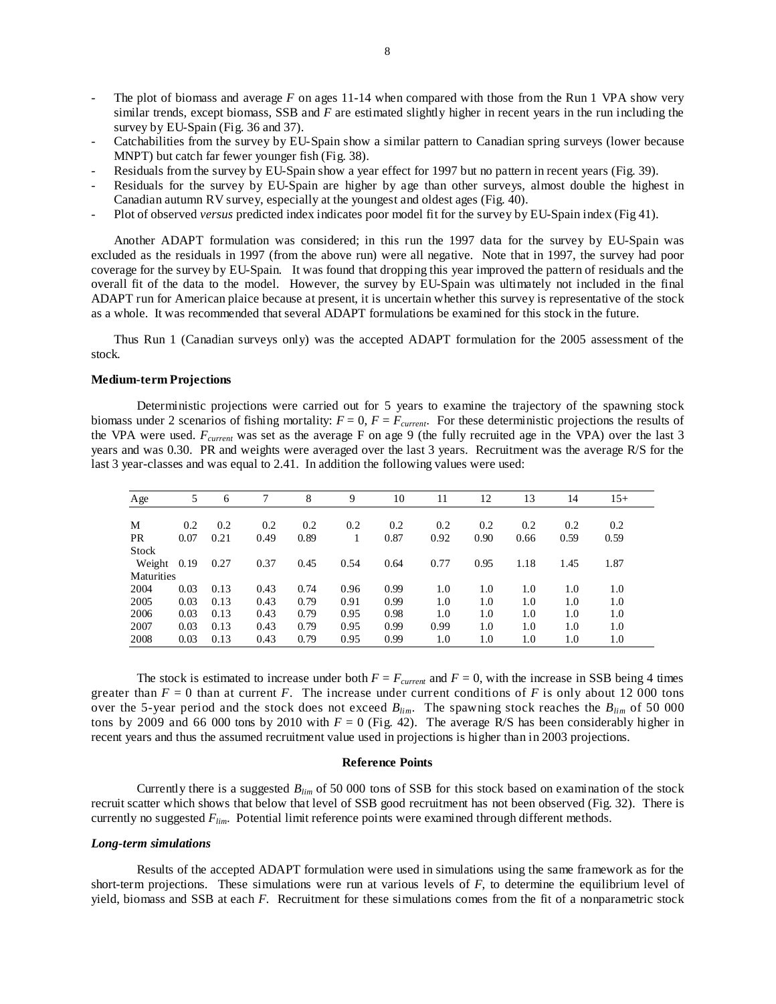- The plot of biomass and average *F* on ages 11-14 when compared with those from the Run 1 VPA show very similar trends, except biomass, SSB and *F* are estimated slightly higher in recent years in the run including the survey by EU-Spain (Fig. 36 and 37).
- Catchabilities from the survey by EU-Spain show a similar pattern to Canadian spring surveys (lower because MNPT) but catch far fewer younger fish (Fig. 38).
- Residuals from the survey by EU-Spain show a year effect for 1997 but no pattern in recent years (Fig. 39).
- Residuals for the survey by EU-Spain are higher by age than other surveys, almost double the highest in Canadian autumn RV survey, especially at the youngest and oldest ages (Fig. 40).
- Plot of observed *versus* predicted index indicates poor model fit for the survey by EU-Spain index (Fig 41).

Another ADAPT formulation was considered; in this run the 1997 data for the survey by EU-Spain was excluded as the residuals in 1997 (from the above run) were all negative. Note that in 1997, the survey had poor coverage for the survey by EU-Spain. It was found that dropping this year improved the pattern of residuals and the overall fit of the data to the model. However, the survey by EU-Spain was ultimately not included in the final ADAPT run for American plaice because at present, it is uncertain whether this survey is representative of the stock as a whole. It was recommended that several ADAPT formulations be examined for this stock in the future.

Thus Run 1 (Canadian surveys only) was the accepted ADAPT formulation for the 2005 assessment of the stock.

# **Medium-term Projections**

Deterministic projections were carried out for 5 years to examine the trajectory of the spawning stock biomass under 2 scenarios of fishing mortality:  $F = 0$ ,  $F = F_{current}$ . For these deterministic projections the results of the VPA were used.  $F_{current}$  was set as the average F on age 9 (the fully recruited age in the VPA) over the last 3 years and was 0.30. PR and weights were averaged over the last 3 years. Recruitment was the average R/S for the last 3 year-classes and was equal to 2.41. In addition the following values were used:

| Age          | 5    | 6    |      | 8    | 9    | 10   | 11   | 12   | 13   | 14   | $15+$ |  |
|--------------|------|------|------|------|------|------|------|------|------|------|-------|--|
|              |      |      |      |      |      |      |      |      |      |      |       |  |
| M            | 0.2  | 0.2  | 0.2  | 0.2  | 0.2  | 0.2  | 0.2  | 0.2  | 0.2  | 0.2  | 0.2   |  |
| <b>PR</b>    | 0.07 | 0.21 | 0.49 | 0.89 | 1    | 0.87 | 0.92 | 0.90 | 0.66 | 0.59 | 0.59  |  |
| <b>Stock</b> |      |      |      |      |      |      |      |      |      |      |       |  |
| Weight       | 0.19 | 0.27 | 0.37 | 0.45 | 0.54 | 0.64 | 0.77 | 0.95 | 1.18 | 1.45 | 1.87  |  |
| Maturities   |      |      |      |      |      |      |      |      |      |      |       |  |
| 2004         | 0.03 | 0.13 | 0.43 | 0.74 | 0.96 | 0.99 | 1.0  | 1.0  | 1.0  | 1.0  | 1.0   |  |
| 2005         | 0.03 | 0.13 | 0.43 | 0.79 | 0.91 | 0.99 | 1.0  | 1.0  | 1.0  | 1.0  | 1.0   |  |
| 2006         | 0.03 | 0.13 | 0.43 | 0.79 | 0.95 | 0.98 | 1.0  | 1.0  | 1.0  | 1.0  | 1.0   |  |
| 2007         | 0.03 | 0.13 | 0.43 | 0.79 | 0.95 | 0.99 | 0.99 | 1.0  | 1.0  | 1.0  | 1.0   |  |
| 2008         | 0.03 | 0.13 | 0.43 | 0.79 | 0.95 | 0.99 | 1.0  | 1.0  | 1.0  | 1.0  | 1.0   |  |

The stock is estimated to increase under both  $F = F_{current}$  and  $F = 0$ , with the increase in SSB being 4 times greater than  $F = 0$  than at current  $F$ . The increase under current conditions of  $F$  is only about 12 000 tons over the 5-year period and the stock does not exceed *Blim*. The spawning stock reaches the *Blim* of 50 000 tons by 2009 and 66 000 tons by 2010 with  $F = 0$  (Fig. 42). The average R/S has been considerably higher in recent years and thus the assumed recruitment value used in projections is higher than in 2003 projections.

#### **Reference Points**

Currently there is a suggested *Blim* of 50 000 tons of SSB for this stock based on examination of the stock recruit scatter which shows that below that level of SSB good recruitment has not been observed (Fig. 32). There is currently no suggested *Flim*. Potential limit reference points were examined through different methods.

#### *Long-term simulations*

Results of the accepted ADAPT formulation were used in simulations using the same framework as for the short-term projections. These simulations were run at various levels of *F*, to determine the equilibrium level of yield, biomass and SSB at each *F*. Recruitment for these simulations comes from the fit of a nonparametric stock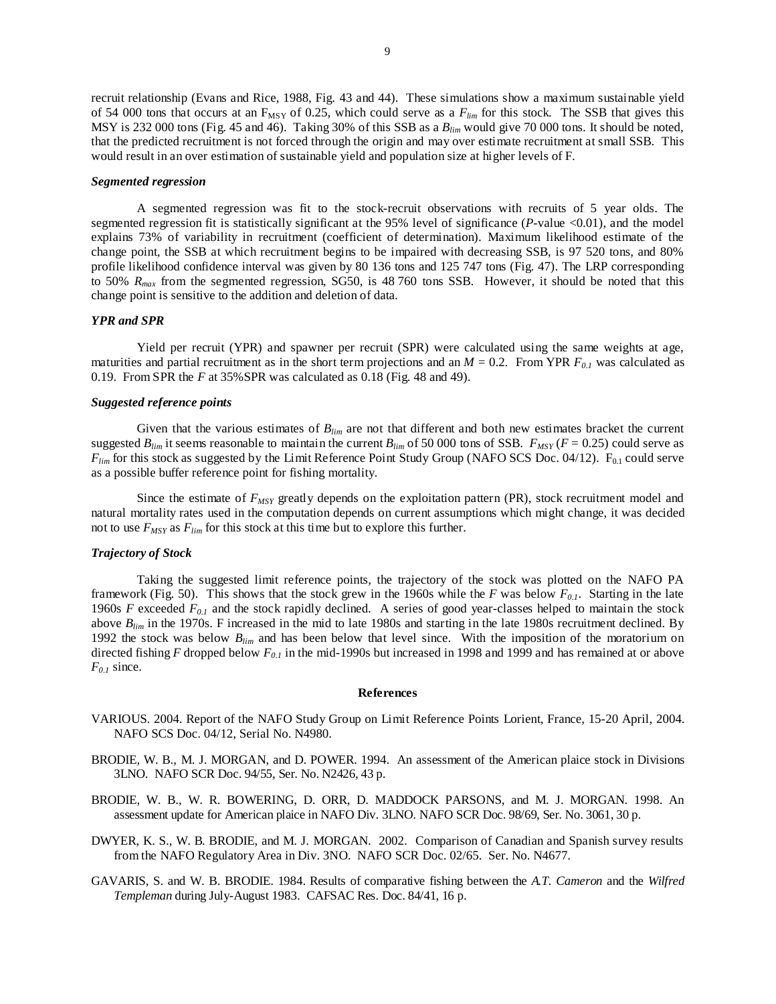recruit relationship (Evans and Rice, 1988, Fig. 43 and 44). These simulations show a maximum sustainable yield of 54 000 tons that occurs at an  $F_{MSY}$  of 0.25, which could serve as a  $F_{lim}$  for this stock. The SSB that gives this MSY is 232 000 tons (Fig. 45 and 46). Taking 30% of this SSB as a *Blim* would give 70 000 tons. It should be noted, that the predicted recruitment is not forced through the origin and may over estimate recruitment at small SSB. This would result in an over estimation of sustainable yield and population size at higher levels of F.

#### *Segmented regression*

A segmented regression was fit to the stock-recruit observations with recruits of 5 year olds. The segmented regression fit is statistically significant at the 95% level of significance (*P*-value <0.01), and the model explains 73% of variability in recruitment (coefficient of determination). Maximum likelihood estimate of the change point, the SSB at which recruitment begins to be impaired with decreasing SSB, is 97 520 tons, and 80% profile likelihood confidence interval was given by 80 136 tons and 125 747 tons (Fig. 47). The LRP corresponding to 50% *Rmax* from the segmented regression, SG50, is 48 760 tons SSB. However, it should be noted that this change point is sensitive to the addition and deletion of data.

## *YPR and SPR*

Yield per recruit (YPR) and spawner per recruit (SPR) were calculated using the same weights at age, maturities and partial recruitment as in the short term projections and an  $M = 0.2$ . From YPR  $F_{0,l}$  was calculated as 0.19. From SPR the *F* at 35%SPR was calculated as 0.18 (Fig. 48 and 49).

# *Suggested reference points*

 Given that the various estimates of *Blim* are not that different and both new estimates bracket the current suggested  $B_{lim}$  it seems reasonable to maintain the current  $B_{lim}$  of 50 000 tons of SSB.  $F_{MSY}$  ( $F = 0.25$ ) could serve as  $F_{lim}$  for this stock as suggested by the Limit Reference Point Study Group (NAFO SCS Doc. 04/12).  $F_{0.1}$  could serve as a possible buffer reference point for fishing mortality.

Since the estimate of  $F_{MSY}$  greatly depends on the exploitation pattern (PR), stock recruitment model and natural mortality rates used in the computation depends on current assumptions which might change, it was decided not to use  $F_{MSY}$  as  $F_{lim}$  for this stock at this time but to explore this further.

#### *Trajectory of Stock*

Taking the suggested limit reference points, the trajectory of the stock was plotted on the NAFO PA framework (Fig. 50). This shows that the stock grew in the 1960s while the *F* was below  $F_{0,l}$ . Starting in the late 1960s *F* exceeded *F0.1* and the stock rapidly declined. A series of good year-classes helped to maintain the stock above *Blim* in the 1970s. F increased in the mid to late 1980s and starting in the late 1980s recruitment declined. By 1992 the stock was below *Blim* and has been below that level since. With the imposition of the moratorium on directed fishing *F* dropped below *F0.1* in the mid-1990s but increased in 1998 and 1999 and has remained at or above  $F_{0,I}$  since.

#### **References**

- VARIOUS. 2004. Report of the NAFO Study Group on Limit Reference Points Lorient, France, 15-20 April, 2004. NAFO SCS Doc. 04/12, Serial No. N4980.
- BRODIE, W. B., M. J. MORGAN, and D. POWER. 1994. An assessment of the American plaice stock in Divisions 3LNO. NAFO SCR Doc. 94/55, Ser. No. N2426, 43 p.
- BRODIE, W. B., W. R. BOWERING, D. ORR, D. MADDOCK PARSONS, and M. J. MORGAN. 1998. An assessment update for American plaice in NAFO Div. 3LNO. NAFO SCR Doc. 98/69, Ser. No. 3061, 30 p.
- DWYER, K. S., W. B. BRODIE, and M. J. MORGAN. 2002. Comparison of Canadian and Spanish survey results from the NAFO Regulatory Area in Div. 3NO. NAFO SCR Doc. 02/65. Ser. No. N4677.
- GAVARIS, S. and W. B. BRODIE. 1984. Results of comparative fishing between the *A.T. Cameron* and the *Wilfred Templeman* during July-August 1983. CAFSAC Res. Doc. 84/41, 16 p.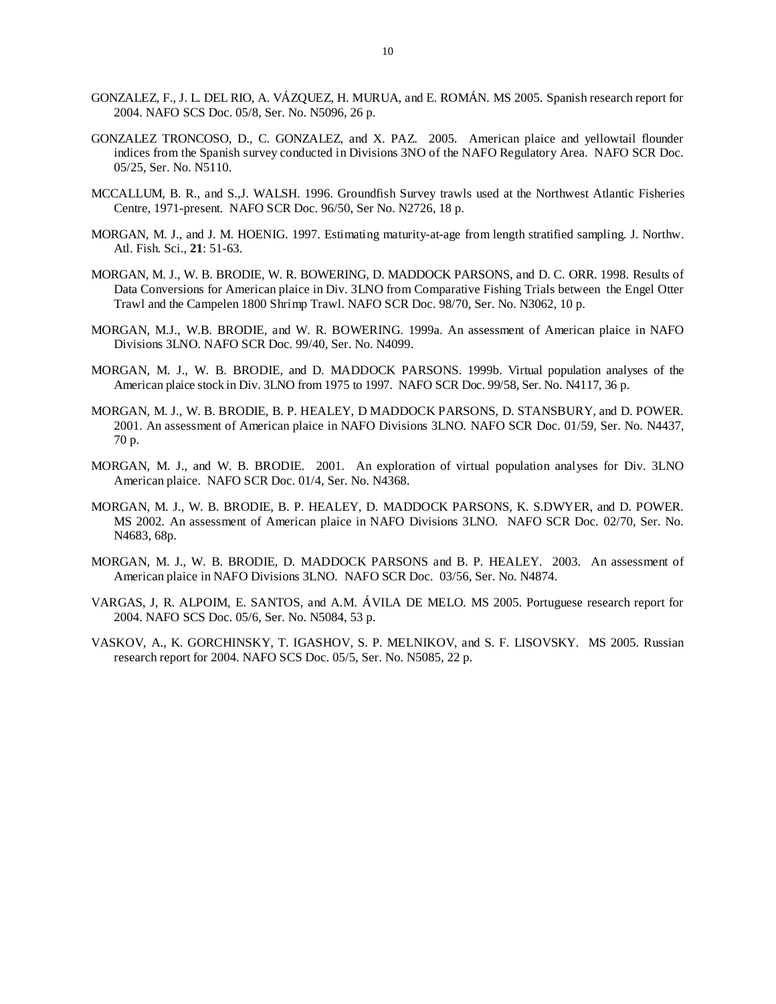- GONZALEZ, F., J. L. DEL RIO, A. VÁZQUEZ, H. MURUA, and E. ROMÁN. MS 2005. Spanish research report for 2004. NAFO SCS Doc. 05/8, Ser. No. N5096, 26 p.
- GONZALEZ TRONCOSO, D., C. GONZALEZ, and X. PAZ. 2005. American plaice and yellowtail flounder indices from the Spanish survey conducted in Divisions 3NO of the NAFO Regulatory Area. NAFO SCR Doc. 05/25, Ser. No. N5110.
- MCCALLUM, B. R., and S.,J. WALSH. 1996. Groundfish Survey trawls used at the Northwest Atlantic Fisheries Centre, 1971-present. NAFO SCR Doc. 96/50, Ser No. N2726, 18 p.
- MORGAN, M. J., and J. M. HOENIG. 1997. Estimating maturity-at-age from length stratified sampling. J. Northw. Atl. Fish. Sci., **21**: 51-63.
- MORGAN, M. J., W. B. BRODIE, W. R. BOWERING, D. MADDOCK PARSONS, and D. C. ORR. 1998. Results of Data Conversions for American plaice in Div. 3LNO from Comparative Fishing Trials between the Engel Otter Trawl and the Campelen 1800 Shrimp Trawl. NAFO SCR Doc. 98/70, Ser. No. N3062, 10 p.
- MORGAN, M.J., W.B. BRODIE, and W. R. BOWERING. 1999a. An assessment of American plaice in NAFO Divisions 3LNO. NAFO SCR Doc. 99/40, Ser. No. N4099.
- MORGAN, M. J., W. B. BRODIE, and D. MADDOCK PARSONS. 1999b. Virtual population analyses of the American plaice stock in Div. 3LNO from 1975 to 1997. NAFO SCR Doc. 99/58, Ser. No. N4117, 36 p.
- MORGAN, M. J., W. B. BRODIE, B. P. HEALEY, D MADDOCK PARSONS, D. STANSBURY, and D. POWER. 2001. An assessment of American plaice in NAFO Divisions 3LNO. NAFO SCR Doc. 01/59, Ser. No. N4437, 70 p.
- MORGAN, M. J., and W. B. BRODIE. 2001. An exploration of virtual population analyses for Div. 3LNO American plaice. NAFO SCR Doc. 01/4, Ser. No. N4368.
- MORGAN, M. J., W. B. BRODIE, B. P. HEALEY, D. MADDOCK PARSONS, K. S.DWYER, and D. POWER. MS 2002. An assessment of American plaice in NAFO Divisions 3LNO. NAFO SCR Doc. 02/70, Ser. No. N4683, 68p.
- MORGAN, M. J., W. B. BRODIE, D. MADDOCK PARSONS and B. P. HEALEY. 2003. An assessment of American plaice in NAFO Divisions 3LNO. NAFO SCR Doc. 03/56, Ser. No. N4874.
- VARGAS, J, R. ALPOIM, E. SANTOS, and A.M. ÁVILA DE MELO. MS 2005. Portuguese research report for 2004. NAFO SCS Doc. 05/6, Ser. No. N5084, 53 p.
- VASKOV, A., K. GORCHINSKY, T. IGASHOV, S. P. MELNIKOV, and S. F. LISOVSKY. MS 2005. Russian research report for 2004. NAFO SCS Doc. 05/5, Ser. No. N5085, 22 p.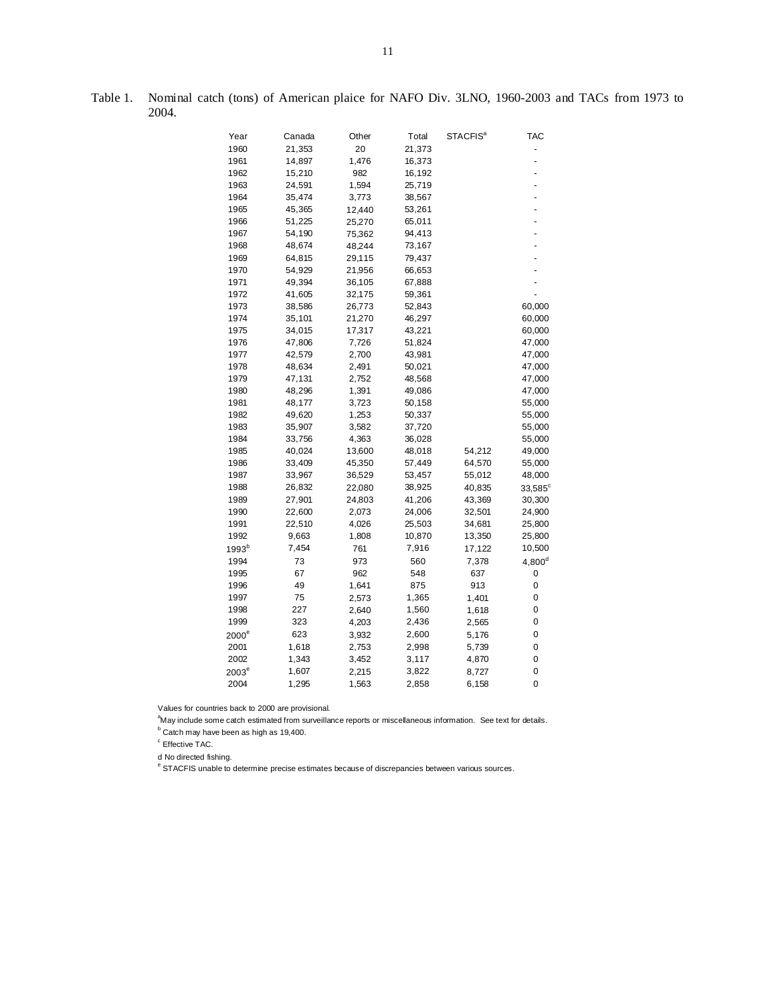| Year              | Canada | Other  | Total  | <b>STACFIS<sup>a</sup></b> | <b>TAC</b>     |
|-------------------|--------|--------|--------|----------------------------|----------------|
| 1960              | 21,353 | 20     | 21,373 |                            |                |
| 1961              | 14,897 | 1,476  | 16,373 |                            | $\overline{a}$ |
| 1962              | 15,210 | 982    | 16,192 |                            |                |
| 1963              | 24,591 | 1,594  | 25,719 |                            |                |
| 1964              | 35,474 | 3,773  | 38,567 |                            |                |
| 1965              | 45,365 | 12,440 | 53,261 |                            |                |
| 1966              | 51,225 | 25,270 | 65,011 |                            |                |
| 1967              | 54,190 | 75,362 | 94,413 |                            |                |
| 1968              | 48,674 | 48,244 | 73,167 |                            |                |
| 1969              | 64,815 | 29,115 | 79,437 |                            |                |
| 1970              | 54,929 | 21,956 | 66,653 |                            |                |
| 1971              | 49,394 | 36,105 | 67,888 |                            |                |
| 1972              | 41,605 | 32,175 | 59,361 |                            |                |
| 1973              | 38,586 | 26,773 | 52,843 |                            | 60,000         |
| 1974              | 35,101 | 21,270 | 46,297 |                            | 60,000         |
| 1975              | 34,015 | 17,317 | 43,221 |                            | 60,000         |
| 1976              | 47,806 | 7,726  | 51,824 |                            | 47,000         |
| 1977              | 42,579 | 2,700  | 43,981 |                            | 47,000         |
| 1978              | 48,634 | 2,491  | 50,021 |                            | 47,000         |
| 1979              | 47,131 | 2,752  | 48,568 |                            | 47,000         |
| 1980              | 48,296 | 1,391  | 49,086 |                            | 47,000         |
| 1981              | 48,177 | 3,723  | 50,158 |                            | 55,000         |
| 1982              | 49,620 | 1,253  | 50,337 |                            | 55,000         |
| 1983              | 35,907 | 3,582  | 37,720 |                            | 55,000         |
| 1984              | 33,756 | 4,363  | 36,028 |                            | 55,000         |
| 1985              | 40,024 | 13,600 | 48,018 | 54,212                     | 49,000         |
| 1986              | 33,409 | 45,350 | 57,449 | 64,570                     | 55,000         |
| 1987              | 33,967 | 36,529 | 53,457 | 55,012                     | 48,000         |
| 1988              | 26,832 | 22,080 | 38,925 | 40,835                     | $33,585^\circ$ |
| 1989              | 27,901 | 24,803 | 41,206 | 43,369                     | 30,300         |
| 1990              | 22,600 | 2,073  | 24,006 | 32,501                     | 24,900         |
| 1991              | 22,510 | 4,026  | 25,503 | 34,681                     | 25,800         |
| 1992              | 9,663  | 1,808  | 10,870 | 13,350                     | 25,800         |
| 1993 <sup>b</sup> | 7,454  | 761    | 7,916  | 17,122                     | 10,500         |
| 1994              | 73     | 973    | 560    | 7,378                      | $4,800^d$      |
| 1995              | 67     | 962    | 548    | 637                        | 0              |
| 1996              | 49     | 1,641  | 875    | 913                        | 0              |
| 1997              | 75     | 2,573  | 1,365  | 1,401                      | 0              |
| 1998              | 227    | 2,640  | 1,560  | 1,618                      | 0              |
| 1999              | 323    | 4,203  | 2,436  | 2,565                      | 0              |
| $2000^e$          | 623    | 3,932  | 2,600  | 5,176                      | 0              |
| 2001              | 1,618  | 2,753  | 2,998  | 5,739                      | 0              |
| 2002              | 1,343  | 3,452  | 3,117  | 4,870                      | 0              |
| $2003^e$          | 1,607  | 2,215  | 3,822  | 8,727                      | 0              |
| 2004              | 1,295  | 1,563  | 2,858  | 6,158                      | 0              |

Table 1. Nominal catch (tons) of American plaice for NAFO Div. 3LNO, 1960-2003 and TACs from 1973 to 2004.

Values for countries back to 2000 are provisional.

<sup>a</sup>May include some catch estimated from surveillance reports or miscellaneous information. See text for details.  $b$  Catch may have been as high as 19,400.

<sup>c</sup> Effective TAC.

d No directed fishing.

<sup>e</sup> STACFIS unable to determine precise estimates because of discrepancies between various sources.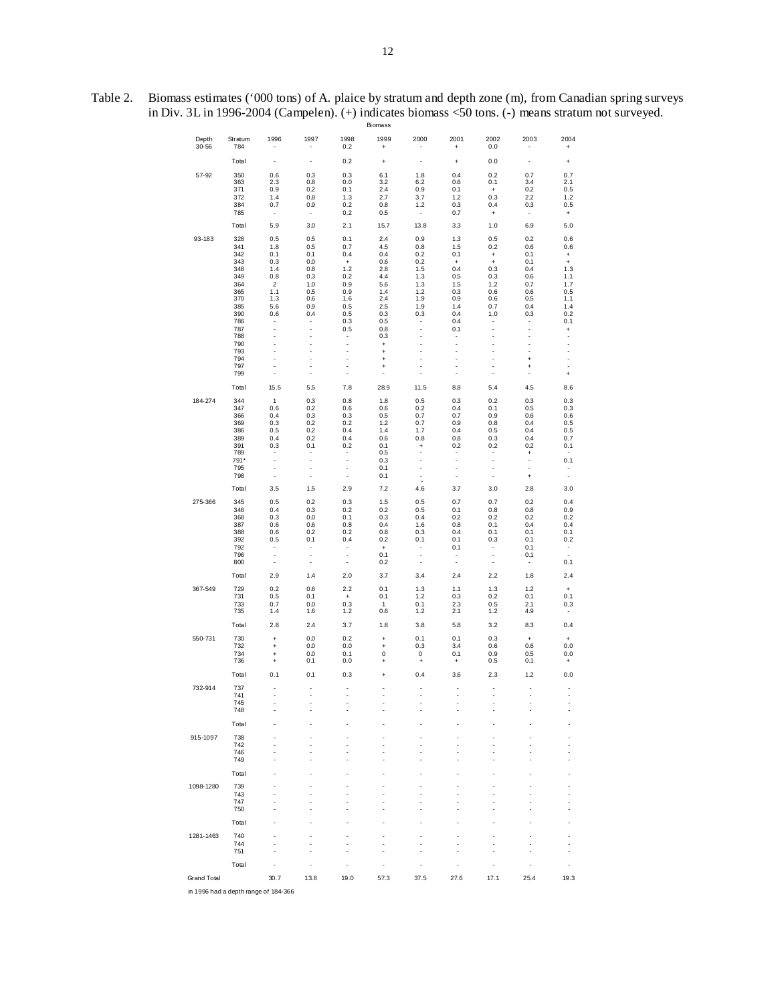| Table 2. Biomass estimates ('000 tons) of A. plaice by stratum and depth zone (m), from Canadian spring surveys |
|-----------------------------------------------------------------------------------------------------------------|
| in Div. 3L in 1996-2004 (Campelen). $(+)$ indicates biomass $\leq 50$ tons. $(-)$ means stratum not surveyed.   |
| Biomass                                                                                                         |

|                    |                |                          |                                  |                                  | ычназэ                                  |                                       |                                                      |                                         |                                       |                                                      |
|--------------------|----------------|--------------------------|----------------------------------|----------------------------------|-----------------------------------------|---------------------------------------|------------------------------------------------------|-----------------------------------------|---------------------------------------|------------------------------------------------------|
| Depth<br>$30 - 56$ | Stratum<br>784 | 1996                     | 1997<br>$\overline{\phantom{a}}$ | 1998<br>0.2                      | 1999<br>$\bf{+}$                        | 2000                                  | 2001<br>$\ddot{}$                                    | 2002<br>0.0                             | 2003<br>$\overline{a}$                | 2004<br>$\begin{array}{c} + \end{array}$             |
|                    | Total          | $\overline{a}$           | ÷                                | 0.2                              | $\ddot{}$                               | $\overline{a}$                        | $\ddot{}$                                            | 0.0                                     | ٠                                     | $\ddot{}$                                            |
| 57-92              | 350            | 0.6                      | 0.3                              | 0.3                              | 6.1                                     | 1.8                                   | 0.4                                                  | 0.2                                     | 0.7                                   | 0.7                                                  |
|                    | 363<br>371     | 2.3<br>0.9               | 0.8<br>0.2                       | 0.0<br>0.1                       | 3.2<br>2.4                              | 6.2<br>0.9                            | 0.6<br>0.1                                           | 0.1<br>$^\mathrm{+}$                    | 3.4<br>0.2                            | 2.1<br>0.5                                           |
|                    | 372<br>384     | 1.4<br>0.7               | 0.8<br>0.9                       | 1.3<br>0.2                       | 2.7<br>0.8                              | 3.7<br>1.2                            | 1.2<br>0.3                                           | 0.3<br>0.4                              | 2.2<br>0.3                            | 1.2<br>0.5                                           |
|                    | 785            | ٠                        | $\overline{\phantom{a}}$         | 0.2                              | 0.5                                     | $\overline{\phantom{a}}$              | 0.7                                                  | $^\mathrm{+}$                           | $\overline{\phantom{a}}$              | $\begin{array}{c} + \end{array}$                     |
|                    | Total          | 5.9                      | 3.0                              | 2.1                              | 15.7                                    | 13.8                                  | 3.3                                                  | 1.0                                     | 6.9                                   | 5.0                                                  |
| 93-183             | 328            | 0.5                      | 0.5                              | 0.1                              | 2.4                                     | 0.9                                   | 1.3                                                  | 0.5                                     | 0.2                                   | 0.6                                                  |
|                    | 341<br>342     | 1.8<br>0.1               | 0.5<br>0.1                       | 0.7<br>0.4                       | 4.5<br>0.4                              | 0.8<br>0.2                            | 1.5<br>0.1                                           | 0.2<br>$\begin{array}{c} + \end{array}$ | 0.6<br>0.1                            | 0.6<br>$\begin{array}{c} + \end{array}$              |
|                    | 343<br>348     | 0.3<br>1.4               | 0.0<br>0.8                       | $\bf{+}$<br>1.2                  | 0.6<br>2.8                              | 0.2<br>1.5                            | $\pmb{+}$<br>0.4                                     | $\bf{+}$<br>0.3                         | 0.1<br>0.4                            | $\ddot{}$<br>1.3                                     |
|                    | 349<br>364     | 0.8<br>$\overline{2}$    | 0.3<br>1.0                       | 0.2<br>0.9                       | 4.4<br>5.6                              | 1.3<br>1.3                            | 0.5<br>1.5                                           | 0.3<br>1.2                              | 0.6<br>0.7                            | 1.1<br>1.7                                           |
|                    | 365<br>370     | 1.1<br>1.3               | 0.5<br>0.6                       | 0.9<br>1.6                       | 1.4<br>2.4                              | 1.2<br>1.9                            | 0.3<br>0.9                                           | 0.6<br>0.6                              | 0.6<br>0.5                            | 0.5<br>1.1                                           |
|                    | 385            | 5.6                      | 0.9                              | 0.5                              | 2.5                                     | 1.9                                   | 1.4                                                  | 0.7                                     | 0.4                                   | 1.4                                                  |
|                    | 390<br>786     | 0.6                      | 0.4<br>$\overline{\phantom{a}}$  | 0.5<br>0.3                       | 0.3<br>0.5                              | 0.3<br>$\overline{\phantom{a}}$       | 0.4<br>0.4                                           | 1.0<br>$\overline{\phantom{a}}$         | 0.3<br>$\overline{\phantom{a}}$       | 0.2<br>0.1                                           |
|                    | 787<br>788     | $\overline{a}$           | ÷.<br>÷,                         | 0.5                              | 0.8<br>0.3                              | ÷<br>÷                                | 0.1<br>$\overline{\phantom{a}}$                      | ÷,<br>÷                                 | $\overline{\phantom{a}}$<br>÷,        | $\left. +\right.$<br>÷                               |
|                    | 790<br>793     |                          | $\overline{\phantom{a}}$<br>L,   | $\overline{a}$<br>$\overline{a}$ | $\bf{+}$<br>$\ddot{}$                   | $\overline{a}$<br>$\overline{a}$      | $\overline{a}$<br>$\overline{a}$                     | $\overline{a}$<br>$\overline{a}$        | L,<br>÷,                              | $\overline{\phantom{a}}$<br>$\overline{\phantom{a}}$ |
|                    | 794            | ÷<br>÷,                  | L,<br>٠                          | $\overline{a}$<br>÷,             | $\ddot{}$                               | $\overline{a}$<br>÷,                  | $\overline{a}$<br>$\overline{a}$                     | $\overline{a}$<br>÷,                    | $\ddot{}$                             | $\overline{\phantom{a}}$<br>$\overline{\phantom{a}}$ |
|                    | 797<br>799     | ÷,                       | ٠                                | ÷,                               | $\ddot{}$<br>÷,                         | l,                                    | $\overline{a}$                                       | ÷,                                      | $\ddot{}$<br>÷                        | $\begin{array}{c} + \end{array}$                     |
|                    | Total          | 15.5                     | 5.5                              | 7.8                              | 28.9                                    | 11.5                                  | 8.8                                                  | 5.4                                     | 4.5                                   | 8.6                                                  |
| 184-274            | 344<br>347     | $\mathbf{1}$<br>0.6      | 0.3<br>0.2                       | 0.8<br>0.6                       | 1.8<br>0.6                              | 0.5<br>0.2                            | 0.3<br>0.4                                           | 0.2<br>0.1                              | 0.3<br>0.5                            | 0.3<br>0.3                                           |
|                    | 366<br>369     | 0.4<br>0.3               | 0.3<br>0.2                       | 0.3<br>0.2                       | 0.5<br>1.2                              | 0.7<br>0.7                            | 0.7<br>0.9                                           | 0.9<br>0.8                              | 0.6<br>0.4                            | 0.6<br>0.5                                           |
|                    | 386            | 0.5                      | 0.2                              | 0.4                              | $1.4$                                   | 1.7                                   | 0.4                                                  | 0.5                                     | 0.4                                   | 0.5                                                  |
|                    | 389<br>391     | 0.4<br>0.3               | 0.2<br>0.1                       | 0.4<br>0.2                       | 0.6<br>0.1                              | 0.8<br>$\ddot{}$                      | 0.8<br>0.2                                           | 0.3<br>0.2                              | 0.4<br>0.2                            | 0.7<br>0.1                                           |
|                    | 789<br>791*    |                          | ٠<br>$\overline{\phantom{a}}$    | $\overline{\phantom{a}}$         | 0.5<br>0.3                              | $\overline{\phantom{a}}$<br>÷,        | $\overline{\phantom{a}}$<br>÷,                       | $\overline{\phantom{0}}$                | $\ddot{}$<br>$\overline{\phantom{0}}$ | 0.1                                                  |
|                    | 795<br>798     | $\overline{\phantom{a}}$ | ÷,<br>÷                          |                                  | 0.1<br>0.1                              | ÷,<br>$\ddot{\phantom{0}}$            | $\overline{\phantom{a}}$<br>$\overline{\phantom{a}}$ | ÷,<br>÷,                                | $\ddot{}$                             | $\overline{\phantom{a}}$<br>$\overline{\phantom{a}}$ |
|                    | Total          | 3.5                      | 1.5                              | 2.9                              | 7.2                                     | 4.6                                   | 3.7                                                  | 3.0                                     | 2.8                                   | 3.0                                                  |
| 275-366            | 345<br>346     | 0.5<br>0.4               | 0.2<br>0.3                       | 0.3<br>0.2                       | 1.5<br>0.2                              | 0.5<br>0.5                            | 0.7<br>0.1                                           | 0.7<br>0.8                              | 0.2<br>0.8                            | 0.4<br>0.9                                           |
|                    | 368            | 0.3                      | 0.0                              | 0.1                              | 0.3                                     | 0.4                                   | 0.2                                                  | 0.2                                     | 0.2                                   | 0.2                                                  |
|                    | 387<br>388     | 0.6<br>0.6               | 0.6<br>0.2                       | 0.8<br>0.2                       | 0.4<br>0.8                              | 1.6<br>0.3                            | 0.8<br>0.4                                           | 0.1<br>0.1                              | 0.4<br>0.1                            | 0.4<br>0.1                                           |
|                    | 392<br>792     | 0.5<br>$\overline{a}$    | 0.1<br>$\overline{\phantom{a}}$  | 0.4<br>÷                         | 0.2<br>$\begin{array}{c} + \end{array}$ | 0.1<br>$\frac{1}{2}$                  | 0.1<br>0.1                                           | 0.3<br>$\overline{\phantom{a}}$         | 0.1<br>0.1                            | 0.2                                                  |
|                    | 796<br>800     | ÷,<br>$\overline{a}$     | ÷<br>÷,                          | $\overline{a}$<br>÷              | 0.1<br>0.2                              | Ĭ,<br>÷                               | $\mathbb{I}$                                         | ÷<br>÷                                  | 0.1<br>$\overline{\phantom{a}}$       | $\frac{1}{2}$<br>0.1                                 |
|                    | Total          | 2.9                      | 1.4                              | 2.0                              | 3.7                                     | 3.4                                   | 2.4                                                  | 2.2                                     | 1.8                                   | 2.4                                                  |
| 367-549            | 729            | 0.2                      | 0.6                              | 2.2                              | 0.1                                     | 1.3                                   | 1.1                                                  | 1.3                                     | 1.2                                   | $\,$ +                                               |
|                    | 731<br>733     | 0.5<br>0.7               | 0.1<br>0.0                       | $\bf{+}$<br>0.3                  | 0.1<br>$\mathbf{1}$                     | 1.2<br>0.1                            | 0.3<br>2.3                                           | 0.2<br>0.5                              | 0.1<br>2.1                            | 0.1<br>0.3                                           |
|                    | 735<br>Total   | 1.4<br>2.8               | 1.6<br>2.4                       | 1.2<br>3.7                       | 0.6<br>1.8                              | 1.2<br>3.8                            | 2.1<br>5.8                                           | 1.2<br>3.2                              | 4.9<br>8.3                            | $\overline{\phantom{a}}$<br>0.4                      |
| 550-731            | 730            | $\ddot{}$                | 0.0                              | 0.2                              | $\ddot{}$                               | 0.1                                   | 0.1                                                  | 0.3                                     | $\bf{+}$                              | $\begin{array}{c} + \end{array}$                     |
|                    | 732            | $\ddot{}$                | 0.0                              | 0.0                              | $\ddot{}$                               | 0.3                                   | 3.4                                                  | 0.6                                     | 0.6                                   | 0.0                                                  |
|                    | 734<br>736     | $\ddot{}$<br>$\ddot{}$   | 0.0<br>0.1                       | 0.1<br>0.0                       | 0<br>$\ddot{}$                          | 0<br>$\begin{array}{c} + \end{array}$ | 0.1<br>$\ddot{}$                                     | 0.9<br>0.5                              | 0.5<br>0.1                            | 0.0<br>$\ddot{}$                                     |
|                    | Total          | 0.1                      | 0.1                              | 0.3                              | $\ddot{}$                               | 0.4                                   | 3.6                                                  | 2.3                                     | 1.2                                   | 0.0                                                  |
| 732-914            | 737<br>741     |                          | ÷,                               |                                  | $\overline{a}$                          | L,                                    | J.                                                   | $\overline{a}$                          | $\overline{a}$                        |                                                      |
|                    | 745<br>748     |                          | J.                               |                                  |                                         |                                       | Ĭ.                                                   |                                         |                                       |                                                      |
|                    | Total          |                          | Ĭ.                               |                                  |                                         |                                       |                                                      |                                         |                                       |                                                      |
| 915-1097           | 738            |                          |                                  |                                  |                                         |                                       |                                                      |                                         |                                       |                                                      |
|                    | 742<br>746     |                          | J.                               |                                  | Ĭ.                                      |                                       |                                                      |                                         |                                       |                                                      |
|                    | 749            |                          |                                  |                                  |                                         |                                       |                                                      |                                         |                                       |                                                      |
| 1098-1280          | Total<br>739   |                          |                                  |                                  |                                         |                                       |                                                      |                                         |                                       |                                                      |
|                    | 743            |                          |                                  |                                  |                                         |                                       |                                                      |                                         |                                       | $\overline{a}$                                       |
|                    | 747<br>750     |                          |                                  |                                  |                                         |                                       |                                                      |                                         |                                       |                                                      |
|                    | Total          |                          |                                  |                                  |                                         |                                       |                                                      |                                         |                                       |                                                      |
| 1281-1463          | 740<br>744     |                          |                                  |                                  |                                         |                                       |                                                      |                                         |                                       | $\overline{a}$                                       |
|                    | 751            |                          |                                  |                                  | Ĭ.                                      |                                       |                                                      |                                         |                                       | $\overline{a}$                                       |
|                    | Total          |                          | J.                               |                                  | Ĭ.                                      |                                       | Ĭ.                                                   |                                         |                                       | $\overline{a}$                                       |
| Grand Total        |                | 30.7                     | 13.8                             | 19.0                             | 57.3                                    | 37.5                                  | 27.6                                                 | 17.1                                    | 25.4                                  | 19.3                                                 |

in 1996 had a depth range of 184-366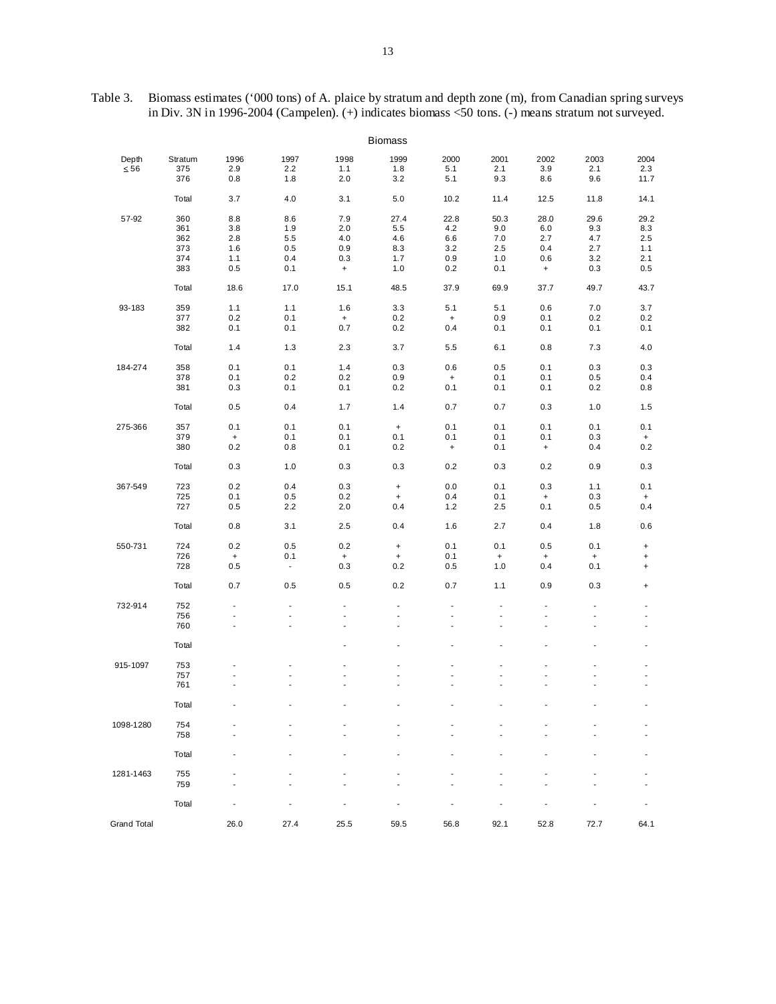| Table 3. Biomass estimates ('000 tons) of A. plaice by stratum and depth zone (m), from Canadian spring surveys |
|-----------------------------------------------------------------------------------------------------------------|
| in Div. 3N in 1996-2004 (Campelen). $(+)$ indicates biomass <50 tons. $(-)$ means stratum not surveyed.         |

|                    |         |                                  |                          |                          | <b>Biomass</b>           |                                  |                          |                                  |                          |                                  |
|--------------------|---------|----------------------------------|--------------------------|--------------------------|--------------------------|----------------------------------|--------------------------|----------------------------------|--------------------------|----------------------------------|
| Depth              | Stratum | 1996                             | 1997                     | 1998                     | 1999                     | 2000                             | 2001                     | 2002                             | 2003                     | 2004                             |
| $\leq 56$          | 375     | 2.9                              | 2.2                      | 1.1                      | 1.8                      | 5.1                              | 2.1                      | 3.9                              | 2.1                      | 2.3                              |
|                    | 376     | 0.8                              | 1.8                      | 2.0                      | 3.2                      | 5.1                              | 9.3                      | 8.6                              | 9.6                      | 11.7                             |
|                    | Total   | 3.7                              | 4.0                      | 3.1                      | 5.0                      | 10.2                             | 11.4                     | 12.5                             | 11.8                     | 14.1                             |
| 57-92              | 360     | 8.8                              | 8.6                      | 7.9                      | 27.4                     | 22.8                             | 50.3                     | 28.0                             | 29.6                     | 29.2                             |
|                    | 361     | 3.8                              | 1.9                      | 2.0                      | 5.5                      | 4.2                              | 9.0                      | 6.0                              | 9.3                      | 8.3                              |
|                    | 362     | 2.8                              | 5.5                      | 4.0                      | 4.6                      | 6.6                              | 7.0                      | 2.7                              | 4.7                      | 2.5                              |
|                    | 373     | 1.6                              | 0.5                      | 0.9                      | 8.3                      | 3.2                              | 2.5                      | 0.4                              | 2.7                      | 1.1                              |
|                    | 374     | 1.1                              | 0.4                      | 0.3                      | 1.7                      | 0.9                              | 1.0                      | 0.6                              | 3.2                      | 2.1                              |
|                    | 383     | 0.5                              | 0.1                      | $\ddot{}$                | 1.0                      | 0.2                              | 0.1                      | $\ddot{}$                        | 0.3                      | 0.5                              |
|                    | Total   | 18.6                             | 17.0                     | 15.1                     | 48.5                     | 37.9                             | 69.9                     | 37.7                             | 49.7                     | 43.7                             |
| 93-183             | 359     | 1.1                              | 1.1                      | 1.6                      | 3.3                      | 5.1                              | 5.1                      | 0.6                              | 7.0                      | 3.7                              |
|                    | 377     | 0.2                              | 0.1                      | $+$                      | 0.2                      | $\ddot{}$                        | 0.9                      | 0.1                              | 0.2                      | 0.2                              |
|                    | 382     | 0.1                              | 0.1                      | 0.7                      | 0.2                      | 0.4                              | 0.1                      | 0.1                              | 0.1                      | 0.1                              |
|                    | Total   | 1.4                              | 1.3                      | 2.3                      | 3.7                      | 5.5                              | 6.1                      | 0.8                              | 7.3                      | 4.0                              |
| 184-274            | 358     | 0.1                              | 0.1                      | 1.4                      | 0.3                      | 0.6                              | 0.5                      | 0.1                              | 0.3                      | 0.3                              |
|                    | 378     | 0.1                              | 0.2                      | 0.2                      | 0.9                      | $\begin{array}{c} + \end{array}$ | 0.1                      | 0.1                              | 0.5                      | 0.4                              |
|                    | 381     | 0.3                              | 0.1                      | 0.1                      | 0.2                      | 0.1                              | 0.1                      | 0.1                              | 0.2                      | 0.8                              |
|                    | Total   | 0.5                              | 0.4                      | 1.7                      | 1.4                      | 0.7                              | 0.7                      | 0.3                              | 1.0                      | 1.5                              |
| 275-366            | 357     | 0.1                              | 0.1                      | 0.1                      | $\pmb{+}$                | 0.1                              | 0.1                      | 0.1                              | 0.1                      | 0.1                              |
|                    | 379     | $\pmb{+}$                        | 0.1                      | 0.1                      | 0.1                      | 0.1                              | 0.1                      | 0.1                              | 0.3                      | $\ddot{}$                        |
|                    | 380     | 0.2                              | 0.8                      | 0.1                      | 0.2                      | $\begin{array}{c} + \end{array}$ | 0.1                      | $\ddot{}$                        | 0.4                      | 0.2                              |
|                    | Total   | 0.3                              | 1.0                      | 0.3                      | 0.3                      | 0.2                              | 0.3                      | 0.2                              | 0.9                      | 0.3                              |
| 367-549            | 723     | 0.2                              | 0.4                      | 0.3                      | $\pmb{+}$                | 0.0                              | 0.1                      | 0.3                              | 1.1                      | 0.1                              |
|                    | 725     | 0.1                              | 0.5                      | 0.2                      | $\ddot{}$                | 0.4                              | 0.1                      | $\ddot{}$                        | 0.3                      | $\ddot{}$                        |
|                    | 727     | 0.5                              | 2.2                      | 2.0                      | 0.4                      | 1.2                              | 2.5                      | 0.1                              | 0.5                      | 0.4                              |
|                    | Total   | 0.8                              | 3.1                      | 2.5                      | 0.4                      | 1.6                              | 2.7                      | 0.4                              | 1.8                      | 0.6                              |
| 550-731            | 724     | 0.2                              | 0.5                      | 0.2                      | $+$                      | 0.1                              | 0.1                      | 0.5                              | 0.1                      | $\begin{array}{c} + \end{array}$ |
|                    | 726     | $\begin{array}{c} + \end{array}$ | 0.1                      | $+$                      | $\ddot{}$                | 0.1                              | $\ddot{}$                | $\begin{array}{c} + \end{array}$ | $\ddot{}$                | $\begin{array}{c} + \end{array}$ |
|                    | 728     | 0.5                              | $\blacksquare$           | 0.3                      | 0.2                      | 0.5                              | 1.0                      | 0.4                              | 0.1                      | $\begin{array}{c} + \end{array}$ |
|                    | Total   | 0.7                              | 0.5                      | 0.5                      | 0.2                      | 0.7                              | 1.1                      | 0.9                              | 0.3                      | $\ddot{}$                        |
| 732-914            | 752     | $\overline{\phantom{a}}$         |                          | $\overline{\phantom{a}}$ | $\overline{a}$           |                                  | ÷.                       | $\qquad \qquad \blacksquare$     | $\overline{\phantom{a}}$ |                                  |
|                    | 756     | $\overline{\phantom{a}}$         | ÷,                       | $\overline{\phantom{a}}$ | ÷,                       | $\overline{\phantom{a}}$         | ÷.                       | $\frac{1}{2}$                    | $\overline{\phantom{a}}$ | $\overline{\phantom{a}}$         |
|                    | 760     | $\overline{\phantom{a}}$         | $\overline{\phantom{a}}$ | $\blacksquare$           | $\overline{\phantom{a}}$ | $\overline{a}$                   | $\overline{\phantom{a}}$ | $\blacksquare$                   | $\blacksquare$           | $\blacksquare$                   |
|                    | Total   |                                  |                          |                          |                          |                                  |                          |                                  |                          | $\overline{a}$                   |
| 915-1097           | 753     |                                  |                          | L,                       |                          |                                  |                          |                                  | Ĭ.                       | $\overline{\phantom{a}}$         |
|                    | 757     |                                  | ٠                        | $\overline{a}$           | ÷                        |                                  | ÷                        | $\overline{a}$                   | $\overline{\phantom{a}}$ | $\overline{a}$                   |
|                    | 761     |                                  |                          | ÷.                       |                          |                                  |                          |                                  | ÷.                       | ÷.                               |
|                    | Total   |                                  |                          |                          |                          |                                  |                          |                                  |                          |                                  |
| 1098-1280          | 754     |                                  |                          |                          |                          |                                  |                          |                                  |                          |                                  |
|                    | 758     |                                  |                          |                          |                          |                                  |                          |                                  |                          |                                  |
|                    | Total   |                                  |                          |                          |                          |                                  |                          |                                  |                          |                                  |
| 1281-1463          | 755     |                                  |                          |                          |                          |                                  |                          |                                  |                          |                                  |
|                    | 759     |                                  |                          |                          |                          |                                  |                          |                                  |                          |                                  |
|                    | Total   |                                  |                          |                          |                          |                                  |                          |                                  |                          |                                  |
| <b>Grand Total</b> |         | 26.0                             | 27.4                     | 25.5                     | 59.5                     | 56.8                             | 92.1                     | 52.8                             | 72.7                     | 64.1                             |
|                    |         |                                  |                          |                          |                          |                                  |                          |                                  |                          |                                  |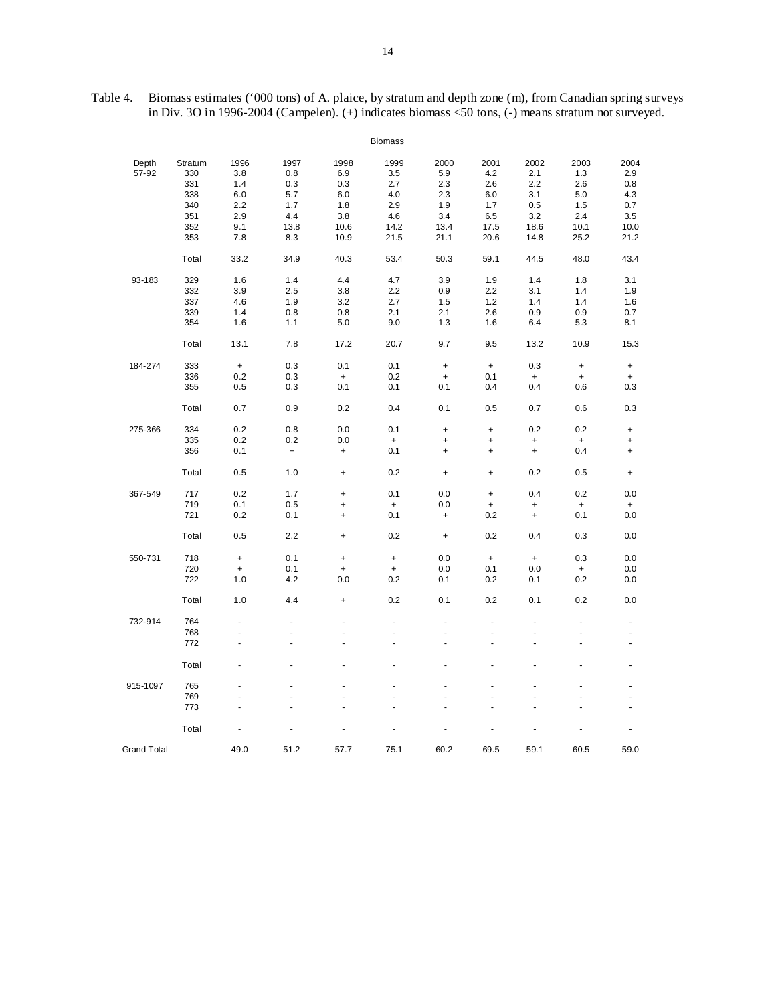| Table 4. Biomass estimates ('000 tons) of A. plaice, by stratum and depth zone (m), from Canadian spring surveys |
|------------------------------------------------------------------------------------------------------------------|
| in Div. 30 in 1996-2004 (Campelen). $(+)$ indicates biomass <50 tons, $(-)$ means stratum not surveyed.          |

|                    |         |           |                   |           | <b>Biomass</b>                   |                                  |                                  |                                  |                                  |           |
|--------------------|---------|-----------|-------------------|-----------|----------------------------------|----------------------------------|----------------------------------|----------------------------------|----------------------------------|-----------|
| Depth              | Stratum | 1996      | 1997              | 1998      | 1999                             | 2000                             | 2001                             | 2002                             | 2003                             | 2004      |
| 57-92              | 330     | 3.8       | 0.8               | 6.9       | 3.5                              | 5.9                              | 4.2                              | 2.1                              | 1.3                              | 2.9       |
|                    | 331     | 1.4       | 0.3               | 0.3       | 2.7                              | 2.3                              | 2.6                              | 2.2                              | 2.6                              | 0.8       |
|                    | 338     | 6.0       | 5.7               | 6.0       | 4.0                              | 2.3                              | 6.0                              | 3.1                              | 5.0                              | 4.3       |
|                    | 340     | 2.2       | 1.7               | 1.8       | 2.9                              | 1.9                              | 1.7                              | 0.5                              | 1.5                              | 0.7       |
|                    | 351     | 2.9       | 4.4               | 3.8       | 4.6                              | 3.4                              | 6.5                              | 3.2                              | 2.4                              | 3.5       |
|                    |         |           |                   |           |                                  |                                  |                                  |                                  |                                  |           |
|                    | 352     | 9.1       | 13.8              | 10.6      | 14.2                             | 13.4                             | 17.5                             | 18.6                             | 10.1                             | 10.0      |
|                    | 353     | 7.8       | 8.3               | 10.9      | 21.5                             | 21.1                             | 20.6                             | 14.8                             | 25.2                             | 21.2      |
|                    | Total   | 33.2      | 34.9              | 40.3      | 53.4                             | 50.3                             | 59.1                             | 44.5                             | 48.0                             | 43.4      |
| 93-183             | 329     | 1.6       | 1.4               | 4.4       | 4.7                              | 3.9                              | 1.9                              | 1.4                              | 1.8                              | 3.1       |
|                    | 332     | 3.9       | 2.5               | 3.8       | 2.2                              | 0.9                              | 2.2                              | 3.1                              | 1.4                              | 1.9       |
|                    | 337     | 4.6       | 1.9               | 3.2       | 2.7                              | 1.5                              | 1.2                              | 1.4                              | 1.4                              | 1.6       |
|                    | 339     | 1.4       | 0.8               | 0.8       | 2.1                              | 2.1                              | 2.6                              | 0.9                              | 0.9                              | 0.7       |
|                    | 354     | 1.6       | 1.1               | 5.0       | 9.0                              | 1.3                              | 1.6                              | 6.4                              | 5.3                              | 8.1       |
|                    | Total   | 13.1      | 7.8               | 17.2      | 20.7                             | 9.7                              | 9.5                              | 13.2                             | 10.9                             | 15.3      |
| 184-274            | 333     | $\ddot{}$ | 0.3               | 0.1       | 0.1                              | $\ddot{}$                        | $\ddot{}$                        | 0.3                              | $\ddot{}$                        | $\ddot{}$ |
|                    | 336     | 0.2       | 0.3               | $\ddot{}$ | 0.2                              | $\begin{array}{c} + \end{array}$ | 0.1                              | $\begin{array}{c} + \end{array}$ | $\begin{array}{c} + \end{array}$ | $\ddot{}$ |
|                    | 355     | 0.5       | 0.3               | 0.1       | 0.1                              | 0.1                              | 0.4                              | 0.4                              | 0.6                              | 0.3       |
|                    | Total   | 0.7       | 0.9               | 0.2       | 0.4                              | 0.1                              | 0.5                              | 0.7                              | 0.6                              | 0.3       |
| 275-366            | 334     | 0.2       | 0.8               | 0.0       | 0.1                              | $\begin{array}{c} + \end{array}$ | $\ddot{}$                        | 0.2                              | 0.2                              | $\ddot{}$ |
|                    | 335     | 0.2       | 0.2               | 0.0       | $\ddot{}$                        | $\ddot{}$                        | $\ddot{}$                        | $\ddot{}$                        | $\begin{array}{c} + \end{array}$ | $\ddot{}$ |
|                    | 356     | 0.1       | $\qquad \qquad +$ | $\ddot{}$ | 0.1                              | $\ddot{}$                        | $\ddot{}$                        | $\ddot{}$                        | 0.4                              | $\ddot{}$ |
|                    |         |           |                   |           |                                  |                                  |                                  |                                  |                                  |           |
|                    | Total   | 0.5       | 1.0               | $\ddot{}$ | 0.2                              | $\ddot{}$                        | $\ddot{}$                        | 0.2                              | 0.5                              | $\ddot{}$ |
| 367-549            | 717     | 0.2       | 1.7               | $\ddot{}$ | 0.1                              | 0.0                              | $\ddot{}$                        | 0.4                              | 0.2                              | 0.0       |
|                    | 719     | 0.1       | 0.5               | +         | $\ddot{}$                        | 0.0                              | $\begin{array}{c} + \end{array}$ | $\ddot{}$                        | $\begin{array}{c} + \end{array}$ | $\ddot{}$ |
|                    | 721     | 0.2       | 0.1               | $\ddot{}$ | 0.1                              | $\begin{array}{c} + \end{array}$ | 0.2                              | $\ddot{}$                        | 0.1                              | 0.0       |
|                    | Total   | 0.5       | 2.2               | $\ddot{}$ | 0.2                              | $\ddot{}$                        | 0.2                              | 0.4                              | 0.3                              | 0.0       |
| 550-731            | 718     | $\ddot{}$ | 0.1               | $\ddot{}$ | $\begin{array}{c} + \end{array}$ | 0.0                              | $\ddot{}$                        | $\ddot{}$                        | 0.3                              | 0.0       |
|                    | 720     | $\ddot{}$ | 0.1               | $\ddot{}$ | $\ddot{}$                        | 0.0                              | 0.1                              | 0.0                              | $\ddot{}$                        | 0.0       |
|                    | 722     | 1.0       | 4.2               | 0.0       | 0.2                              | 0.1                              | 0.2                              | 0.1                              | 0.2                              | 0.0       |
|                    | Total   | 1.0       | 4.4               | $\ddot{}$ | 0.2                              | 0.1                              | 0.2                              | 0.1                              | 0.2                              | 0.0       |
| 732-914            | 764     | ä,        | ä,                | ä,        | ä,                               | ä,                               | ä,                               | $\overline{\phantom{a}}$         | $\blacksquare$                   | ٠         |
|                    | 768     |           |                   |           |                                  |                                  |                                  |                                  |                                  |           |
|                    | 772     |           |                   |           |                                  |                                  |                                  |                                  | Ĭ.                               | ä,        |
|                    |         |           |                   | ä,        | ä,                               |                                  |                                  |                                  | ÷.                               | ä,        |
|                    | Total   |           |                   |           |                                  |                                  |                                  |                                  |                                  |           |
| 915-1097           | 765     |           |                   | ä,        |                                  |                                  |                                  |                                  | ä,                               |           |
|                    | 769     |           |                   |           |                                  |                                  |                                  |                                  |                                  |           |
|                    | 773     |           |                   |           |                                  |                                  |                                  |                                  |                                  |           |
|                    | Total   |           |                   |           |                                  |                                  |                                  |                                  | Ĭ.                               |           |
| <b>Grand Total</b> |         | 49.0      | 51.2              | 57.7      | 75.1                             | 60.2                             | 69.5                             | 59.1                             | 60.5                             | 59.0      |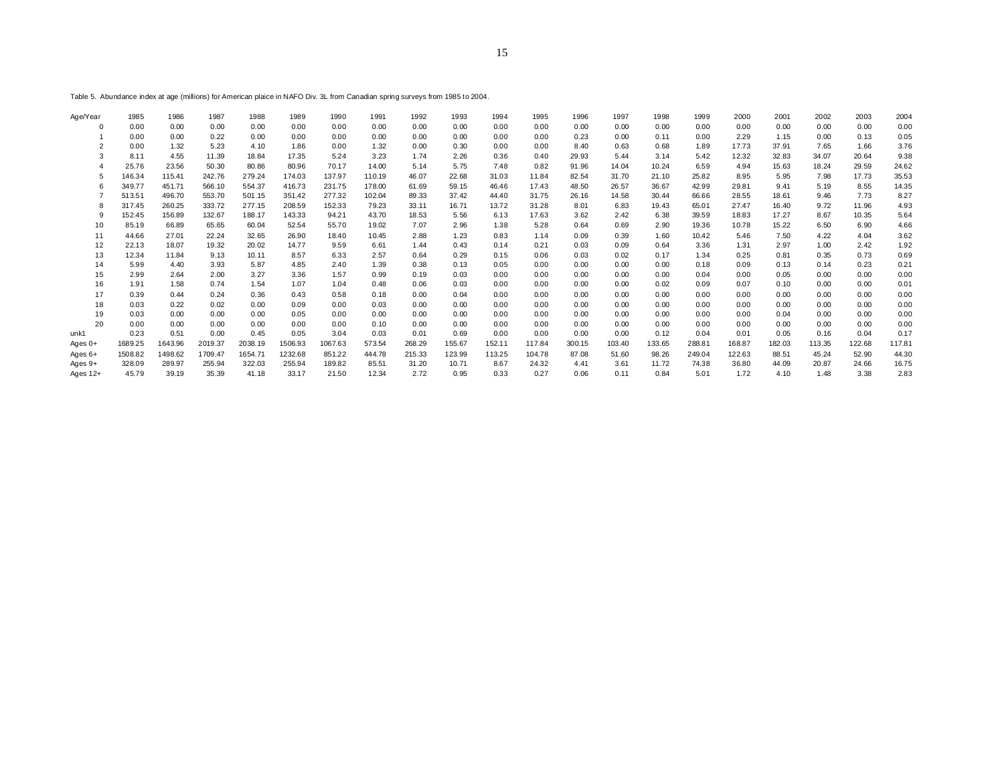Table 5. Abundance index at age (millions) for American plaice in NAFO Div. 3L from Canadian spring surveys from 1985 to 2004.

| Age/Year | 1985    | 1986    | 1987    | 1988    | 1989    | 1990    | 1991   | 1992   | 1993   | 1994   | 1995   | 1996   | 1997   | 1998   | 1999   | 2000   | 2001   | 2002   | 2003   | 2004   |
|----------|---------|---------|---------|---------|---------|---------|--------|--------|--------|--------|--------|--------|--------|--------|--------|--------|--------|--------|--------|--------|
|          | 0.00    | 0.00    | 0.00    | 0.00    | 0.00    | 0.00    | 0.00   | 0.00   | 0.00   | 0.00   | 0.00   | 0.00   | 0.00   | 0.00   | 0.00   | 0.00   | 0.00   | 0.00   | 0.00   | 0.00   |
|          | 0.00    | 0.00    | 0.22    | 0.00    | 0.00    | 0.00    | 0.00   | 0.00   | 0.00   | 0.00   | 0.00   | 0.23   | 0.00   | 0.11   | 0.00   | 2.29   | 1.15   | 0.00   | 0.13   | 0.05   |
|          | 0.00    | 1.32    | 5.23    | 4.10    | 1.86    | 0.00    | 1.32   | 0.00   | 0.30   | 0.00   | 0.00   | 8.40   | 0.63   | 0.68   | 1.89   | 17.73  | 37.91  | 7.65   | 1.66   | 3.76   |
|          | 8.11    | 4.55    | 11.39   | 18.84   | 17.35   | 5.24    | 3.23   | 1.74   | 2.26   | 0.36   | 0.40   | 29.93  | 5.44   | 3.14   | 5.42   | 12.32  | 32.83  | 34.07  | 20.64  | 9.38   |
|          | 25.76   | 23.56   | 50.30   | 80.86   | 80.96   | 70.17   | 14.00  | 5.14   | 5.75   | 7.48   | 0.82   | 91.96  | 14.04  | 10.24  | 6.59   | 4.94   | 15.63  | 18.24  | 29.59  | 24.62  |
|          | 146.34  | 115.41  | 242.76  | 279.24  | 174.03  | 137.97  | 110.19 | 46.07  | 22.68  | 31.03  | 11.84  | 82.54  | 31.70  | 21.10  | 25.82  | 8.95   | 5.95   | 7.98   | 17.73  | 35.53  |
|          | 349.77  | 451.71  | 566.10  | 554.37  | 416.73  | 231.75  | 178.00 | 61.69  | 59.15  | 46.46  | 17.43  | 48.50  | 26.57  | 36.67  | 42.99  | 29.81  | 9.41   | 5.19   | 8.55   | 14.35  |
|          | 513.51  | 496.70  | 553.70  | 501.15  | 351.42  | 277.32  | 102.04 | 89.33  | 37.42  | 44.40  | 31.75  | 26.16  | 14.58  | 30.44  | 66.66  | 28.55  | 18.61  | 9.46   | 7.73   | 8.27   |
|          | 317.45  | 260.25  | 333.72  | 277.15  | 208.59  | 152.33  | 79.23  | 33.11  | 16.71  | 13.72  | 31.28  | 8.01   | 6.83   | 19.43  | 65.01  | 27.47  | 16.40  | 9.72   | 11.96  | 4.93   |
| -9       | 152.45  | 156.89  | 132.67  | 188.17  | 143.33  | 94.21   | 43.70  | 18.53  | 5.56   | 6.13   | 17.63  | 3.62   | 2.42   | 6.38   | 39.59  | 18.83  | 17.27  | 8.67   | 10.35  | 5.64   |
| 10       | 85.19   | 66.89   | 65.65   | 60.04   | 52.54   | 55.70   | 19.02  | 7.07   | 2.96   | 1.38   | 5.28   | 0.64   | 0.69   | 2.90   | 19.36  | 10.78  | 15.22  | 6.50   | 6.90   | 4.66   |
| 11       | 44.66   | 27.01   | 22.24   | 32.65   | 26.90   | 18.40   | 10.45  | 2.88   | 1.23   | 0.83   | 1.14   | 0.09   | 0.39   | 1.60   | 10.42  | 5.46   | 7.50   | 4.22   | 4.04   | 3.62   |
| 12       | 22.13   | 18.07   | 19.32   | 20.02   | 14.77   | 9.59    | 6.61   | 1.44   | 0.43   | 0.14   | 0.21   | 0.03   | 0.09   | 0.64   | 3.36   | 1.31   | 2.97   | 1.00   | 2.42   | 1.92   |
| 13       | 12.34   | 11.84   | 9.13    | 10.11   | 8.57    | 6.33    | 2.57   | 0.64   | 0.29   | 0.15   | 0.06   | 0.03   | 0.02   | 0.17   | 1.34   | 0.25   | 0.81   | 0.35   | 0.73   | 0.69   |
| 14       | 5.99    | 4.40    | 3.93    | 5.87    | 4.85    | 2.40    | 1.39   | 0.38   | 0.13   | 0.05   | 0.00   | 0.00   | 0.00   | 0.00   | 0.18   | 0.09   | 0.13   | 0.14   | 0.23   | 0.21   |
| 15       | 2.99    | 2.64    | 2.00    | 3.27    | 3.36    | 1.57    | 0.99   | 0.19   | 0.03   | 0.00   | 0.00   | 0.00   | 0.00   | 0.00   | 0.04   | 0.00   | 0.05   | 0.00   | 0.00   | 0.00   |
| 16       | 1.91    | 1.58    | 0.74    | 1.54    | 1.07    | 1.04    | 0.48   | 0.06   | 0.03   | 0.00   | 0.00   | 0.00   | 0.00   | 0.02   | 0.09   | 0.07   | 0.10   | 0.00   | 0.00   | 0.01   |
| 17       | 0.39    | 0.44    | 0.24    | 0.36    | 0.43    | 0.58    | 0.18   | 0.00   | 0.04   | 0.00   | 0.00   | 0.00   | 0.00   | 0.00   | 0.00   | 0.00   | 0.00   | 0.00   | 0.00   | 0.00   |
| 18       | 0.03    | 0.22    | 0.02    | 0.00    | 0.09    | 0.00    | 0.03   | 0.00   | 0.00   | 0.00   | 0.00   | 0.00   | 0.00   | 0.00   | 0.00   | 0.00   | 0.00   | 0.00   | 0.00   | 0.00   |
| 19       | 0.03    | 0.00    | 0.00    | 0.00    | 0.05    | 0.00    | 0.00   | 0.00   | 0.00   | 0.00   | 0.00   | 0.00   | 0.00   | 0.00   | 0.00   | 0.00   | 0.04   | 0.00   | 0.00   | 0.00   |
| 20       | 0.00    | 0.00    | 0.00    | 0.00    | 0.00    | 0.00    | 0.10   | 0.00   | 0.00   | 0.00   | 0.00   | 0.00   | 0.00   | 0.00   | 0.00   | 0.00   | 0.00   | 0.00   | 0.00   | 0.00   |
| unk1     | 0.23    | 0.51    | 0.00    | 0.45    | 0.05    | 3.04    | 0.03   | 0.01   | 0.69   | 0.00   | 0.00   | 0.00   | 0.00   | 0.12   | 0.04   | 0.01   | 0.05   | 0.16   | 0.04   | 0.17   |
| Ages 0+  | 1689.25 | 1643.96 | 2019.37 | 2038.19 | 1506.93 | 1067.63 | 573.54 | 268.29 | 155.67 | 152.11 | 117.84 | 300.15 | 103.40 | 133.65 | 288.81 | 168.87 | 182.03 | 113.35 | 122.68 | 117.81 |
| Ages 6+  | 1508.82 | 1498.62 | 1709.47 | 1654.71 | 1232.68 | 851.22  | 444.78 | 215.33 | 123.99 | 113.25 | 104.78 | 87.08  | 51.60  | 98.26  | 249.04 | 122.63 | 88.51  | 45.24  | 52.90  | 44.30  |
| Ages 9+  | 328.09  | 289.97  | 255.94  | 322.03  | 255.94  | 189.82  | 85.51  | 31.20  | 10.71  | 8.67   | 24.32  | 4.41   | 3.61   | 11.72  | 74.38  | 36.80  | 44.09  | 20.87  | 24.66  | 16.75  |
| Ages 12+ | 45.79   | 39.19   | 35.39   | 41.18   | 33.17   | 21.50   | 12.34  | 2.72   | 0.95   | 0.33   | 0.27   | 0.06   | 0.11   | 0.84   | 5.01   | 1.72   | 4.10   | 1.48   | 3.38   | 2.83   |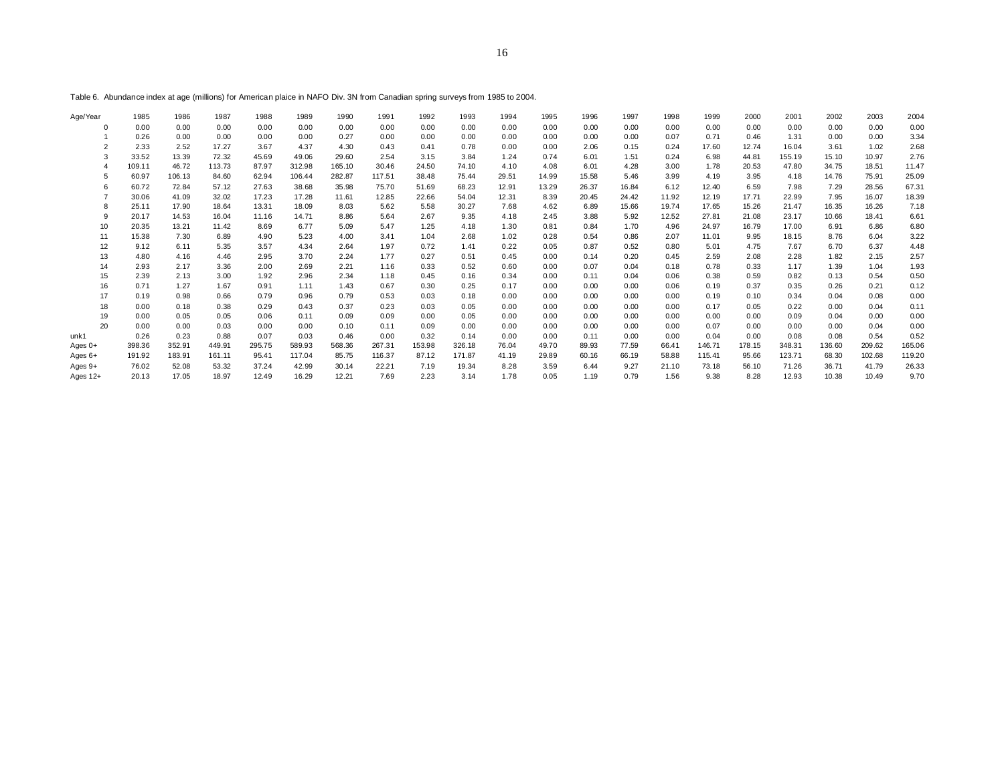Table 6. Abundance index at age (millions) for American plaice in NAFO Div. 3N from Canadian spring surveys from 1985 to 2004.

| Age/Year       | 1985   | 1986   | 1987   | 1988   | 1989   | 1990   | 1991   | 1992   | 1993   | 1994  | 1995  | 1996  | 1997  | 1998  | 1999   | 2000   | 2001   | 2002   | 2003   | 2004   |
|----------------|--------|--------|--------|--------|--------|--------|--------|--------|--------|-------|-------|-------|-------|-------|--------|--------|--------|--------|--------|--------|
|                | 0.00   | 0.00   | 0.00   | 0.00   | 0.00   | 0.00   | 0.00   | 0.00   | 0.00   | 0.00  | 0.00  | 0.00  | 0.00  | 0.00  | 0.00   | 0.00   | 0.00   | 0.00   | 0.00   | 0.00   |
|                | 0.26   | 0.00   | 0.00   | 0.00   | 0.00   | 0.27   | 0.00   | 0.00   | 0.00   | 0.00  | 0.00  | 0.00  | 0.00  | 0.07  | 0.71   | 0.46   | 1.31   | 0.00   | 0.00   | 3.34   |
| $\overline{2}$ | 2.33   | 2.52   | 17.27  | 3.67   | 4.37   | 4.30   | 0.43   | 0.41   | 0.78   | 0.00  | 0.00  | 2.06  | 0.15  | 0.24  | 17.60  | 12.74  | 16.04  | 3.61   | 1.02   | 2.68   |
| 3              | 33.52  | 13.39  | 72.32  | 45.69  | 49.06  | 29.60  | 2.54   | 3.15   | 3.84   | 1.24  | 0.74  | 6.01  | 1.51  | 0.24  | 6.98   | 44.81  | 155.19 | 15.10  | 10.97  | 2.76   |
|                | 109.11 | 46.72  | 113.73 | 87.97  | 312.98 | 165.10 | 30.46  | 24.50  | 74.10  | 4.10  | 4.08  | 6.01  | 4.28  | 3.00  | 1.78   | 20.53  | 47.80  | 34.75  | 18.51  | 11.47  |
|                | 60.97  | 106.13 | 84.60  | 62.94  | 106.44 | 282.87 | 117.51 | 38.48  | 75.44  | 29.51 | 14.99 | 15.58 | 5.46  | 3.99  | 4.19   | 3.95   | 4.18   | 14.76  | 75.91  | 25.09  |
|                | 60.72  | 72.84  | 57.12  | 27.63  | 38.68  | 35.98  | 75.70  | 51.69  | 68.23  | 12.91 | 13.29 | 26.37 | 16.84 | 6.12  | 12.40  | 6.59   | 7.98   | 7.29   | 28.56  | 67.31  |
|                | 30.06  | 41.09  | 32.02  | 17.23  | 17.28  | 11.61  | 12.85  | 22.66  | 54.04  | 12.31 | 8.39  | 20.45 | 24.42 | 11.92 | 12.19  | 17.71  | 22.99  | 7.95   | 16.07  | 18.39  |
| 8              | 25.11  | 17.90  | 18.64  | 13.31  | 18.09  | 8.03   | 5.62   | 5.58   | 30.27  | 7.68  | 4.62  | 6.89  | 15.66 | 19.74 | 17.65  | 15.26  | 21.47  | 16.35  | 16.26  | 7.18   |
| 9              | 20.17  | 14.53  | 16.04  | 11.16  | 14.71  | 8.86   | 5.64   | 2.67   | 9.35   | 4.18  | 2.45  | 3.88  | 5.92  | 12.52 | 27.81  | 21.08  | 23.17  | 10.66  | 18.41  | 6.61   |
| 10             | 20.35  | 13.21  | 11.42  | 8.69   | 6.77   | 5.09   | 5.47   | 1.25   | 4.18   | 1.30  | 0.81  | 0.84  | 1.70  | 4.96  | 24.97  | 16.79  | 17.00  | 6.91   | 6.86   | 6.80   |
| 11             | 15.38  | 7.30   | 6.89   | 4.90   | 5.23   | 4.00   | 3.41   | 1.04   | 2.68   | 1.02  | 0.28  | 0.54  | 0.86  | 2.07  | 11.01  | 9.95   | 18.15  | 8.76   | 6.04   | 3.22   |
| 12             | 9.12   | 6.11   | 5.35   | 3.57   | 4.34   | 2.64   | 1.97   | 0.72   | 1.41   | 0.22  | 0.05  | 0.87  | 0.52  | 0.80  | 5.01   | 4.75   | 7.67   | 6.70   | 6.37   | 4.48   |
| 13             | 4.80   | 4.16   | 4.46   | 2.95   | 3.70   | 2.24   | 1.77   | 0.27   | 0.51   | 0.45  | 0.00  | 0.14  | 0.20  | 0.45  | 2.59   | 2.08   | 2.28   | 1.82   | 2.15   | 2.57   |
| 14             | 2.93   | 2.17   | 3.36   | 2.00   | 2.69   | 2.21   | 1.16   | 0.33   | 0.52   | 0.60  | 0.00  | 0.07  | 0.04  | 0.18  | 0.78   | 0.33   | 1.17   | 1.39   | 1.04   | 1.93   |
| 15             | 2.39   | 2.13   | 3.00   | 1.92   | 2.96   | 2.34   | 1.18   | 0.45   | 0.16   | 0.34  | 0.00  | 0.11  | 0.04  | 0.06  | 0.38   | 0.59   | 0.82   | 0.13   | 0.54   | 0.50   |
| 16             | 0.71   | 1.27   | 1.67   | 0.91   | 1.11   | 1.43   | 0.67   | 0.30   | 0.25   | 0.17  | 0.00  | 0.00  | 0.00  | 0.06  | 0.19   | 0.37   | 0.35   | 0.26   | 0.21   | 0.12   |
| 17             | 0.19   | 0.98   | 0.66   | 0.79   | 0.96   | 0.79   | 0.53   | 0.03   | 0.18   | 0.00  | 0.00  | 0.00  | 0.00  | 0.00  | 0.19   | 0.10   | 0.34   | 0.04   | 0.08   | 0.00   |
| 18             | 0.00   | 0.18   | 0.38   | 0.29   | 0.43   | 0.37   | 0.23   | 0.03   | 0.05   | 0.00  | 0.00  | 0.00  | 0.00  | 0.00  | 0.17   | 0.05   | 0.22   | 0.00   | 0.04   | 0.11   |
| 19             | 0.00   | 0.05   | 0.05   | 0.06   | 0.11   | 0.09   | 0.09   | 0.00   | 0.05   | 0.00  | 0.00  | 0.00  | 0.00  | 0.00  | 0.00   | 0.00   | 0.09   | 0.04   | 0.00   | 0.00   |
| 20             | 0.00   | 0.00   | 0.03   | 0.00   | 0.00   | 0.10   | 0.11   | 0.09   | 0.00   | 0.00  | 0.00  | 0.00  | 0.00  | 0.00  | 0.07   | 0.00   | 0.00   | 0.00   | 0.04   | 0.00   |
| unk1           | 0.26   | 0.23   | 0.88   | 0.07   | 0.03   | 0.46   | 0.00   | 0.32   | 0.14   | 0.00  | 0.00  | 0.11  | 0.00  | 0.00  | 0.04   | 0.00   | 0.08   | 0.08   | 0.54   | 0.52   |
| Ages $0+$      | 398.36 | 352.91 | 449.91 | 295.75 | 589.93 | 568.36 | 267.31 | 153.98 | 326.18 | 76.04 | 49.70 | 89.93 | 77.59 | 66.41 | 146.71 | 178.15 | 348.31 | 136.60 | 209.62 | 165.06 |
| Ages 6+        | 191.92 | 183.91 | 161.11 | 95.41  | 117.04 | 85.75  | 116.37 | 87.12  | 171.87 | 41.19 | 29.89 | 60.16 | 66.19 | 58.88 | 115.41 | 95.66  | 123.71 | 68.30  | 102.68 | 119.20 |
| Ages 9+        | 76.02  | 52.08  | 53.32  | 37.24  | 42.99  | 30.14  | 22.21  | 7.19   | 19.34  | 8.28  | 3.59  | 6.44  | 9.27  | 21.10 | 73.18  | 56.10  | 71.26  | 36.71  | 41.79  | 26.33  |
| Ages $12+$     | 20.13  | 17.05  | 18.97  | 12.49  | 16.29  | 12.21  | 7.69   | 2.23   | 3.14   | 1.78  | 0.05  | 1.19  | 0.79  | 1.56  | 9.38   | 8.28   | 12.93  | 10.38  | 10.49  | 9.70   |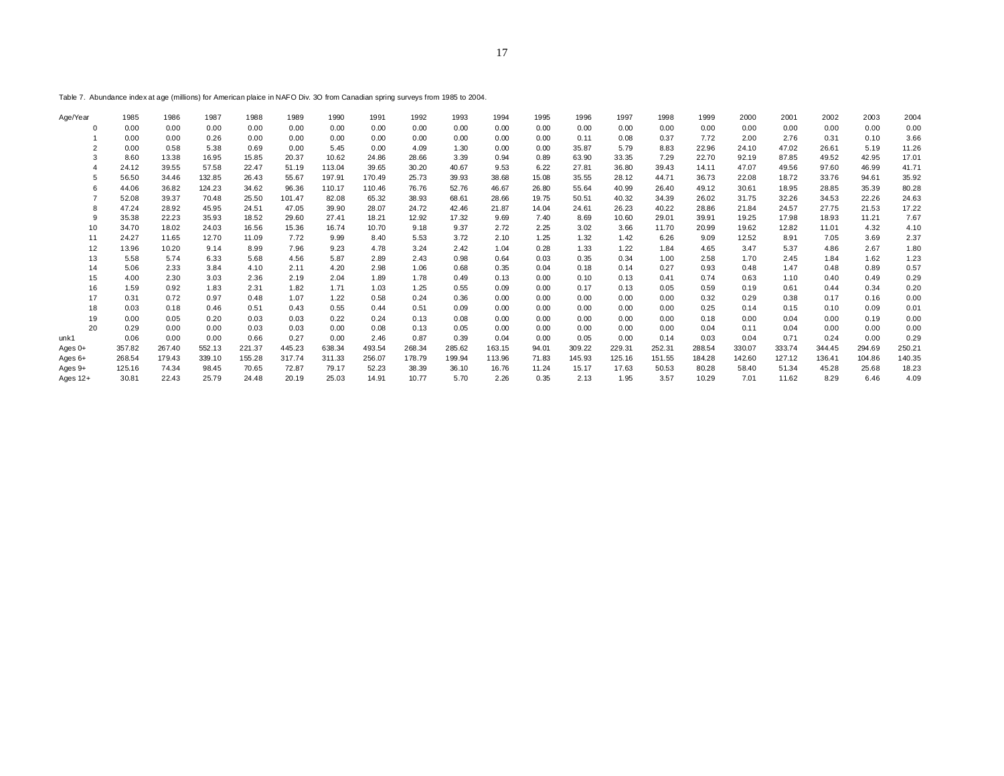Table 7. Abundance index at age (millions) for American plaice in NAFO Div. 3O from Canadian spring surveys from 1985 to 2004.

| Age/Year                | 1985            | 1986           | 1987           | 1988           | 1989           | 1990           | 1991           | 1992           | 1993          | 1994          | 1995          | 1996          | 1997          | 1998          | 1999           | 2000          | 2001           | 2002          | 2003          | 2004          |
|-------------------------|-----------------|----------------|----------------|----------------|----------------|----------------|----------------|----------------|---------------|---------------|---------------|---------------|---------------|---------------|----------------|---------------|----------------|---------------|---------------|---------------|
|                         | 0.00            | 0.00           | 0.00           | 0.00           | 0.00           | 0.00           | 0.00           | 0.00           | 0.00          | 0.00          | 0.00          | 0.00          | 0.00          | 0.00          | 0.00           | 0.00          | 0.00           | 0.00          | 0.00          | 0.00          |
|                         | 0.00            | 0.00           | 0.26           | 0.00           | 0.00           | 0.00           | 0.00           | 0.00           | 0.00          | 0.00          | 0.00          | 0.11          | 0.08          | 0.37          | 7.72           | 2.00          | 2.76           | 0.31          | 0.10          | 3.66          |
|                         | 0.00            | 0.58           | 5.38           | 0.69           | 0.00           | 5.45           | 0.00           | 4.09           | 1.30          | 0.00          | 0.00          | 35.87         | 5.79          | 8.83          | 22.96          | 24.10         | 47.02          | 26.61         | 5.19          | 11.26         |
|                         | 8.60            | 13.38          | 16.95          | 15.85          | 20.37          | 10.62          | 24.86          | 28.66          | 3.39          | 0.94          | 0.89          | 63.90         | 33.35         | 7.29          | 22.70          | 92.19         | 87.85          | 49.52         | 42.95         | 17.01         |
|                         | 24.12           | 39.55          | 57.58          | 22.47          | 51.19          | 113.04         | 39.65          | 30.20          | 40.67         | 9.53          | 6.22          | 27.81         | 36.80         | 39.43         | 14.11          | 47.07         | 49.56          | 97.60         | 46.99         | 41.71         |
|                         | 56.50           | 34.46          | 132.85         | 26.43          | 55.67          | 197.91         | 170.49         | 25.73          | 39.93         | 38.68         | 15.08         | 35.55         | 28.12         | 44.71         | 36.73          | 22.08         | 18.72          | 33.76         | 94.61         | 35.92         |
|                         | 44.06           | 36.82          | 124.23         | 34.62          | 96.36          | 110.17         | 110.46         | 76.76          | 52.76         | 46.67         | 26.80         | 55.64         | 40.99         | 26.40         | 49.12          | 30.61         | 18.95          | 28.85         | 35.39         | 80.28         |
|                         | 52.08           | 39.37          | 70.48          | 25.50          | 101.47         | 82.08          | 65.32          | 38.93          | 68.61         | 28.66         | 19.75         | 50.51         | 40.32         | 34.39         | 26.02          | 31.75         | 32.26          | 34.53         | 22.26         | 24.63         |
| 8                       | 47.24           | 28.92          | 45.95          | 24.51          | 47.05          | 39.90          | 28.07          | 24.72          | 42.46         | 21.87         | 14.04         | 24.61         | 26.23         | 40.22         | 28.86          | 21.84         | 24.57          | 27.75         | 21.53         | 17.22         |
| 9                       | 35.38           | 22.23          | 35.93          | 18.52          | 29.60          | 27.41          | 18.21          | 12.92          | 17.32         | 9.69          | 7.40          | 8.69          | 10.60         | 29.01         | 39.91          | 19.25         | 17.98          | 18.93         | 11.21         | 7.67          |
| 10                      | 34.70           | 18.02          | 24.03          | 16.56          | 15.36          | 16.74          | 10.70          | 9.18           | 9.37          | 2.72          | 2.25          | 3.02          | 3.66          | 11.70         | 20.99          | 19.62         | 12.82          | 11.01         | 4.32          | 4.10          |
| 11                      | 24.27           | 11.65          | 12.70          | 11.09          | 7.72           | 9.99           | 8.40           | 5.53           | 3.72          | 2.10          | 1.25          | 1.32          | 1.42          | 6.26          | 9.09           | 12.52         | 8.91           | 7.05          | 3.69          | 2.37          |
| 12                      | 13.96           | 10.20          | 9.14           | 8.99           | 7.96           | 9.23           | 4.78           | 3.24           | 2.42          | 1.04          | 0.28          | 1.33          | 1.22          | 1.84          | 4.65           | 3.47          | 5.37           | 4.86          | 2.67          | 1.80          |
| 13                      | 5.58            | 5.74           | 6.33           | 5.68           | 4.56           | 5.87           | 2.89           | 2.43           | 0.98          | 0.64          | 0.03          | 0.35          | 0.34          | 1.00          | 2.58           | 1.70          | 2.45           | 1.84          | 1.62          | 1.23          |
| 14                      | 5.06            | 2.33           | 3.84           | 4.10           | 2.11           | 4.20           | 2.98           | 1.06           | 0.68          | 0.35          | 0.04          | 0.18          | 0.14          | 0.27          | 0.93           | 0.48          | 1.47           | 0.48          | 0.89          | 0.57          |
| 15                      | 4.00            | 2.30           | 3.03           | 2.36           | 2.19           | 2.04           | 1.89           | 1.78           | 0.49          | 0.13          | 0.00          | 0.10          | 0.13          | 0.41          | 0.74           | 0.63          | 1.10           | 0.40          | 0.49          | 0.29          |
| 16                      | 1.59            | 0.92           | 1.83           | 2.31           | 1.82           | 1.71           | 1.03           | 1.25           | 0.55          | 0.09          | 0.00          | 0.17          | 0.13          | 0.05          | 0.59           | 0.19          | 0.61           | 0.44          | 0.34          | 0.20          |
| 17                      | 0.31            | 0.72           | 0.97           | 0.48           | 1.07           | 1.22           | 0.58           | 0.24           | 0.36          | 0.00          | 0.00          | 0.00          | 0.00          | 0.00          | 0.32           | 0.29          | 0.38           | 0.17          | 0.16          | 0.00          |
| 18                      | 0.03            | 0.18           | 0.46           | 0.51           | 0.43           | 0.55           | 0.44           | 0.51           | 0.09          | 0.00          | 0.00          | 0.00          | 0.00          | 0.00          | 0.25           | 0.14          | 0.15           | 0.10          | 0.09          | 0.01          |
| 19                      | 0.00            | 0.05           | 0.20           | 0.03           | 0.03           | 0.22           | 0.24           | 0.13           | 0.08          | 0.00          | 0.00          | 0.00          | 0.00          | 0.00          | 0.18           | 0.00          | 0.04           | 0.00          | 0.19          | 0.00          |
| 20                      | 0.29            | 0.00           | 0.00           | 0.03           | 0.03           | 0.00           | 0.08           | 0.13           | 0.05          | 0.00          | 0.00          | 0.00          | 0.00          | 0.00          | 0.04           | 0.11          | 0.04           | 0.00          | 0.00          | 0.00          |
| unk1                    | 0.06            | 0.00           | 0.00           | 0.66           | 0.27           | 0.00           | 2.46           | 0.87           | 0.39          | 0.04          | 0.00          | 0.05          | 0.00          | 0.14          | 0.03           | 0.04          | 0.71           | 0.24          | 0.00          | 0.29          |
| Ages $0+$               | 357.82          | 267.40         | 552.13         | 221.37         | 445.23         | 638.34         | 493.54         | 268.34         | 285.62        | 163.15        | 94.01         | 309.22        | 229.31        | 252.31        | 288.54         | 330.07        | 333.74         | 344.45        | 294.69        | 250.21        |
| Ages $6+$               | 268.54          | 179.43         | 339.10         | 155.28         | 317.74         | 311.33         | 256.07         | 178.79         | 199.94        | 113.96        | 71.83         | 145.93        | 125.16        | 151.55        | 184.28         | 142.60        | 127.12         | 136.41        | 104.86        | 140.35        |
| Ages $9+$<br>Ages $12+$ | 125.16<br>30.81 | 74.34<br>22.43 | 98.45<br>25.79 | 70.65<br>24.48 | 72.87<br>20.19 | 79.17<br>25.03 | 52.23<br>14.91 | 38.39<br>10.77 | 36.10<br>5.70 | 16.76<br>2.26 | 11.24<br>0.35 | 15.17<br>2.13 | 17.63<br>1.95 | 50.53<br>3.57 | 80.28<br>10.29 | 58.40<br>7.01 | 51.34<br>11.62 | 45.28<br>8.29 | 25.68<br>6.46 | 18.23<br>4.09 |
|                         |                 |                |                |                |                |                |                |                |               |               |               |               |               |               |                |               |                |               |               |               |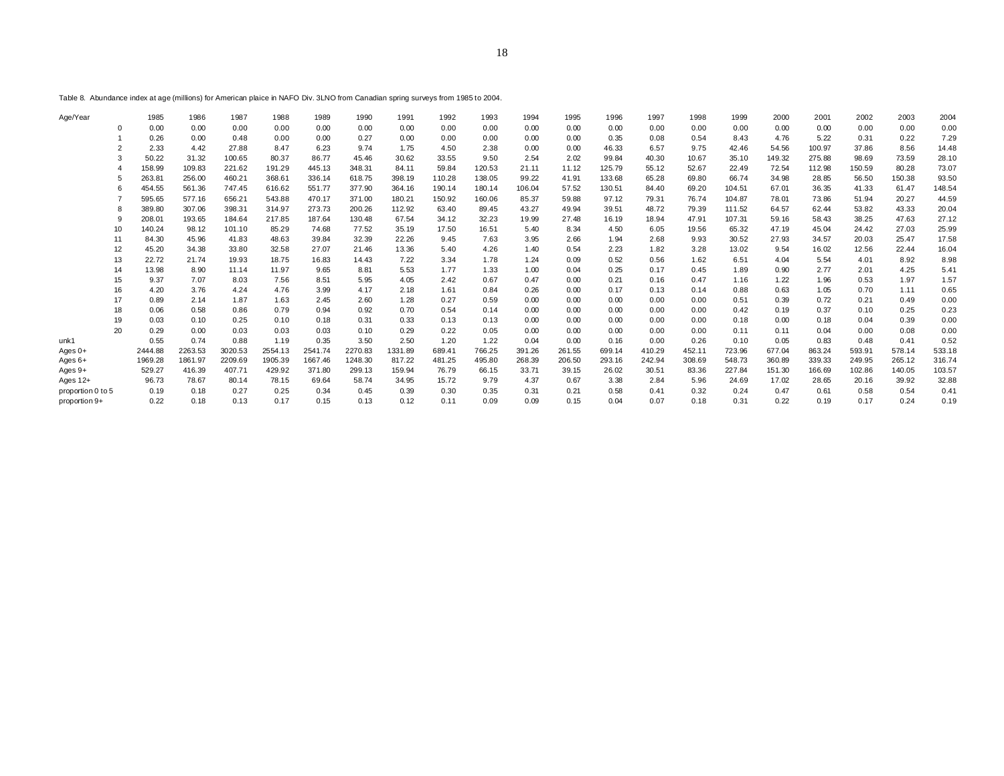Table 8. Abundance index at age (millions) for American plaice in NAFO Div. 3LNO from Canadian spring surveys from 1985 to 2004.

| Age/Year          | 1985    | 1986    | 1987    | 1988    | 1989    | 1990    | 1991    | 1992   | 1993   | 1994   | 1995   | 1996   | 1997   | 1998   | 1999   | 2000   | 2001   | 2002   | 2003   | 2004   |
|-------------------|---------|---------|---------|---------|---------|---------|---------|--------|--------|--------|--------|--------|--------|--------|--------|--------|--------|--------|--------|--------|
| $\Omega$          | 0.00    | 0.00    | 0.00    | 0.00    | 0.00    | 0.00    | 0.00    | 0.00   | 0.00   | 0.00   | 0.00   | 0.00   | 0.00   | 0.00   | 0.00   | 0.00   | 0.00   | 0.00   | 0.00   | 0.00   |
|                   | 0.26    | 0.00    | 0.48    | 0.00    | 0.00    | 0.27    | 0.00    | 0.00   | 0.00   | 0.00   | 0.00   | 0.35   | 0.08   | 0.54   | 8.43   | 4.76   | 5.22   | 0.31   | 0.22   | 7.29   |
|                   | 2.33    | 4.42    | 27.88   | 8.47    | 6.23    | 9.74    | 1.75    | 4.50   | 2.38   | 0.00   | 0.00   | 46.33  | 6.57   | 9.75   | 42.46  | 54.56  | 100.97 | 37.86  | 8.56   | 14.48  |
|                   | 50.22   | 31.32   | 100.65  | 80.37   | 86.77   | 45.46   | 30.62   | 33.55  | 9.50   | 2.54   | 2.02   | 99.84  | 40.30  | 10.67  | 35.10  | 149.32 | 275.88 | 98.69  | 73.59  | 28.10  |
|                   | 158.99  | 109.83  | 221.62  | 191.29  | 445.13  | 348.31  | 84.11   | 59.84  | 120.53 | 21.11  | 11.12  | 125.79 | 55.12  | 52.67  | 22.49  | 72.54  | 112.98 | 150.59 | 80.28  | 73.07  |
|                   | 263.81  | 256.00  | 460.21  | 368.61  | 336.14  | 618.75  | 398.19  | 110.28 | 138.05 | 99.22  | 41.91  | 133.68 | 65.28  | 69.80  | 66.74  | 34.98  | 28.85  | 56.50  | 150.38 | 93.50  |
|                   | 454.55  | 561.36  | 747.45  | 616.62  | 551.77  | 377.90  | 364.16  | 190.14 | 180.14 | 106.04 | 57.52  | 130.51 | 84.40  | 69.20  | 104.51 | 67.01  | 36.35  | 41.33  | 61.47  | 148.54 |
|                   | 595.65  | 577.16  | 656.21  | 543.88  | 470.17  | 371.00  | 180.21  | 150.92 | 160.06 | 85.37  | 59.88  | 97.12  | 79.31  | 76.74  | 104.87 | 78.01  | 73.86  | 51.94  | 20.27  | 44.59  |
|                   | 389.80  | 307.06  | 398.31  | 314.97  | 273.73  | 200.26  | 112.92  | 63.40  | 89.45  | 43.27  | 49.94  | 39.51  | 48.72  | 79.39  | 111.52 | 64.57  | 62.44  | 53.82  | 43.33  | 20.04  |
|                   | 208.01  | 193.65  | 184.64  | 217.85  | 187.64  | 130.48  | 67.54   | 34.12  | 32.23  | 19.99  | 27.48  | 16.19  | 18.94  | 47.91  | 107.31 | 59.16  | 58.43  | 38.25  | 47.63  | 27.12  |
| 10                | 140.24  | 98.12   | 101.10  | 85.29   | 74.68   | 77.52   | 35.19   | 17.50  | 16.51  | 5.40   | 8.34   | 4.50   | 6.05   | 19.56  | 65.32  | 47.19  | 45.04  | 24.42  | 27.03  | 25.99  |
| 11                | 84.30   | 45.96   | 41.83   | 48.63   | 39.84   | 32.39   | 22.26   | 9.45   | 7.63   | 3.95   | 2.66   | 1.94   | 2.68   | 9.93   | 30.52  | 27.93  | 34.57  | 20.03  | 25.47  | 17.58  |
| 12                | 45.20   | 34.38   | 33.80   | 32.58   | 27.07   | 21.46   | 13.36   | 5.40   | 4.26   | 1.40   | 0.54   | 2.23   | 1.82   | 3.28   | 13.02  | 9.54   | 16.02  | 12.56  | 22.44  | 16.04  |
| 13                | 22.72   | 21.74   | 19.93   | 18.75   | 16.83   | 14.43   | 7.22    | 3.34   | 1.78   | 1.24   | 0.09   | 0.52   | 0.56   | 1.62   | 6.51   | 4.04   | 5.54   | 4.01   | 8.92   | 8.98   |
| 14                | 13.98   | 8.90    | 11.14   | 11.97   | 9.65    | 8.81    | 5.53    | 1.77   | 1.33   | 1.00   | 0.04   | 0.25   | 0.17   | 0.45   | 1.89   | 0.90   | 2.77   | 2.01   | 4.25   | 5.41   |
| 15                | 9.37    | 7.07    | 8.03    | 7.56    | 8.51    | 5.95    | 4.05    | 2.42   | 0.67   | 0.47   | 0.00   | 0.21   | 0.16   | 0.47   | 1.16   | 1.22   | 1.96   | 0.53   | 1.97   | 1.57   |
| 16                | 4.20    | 3.76    | 4.24    | 4.76    | 3.99    | 4.17    | 2.18    | 1.61   | 0.84   | 0.26   | 0.00   | 0.17   | 0.13   | 0.14   | 0.88   | 0.63   | 1.05   | 0.70   | 1.11   | 0.65   |
| 17                | 0.89    | 2.14    | 1.87    | 1.63    | 2.45    | 2.60    | 1.28    | 0.27   | 0.59   | 0.00   | 0.00   | 0.00   | 0.00   | 0.00   | 0.51   | 0.39   | 0.72   | 0.21   | 0.49   | 0.00   |
| 18                | 0.06    | 0.58    | 0.86    | 0.79    | 0.94    | 0.92    | 0.70    | 0.54   | 0.14   | 0.00   | 0.00   | 0.00   | 0.00   | 0.00   | 0.42   | 0.19   | 0.37   | 0.10   | 0.25   | 0.23   |
| 19                | 0.03    | 0.10    | 0.25    | 0.10    | 0.18    | 0.31    | 0.33    | 0.13   | 0.13   | 0.00   | 0.00   | 0.00   | 0.00   | 0.00   | 0.18   | 0.00   | 0.18   | 0.04   | 0.39   | 0.00   |
| 20                | 0.29    | 0.00    | 0.03    | 0.03    | 0.03    | 0.10    | 0.29    | 0.22   | 0.05   | 0.00   | 0.00   | 0.00   | 0.00   | 0.00   | 0.11   | 0.11   | 0.04   | 0.00   | 0.08   | 0.00   |
| unk1              | 0.55    | 0.74    | 0.88    | 1.19    | 0.35    | 3.50    | 2.50    | 1.20   | 1.22   | 0.04   | 0.00   | 0.16   | 0.00   | 0.26   | 0.10   | 0.05   | 0.83   | 0.48   | 0.41   | 0.52   |
| Ages $0+$         | 2444.88 | 2263.53 | 3020.53 | 2554.13 | 2541.74 | 2270.83 | 1331.89 | 689.41 | 766.25 | 391.26 | 261.55 | 699.14 | 410.29 | 452.11 | 723.96 | 677.04 | 863.24 | 593.91 | 578.14 | 533.18 |
| Ages 6+           | 1969.28 | 1861.97 | 2209.69 | 1905.39 | 1667.46 | 1248.30 | 817.22  | 481.25 | 495.80 | 268.39 | 206.50 | 293.16 | 242.94 | 308.69 | 548.73 | 360.89 | 339.33 | 249.95 | 265.12 | 316.74 |
| Ages 9+           | 529.27  | 416.39  | 407.71  | 429.92  | 371.80  | 299.13  | 159.94  | 76.79  | 66.15  | 33.71  | 39.15  | 26.02  | 30.51  | 83.36  | 227.84 | 151.30 | 166.69 | 102.86 | 140.05 | 103.57 |
| Ages 12+          | 96.73   | 78.67   | 80.14   | 78.15   | 69.64   | 58.74   | 34.95   | 15.72  | 9.79   | 4.37   | 0.67   | 3.38   | 2.84   | 5.96   | 24.69  | 17.02  | 28.65  | 20.16  | 39.92  | 32.88  |
| proportion 0 to 5 | 0.19    | 0.18    | 0.27    | 0.25    | 0.34    | 0.45    | 0.39    | 0.30   | 0.35   | 0.31   | 0.21   | 0.58   | 0.41   | 0.32   | 0.24   | 0.47   | 0.61   | 0.58   | 0.54   | 0.41   |
| proportion 9+     | 0.22    | 0.18    | 0.13    | 0.17    | 0.15    | 0.13    | 0.12    | 0.11   | 0.09   | 0.09   | 0.15   | 0.04   | 0.07   | 0.18   | 0.31   | 0.22   | 0.19   | 0.17   | 0.24   | 0.19   |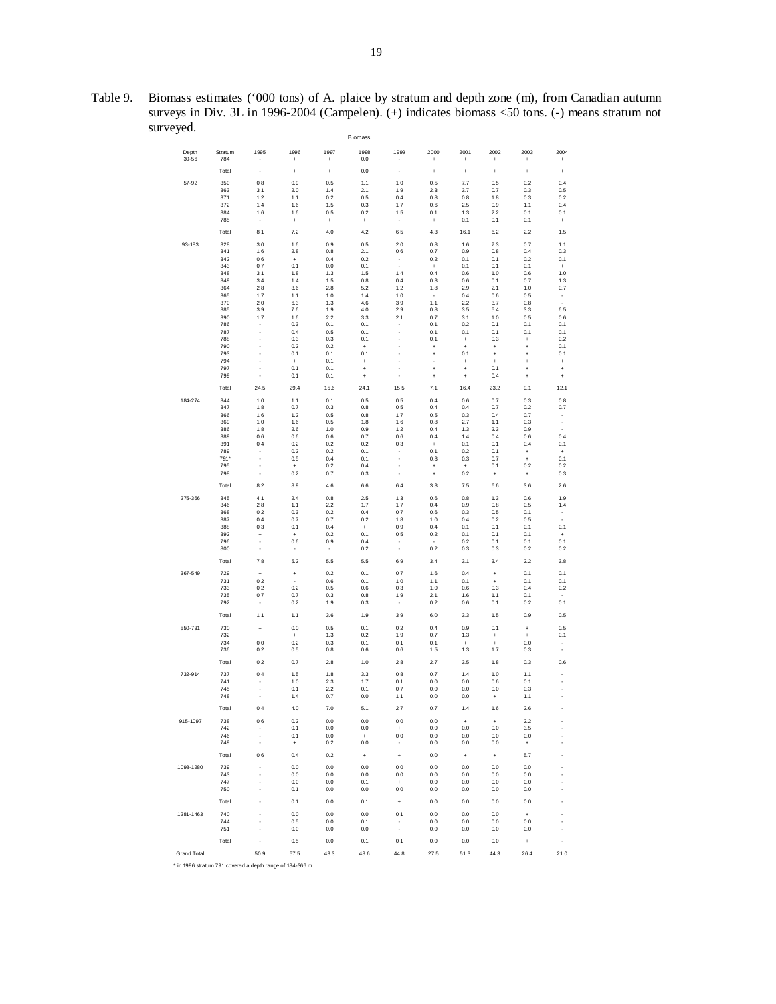Table 9. Biomass estimates ('000 tons) of A. plaice by stratum and depth zone (m), from Canadian autumn surveys in Div. 3L in 1996-2004 (Campelen). (+) indicates biomass <50 tons. (-) means stratum not surveyed. Biomass

| Depth<br>$30 - 56$ | Stratum<br>784 | 1995<br>٠                       | 1996<br>+        | 1997<br>+        | 1998<br>0.0                             | 1999<br>$\overline{\phantom{a}}$ | 2000<br>$\ddot{}$      | 2001<br>÷                        | 2002<br>+                        | 2003<br>÷              | 2004<br>٠        |
|--------------------|----------------|---------------------------------|------------------|------------------|-----------------------------------------|----------------------------------|------------------------|----------------------------------|----------------------------------|------------------------|------------------|
|                    | Total          | ×,                              | ÷                | $\ddot{}$        | 0.0                                     | ×,                               | $\ddot{}$              | ÷                                | $\ddot{}$                        | ÷                      | ÷                |
| $57 - 92$          | 350            | 0.8                             | 0.9              | 0.5              | 1.1                                     | 1.0                              | 0.5                    | 7.7                              | 0.5                              | 0.2                    | 0.4              |
|                    | 363            | 3.1                             | 2.0              | 1.4              | 2.1                                     | 1.9                              | 23                     | 3.7                              | 0.7                              | 0.3                    | 0.5              |
|                    | 371            | 1.2                             | 1.1              | 0.2              | 0.5                                     | 0.4                              | 0.8                    | 0.8                              | 1.8                              | 0.3                    | 0.2              |
|                    | 372            | 1.4                             | 1.6              | 1.5              | 0.3                                     | 1.7                              | 0.6                    | 2.5                              | 0.9                              | 1.1                    | 0.4              |
|                    | 384<br>785     | 1.6<br>$\overline{\phantom{a}}$ | 1.6              | 0.5              | 0.2                                     | 1.5<br>$\overline{\phantom{a}}$  | 0.1<br>+               | 1.3<br>0.1                       | 2.2<br>0.1                       | 0.1<br>0.1             | 0.1              |
|                    | Total          | 8.1                             | $\ddot{}$<br>7.2 | $\ddot{}$<br>4.0 | $\ddot{}$<br>4.2                        | 6.5                              | 4.3                    | 16.1                             | 6.2                              | 2.2                    | $\ddot{}$<br>1.5 |
|                    |                |                                 |                  |                  |                                         |                                  |                        |                                  |                                  |                        |                  |
| 93-183             | 328<br>341     | 3.0<br>1.6                      | 1.6<br>2.8       | 0.9<br>0.8       | 0.5<br>2.1                              | 2.0<br>0.6                       | 0.8<br>0.7             | 1.6<br>0.9                       | 7.3<br>0.8                       | 0.7<br>0.4             | 1.1<br>0.3       |
|                    | 342            | 0.6                             | $\ddot{}$        | 0.4              | 0.2                                     | $\overline{\phantom{a}}$         | 0.2                    | 0.1                              | 0.1                              | 0.2                    | 0.1              |
|                    | 343            | 0.7                             | 0.1              | 0.0              | 0.1                                     | ×,                               | $\ddot{}$              | 0.1                              | 0.1                              | 0.1                    | $\ddot{}$        |
|                    | 348            | 3.1                             | 1.8              | 1.3              | 1.5                                     | 1.4                              | 0.4                    | 0.6                              | 1.0                              | 0.6                    | 1.0              |
|                    | 349            | 3.4                             | 1.4              | 1.5              | 0.8                                     | 0.4                              | 0.3                    | 0.6                              | 0.1                              | 0.7                    | 1.3              |
|                    | 364<br>365     | 2.8<br>1.7                      | 3.6<br>1.1       | 2.8<br>1.0       | 5.2<br>1.4                              | 1.2<br>1.0                       | 1.8<br>×               | 2.9<br>0.4                       | 2.1<br>0.6                       | 1.0<br>0.5             | 0.7<br>÷         |
|                    | 370            | 2.0                             | 6.3              | 1.3              | 4.6                                     | 3.9                              | 1.1                    | 2.2                              | 3.7                              | 0.8                    | ×.               |
|                    | 385            | 3.9                             | 7.6              | 1.9              | 4.0                                     | 29                               | 0.8                    | 3.5                              | 5.4                              | 3.3                    | 6.5              |
|                    | 390            | 1.7                             | 1.6              | 2.2              | 3.3                                     | 2.1                              | 0.7                    | 3.1                              | 1.0                              | 0.5                    | 0.6              |
|                    | 786<br>787     | ٠<br>ł                          | 0.3<br>0.4       | 0.1<br>0.5       | 0.1<br>0.1                              | ٠                                | 0.1<br>0.1             | 0.2<br>0.1                       | 0.1<br>0.1                       | 0.1<br>0.1             | 0.1<br>0.1       |
|                    | 788            | ä,                              | 0.3              | 0.3              | 0.1                                     | J.                               | 0.1                    | ÷                                | 0.3                              | $\ddot{}$              | 0.2              |
|                    | 790            | í,                              | 0.2              | 0.2              | ÷                                       | ä,                               | $\ddot{}$              | ÷                                | $\ddot{}$                        | $\ddot{}$              | 0.1              |
|                    | 793            | ł.                              | 0.1              | 0.1              | 0.1                                     |                                  | $\ddot{}$              | 0.1                              | $\ddot{}$                        | $\ddot{}$              | 0.1              |
|                    | 794<br>797     | ł,<br>ł,                        | ÷<br>0.1         | 0.1<br>0.1       | +                                       | ×,<br>ł,                         | ×                      | $\ddot{}$                        | $\ddot{}$<br>0.1                 | $\ddot{}$              | ÷                |
|                    | 799            | ä,                              | 0.1              | 0.1              | ÷<br>$\ddot{}$                          | ł,                               | $\ddot{}$<br>$\ddot{}$ | ÷<br>$\ddot{}$                   | 0.4                              | $\ddot{}$<br>$\ddot{}$ | ÷<br>$\ddot{}$   |
|                    | Total          | 24.5                            | 29.4             | 15.6             | 24.1                                    | 15.5                             | 7.1                    | 16.4                             | 23.2                             | 9.1                    | 12.1             |
| 184-274            | 344            | 1.0                             | 1.1              | 0.1              | 0.5                                     | 0.5                              | 0.4                    | 0.6                              | 0.7                              | 0.3                    | 0.8              |
|                    | 347            | 1.8                             | 0.7              | 0.3              | 0.8                                     | 0.5                              | 0.4                    | 0.4                              | 0.7                              | 0.2                    | 0.7              |
|                    | 366            | 1.6                             | 1.2              | 0.5              | 0.8                                     | 1.7                              | 0.5                    | 0.3                              | 0.4                              | 0.7                    | ٠                |
|                    | 369<br>386     | 1.0<br>1.8                      | 1.6<br>2.6       | 0.5              | 1.8                                     | 1.6<br>1.2                       | 0.8<br>0.4             | 2.7                              | 1.1<br>2.3                       | 0.3<br>0.9             | ×,<br>٠          |
|                    | 389            | 0.6                             | 0.6              | 1.0<br>0.6       | 0.9<br>0.7                              | 0.6                              | 0.4                    | 1.3<br>1.4                       | 0.4                              | 0.6                    | 0.4              |
|                    | 391            | 0.4                             | 0.2              | 0.2              | 0.2                                     | 0.3                              | $\ddot{}$              | 0.1                              | 0.1                              | 0.4                    | 0.1              |
|                    | 789            |                                 | 0.2              | 0.2              | 0.1                                     | ÷                                | 0.1                    | 0.2                              | 0.1                              | $\ddot{}$              | $\ddot{}$        |
|                    | 791*           | ÷<br>ł,                         | 0.5              | 0.4              | 0.1                                     | ÷<br>×                           | 0.3                    | 0.3                              | 0.7                              | $\ddot{}$              | 0.1              |
|                    | 795<br>798     |                                 | ÷<br>0.2         | 0.2<br>0.7       | 0.4<br>0.3                              | ×,                               | $\ddot{}$<br>$\ddot{}$ | $\ddot{}$<br>0.2                 | 0.1<br>$\ddot{}$                 | 0.2<br>$\ddot{}$       | 0.2<br>0.3       |
|                    | Total          | 8.2                             | 8.9              | 4.6              | 6.6                                     | 6.4                              | 3.3                    | 7.5                              | 6.6                              | 3.6                    | 2.6              |
| 275-366            | 345            | 4.1                             | 2.4              | 0.8              | 2.5                                     | 1.3                              | 0.6                    | 0.8                              | 1.3                              | 0.6                    | 1.9              |
|                    | 346            | 2.8                             | 1.1              | 2.2              | 1.7                                     | 1.7                              | 0.4                    | 0.9                              | 0.8                              | 0.5                    | 1.4              |
|                    | 368            | 0.2                             | 0.3              | 0.2              | 0.4                                     | 0.7                              | 0.6                    | 0.3                              | 0.5                              | 0.1                    | ٠                |
|                    | 387<br>388     | 0.4<br>0.3                      | 0.7<br>0.1       | 0.7<br>0.4       | 0.2                                     | 1.8<br>0.9                       | 1.0<br>0.4             | 0.4<br>0.1                       | 0.2<br>0.1                       | 0.5<br>0.1             | ä,<br>0.1        |
|                    | 392            | $\ddot{}$                       | ÷                | 0.2              | $\begin{array}{c} + \end{array}$<br>0.1 | 0.5                              | 0.2                    | 0.1                              | 0.1                              | 0.1                    | $\ddot{}$        |
|                    | 796            | ٠                               | 0.6              | 0.9              | 0.4                                     | ٠                                | ×                      | 0.2                              | 0.1                              | 0.1                    | 0.1              |
|                    | 800            |                                 | ٠                | ٠                | 0.2                                     | ×,                               | 0.2                    | 0.3                              | 0.3                              | 0.2                    | 0.2              |
|                    | Total          | 7.8                             | 5.2              | 5.5              | 5.5                                     | 6.9                              | 3.4                    | 3.1                              | 3.4                              | 2.2                    | 3.8              |
| 367-549            | 729            | $\ddot{}$                       | ÷                | 0.2              | 0.1                                     | 0.7                              | 1.6                    | 0.4                              | $\ddot{}$                        | 0.1                    | 0.1              |
|                    | 731            | 0.2                             |                  | 0.6              | 0.1                                     | 1.0                              | 1.1                    | 0.1                              | $\ddot{}$                        | 0.1                    | 0.1              |
|                    | 733<br>735     | 0.2<br>0.7                      | 0.2<br>0.7       | 0.5<br>0.3       | 0.6<br>0.8                              | 0.3<br>1.9                       | 1.0<br>2.1             | 0.6<br>1.6                       | 0.3<br>1.1                       | 0.4<br>0.1             | 0.2              |
|                    | 792            | ٠                               | 0.2              | 1.9              | 0.3                                     | ٠                                | 0.2                    | 0.6                              | 0.1                              | 0.2                    | 0.1              |
|                    | Total          | 1.1                             | 1.1              | 3.6              | 1.9                                     | 3.9                              | 6.0                    | 3.3                              | 1.5                              | 0.9                    | 0.5              |
| 550-731            | 730            | $\ddot{}$                       | 0.0              | 0.5              | 0.1                                     | 0.2                              | 0.4                    | 0.9                              | 0.1                              | $\ddot{}$              | 0.5              |
|                    | 732            | $\ddot{}$                       | $\ddot{}$        | 1.3              | 0.2                                     | 1.9                              | 0.7                    | 1.3                              | $\ddot{}$                        | $\ddot{}$              | 0.1              |
|                    | 734            | 0.0                             | 0.2              | 0.3              | 0.1                                     | 0.1                              | 0.1                    | $\ddot{}$                        | $\ddot{}$                        | 0.0                    | ٠                |
|                    | 736            | 0.2                             | 0.5              | 0.8              | 0.6                                     | 0.6                              | 1.5                    | 1.3                              | 1.7                              | 0.3                    | ×,               |
|                    | Total          | 0.2                             | 0.7              | 2.8              | 1.0                                     | 2.8                              | 2.7                    | 3.5                              | 1.8                              | 0.3                    | 0.6              |
| 732-914            | 737<br>741     | 0.4<br>٠                        | 1.5<br>1.0       | 1.8<br>2.3       | 3.3<br>1.7                              | 0.8<br>0.1                       | 0.7<br>0.0             | 1.4<br>0.0                       | 1.0<br>0.6                       | 1.1<br>0.1             |                  |
|                    | 745            | í,                              | 0.1              | 2.2              | 0.1                                     | 0.7                              | 0.0                    | 0.0                              | 0.0                              | 0.3                    | ł,               |
|                    | 748            |                                 | 1.4              | 0.7              | 0.0                                     | 1.1                              | 0.0                    | 0.0                              | $\ddot{}$                        | 1.1                    |                  |
|                    | Total          | 0.4                             | 4.0              | 7.0              | 5.1                                     | 2.7                              | 0.7                    | 1.4                              | 1.6                              | 26                     |                  |
| 915-1097           | 738            | 0.6                             | 0.2              | 0.0              | 0.0                                     | 0.0                              | 0.0                    | $\ddot{}$                        | $\begin{array}{c} + \end{array}$ | 2.2                    |                  |
|                    | 742            | ٠                               | 0.1              | 0.0              | 0.0                                     | $\ddot{}$                        | 0.0                    | 0.0                              | 0.0                              | 3.5                    |                  |
|                    | 746            | ä,                              | 0.1              | 0.0              | $\ddot{}$                               | 0.0                              | 0.0                    | 0.0                              | 0.0                              | 0.0                    |                  |
|                    | 749            | $\overline{\phantom{a}}$        | $\ddot{}$        | 0.2              | 0.0                                     | $\overline{\phantom{a}}$         | 0.0                    | 0.0                              | 0.0                              | $^{+}$                 |                  |
|                    | Total          | 0.6                             | 0.4              | 0.2              | $\ddot{}$                               | $\begin{array}{c} + \end{array}$ | 0.0                    | $\begin{array}{c} + \end{array}$ | $\begin{array}{c} + \end{array}$ | 5.7                    |                  |
| 1098-1280          | 739            | ٠                               | 0.0              | 0.0              | 0.0                                     | 0.0                              | 0.0                    | 0.0                              | 0.0                              | 0.0                    |                  |
|                    | 743            | ł,                              | 0.0              | 0.0              | 0.0                                     | 0.0                              | 0.0                    | 0.0                              | 0.0                              | 0.0                    |                  |
|                    | 747            | ×,<br>ä,                        | 0.0              | 0.0              | 0.1                                     | $\begin{array}{c} + \end{array}$ | 0.0                    | 0.0                              | 0.0                              | 0.0                    |                  |
|                    | 750            |                                 | 0.1              | 0.0              | 0.0                                     | 0.0                              | 0.0                    | 0.0                              | 0.0                              | 0.0                    |                  |
|                    | Total          | ×,                              | 0.1              | 0.0              | 0.1                                     | $\begin{array}{c} + \end{array}$ | 0.0                    | 0.0                              | 0.0                              | 0.0                    |                  |
| 1281-1463          | 740            | ×                               | 0.0              | 0.0              | 0.0                                     | 0.1                              | 0.0                    | 0.0                              | 0.0                              | $\ddot{}$              |                  |
|                    | 744<br>751     | ä,<br>×,                        | 0.5<br>0.0       | 0.0<br>0.0       | 0.1<br>0.0                              | ٠<br>$\epsilon$                  | 0.0<br>0.0             | 0.0<br>0.0                       | 0.0<br>0.0                       | 0.0<br>0.0             |                  |
|                    | Total          | ×                               | 0.5              | 0.0              | 0.1                                     | 0.1                              | 0.0                    | 0.0                              | 0.0                              | $\ddot{}$              |                  |
| <b>Grand Total</b> |                | 50.9                            | 57.5             | 43.3             | 48.6                                    | 44.8                             | 27.5                   | 51.3                             | 44.3                             | 26.4                   | 21.0             |
|                    |                |                                 |                  |                  |                                         |                                  |                        |                                  |                                  |                        |                  |

\* in 1996 stratum 791 covered a depth range of 184-366 m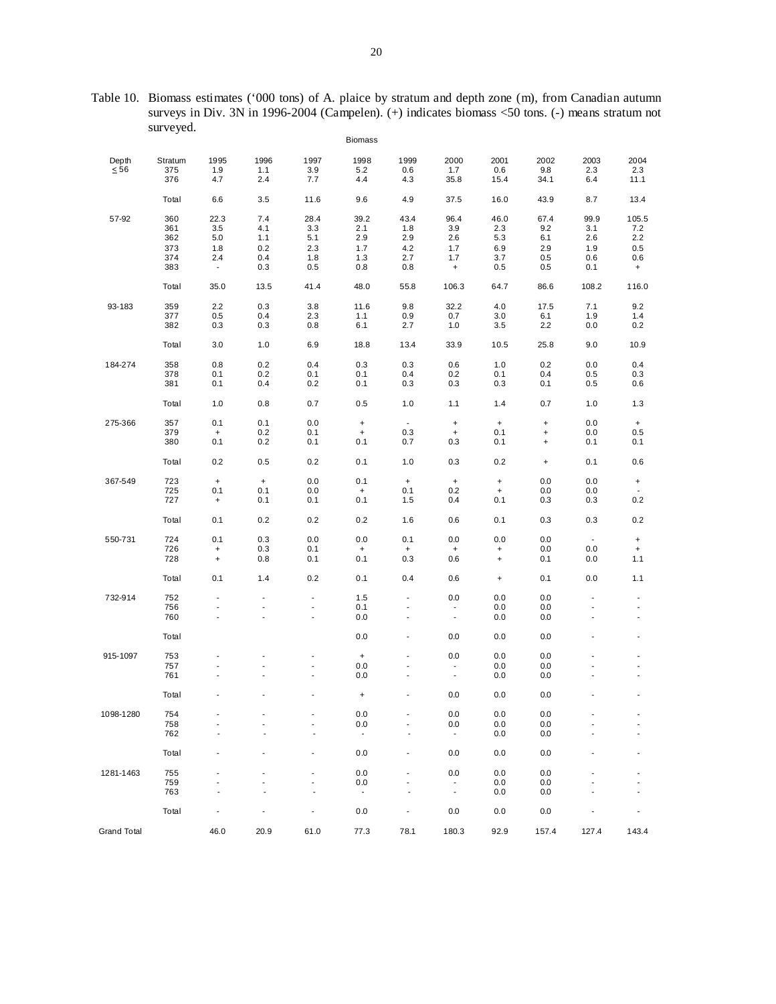Table 10. Biomass estimates ('000 tons) of A. plaice by stratum and depth zone (m), from Canadian autumn surveys in Div. 3N in 1996-2004 (Campelen). (+) indicates biomass <50 tons. (-) means stratum not surveyed.

|                    | $\checkmark$   |                                  |             |               | <b>Biomass</b>           |                                  |                                  |                                  |                                  |                 |                                  |
|--------------------|----------------|----------------------------------|-------------|---------------|--------------------------|----------------------------------|----------------------------------|----------------------------------|----------------------------------|-----------------|----------------------------------|
| Depth<br>$\leq 56$ | Stratum<br>375 | 1995<br>1.9                      | 1996<br>1.1 | 1997<br>3.9   | 1998<br>$5.2\,$          | 1999<br>0.6                      | 2000<br>$1.7$                    | 2001<br>0.6                      | 2002<br>9.8                      | 2003<br>$2.3\,$ | 2004<br>2.3                      |
|                    | 376            | 4.7                              | 2.4         | 7.7           | 4.4                      | 4.3                              | 35.8                             | 15.4                             | 34.1                             | 6.4             | 11.1                             |
|                    | Total          | 6.6                              | 3.5         | 11.6          | 9.6                      | 4.9                              | 37.5                             | 16.0                             | 43.9                             | 8.7             | 13.4                             |
| 57-92              | 360            | 22.3                             | 7.4         | 28.4          | 39.2                     | 43.4                             | 96.4                             | 46.0                             | 67.4                             | 99.9            | 105.5                            |
|                    | 361<br>362     | 3.5<br>5.0                       | 4.1<br>1.1  | 3.3<br>5.1    | 2.1<br>2.9               | 1.8<br>2.9                       | 3.9<br>2.6                       | 2.3<br>5.3                       | 9.2<br>6.1                       | 3.1<br>2.6      | 7.2<br>2.2                       |
|                    | 373            | 1.8                              | 0.2         | 2.3           | 1.7                      | 4.2                              | 1.7                              | 6.9                              | 2.9                              | 1.9             | 0.5                              |
|                    | 374            | 2.4                              | 0.4         | 1.8           | 1.3                      | 2.7                              | 1.7                              | 3.7                              | 0.5                              | 0.6             | 0.6                              |
|                    | 383            | $\blacksquare$                   | 0.3         | 0.5           | 0.8                      | 0.8                              | $\ddot{}$                        | 0.5                              | 0.5                              | 0.1             | $\ddot{}$                        |
|                    | Total          | 35.0                             | 13.5        | 41.4          | 48.0                     | 55.8                             | 106.3                            | 64.7                             | 86.6                             | 108.2           | 116.0                            |
| 93-183             | 359            | 2.2                              | 0.3         | 3.8           | 11.6                     | 9.8                              | 32.2                             | 4.0                              | 17.5                             | 7.1             | 9.2                              |
|                    | 377<br>382     | 0.5<br>0.3                       | 0.4<br>0.3  | 2.3           | 1.1<br>6.1               | 0.9<br>2.7                       | 0.7<br>1.0                       | 3.0<br>3.5                       | 6.1<br>2.2                       | 1.9<br>0.0      | 1.4                              |
|                    |                |                                  |             | 0.8           |                          |                                  |                                  |                                  |                                  |                 | 0.2                              |
|                    | Total          | 3.0                              | 1.0         | 6.9           | 18.8                     | 13.4                             | 33.9                             | 10.5                             | 25.8                             | 9.0             | 10.9                             |
| 184-274            | 358            | 0.8                              | 0.2         | 0.4           | 0.3                      | 0.3                              | 0.6                              | 1.0                              | 0.2                              | 0.0             | 0.4                              |
|                    | 378            | 0.1                              | 0.2         | 0.1           | 0.1                      | 0.4                              | 0.2                              | 0.1                              | 0.4                              | 0.5             | 0.3                              |
|                    | 381            | 0.1                              | 0.4         | 0.2           | 0.1                      | 0.3                              | 0.3                              | 0.3                              | 0.1                              | 0.5             | 0.6                              |
|                    | Total          | 1.0                              | 0.8         | 0.7           | 0.5                      | 1.0                              | 1.1                              | 1.4                              | 0.7                              | 1.0             | 1.3                              |
| 275-366            | 357            | 0.1                              | 0.1         | 0.0           | $\pmb{+}$                | $\blacksquare$                   | $\ddot{}$                        | $\begin{array}{c} + \end{array}$ | $\begin{array}{c} + \end{array}$ | 0.0             | $\ddot{}$                        |
|                    | 379            | $\pmb{+}$                        | 0.2         | 0.1           | $\pmb{+}$                | 0.3                              | $\begin{array}{c} + \end{array}$ | 0.1                              | $\begin{array}{c} + \end{array}$ | 0.0             | 0.5                              |
|                    | 380            | 0.1                              | 0.2         | 0.1           | 0.1                      | 0.7                              | 0.3                              | 0.1                              | $\ddot{}$                        | 0.1             | 0.1                              |
|                    | Total          | 0.2                              | 0.5         | 0.2           | 0.1                      | 1.0                              | 0.3                              | 0.2                              | $\, +$                           | 0.1             | 0.6                              |
| 367-549            | 723            | $\pmb{+}$                        | $\pmb{+}$   | 0.0           | 0.1                      | $+$                              | $\pmb{+}$                        | $\pmb{+}$                        | 0.0                              | 0.0             | $\begin{array}{c} + \end{array}$ |
|                    | 725            | 0.1                              | 0.1         | 0.0           | $\pmb{+}$                | 0.1                              | 0.2                              | $\ddot{}$                        | 0.0                              | 0.0             | $\blacksquare$                   |
|                    | 727            | $\begin{array}{c} + \end{array}$ | 0.1         | 0.1           | 0.1                      | 1.5                              | 0.4                              | 0.1                              | 0.3                              | 0.3             | 0.2                              |
|                    | Total          | 0.1                              | 0.2         | 0.2           | 0.2                      | 1.6                              | 0.6                              | 0.1                              | 0.3                              | 0.3             | 0.2                              |
| 550-731            | 724            | 0.1                              | 0.3         | 0.0           | 0.0                      | 0.1                              | 0.0                              | 0.0                              | 0.0                              | $\blacksquare$  | $\ddot{}$                        |
|                    | 726            | $^{\mathrm{+}}$                  | 0.3         | 0.1           | $\pmb{+}$                | $\begin{array}{c} + \end{array}$ | $\ddot{}$                        | $\ddot{}$                        | 0.0                              | 0.0             | $\ddot{}$                        |
|                    | 728            | $\begin{array}{c} + \end{array}$ | 0.8         | 0.1           | 0.1                      | 0.3                              | 0.6                              | $\begin{array}{c} + \end{array}$ | 0.1                              | 0.0             | 1.1                              |
|                    | Total          | 0.1                              | 1.4         | 0.2           | 0.1                      | 0.4                              | 0.6                              | $\begin{array}{c} + \end{array}$ | 0.1                              | 0.0             | 1.1                              |
| 732-914            | 752            |                                  |             |               | 1.5                      |                                  | 0.0                              | 0.0                              | 0.0                              |                 |                                  |
|                    | 756            | $\blacksquare$                   |             |               | 0.1                      | $\overline{\phantom{a}}$         |                                  | 0.0                              | 0.0                              |                 | $\overline{\phantom{a}}$         |
|                    | 760            |                                  |             | $\frac{1}{2}$ | 0.0                      | $\overline{\phantom{a}}$         | $\blacksquare$                   | 0.0                              | 0.0                              |                 | $\blacksquare$                   |
|                    | Total          |                                  |             |               | 0.0                      | $\overline{a}$                   | 0.0                              | 0.0                              | 0.0                              |                 | Ĭ.                               |
| 915-1097           | 753            |                                  |             |               | $\pmb{+}$                |                                  | 0.0                              | 0.0                              | 0.0                              |                 |                                  |
|                    | 757            |                                  |             |               | 0.0                      |                                  | $\blacksquare$                   | 0.0                              | 0.0                              |                 |                                  |
|                    | 761            |                                  |             | ä,            | 0.0                      | $\overline{a}$                   | $\blacksquare$                   | 0.0                              | 0.0                              |                 | J.                               |
|                    | Total          |                                  |             |               | $\ddot{}$                |                                  | 0.0                              | 0.0                              | 0.0                              |                 |                                  |
| 1098-1280          | 754            |                                  |             |               | 0.0                      |                                  | 0.0                              | 0.0                              | 0.0                              |                 |                                  |
|                    | 758            |                                  |             |               | 0.0                      |                                  | 0.0                              | 0.0                              | 0.0                              |                 |                                  |
|                    | 762            |                                  |             |               | $\blacksquare$           |                                  | $\overline{\phantom{a}}$         | 0.0                              | 0.0                              |                 |                                  |
|                    | Total          |                                  |             | Ĭ.            | 0.0                      | $\overline{\phantom{a}}$         | 0.0                              | 0.0                              | 0.0                              |                 | Ĭ.                               |
| 1281-1463          | 755            |                                  |             |               | 0.0                      |                                  | 0.0                              | 0.0                              | 0.0                              |                 |                                  |
|                    | 759            |                                  |             |               | 0.0                      |                                  |                                  | 0.0                              | 0.0                              |                 |                                  |
|                    | 763            |                                  |             |               | $\overline{\phantom{a}}$ |                                  | $\overline{\phantom{a}}$         | 0.0                              | 0.0                              |                 |                                  |
|                    | Total          |                                  |             | Ĭ.            | 0.0                      | $\overline{a}$                   | 0.0                              | 0.0                              | 0.0                              |                 | Ĭ.                               |
| Grand Total        |                | 46.0                             | 20.9        | 61.0          | 77.3                     | 78.1                             | 180.3                            | 92.9                             | 157.4                            | 127.4           | 143.4                            |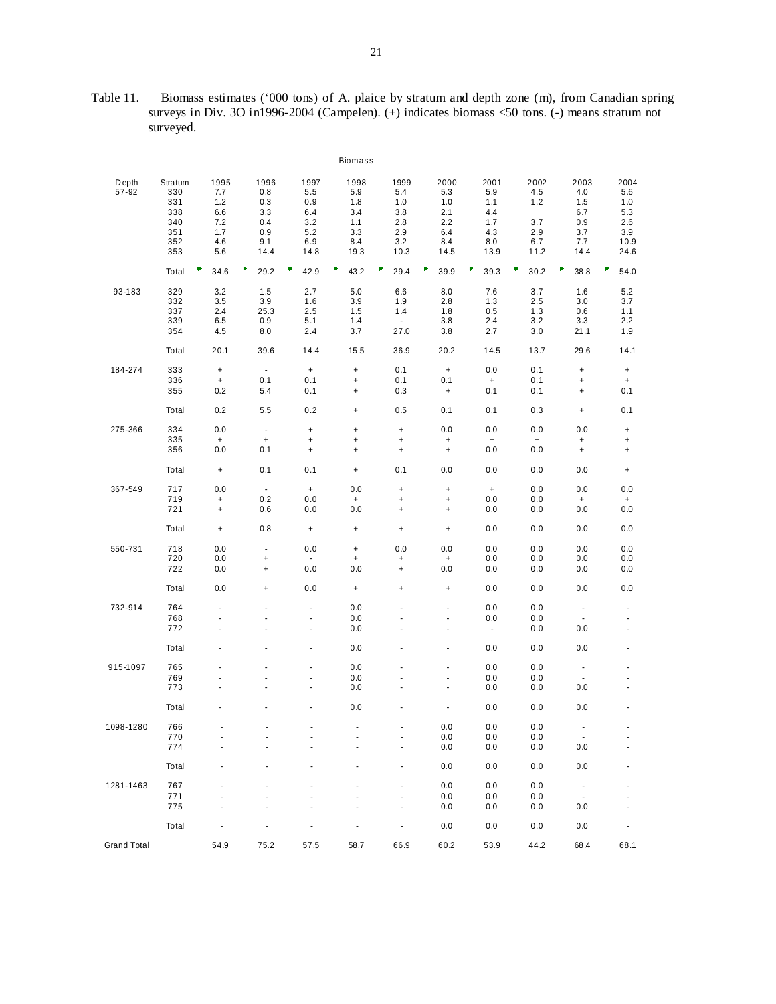Table 11. Biomass estimates ('000 tons) of A. plaice by stratum and depth zone (m), from Canadian spring surveys in Div. 3O in1996-2004 (Campelen). (+) indicates biomass <50 tons. (-) means stratum not surveyed.

|                    |                                                          |                                                       |                                                           |                                                            | Biomass                                                |                                                                                                          |                                                            |                                                        |                                                 |                                                            |                                                         |
|--------------------|----------------------------------------------------------|-------------------------------------------------------|-----------------------------------------------------------|------------------------------------------------------------|--------------------------------------------------------|----------------------------------------------------------------------------------------------------------|------------------------------------------------------------|--------------------------------------------------------|-------------------------------------------------|------------------------------------------------------------|---------------------------------------------------------|
| Depth<br>57-92     | Stratum<br>330<br>331<br>338<br>340<br>351<br>352<br>353 | 1995<br>7.7<br>1.2<br>6.6<br>7.2<br>1.7<br>4.6<br>5.6 | 1996<br>0.8<br>0.3<br>3.3<br>0.4<br>0.9<br>9.1<br>14.4    | 1997<br>5.5<br>0.9<br>6.4<br>3.2<br>5.2<br>6.9<br>14.8     | 1998<br>5.9<br>1.8<br>3.4<br>1.1<br>3.3<br>8.4<br>19.3 | 1999<br>5.4<br>1.0<br>3.8<br>2.8<br>2.9<br>3.2<br>10.3                                                   | 2000<br>5.3<br>1.0<br>2.1<br>2.2<br>6.4<br>8.4<br>14.5     | 2001<br>5.9<br>1.1<br>4.4<br>1.7<br>4.3<br>8.0<br>13.9 | 2002<br>4.5<br>1.2<br>3.7<br>2.9<br>6.7<br>11.2 | 2003<br>4.0<br>1.5<br>6.7<br>0.9<br>3.7<br>7.7<br>14.4     | 2004<br>5.6<br>1.0<br>5.3<br>2.6<br>3.9<br>10.9<br>24.6 |
|                    | Total                                                    | ₹<br>34.6                                             | F<br>29.2                                                 | 42.9                                                       | ₽<br>43.2                                              | ν<br>29.4                                                                                                | F<br>39.9                                                  | F<br>39.3                                              | ۷<br>30.2                                       | F<br>38.8                                                  | σ<br>54.0                                               |
| 93-183             | 329<br>332<br>337<br>339<br>354                          | 3.2<br>3.5<br>2.4<br>6.5<br>4.5                       | 1.5<br>3.9<br>25.3<br>0.9<br>8.0                          | 2.7<br>1.6<br>2.5<br>5.1<br>2.4                            | 5.0<br>3.9<br>1.5<br>1.4<br>3.7                        | 6.6<br>1.9<br>1.4<br>$\bullet$<br>27.0                                                                   | 8.0<br>2.8<br>1.8<br>3.8<br>3.8                            | 7.6<br>1.3<br>0.5<br>2.4<br>2.7                        | 3.7<br>2.5<br>1.3<br>3.2<br>3.0                 | 1.6<br>3.0<br>0.6<br>3.3<br>21.1                           | 5.2<br>3.7<br>1.1<br>2.2<br>1.9                         |
|                    | Total                                                    | 20.1                                                  | 39.6                                                      | 14.4                                                       | 15.5                                                   | 36.9                                                                                                     | 20.2                                                       | 14.5                                                   | 13.7                                            | 29.6                                                       | 14.1                                                    |
| 184-274            | 333<br>336<br>355                                        | $\ddot{}$<br>$^+$<br>0.2                              | $\blacksquare$<br>0.1<br>5.4                              | $+$<br>0.1<br>0.1                                          | $\ddot{}$<br>$\ddot{}$<br>$\ddot{}$                    | 0.1<br>0.1<br>0.3                                                                                        | $+$<br>0.1<br>$\begin{array}{c} + \end{array}$             | 0.0<br>$\ddot{}$<br>0.1                                | 0.1<br>0.1<br>0.1                               | $\ddot{}$<br>$\begin{array}{c} + \end{array}$<br>$\ddot{}$ | $\ddot{}$<br>$\ddot{}$<br>0.1                           |
|                    | Total                                                    | 0.2                                                   | 5.5                                                       | 0.2                                                        | $\ddot{}$                                              | 0.5                                                                                                      | 0.1                                                        | 0.1                                                    | 0.3                                             | $\begin{array}{c} + \end{array}$                           | 0.1                                                     |
| 275-366            | 334<br>335<br>356                                        | 0.0<br>$\ddot{}$<br>0.0                               | $\blacksquare$<br>$\begin{array}{c} + \end{array}$<br>0.1 | $\begin{array}{c} + \end{array}$<br>$\ddot{}$<br>$\ddot{}$ | $\ddot{}$<br>$\ddot{}$<br>$\ddot{}$                    | $\ddot{}$<br>$\begin{array}{c} + \end{array}$<br>$\ddot{}$                                               | 0.0<br>$\ddot{}$<br>$\ddot{}$                              | 0.0<br>$\ddot{}$<br>0.0                                | 0.0<br>$\ddot{}$<br>0.0                         | 0.0<br>$\begin{array}{c} + \end{array}$<br>$\ddot{}$       | $+$<br>$\begin{array}{c} + \end{array}$<br>$\ddot{}$    |
|                    | Total                                                    | $\ddot{}$                                             | 0.1                                                       | 0.1                                                        | $\ddot{}$                                              | 0.1                                                                                                      | 0.0                                                        | 0.0                                                    | 0.0                                             | 0.0                                                        | $\ddot{}$                                               |
| 367-549            | 717<br>719<br>721                                        | 0.0<br>$\begin{array}{c} + \end{array}$<br>$\ddot{}$  | $\sim$<br>0.2<br>0.6                                      | $+$<br>0.0<br>0.0                                          | 0.0<br>$+$<br>0.0                                      | $\begin{array}{c} + \end{array}$<br>$\begin{array}{c} + \end{array}$<br>$\begin{array}{c} + \end{array}$ | $\ddot{}$<br>$\begin{array}{c} + \end{array}$<br>$\ddot{}$ | $+$<br>0.0<br>0.0                                      | 0.0<br>0.0<br>0.0                               | 0.0<br>$\ddot{}$<br>0.0                                    | 0.0<br>$\ddot{}$<br>0.0                                 |
|                    | Total                                                    | $\ddot{}$                                             | 0.8                                                       | $\begin{array}{c} + \end{array}$                           | $\ddot{}$                                              | $\begin{array}{c} + \end{array}$                                                                         | $+$                                                        | 0.0                                                    | 0.0                                             | 0.0                                                        | 0.0                                                     |
| 550-731            | 718<br>720<br>722                                        | 0.0<br>0.0<br>0.0                                     | $\overline{\phantom{a}}$<br>$\ddot{}$<br>$\ddot{}$        | 0.0<br>$\sim$<br>0.0                                       | $\ddot{}$<br>$\ddot{}$<br>0.0                          | 0.0<br>$\ddot{}$<br>$\ddot{}$                                                                            | 0.0<br>$\ddot{}$<br>0.0                                    | 0.0<br>0.0<br>0.0                                      | 0.0<br>0.0<br>0.0                               | 0.0<br>0.0<br>0.0                                          | 0.0<br>0.0<br>0.0                                       |
|                    | Total                                                    | 0.0                                                   | +                                                         | 0.0                                                        | $\ddot{}$                                              | $\ddot{}$                                                                                                | $\begin{array}{c} + \end{array}$                           | 0.0                                                    | 0.0                                             | 0.0                                                        | 0.0                                                     |
| 732-914            | 764<br>768<br>772                                        | ÷,<br>÷.<br>÷,                                        |                                                           | ÷,<br>$\blacksquare$<br>$\ddot{\phantom{0}}$               | 0.0<br>0.0<br>0.0                                      | ä,<br>ä,                                                                                                 | ÷,<br>$\overline{\phantom{a}}$<br>$\overline{\phantom{a}}$ | 0.0<br>0.0<br>$\blacksquare$                           | 0.0<br>0.0<br>0.0                               | $\blacksquare$<br>$\blacksquare$<br>0.0                    | ÷<br>$\blacksquare$<br>÷                                |
|                    | Total                                                    |                                                       |                                                           | ä,                                                         | 0.0                                                    |                                                                                                          | $\blacksquare$                                             | 0.0                                                    | 0.0                                             | 0.0                                                        | ä,                                                      |
| 915-1097           | 765<br>769<br>773                                        |                                                       |                                                           | ÷<br>÷,                                                    | 0.0<br>0.0<br>0.0                                      |                                                                                                          | $\overline{\phantom{a}}$<br>$\blacksquare$                 | 0.0<br>0.0<br>0.0                                      | 0.0<br>0.0<br>0.0                               | $\overline{\phantom{a}}$<br>0.0                            | ä,                                                      |
|                    | Total                                                    |                                                       |                                                           | $\overline{\phantom{a}}$                                   | 0.0                                                    |                                                                                                          | $\overline{\phantom{a}}$                                   | 0.0                                                    | 0.0                                             | 0.0                                                        | ä,                                                      |
| 1098-1280          | 766                                                      |                                                       |                                                           |                                                            |                                                        |                                                                                                          | $0.0\,$                                                    | $0.0\,$                                                | $0.0\,$                                         | $\overline{\phantom{a}}$                                   |                                                         |
|                    | 770<br>774                                               |                                                       |                                                           |                                                            |                                                        |                                                                                                          | 0.0<br>$0.0\,$                                             | 0.0<br>0.0                                             | 0.0<br>$0.0\,$                                  | $\overline{\phantom{a}}$<br>0.0                            | $\frac{1}{2}$                                           |
|                    | Total                                                    |                                                       |                                                           |                                                            |                                                        | $\overline{\phantom{a}}$                                                                                 | 0.0                                                        | 0.0                                                    | 0.0                                             | 0.0                                                        | ٠                                                       |
| 1281-1463          | 767                                                      |                                                       |                                                           |                                                            |                                                        |                                                                                                          | 0.0                                                        | 0.0                                                    | 0.0                                             | $\overline{\phantom{a}}$                                   |                                                         |
|                    | 771<br>775                                               |                                                       |                                                           |                                                            |                                                        | $\blacksquare$<br>$\blacksquare$                                                                         | 0.0<br>0.0                                                 | 0.0<br>0.0                                             | 0.0<br>0.0                                      | $\overline{\phantom{a}}$<br>0.0                            | ÷.<br>ä,                                                |
|                    | Total                                                    |                                                       |                                                           |                                                            |                                                        | $\overline{a}$                                                                                           | 0.0                                                        | 0.0                                                    | 0.0                                             | 0.0                                                        |                                                         |
| <b>Grand Total</b> |                                                          | 54.9                                                  | 75.2                                                      | 57.5                                                       | 58.7                                                   | 66.9                                                                                                     | 60.2                                                       | 53.9                                                   | 44.2                                            | 68.4                                                       | 68.1                                                    |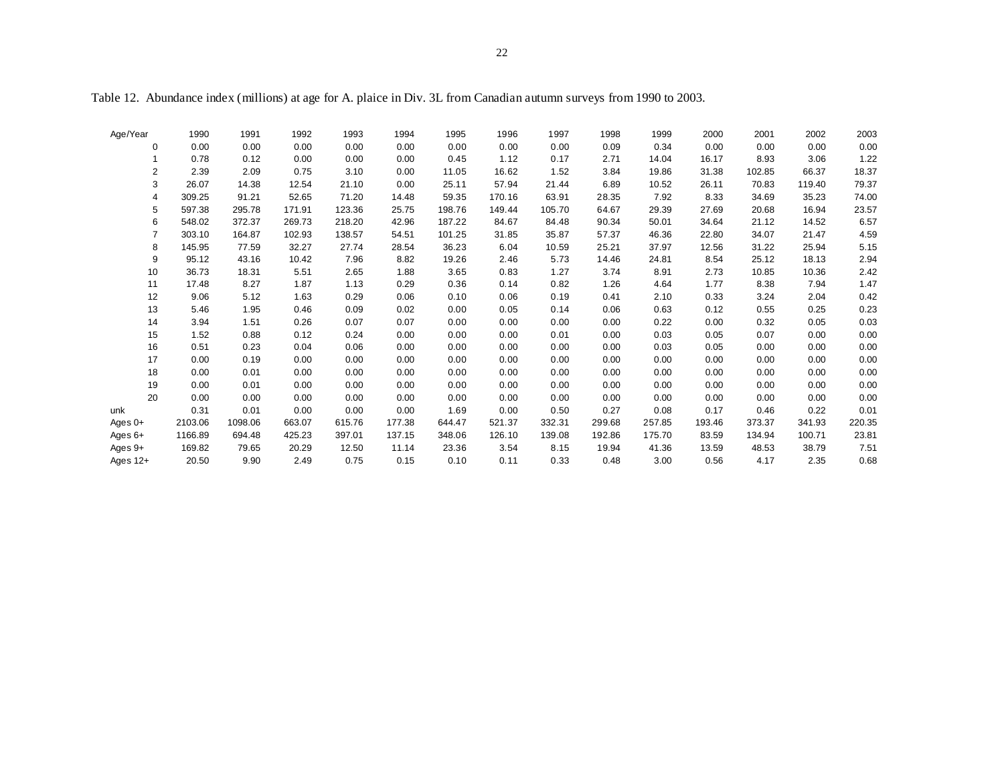Age/Year 1990 1991 1992 1993 1994 1995 1996 1997 1998 1999 2000 2001 2002 2003 0 0.00 0.00 0.00 0.00 0.00 0.00 0.00 0.00 0.09 0.34 0.00 0.00 0.00 0.00 $0.00$ 1 0.78 0.12 0.00 0.00 0.00 0.45 1.12 0.17 2.71 14.04 16.17 8.93 3.06 1.221.22 2 2.39 2.09 0.75 3.10 0.00 11.05 16.62 1.52 3.84 19.86 31.38 102.85 66.37 18.3718.37 3 26.07 14.38 12.54 21.10 0.00 25.11 57.94 21.44 6.89 10.52 26.11 70.83 119.40 79.374 309.25 91.21 52.65 71.20 14.48 59.35 170.16 63.91 28.35 7.92 8.33 34.69 35.23 74.0074.00 5 597.38 295.78 171.91 123.36 25.75 198.76 149.44 105.70 64.67 29.39 27.69 20.68 16.94 23.5723.57 6 548.02 372.37 269.73 218.20 42.96 187.22 84.67 84.48 90.34 50.01 34.64 21.12 14.52 6.576.57 7 303.10 164.87 102.93 138.57 54.51 101.25 31.85 35.87 57.37 46.36 22.80 34.07 21.47 4.594.59 8 145.95 77.59 32.27 27.74 28.54 36.23 6.04 10.59 25.21 37.97 12.56 31.22 25.94 5.159 95.12 43.16 10.42 7.96 8.82 19.26 2.46 5.73 14.46 24.81 8.54 25.12 18.13 2.942.94 10 36.73 18.31 5.51 2.65 1.88 3.65 0.83 1.27 3.74 8.91 2.73 10.85 10.36 2.422.42 11 17.48 8.27 1.87 1.13 0.29 0.36 0.14 0.82 1.26 4.64 1.77 8.38 7.94 1.471.47 12 9.06 5.12 1.63 0.29 0.06 0.10 0.06 0.19 0.41 2.10 0.33 3.24 2.04 0.4213 5.46 1.95 0.46 0.09 0.02 0.00 0.05 0.14 0.06 0.63 0.12 0.55 0.25 0.2314 3.94 1.51 0.26 0.07 0.07 0.00 0.00 0.00 0.00 0.22 0.00 0.32 0.05 0.030.03 15 1.52 0.88 0.12 0.24 0.00 0.00 0.00 0.01 0.00 0.03 0.05 0.07 0.00 0.00 $0.00$ 16 0.51 0.23 0.04 0.06 0.00 0.00 0.00 0.00 0.00 0.03 0.05 0.00 0.00 0.000.00 17 0.00 0.19 0.00 0.00 0.00 0.00 0.00 0.00 0.00 0.00 0.00 0.00 0.00 0.00 $0.00$ 18 0.00 0.01 0.00 0.00 0.00 0.00 0.00 0.00 0.00 0.00 0.00 0.00 0.00 0.0019 0.00 0.01 0.00 0.00 0.00 0.00 0.00 0.00 0.00 0.00 0.00 0.00 0.00 0.00 $0.00$ 20 0.00 0.00 0.00 0.00 0.00 0.00 0.00 0.00 0.00 0.00 0.00 0.00 0.00 0.00unk 0.31 0.01 0.00 0.00 0.00 1.69 0.00 0.50 0.27 0.08 0.17 0.46 0.22 0.01Ages 0+ 2103.06 1098.06 663.07 615.76 177.38 644.47 521.37 332.31 299.68 257.85 193.46 373.37 341.93 220.35 Ages 6+ 1166.89 694.48 425.23 397.01 137.15 348.06 126.10 139.08 192.86 175.70 83.59 134.94 100.71 23.81 Ages 9+ 169.82 79.65 20.29 12.50 11.14 23.36 3.54 8.15 19.94 41.36 13.59 48.53 38.79 7.51 Ages 12+ 20.50 9.90 2.49 0.75 0.15 0.10 0.11 0.33 0.48 3.00 0.56 4.17 2.35 0.68

Table 12. Abundance index (millions) at age for A. plaice in Div. 3L from Canadian autumn surveys from 1990 to 2003.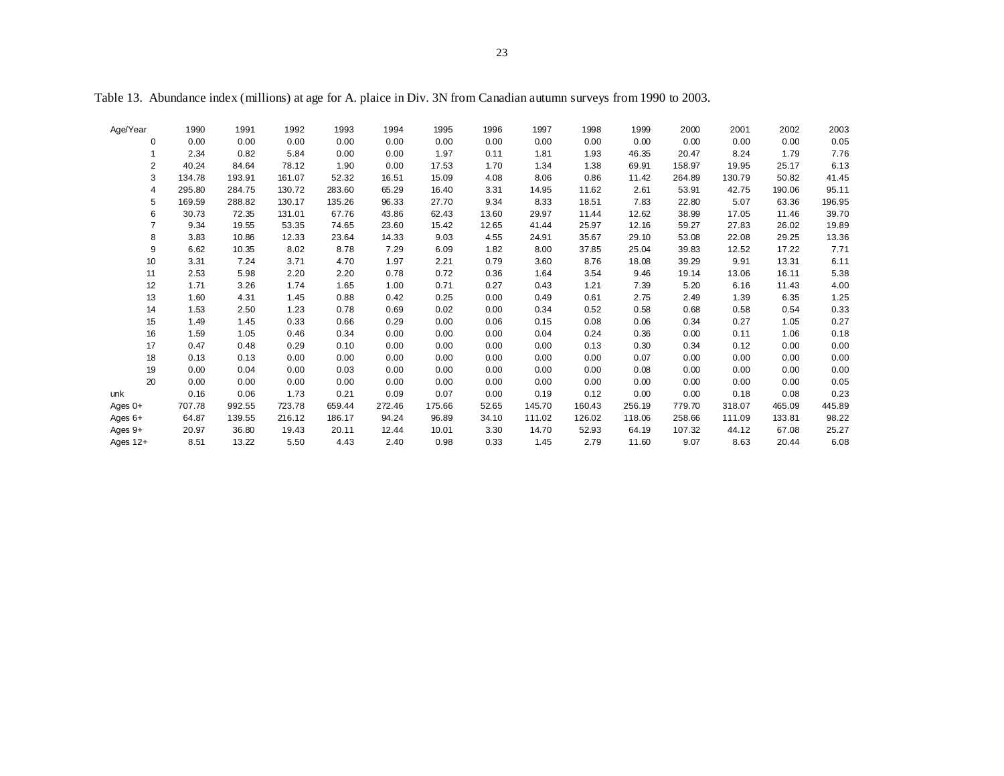| Age/Year       | 1990   | 1991   | 1992   | 1993   | 1994   | 1995   | 1996  | 1997   | 1998   | 1999   | 2000   | 2001   | 2002   | 2003   |
|----------------|--------|--------|--------|--------|--------|--------|-------|--------|--------|--------|--------|--------|--------|--------|
| 0              | 0.00   | 0.00   | 0.00   | 0.00   | 0.00   | 0.00   | 0.00  | 0.00   | 0.00   | 0.00   | 0.00   | 0.00   | 0.00   | 0.05   |
| 1              | 2.34   | 0.82   | 5.84   | 0.00   | 0.00   | 1.97   | 0.11  | 1.81   | 1.93   | 46.35  | 20.47  | 8.24   | 1.79   | 7.76   |
| 2              | 40.24  | 84.64  | 78.12  | 1.90   | 0.00   | 17.53  | 1.70  | 1.34   | 1.38   | 69.91  | 158.97 | 19.95  | 25.17  | 6.13   |
| 3              | 134.78 | 193.91 | 161.07 | 52.32  | 16.51  | 15.09  | 4.08  | 8.06   | 0.86   | 11.42  | 264.89 | 130.79 | 50.82  | 41.45  |
| 4              | 295.80 | 284.75 | 130.72 | 283.60 | 65.29  | 16.40  | 3.31  | 14.95  | 11.62  | 2.61   | 53.91  | 42.75  | 190.06 | 95.11  |
| 5              | 169.59 | 288.82 | 130.17 | 135.26 | 96.33  | 27.70  | 9.34  | 8.33   | 18.51  | 7.83   | 22.80  | 5.07   | 63.36  | 196.95 |
| 6              | 30.73  | 72.35  | 131.01 | 67.76  | 43.86  | 62.43  | 13.60 | 29.97  | 11.44  | 12.62  | 38.99  | 17.05  | 11.46  | 39.70  |
| $\overline{7}$ | 9.34   | 19.55  | 53.35  | 74.65  | 23.60  | 15.42  | 12.65 | 41.44  | 25.97  | 12.16  | 59.27  | 27.83  | 26.02  | 19.89  |
| 8              | 3.83   | 10.86  | 12.33  | 23.64  | 14.33  | 9.03   | 4.55  | 24.91  | 35.67  | 29.10  | 53.08  | 22.08  | 29.25  | 13.36  |
| 9              | 6.62   | 10.35  | 8.02   | 8.78   | 7.29   | 6.09   | 1.82  | 8.00   | 37.85  | 25.04  | 39.83  | 12.52  | 17.22  | 7.71   |
| 10             | 3.31   | 7.24   | 3.71   | 4.70   | 1.97   | 2.21   | 0.79  | 3.60   | 8.76   | 18.08  | 39.29  | 9.91   | 13.31  | 6.11   |
| 11             | 2.53   | 5.98   | 2.20   | 2.20   | 0.78   | 0.72   | 0.36  | 1.64   | 3.54   | 9.46   | 19.14  | 13.06  | 16.11  | 5.38   |
| 12             | 1.71   | 3.26   | 1.74   | 1.65   | 1.00   | 0.71   | 0.27  | 0.43   | 1.21   | 7.39   | 5.20   | 6.16   | 11.43  | 4.00   |
| 13             | 1.60   | 4.31   | 1.45   | 0.88   | 0.42   | 0.25   | 0.00  | 0.49   | 0.61   | 2.75   | 2.49   | 1.39   | 6.35   | 1.25   |
| 14             | 1.53   | 2.50   | 1.23   | 0.78   | 0.69   | 0.02   | 0.00  | 0.34   | 0.52   | 0.58   | 0.68   | 0.58   | 0.54   | 0.33   |
| 15             | 1.49   | 1.45   | 0.33   | 0.66   | 0.29   | 0.00   | 0.06  | 0.15   | 0.08   | 0.06   | 0.34   | 0.27   | 1.05   | 0.27   |
| 16             | 1.59   | 1.05   | 0.46   | 0.34   | 0.00   | 0.00   | 0.00  | 0.04   | 0.24   | 0.36   | 0.00   | 0.11   | 1.06   | 0.18   |
| 17             | 0.47   | 0.48   | 0.29   | 0.10   | 0.00   | 0.00   | 0.00  | 0.00   | 0.13   | 0.30   | 0.34   | 0.12   | 0.00   | 0.00   |
| 18             | 0.13   | 0.13   | 0.00   | 0.00   | 0.00   | 0.00   | 0.00  | 0.00   | 0.00   | 0.07   | 0.00   | 0.00   | 0.00   | 0.00   |
| 19             | 0.00   | 0.04   | 0.00   | 0.03   | 0.00   | 0.00   | 0.00  | 0.00   | 0.00   | 0.08   | 0.00   | 0.00   | 0.00   | 0.00   |
| 20             | 0.00   | 0.00   | 0.00   | 0.00   | 0.00   | 0.00   | 0.00  | 0.00   | 0.00   | 0.00   | 0.00   | 0.00   | 0.00   | 0.05   |
| unk            | 0.16   | 0.06   | 1.73   | 0.21   | 0.09   | 0.07   | 0.00  | 0.19   | 0.12   | 0.00   | 0.00   | 0.18   | 0.08   | 0.23   |
| Ages $0+$      | 707.78 | 992.55 | 723.78 | 659.44 | 272.46 | 175.66 | 52.65 | 145.70 | 160.43 | 256.19 | 779.70 | 318.07 | 465.09 | 445.89 |
| Ages $6+$      | 64.87  | 139.55 | 216.12 | 186.17 | 94.24  | 96.89  | 34.10 | 111.02 | 126.02 | 118.06 | 258.66 | 111.09 | 133.81 | 98.22  |
| Ages 9+        | 20.97  | 36.80  | 19.43  | 20.11  | 12.44  | 10.01  | 3.30  | 14.70  | 52.93  | 64.19  | 107.32 | 44.12  | 67.08  | 25.27  |
| Ages $12+$     | 8.51   | 13.22  | 5.50   | 4.43   | 2.40   | 0.98   | 0.33  | 1.45   | 2.79   | 11.60  | 9.07   | 8.63   | 20.44  | 6.08   |

Table 13. Abundance index (millions) at age for A. plaice in Div. 3N from Canadian autumn surveys from 1990 to 2003.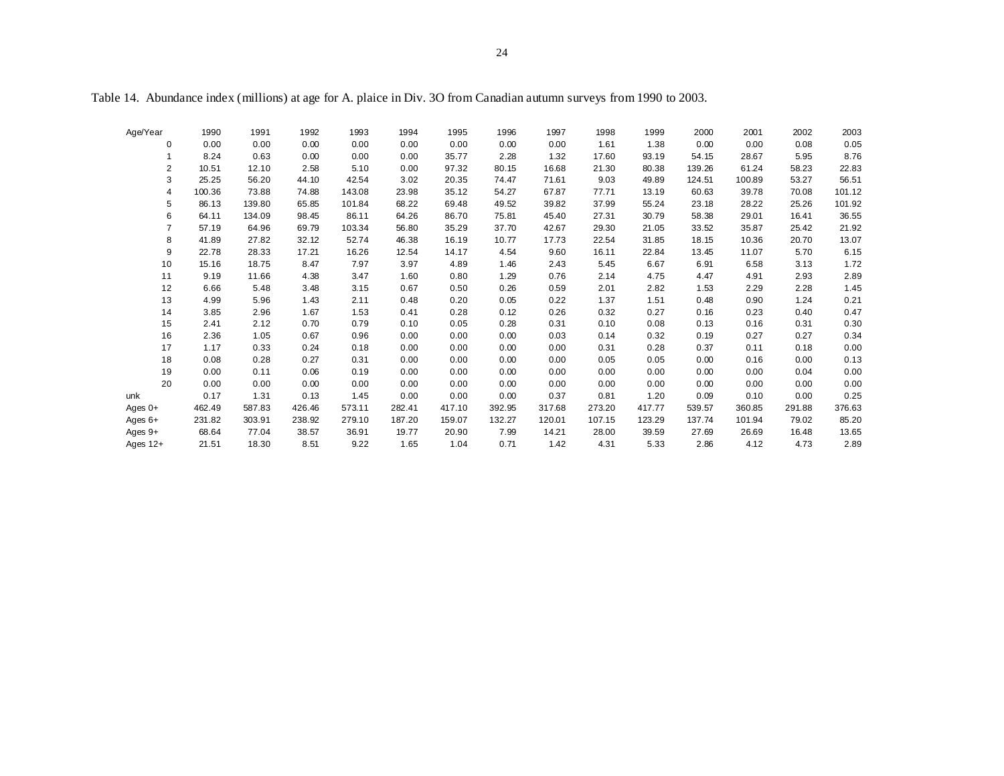Age/Year 1990 1991 1992 1993 1994 1995 1996 1997 1998 1999 2000 2001 2002 2003 0 0.00 0.00 0.00 0.00 0.00 0.00 0.00 0.00 1.61 1.38 0.00 0.00 0.08 0.051 8.24 0.63 0.00 0.00 0.00 35.77 2.28 1.32 17.60 93.19 54.15 28.67 5.95 8.768.76 2 10.51 12.10 2.58 5.10 0.00 97.32 80.15 16.68 21.30 80.38 139.26 61.24 58.23 22.8322.83 3 25.25 56.20 44.10 42.54 3.02 20.35 74.47 71.61 9.03 49.89 124.51 100.89 53.27 56.5156.51 4 100.36 73.88 74.88 143.08 23.98 35.12 54.27 67.87 77.71 13.19 60.63 39.78 70.08 101.125 86.13 139.80 65.85 101.84 68.22 69.48 49.52 39.82 37.99 55.24 23.18 28.22 25.26 101.92101.92 6 64.11 134.09 98.45 86.11 64.26 86.70 75.81 45.40 27.31 30.79 58.38 29.01 16.41 36.5536.55 7 57.19 64.96 69.79 103.34 56.80 35.29 37.70 42.67 29.30 21.05 33.52 35.87 25.42 21.928 41.89 27.82 32.12 52.74 46.38 16.19 10.77 17.73 22.54 31.85 18.15 10.36 20.70 13.0713.07 9 22.78 28.33 17.21 16.26 12.54 14.17 4.54 9.60 16.11 22.84 13.45 11.07 5.70 6.156.15 10 15.16 18.75 8.47 7.97 3.97 4.89 1.46 2.43 5.45 6.67 6.91 6.58 3.13 1.7211 9.19 11.66 4.38 3.47 1.60 0.80 1.29 0.76 2.14 4.75 4.47 4.91 2.93 2.892.89 12 6.66 5.48 3.48 3.15 0.67 0.50 0.26 0.59 2.01 2.82 1.53 2.29 2.28 1.451.45 13 4.99 5.96 1.43 2.11 0.48 0.20 0.05 0.22 1.37 1.51 0.48 0.90 1.24 0.2114 3.85 2.96 1.67 1.53 0.41 0.28 0.12 0.26 0.32 0.27 0.16 0.23 0.40 0.470.47 15 2.41 2.12 0.70 0.79 0.10 0.05 0.28 0.31 0.10 0.08 0.13 0.16 0.31 0.300.30 16 2.36 1.05 0.67 0.96 0.00 0.00 0.00 0.03 0.14 0.32 0.19 0.27 0.27 0.340.34 17 1.17 0.33 0.24 0.18 0.00 0.00 0.00 0.00 0.31 0.28 0.37 0.11 0.18 0.0018 0.08 0.28 0.27 0.31 0.00 0.00 0.00 0.00 0.05 0.05 0.00 0.16 0.00 0.13 $0.13$ 19 0.00 0.11 0.06 0.19 0.00 0.00 0.00 0.00 0.00 0.00 0.00 0.00 0.04 0.0020 0.00 0.00 0.00 0.00 0.00 0.00 0.00 0.00 0.00 0.00 0.00 0.00 0.00 0.00unk 0.17 1.31 0.13 1.45 0.00 0.00 0.00 0.37 0.81 1.20 0.09 0.10 0.00 0.25Ages 0+ 462.49 587.83 426.46 573.11 282.41 417.10 392.95 317.68 273.20 417.77 539.57 360.85 291.88 376.63 Ages 6+ 231.82 303.91 238.92 279.10 187.20 159.07 132.27 120.01 107.15 123.29 137.74 101.94 79.02 85.20 Ages 9+ 68.64 77.04 38.57 36.91 19.77 20.90 7.99 14.21 28.00 39.59 27.69 26.69 16.48 13.65 Ages 12+ 21.51 18.30 8.51 9.22 1.65 1.04 0.71 1.42 4.31 5.33 2.86 4.12 4.73 2.89

Table 14. Abundance index (millions) at age for A. plaice in Div. 3O from Canadian autumn surveys from 1990 to 2003.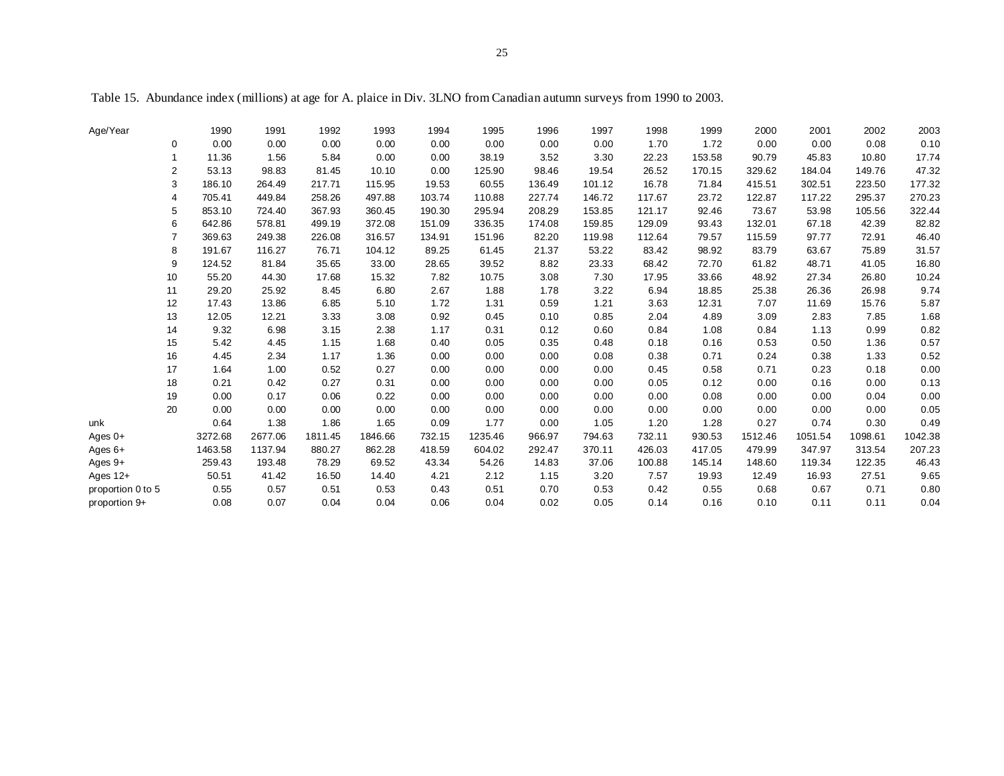Table 15. Abundance index (millions) at age for A. plaice in Div. 3LNO from Canadian autumn surveys from 1990 to 2003.

| Age/Year          |                | 1990    | 1991    | 1992    | 1993    | 1994   | 1995    | 1996   | 1997   | 1998   | 1999   | 2000    | 2001    | 2002    | 2003    |
|-------------------|----------------|---------|---------|---------|---------|--------|---------|--------|--------|--------|--------|---------|---------|---------|---------|
|                   | 0              | 0.00    | 0.00    | 0.00    | 0.00    | 0.00   | 0.00    | 0.00   | 0.00   | 1.70   | 1.72   | 0.00    | 0.00    | 0.08    | 0.10    |
|                   | $\mathbf{1}$   | 11.36   | 1.56    | 5.84    | 0.00    | 0.00   | 38.19   | 3.52   | 3.30   | 22.23  | 153.58 | 90.79   | 45.83   | 10.80   | 17.74   |
|                   | $\overline{2}$ | 53.13   | 98.83   | 81.45   | 10.10   | 0.00   | 125.90  | 98.46  | 19.54  | 26.52  | 170.15 | 329.62  | 184.04  | 149.76  | 47.32   |
|                   | 3              | 186.10  | 264.49  | 217.71  | 115.95  | 19.53  | 60.55   | 136.49 | 101.12 | 16.78  | 71.84  | 415.51  | 302.51  | 223.50  | 177.32  |
|                   | 4              | 705.41  | 449.84  | 258.26  | 497.88  | 103.74 | 110.88  | 227.74 | 146.72 | 117.67 | 23.72  | 122.87  | 117.22  | 295.37  | 270.23  |
|                   | 5              | 853.10  | 724.40  | 367.93  | 360.45  | 190.30 | 295.94  | 208.29 | 153.85 | 121.17 | 92.46  | 73.67   | 53.98   | 105.56  | 322.44  |
|                   | 6              | 642.86  | 578.81  | 499.19  | 372.08  | 151.09 | 336.35  | 174.08 | 159.85 | 129.09 | 93.43  | 132.01  | 67.18   | 42.39   | 82.82   |
|                   | 7              | 369.63  | 249.38  | 226.08  | 316.57  | 134.91 | 151.96  | 82.20  | 119.98 | 112.64 | 79.57  | 115.59  | 97.77   | 72.91   | 46.40   |
|                   | 8              | 191.67  | 116.27  | 76.71   | 104.12  | 89.25  | 61.45   | 21.37  | 53.22  | 83.42  | 98.92  | 83.79   | 63.67   | 75.89   | 31.57   |
|                   | 9              | 124.52  | 81.84   | 35.65   | 33.00   | 28.65  | 39.52   | 8.82   | 23.33  | 68.42  | 72.70  | 61.82   | 48.71   | 41.05   | 16.80   |
|                   | 10             | 55.20   | 44.30   | 17.68   | 15.32   | 7.82   | 10.75   | 3.08   | 7.30   | 17.95  | 33.66  | 48.92   | 27.34   | 26.80   | 10.24   |
|                   | 11             | 29.20   | 25.92   | 8.45    | 6.80    | 2.67   | 1.88    | 1.78   | 3.22   | 6.94   | 18.85  | 25.38   | 26.36   | 26.98   | 9.74    |
|                   | 12             | 17.43   | 13.86   | 6.85    | 5.10    | 1.72   | 1.31    | 0.59   | 1.21   | 3.63   | 12.31  | 7.07    | 11.69   | 15.76   | 5.87    |
|                   | 13             | 12.05   | 12.21   | 3.33    | 3.08    | 0.92   | 0.45    | 0.10   | 0.85   | 2.04   | 4.89   | 3.09    | 2.83    | 7.85    | 1.68    |
|                   | 14             | 9.32    | 6.98    | 3.15    | 2.38    | 1.17   | 0.31    | 0.12   | 0.60   | 0.84   | 1.08   | 0.84    | 1.13    | 0.99    | 0.82    |
|                   | 15             | 5.42    | 4.45    | 1.15    | 1.68    | 0.40   | 0.05    | 0.35   | 0.48   | 0.18   | 0.16   | 0.53    | 0.50    | 1.36    | 0.57    |
|                   | 16             | 4.45    | 2.34    | 1.17    | 1.36    | 0.00   | 0.00    | 0.00   | 0.08   | 0.38   | 0.71   | 0.24    | 0.38    | 1.33    | 0.52    |
|                   | 17             | 1.64    | 1.00    | 0.52    | 0.27    | 0.00   | 0.00    | 0.00   | 0.00   | 0.45   | 0.58   | 0.71    | 0.23    | 0.18    | 0.00    |
|                   | 18             | 0.21    | 0.42    | 0.27    | 0.31    | 0.00   | 0.00    | 0.00   | 0.00   | 0.05   | 0.12   | 0.00    | 0.16    | 0.00    | 0.13    |
|                   | 19             | 0.00    | 0.17    | 0.06    | 0.22    | 0.00   | 0.00    | 0.00   | 0.00   | 0.00   | 0.08   | 0.00    | 0.00    | 0.04    | 0.00    |
|                   | 20             | 0.00    | 0.00    | 0.00    | 0.00    | 0.00   | 0.00    | 0.00   | 0.00   | 0.00   | 0.00   | 0.00    | 0.00    | 0.00    | 0.05    |
| unk               |                | 0.64    | 1.38    | 1.86    | 1.65    | 0.09   | 1.77    | 0.00   | 1.05   | 1.20   | 1.28   | 0.27    | 0.74    | 0.30    | 0.49    |
| Ages $0+$         |                | 3272.68 | 2677.06 | 1811.45 | 1846.66 | 732.15 | 1235.46 | 966.97 | 794.63 | 732.11 | 930.53 | 1512.46 | 1051.54 | 1098.61 | 1042.38 |
| Ages $6+$         |                | 1463.58 | 1137.94 | 880.27  | 862.28  | 418.59 | 604.02  | 292.47 | 370.11 | 426.03 | 417.05 | 479.99  | 347.97  | 313.54  | 207.23  |
| Ages $9+$         |                | 259.43  | 193.48  | 78.29   | 69.52   | 43.34  | 54.26   | 14.83  | 37.06  | 100.88 | 145.14 | 148.60  | 119.34  | 122.35  | 46.43   |
| Ages $12+$        |                | 50.51   | 41.42   | 16.50   | 14.40   | 4.21   | 2.12    | 1.15   | 3.20   | 7.57   | 19.93  | 12.49   | 16.93   | 27.51   | 9.65    |
| proportion 0 to 5 |                | 0.55    | 0.57    | 0.51    | 0.53    | 0.43   | 0.51    | 0.70   | 0.53   | 0.42   | 0.55   | 0.68    | 0.67    | 0.71    | 0.80    |
| proportion 9+     |                | 0.08    | 0.07    | 0.04    | 0.04    | 0.06   | 0.04    | 0.02   | 0.05   | 0.14   | 0.16   | 0.10    | 0.11    | 0.11    | 0.04    |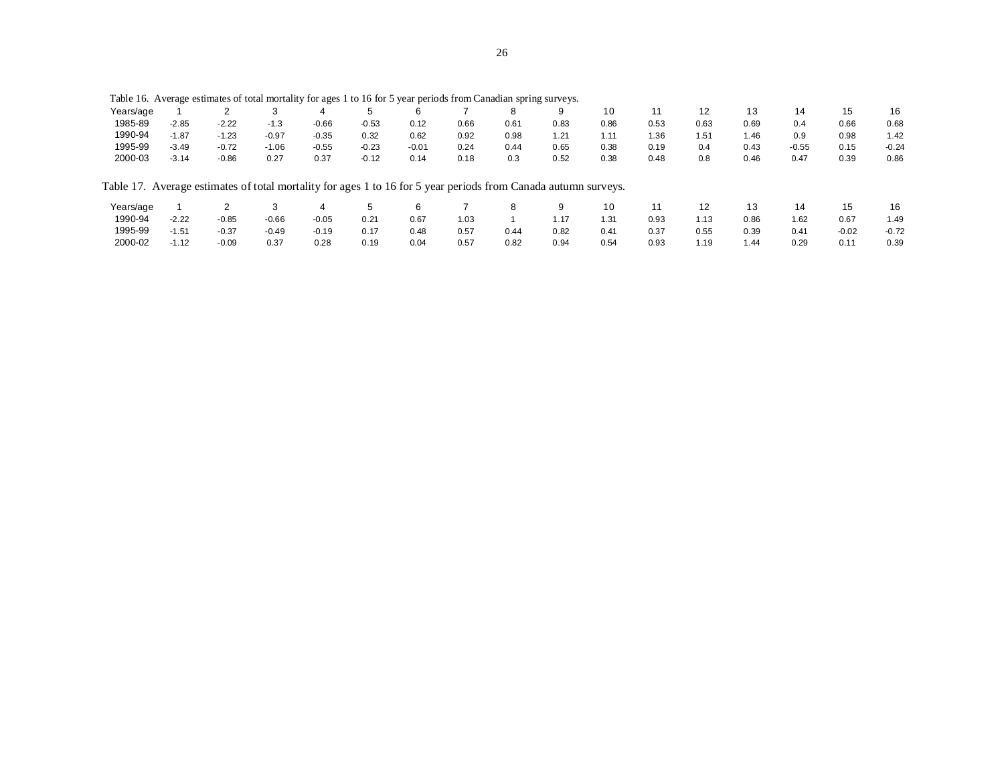|           | Table 16. Average estimates of total mortality for ages 1 to 16 for 5 year periods from Canadian spring surveys. |         |         |         |         |         |      |      |      |      |      |      |      |         |         |         |
|-----------|------------------------------------------------------------------------------------------------------------------|---------|---------|---------|---------|---------|------|------|------|------|------|------|------|---------|---------|---------|
| Years/age |                                                                                                                  |         |         | 4       | 5       | 6       |      | 8    | 9    | 10   | 11   | 12   | 13   | 14      | 15      | 16      |
| 1985-89   | $-2.85$                                                                                                          | $-2.22$ | $-1.3$  | $-0.66$ | $-0.53$ | 0.12    | 0.66 | 0.61 | 0.83 | 0.86 | 0.53 | 0.63 | 0.69 | 0.4     | 0.66    | 0.68    |
| 1990-94   | $-1.87$                                                                                                          | $-1.23$ | $-0.97$ | $-0.35$ | 0.32    | 0.62    | 0.92 | 0.98 | 1.21 | 1.11 | 1.36 | 1.51 | 1.46 | 0.9     | 0.98    | 1.42    |
| 1995-99   | $-3.49$                                                                                                          | $-0.72$ | $-1.06$ | $-0.55$ | $-0.23$ | $-0.01$ | 0.24 | 0.44 | 0.65 | 0.38 | 0.19 | 0.4  | 0.43 | $-0.55$ | 0.15    | $-0.24$ |
| 2000-03   | $-3.14$                                                                                                          | $-0.86$ | 0.27    | 0.37    | $-0.12$ | 0.14    | 0.18 | 0.3  | 0.52 | 0.38 | 0.48 | 0.8  | 0.46 | 0.47    | 0.39    | 0.86    |
|           | Table 17. Average estimates of total mortality for ages 1 to 16 for 5 year periods from Canada autumn surveys.   |         |         |         |         |         |      |      |      |      |      |      |      |         |         |         |
| Years/age |                                                                                                                  |         |         | 4       | 5       | 6       |      | 8    | 9    | 10   | 11   | 12   | 13   | 14      | 15      | 16      |
| 1990-94   | $-2.22$                                                                                                          | $-0.85$ | $-0.66$ | $-0.05$ | 0.21    | 0.67    | 1.03 |      | 1.17 | 1.31 | 0.93 | 1.13 | 0.86 | 1.62    | 0.67    | 1.49    |
| 1995-99   | $-1.51$                                                                                                          | $-0.37$ | $-0.49$ | $-0.19$ | 0.17    | 0.48    | 0.57 | 0.44 | 0.82 | 0.41 | 0.37 | 0.55 | 0.39 | 0.41    | $-0.02$ | $-0.72$ |
| 2000-02   | $-1.12$                                                                                                          | $-0.09$ | 0.37    | 0.28    | 0.19    | 0.04    | 0.57 | 0.82 | 0.94 | 0.54 | 0.93 | 1.19 | 1.44 | 0.29    | 0.11    | 0.39    |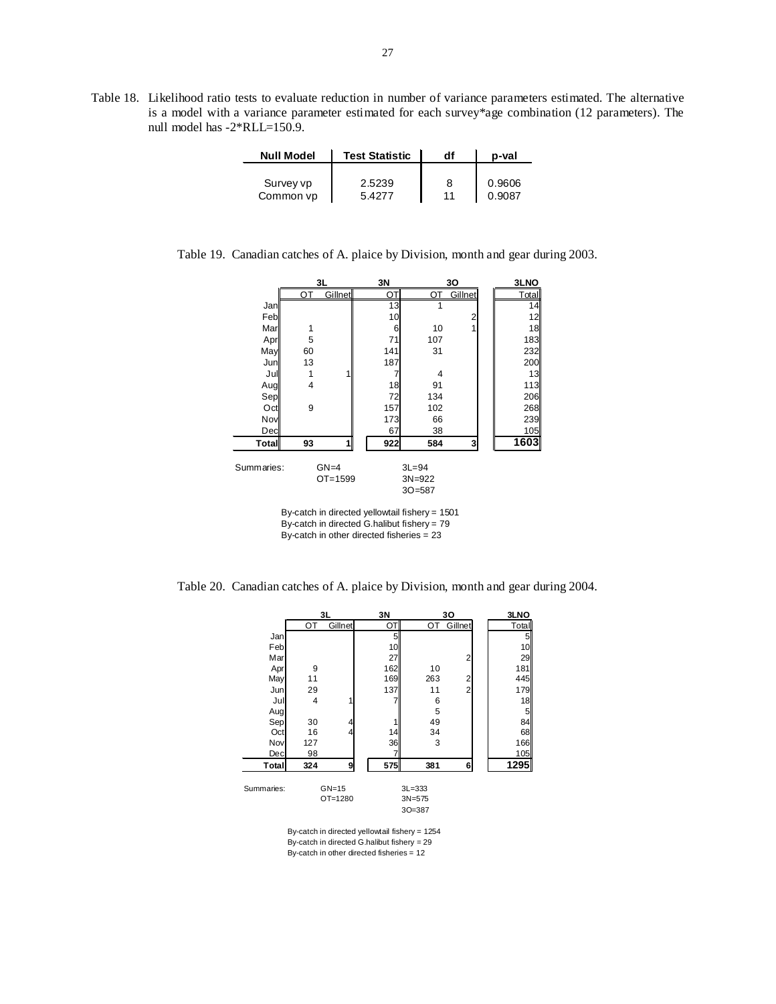Table 18. Likelihood ratio tests to evaluate reduction in number of variance parameters estimated. The alternative is a model with a variance parameter estimated for each survey\*age combination (12 parameters). The null model has -2\*RLL=150.9.

| <b>Null Model</b> | <b>Test Statistic</b> | df | p-val  |
|-------------------|-----------------------|----|--------|
| Survey vp         | 2.5239                | 8  | 0.9606 |
| Common vp         | 5 4277                | 11 | 0.9087 |

Table 19. Canadian catches of A. plaice by Division, month and gear during 2003.

|            |    | 3L                    | 3N  |                                       | 30      | 3LNO  |
|------------|----|-----------------------|-----|---------------------------------------|---------|-------|
|            | ОT | <b>Gillnet</b>        | ОT  | ОT                                    | Gillnet | Total |
| Jan        |    |                       | 13  |                                       |         | 14    |
| Feb        |    |                       | 10  |                                       | 2       | 12    |
| Mar        | 1  |                       | 6   | 10                                    | 1       | 18    |
| Apr        | 5  |                       | 71  | 107                                   |         | 183   |
| May        | 60 |                       | 141 | 31                                    |         | 232   |
| Jun        | 13 |                       | 187 |                                       |         | 200   |
| Jul        | 1  |                       |     | 4                                     |         | 13    |
| Aug        | 4  |                       | 18  | 91                                    |         | 113   |
| Sep        |    |                       | 72  | 134                                   |         | 206   |
| Oct        | 9  |                       | 157 | 102                                   |         | 268   |
| Nov        |    |                       | 173 | 66                                    |         | 239   |
| Decl       |    |                       | 67  | 38                                    |         | 105   |
| Total      | 93 | 1                     | 922 | 584                                   | 3       | 1603  |
| Summaries: |    | $GN=4$<br>$OT = 1599$ |     | $3L = 94$<br>$3N = 922$<br>$30 = 587$ |         |       |

By-catch in directed yellowtail fishery = 1501 By-catch in directed G.halibut fishery = 79 By-catch in other directed fisheries = 23

Table 20. Canadian catches of A. plaice by Division, month and gear during 2004.

|            | 3L<br>ОT |         | 3N  |            | 30             | 3LNO  |
|------------|----------|---------|-----|------------|----------------|-------|
|            |          | Gillnet | OT  | OT         | Gillnet        | Total |
| Jan        |          |         | 5   |            |                | 5     |
| Feb        |          |         | 10  |            |                | 10    |
| Mar        |          |         | 27  |            | 2              | 29    |
| Apr        | 9        |         | 162 | 10         |                | 181   |
| May        | 11       |         | 169 | 263        | $\overline{2}$ | 445   |
| Jun        | 29       |         | 137 | 11         | $\overline{2}$ | 179   |
| Jul        | 4        |         |     | 6          |                | 18    |
| Augl       |          |         |     | 5          |                | 5     |
| Sep        | 30       | 4       |     | 49         |                | 84    |
| Oct        | 16       | 4       | 14  | 34         |                | 68    |
| Nov        | 127      |         | 36  | 3          |                | 166   |
| Dec        | 98       |         |     |            |                | 105   |
| Total      | 324      | 9       | 575 | 381        |                | 1295  |
| Summaries: |          | $GN=15$ |     | $3L = 333$ |                |       |
|            |          | OT=1280 |     | $3N = 575$ |                |       |

3O=387

By-catch in directed yellowtail fishery = 1254 By-catch in directed G.halibut fishery = 29 By-catch in other directed fisheries = 12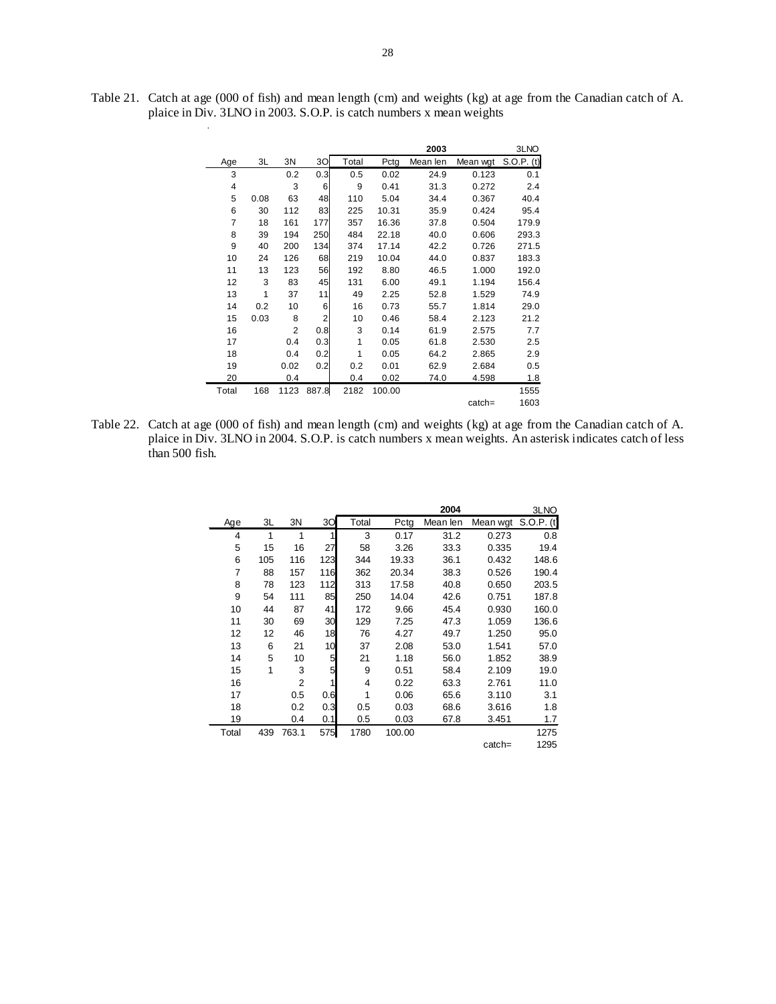|                |      |      |       |       |        | 2003     |          | 3LNO         |
|----------------|------|------|-------|-------|--------|----------|----------|--------------|
| Age            | 3L   | 3N   | 30    | Total | Pctg   | Mean len | Mean wgt | $S.O.P.$ (t) |
| 3              |      | 0.2  | 0.3   | 0.5   | 0.02   | 24.9     | 0.123    | 0.1          |
| $\overline{4}$ |      | 3    | 6     | 9     | 0.41   | 31.3     | 0.272    | 2.4          |
| 5              | 0.08 | 63   | 48    | 110   | 5.04   | 34.4     | 0.367    | 40.4         |
| 6              | 30   | 112  | 83    | 225   | 10.31  | 35.9     | 0.424    | 95.4         |
| 7              | 18   | 161  | 177   | 357   | 16.36  | 37.8     | 0.504    | 179.9        |
| 8              | 39   | 194  | 250   | 484   | 22.18  | 40.0     | 0.606    | 293.3        |
| 9              | 40   | 200  | 134   | 374   | 17.14  | 42.2     | 0.726    | 271.5        |
| 10             | 24   | 126  | 68    | 219   | 10.04  | 44.0     | 0.837    | 183.3        |
| 11             | 13   | 123  | 56    | 192   | 8.80   | 46.5     | 1.000    | 192.0        |
| 12             | 3    | 83   | 45    | 131   | 6.00   | 49.1     | 1.194    | 156.4        |
| 13             | 1    | 37   | 11    | 49    | 2.25   | 52.8     | 1.529    | 74.9         |
| 14             | 0.2  | 10   | 6     | 16    | 0.73   | 55.7     | 1.814    | 29.0         |
| 15             | 0.03 | 8    | 2     | 10    | 0.46   | 58.4     | 2.123    | 21.2         |
| 16             |      | 2    | 0.8   | 3     | 0.14   | 61.9     | 2.575    | 7.7          |
| 17             |      | 0.4  | 0.3   | 1     | 0.05   | 61.8     | 2.530    | 2.5          |
| 18             |      | 0.4  | 0.2   | 1     | 0.05   | 64.2     | 2.865    | 2.9          |
| 19             |      | 0.02 | 0.2   | 0.2   | 0.01   | 62.9     | 2.684    | 0.5          |
| 20             |      | 0.4  |       | 0.4   | 0.02   | 74.0     | 4.598    | 1.8          |
| Total          | 168  | 1123 | 887.8 | 2182  | 100.00 |          |          | 1555         |
|                |      |      |       |       |        |          | catch=   | 1603         |

Table 21. Catch at age (000 of fish) and mean length (cm) and weights (kg) at age from the Canadian catch of A. plaice in Div. 3LNO in 2003. S.O.P. is catch numbers x mean weights

.

Table 22. Catch at age (000 of fish) and mean length (cm) and weights (kg) at age from the Canadian catch of A. plaice in Div. 3LNO in 2004. S.O.P. is catch numbers x mean weights. An asterisk indicates catch of less than 500 fish.

|                |     |       |     |                |        | 2004     |          | 3LNO         |
|----------------|-----|-------|-----|----------------|--------|----------|----------|--------------|
| Age            | 3L  | 3N    | 30  | Total          | Pctg   | Mean len | Mean wgt | $S.O.P.$ (t) |
| 4              | 1   | 1     | 1   | 3              | 0.17   | 31.2     | 0.273    | 0.8          |
| 5              | 15  | 16    | 27  | 58             | 3.26   | 33.3     | 0.335    | 19.4         |
| 6              | 105 | 116   | 123 | 344            | 19.33  | 36.1     | 0.432    | 148.6        |
| $\overline{7}$ | 88  | 157   | 116 | 362            | 20.34  | 38.3     | 0.526    | 190.4        |
| 8              | 78  | 123   | 112 | 313            | 17.58  | 40.8     | 0.650    | 203.5        |
| 9              | 54  | 111   | 85  | 250            | 14.04  | 42.6     | 0.751    | 187.8        |
| 10             | 44  | 87    | 41  | 172            | 9.66   | 45.4     | 0.930    | 160.0        |
| 11             | 30  | 69    | 30  | 129            | 7.25   | 47.3     | 1.059    | 136.6        |
| 12             | 12  | 46    | 18  | 76             | 4.27   | 49.7     | 1.250    | 95.0         |
| 13             | 6   | 21    | 10  | 37             | 2.08   | 53.0     | 1.541    | 57.0         |
| 14             | 5   | 10    | 5   | 21             | 1.18   | 56.0     | 1.852    | 38.9         |
| 15             | 1   | 3     | 5   | 9              | 0.51   | 58.4     | 2.109    | 19.0         |
| 16             |     | 2     | 1   | $\overline{4}$ | 0.22   | 63.3     | 2.761    | 11.0         |
| 17             |     | 0.5   | 0.6 | 1              | 0.06   | 65.6     | 3.110    | 3.1          |
| 18             |     | 0.2   | 0.3 | 0.5            | 0.03   | 68.6     | 3.616    | 1.8          |
| 19             |     | 0.4   | 0.1 | 0.5            | 0.03   | 67.8     | 3.451    | 1.7          |
| Total          | 439 | 763.1 | 575 | 1780           | 100.00 |          |          | 1275         |
|                |     |       |     |                |        |          | catch=   | 1295         |
|                |     |       |     |                |        |          |          |              |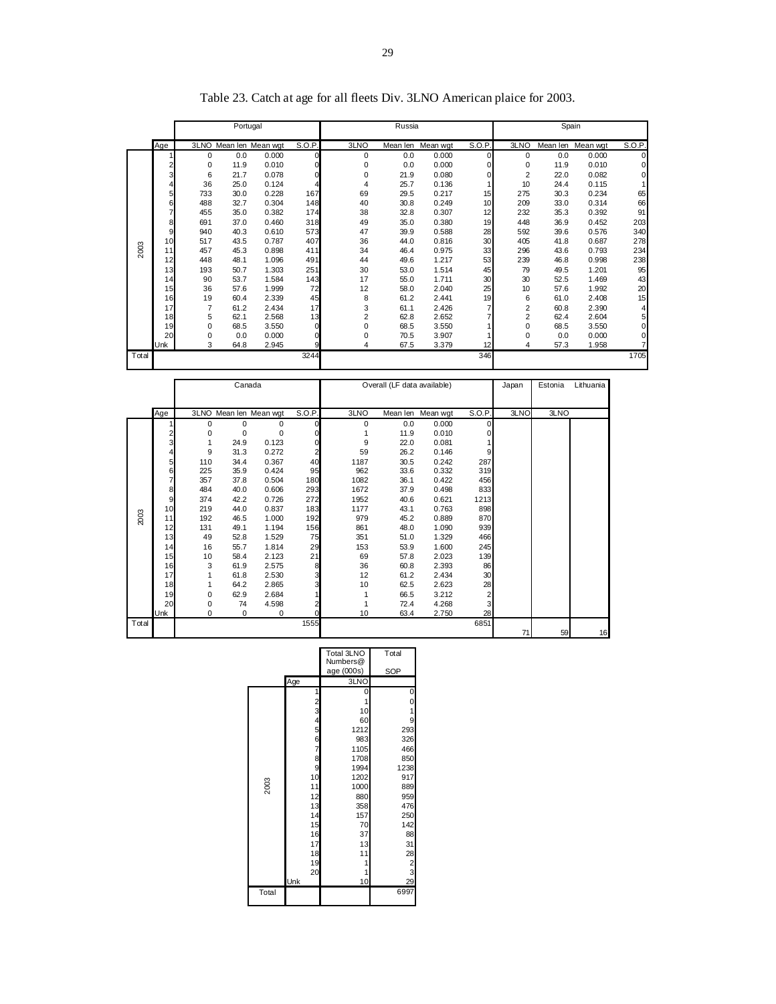|       |                         |          | Portugal     |                        |                         |                     | Russia                      |                   |                     |                         |          | Spain     |                |
|-------|-------------------------|----------|--------------|------------------------|-------------------------|---------------------|-----------------------------|-------------------|---------------------|-------------------------|----------|-----------|----------------|
|       | Age                     |          |              | 3LNO Mean len Mean wgt | S.O.P.                  | 3LNO                |                             | Mean len Mean wgt | S.O.P.              | 3LNO                    | Mean len | Mean wgt  | S.O.P.         |
|       | 1                       | 0        | 0.0          | 0.000                  | $\mathbf 0$             | 0                   | 0.0                         | 0.000             | $\mathbf 0$         | 0                       | 0.0      | 0.000     | $\overline{0}$ |
|       | $\frac{2}{3}$           | 0        | 11.9         | 0.010                  | 0                       | 0                   | 0.0                         | 0.000             | $\mathbf 0$         | $\mathbf 0$             | 11.9     | 0.010     | 0              |
|       |                         | 6        | 21.7         | 0.078                  | 0                       | 0                   | 21.9                        | 0.080             | $\mathbf 0$         | $\overline{2}$          | 22.0     | 0.082     | 0              |
|       | $\overline{\mathbf{4}}$ | 36       | 25.0         | 0.124                  | 4                       | $\overline{4}$      | 25.7                        | 0.136             | 1                   | 10                      | 24.4     | 0.115     | 1              |
|       | 5                       | 733      | 30.0         | 0.228                  | 167                     | 69                  | 29.5                        | 0.217             | 15                  | 275                     | 30.3     | 0.234     | 65             |
|       | 6                       | 488      | 32.7         | 0.304                  | 148                     | 40                  | 30.8                        | 0.249             | 10                  | 209                     | 33.0     | 0.314     | 66             |
|       | $\overline{7}$          | 455      | 35.0         | 0.382                  | 174                     | 38                  | 32.8                        | 0.307             | 12                  | 232                     | 35.3     | 0.392     | 91             |
|       | 8                       | 691      | 37.0         | 0.460                  | 318                     | 49                  | 35.0                        | 0.380             | 19                  | 448                     | 36.9     | 0.452     | 203            |
|       | 9                       | 940      | 40.3         | 0.610                  | 573                     | 47                  | 39.9                        | 0.588             | 28                  | 592                     | 39.6     | 0.576     | 340            |
|       | 10                      | 517      | 43.5         | 0.787                  | 407                     | 36                  | 44.0                        | 0.816             | 30                  | 405                     | 41.8     | 0.687     | 278            |
| 2003  | 11                      | 457      | 45.3         | 0.898                  | 411                     | 34                  | 46.4                        | 0.975             | 33                  | 296                     | 43.6     | 0.793     | 234            |
|       | 12                      | 448      | 48.1         | 1.096                  | 491                     | 44                  | 49.6                        | 1.217             | 53                  | 239                     | 46.8     | 0.998     | 238            |
|       | 13                      | 193      | 50.7         | 1.303                  | 251                     | 30                  | 53.0                        | 1.514             | 45                  | 79                      | 49.5     | 1.201     | 95             |
|       | 14                      | 90       | 53.7         | 1.584                  | 143                     | 17                  | 55.0                        | 1.711             | 30                  | 30                      | 52.5     | 1.469     | 43             |
|       | 15                      | 36       | 57.6         | 1.999                  | 72                      | 12                  | 58.0                        | 2.040             | 25                  | 10                      | 57.6     | 1.992     | 20             |
|       | 16                      | 19       | 60.4         | 2.339                  | 45                      | 8                   | 61.2                        | 2.441             | 19                  | 6                       | 61.0     | 2.408     | 15             |
|       | 17                      | 7        | 61.2         | 2.434                  | 17                      | 3                   | 61.1                        | 2.426             | $\overline{7}$      | $\overline{\mathbf{c}}$ | 60.8     | 2.390     | 4              |
|       | 18                      | 5        | 62.1         | 2.568                  | 13                      | $\overline{c}$<br>0 | 62.8                        | 2.652             | $\overline{7}$<br>1 | 2                       | 62.4     | 2.604     | 5              |
|       | 19<br>20                | 0        | 68.5         | 3.550                  | $\mathbf 0$<br>0        | 0                   | 68.5                        | 3.550             | 1                   | 0                       | 68.5     | 3.550     | 0              |
|       | Unk                     | 0<br>3   | 0.0          | 0.000                  | 9                       | 4                   | 70.5<br>67.5                | 3.907<br>3.379    | 12                  | 0<br>4                  | 0.0      | 0.000     | 0<br>7         |
|       |                         |          | 64.8         | 2.945                  | 3244                    |                     |                             |                   | 346                 |                         | 57.3     | 1.958     | 1705           |
| Total |                         |          |              |                        |                         |                     |                             |                   |                     |                         |          |           |                |
|       |                         |          |              |                        |                         |                     |                             |                   |                     |                         |          |           |                |
|       |                         |          | Canada       |                        |                         |                     | Overall (LF data available) |                   |                     | Japan                   | Estonia  | Lithuania |                |
|       |                         |          |              |                        |                         |                     |                             |                   |                     |                         |          |           |                |
|       | Age                     |          |              | 3LNO Mean len Mean wqt | S.O.P.                  | 3LNO                |                             | Mean len Mean wgt | S.O.P.              | 3LNO                    | 3LNO     |           |                |
|       | 1                       | 0        | 0            | 0                      | $\mathbf 0$             | 0                   | 0.0                         | 0.000             | $\mathbf 0$         |                         |          |           |                |
|       | $\frac{2}{3}$           | 0        | 0            | $\pmb{0}$              | $\overline{0}$          | $\mathbf{1}$        | 11.9                        | 0.010             | $\mathbf 0$         |                         |          |           |                |
|       |                         | 1        | 24.9         | 0.123                  | 0                       | 9                   | 22.0                        | 0.081             | 1                   |                         |          |           |                |
|       | $\overline{\mathbf{4}}$ | 9        | 31.3         | 0.272                  | $\overline{\mathbf{c}}$ | 59                  | 26.2                        | 0.146             | 9                   |                         |          |           |                |
|       | 5                       | 110      | 34.4         | 0.367                  | 40                      | 1187                | 30.5                        | 0.242             | 287                 |                         |          |           |                |
|       | 6                       | 225      | 35.9         | 0.424                  | 95                      | 962                 | 33.6                        | 0.332             | 319                 |                         |          |           |                |
|       | $\overline{7}$          | 357      | 37.8         | 0.504                  | 180                     | 1082                | 36.1                        | 0.422             | 456                 |                         |          |           |                |
|       | 8                       | 484      | 40.0         | 0.606                  | 293                     | 1672                | 37.9                        | 0.498             | 833                 |                         |          |           |                |
|       | 9                       | 374      | 42.2         | 0.726                  | 272                     | 1952                | 40.6                        | 0.621             | 1213                |                         |          |           |                |
|       | 10                      | 219      | 44.0         | 0.837                  | 183                     | 1177                | 43.1                        | 0.763             | 898                 |                         |          |           |                |
| 2003  | 11                      | 192      | 46.5         | 1.000                  | 192                     | 979                 | 45.2                        | 0.889             | 870                 |                         |          |           |                |
|       | 12                      | 131      | 49.1         | 1.194                  | 156                     | 861                 | 48.0                        | 1.090             | 939                 |                         |          |           |                |
|       | 13                      | 49       | 52.8         | 1.529                  | 75                      | 351                 | 51.0                        | 1.329             | 466                 |                         |          |           |                |
|       | 14                      | 16       | 55.7         | 1.814                  | 29                      | 153                 | 53.9                        | 1.600             | 245                 |                         |          |           |                |
|       | 15                      | 10       | 58.4         | 2.123                  | 21                      | 69                  | 57.8                        | 2.023             | 139                 |                         |          |           |                |
|       | 16<br>17                | 3        | 61.9         | 2.575                  | 8<br>3                  | 36                  | 60.8                        | 2.393             | 86                  |                         |          |           |                |
|       | 18                      | 1<br>1   | 61.8<br>64.2 | 2.530<br>2.865         | 3                       | 12<br>10            | 61.2<br>62.5                | 2.434<br>2.623    | 30<br>28            |                         |          |           |                |
|       | 19                      | $\Omega$ | 62.9         | 2.684                  | $\mathbf{1}$            | $\mathbf{1}$        | 66.5                        | 3.212             | $\overline{2}$      |                         |          |           |                |
|       |                         |          |              |                        |                         |                     |                             |                   |                     |                         |          |           |                |

71 59 16

Table 23. Catch at age for all fleets Div. 3LNO American plaice for 2003.

|       |          | Total 3LNO<br>Numbers@ | Total         |
|-------|----------|------------------------|---------------|
|       |          | age (000s)             | SOP           |
|       | Age      | 3LNO                   |               |
|       |          | 0                      | 0             |
|       | 12345678 |                        | C             |
|       |          | 10                     |               |
|       |          | 60                     | 9             |
|       |          | 1212                   | 293           |
|       |          | 983                    | 326           |
|       |          | 1105                   | 466           |
|       |          | 1708                   | 850           |
|       | 9        | 1994                   | 1238          |
|       | 10       | 1202                   | 917           |
| 2003  | 11       | 1000                   | 889           |
|       | 12       | 880                    | 959           |
|       | 13       | 358                    | 476           |
|       | 14       | 157                    | 250           |
|       | 15       | 70                     | 142           |
|       | 16       | 37                     | 88            |
|       | 17       | 13                     | 31            |
|       | 18       | 11                     | 28            |
|       | 19       | 1                      |               |
|       | 20       |                        | $\frac{2}{3}$ |
|       | Unk      | 10                     | 29            |
| Total |          |                        | 6997          |

20 0 74 4.598 2 1 72.4 4.268 3 Unk 0 0 0 0 10 63.4 2.750 28 Total 1555 6851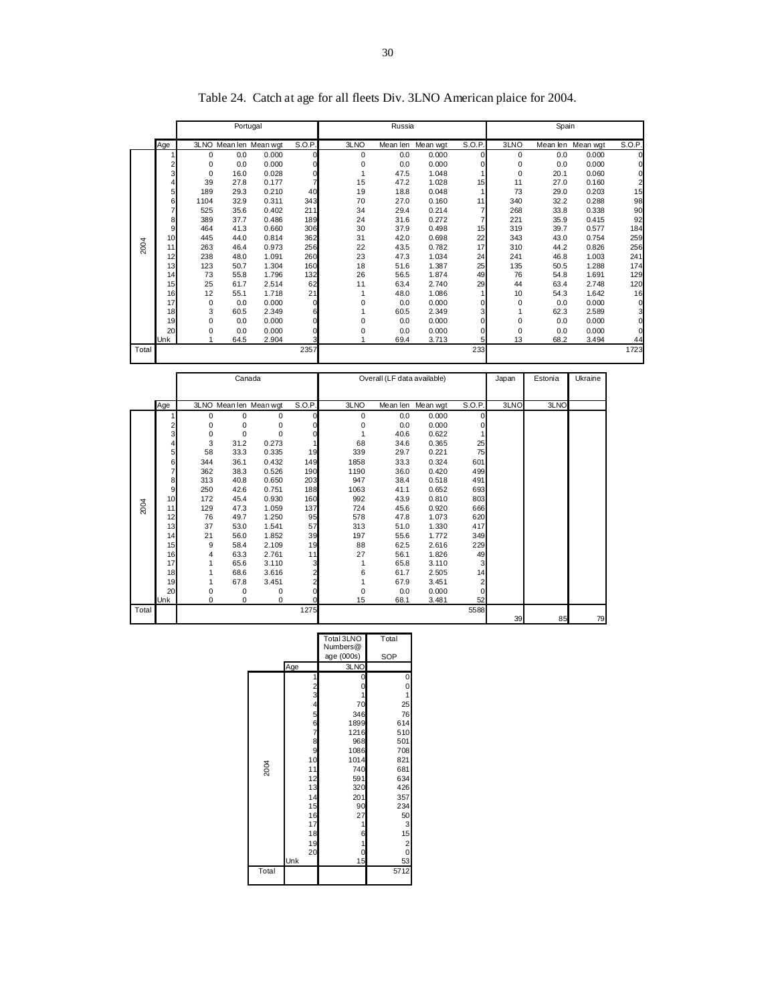|       |     |          | Portugal |                        |                |                             | Russia   |          |                |          | Spain   |                   |                |
|-------|-----|----------|----------|------------------------|----------------|-----------------------------|----------|----------|----------------|----------|---------|-------------------|----------------|
|       | Age |          |          | 3LNO Mean len Mean wgt | S.O.P.         | 3LNO                        | Mean len | Mean wgt | S.O.P.         | 3LNO     |         | Mean len Mean wgt | S.O.P.         |
|       |     | $\Omega$ | 0.0      | 0.000                  | $\Omega$       | $\Omega$                    | 0.0      | 0.000    | $\Omega$       | $\Omega$ | 0.0     | 0.000             | $\Omega$       |
|       | 2   | $\Omega$ | 0.0      | 0.000                  | $\mathbf 0$    | 0                           | 0.0      | 0.000    | $\Omega$       | 0        | 0.0     | 0.000             |                |
|       | 3   | $\Omega$ | 16.0     | 0.028                  | 0              |                             | 47.5     | 1.048    | 1              | 0        | 20.1    | 0.060             | 0              |
|       | 4   | 39       | 27.8     | 0.177                  | $\overline{7}$ | 15                          | 47.2     | 1.028    | 15             | 11       | 27.0    | 0.160             | $\overline{2}$ |
|       | 5   | 189      | 29.3     | 0.210                  | 40             | 19                          | 18.8     | 0.048    | 1              | 73       | 29.0    | 0.203             | 15             |
|       | 6   | 1104     | 32.9     | 0.311                  | 343            | 70                          | 27.0     | 0.160    | 11             | 340      | 32.2    | 0.288             | 98             |
|       | 7   | 525      | 35.6     | 0.402                  | 211            | 34                          | 29.4     | 0.214    | $\overline{7}$ | 268      | 33.8    | 0.338             | 90             |
|       | 8   | 389      | 37.7     | 0.486                  | 189            | 24                          | 31.6     | 0.272    | $\overline{7}$ | 221      | 35.9    | 0.415             | 92             |
|       | 9   | 464      | 41.3     | 0.660                  | 306            | 30                          | 37.9     | 0.498    | 15             | 319      | 39.7    | 0.577             | 184            |
|       | 10  | 445      | 44.0     | 0.814                  | 362            | 31                          | 42.0     | 0.698    | 22             | 343      | 43.0    | 0.754             | 259            |
| 2004  | 11  | 263      | 46.4     | 0.973                  | 256            | 22                          | 43.5     | 0.782    | 17             | 310      | 44.2    | 0.826             | 256            |
|       | 12  | 238      | 48.0     | 1.091                  | 260            | 23                          | 47.3     | 1.034    | 24             | 241      | 46.8    | 1.003             | 241            |
|       | 13  | 123      | 50.7     | 1.304                  | 160            | 18                          | 51.6     | 1.387    | 25             | 135      | 50.5    | 1.288             | 174            |
|       | 14  | 73       | 55.8     | 1.796                  | 132            | 26                          | 56.5     | 1.874    | 49             | 76       | 54.8    | 1.691             | 129            |
|       | 15  | 25       | 61.7     | 2.514                  | 62             | 11                          | 63.4     | 2.740    | 29             | 44       | 63.4    | 2.748             | 120            |
|       | 16  | 12       | 55.1     | 1.718                  | 21             |                             | 48.0     | 1.086    | 1              | 10       | 54.3    | 1.642             | 16             |
|       | 17  | $\Omega$ | 0.0      | 0.000                  | 0              | $\Omega$                    | 0.0      | 0.000    | 0              | 0        | 0.0     | 0.000             | $\mathbf 0$    |
|       | 18  | 3        | 60.5     | 2.349                  | 6              |                             | 60.5     | 2.349    | 3              | 1        | 62.3    | 2.589             | 3              |
|       | 19  | $\Omega$ | 0.0      | 0.000                  | 0              | 0                           | 0.0      | 0.000    | $\mathbf 0$    | 0        | 0.0     | 0.000             | $\Omega$       |
|       | 20  | $\Omega$ | 0.0      | 0.000                  | 0              | $\Omega$                    | 0.0      | 0.000    | 0              | 0        | 0.0     | 0.000             | $\Omega$       |
|       | Unk |          | 64.5     | 2.904                  | 3              |                             | 69.4     | 3.713    | 5              | 13       | 68.2    | 3.494             | 44             |
| Total |     |          |          |                        | 2357           |                             |          |          | 233            |          |         |                   | 1723           |
|       |     | Canada   |          |                        |                | Overall (LF data available) |          |          | Japan          | Estonia  | Ukraine |                   |                |

Table 24. Catch at age for all fleets Div. 3LNO American plaice for 2004.

|       |     | Canada |          |                        |                | Overall (LF data available) |      |                   |          | Japan | Estonia | Ukraine |
|-------|-----|--------|----------|------------------------|----------------|-----------------------------|------|-------------------|----------|-------|---------|---------|
|       |     |        |          |                        |                |                             |      |                   |          |       |         |         |
|       | Age |        |          | 3LNO Mean len Mean wgt | S.O.P.         | 3LNO                        |      | Mean len Mean wgt | S.O.P.   | 3LNO  | 3LNO    |         |
|       |     | 0      | 0        | 0                      | 0              | 0                           | 0.0  | 0.000             | $\Omega$ |       |         |         |
|       | 2   | 0      | 0        | 0                      | 0              | 0                           | 0.0  | 0.000             | 0        |       |         |         |
|       | 3   | 0      | $\Omega$ | $\Omega$               | $\Omega$       | 1                           | 40.6 | 0.622             |          |       |         |         |
|       | 4   | 3      | 31.2     | 0.273                  |                | 68                          | 34.6 | 0.365             | 25       |       |         |         |
|       | 5   | 58     | 33.3     | 0.335                  | 19             | 339                         | 29.7 | 0.221             | 75       |       |         |         |
|       | 6   | 344    | 36.1     | 0.432                  | 149            | 1858                        | 33.3 | 0.324             | 601      |       |         |         |
|       | 7   | 362    | 38.3     | 0.526                  | 190            | 1190                        | 36.0 | 0.420             | 499      |       |         |         |
|       | 8   | 313    | 40.8     | 0.650                  | 203            | 947                         | 38.4 | 0.518             | 491      |       |         |         |
|       | 9   | 250    | 42.6     | 0.751                  | 188            | 1063                        | 41.1 | 0.652             | 693      |       |         |         |
|       | 10  | 172    | 45.4     | 0.930                  | 160            | 992                         | 43.9 | 0.810             | 803      |       |         |         |
| 2004  | 11  | 129    | 47.3     | 1.059                  | 137            | 724                         | 45.6 | 0.920             | 666      |       |         |         |
|       | 12  | 76     | 49.7     | 1.250                  | 95             | 578                         | 47.8 | 1.073             | 620      |       |         |         |
|       | 13  | 37     | 53.0     | 1.541                  | 57             | 313                         | 51.0 | 1.330             | 417      |       |         |         |
|       | 14  | 21     | 56.0     | 1.852                  | 39             | 197                         | 55.6 | 1.772             | 349      |       |         |         |
|       | 15  | 9      | 58.4     | 2.109                  | 19             | 88                          | 62.5 | 2.616             | 229      |       |         |         |
|       | 16  | 4      | 63.3     | 2.761                  | 11             | 27                          | 56.1 | 1.826             | 49       |       |         |         |
|       | 17  | 1      | 65.6     | 3.110                  | 3              | 1                           | 65.8 | 3.110             | 3        |       |         |         |
|       | 18  |        | 68.6     | 3.616                  | 2              | 6                           | 61.7 | 2.505             | 14       |       |         |         |
|       | 19  | 1      | 67.8     | 3.451                  | $\overline{2}$ | 1                           | 67.9 | 3.451             | 2        |       |         |         |
|       | 20  | 0      | $\Omega$ | 0                      | 0              | 0                           | 0.0  | 0.000             | $\Omega$ |       |         |         |
|       | Unk | 0      | 0        | $\Omega$               | $\Omega$       | 15                          | 68.1 | 3.481             | 52       |       |         |         |
| Total |     |        |          |                        | 1275           |                             |      |                   | 5588     |       |         |         |
|       |     |        |          |                        |                |                             |      |                   |          | 39    | 85      | 79      |

|       |                                       | Total 3LNO<br>Numbers@ | Total                   |
|-------|---------------------------------------|------------------------|-------------------------|
|       |                                       | age (000s)             | <b>SOP</b>              |
|       | Age                                   | 3LNO                   |                         |
|       | 1                                     | 0                      | 0                       |
|       | 2<br>3<br>4<br>5<br>6<br>6            | 0                      | $\mathbf{0}$            |
|       |                                       |                        | $\overline{1}$          |
|       |                                       | 70                     | 25                      |
|       |                                       | 346                    | 76                      |
|       |                                       | 1899                   | 614                     |
|       | $\begin{array}{c} 7 \\ 8 \end{array}$ | 1216                   | 510                     |
|       |                                       | 968                    | 501                     |
|       | 9                                     | 1086                   | 708                     |
|       | 10                                    | 1014                   | 821                     |
| 2004  |                                       | 740                    | 681                     |
|       | 11<br>12<br>13                        | 591                    | 634                     |
|       |                                       | 320                    | 426                     |
|       | 14                                    | 201                    | 357                     |
|       | 15                                    | 90                     | 234                     |
|       | 16                                    | 27                     | 50                      |
|       | 17                                    |                        | 3                       |
|       | 18                                    | 6                      | 15                      |
|       | 19                                    | 1                      | $\overline{\mathbf{c}}$ |
|       | 20                                    | 0                      | $\mathbf 0$             |
|       | Unk                                   | 15                     | 53                      |
| Total |                                       |                        | 5712                    |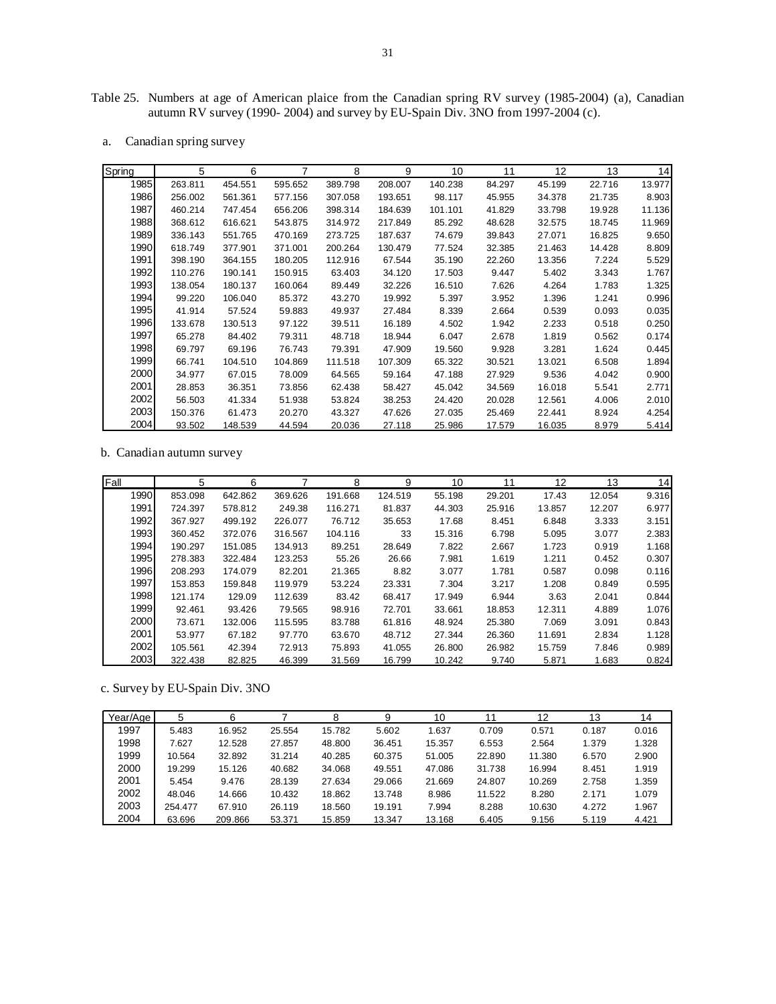Table 25. Numbers at age of American plaice from the Canadian spring RV survey (1985-2004) (a), Canadian autumn RV survey (1990- 2004) and survey by EU-Spain Div. 3NO from 1997-2004 (c).

a. Canadian spring survey

| Spring | 5       | 6       | 7       | 8       | 9       | 10      | 11     | 12     | 13     | 14     |
|--------|---------|---------|---------|---------|---------|---------|--------|--------|--------|--------|
| 1985   | 263.811 | 454.551 | 595.652 | 389.798 | 208.007 | 140.238 | 84.297 | 45.199 | 22.716 | 13.977 |
| 1986   | 256.002 | 561.361 | 577.156 | 307.058 | 193.651 | 98.117  | 45.955 | 34.378 | 21.735 | 8.903  |
| 1987   | 460.214 | 747.454 | 656.206 | 398.314 | 184.639 | 101.101 | 41.829 | 33.798 | 19.928 | 11.136 |
| 1988   | 368.612 | 616.621 | 543.875 | 314.972 | 217.849 | 85.292  | 48.628 | 32.575 | 18.745 | 11.969 |
| 1989   | 336.143 | 551.765 | 470.169 | 273.725 | 187.637 | 74.679  | 39.843 | 27.071 | 16.825 | 9.650  |
| 1990   | 618.749 | 377.901 | 371.001 | 200.264 | 130.479 | 77.524  | 32.385 | 21.463 | 14.428 | 8.809  |
| 1991   | 398.190 | 364.155 | 180.205 | 112.916 | 67.544  | 35.190  | 22.260 | 13.356 | 7.224  | 5.529  |
| 1992   | 110.276 | 190.141 | 150.915 | 63.403  | 34.120  | 17.503  | 9.447  | 5.402  | 3.343  | 1.767  |
| 1993   | 138.054 | 180.137 | 160.064 | 89.449  | 32.226  | 16.510  | 7.626  | 4.264  | 1.783  | 1.325  |
| 1994   | 99.220  | 106.040 | 85.372  | 43.270  | 19.992  | 5.397   | 3.952  | 1.396  | 1.241  | 0.996  |
| 1995   | 41.914  | 57.524  | 59.883  | 49.937  | 27.484  | 8.339   | 2.664  | 0.539  | 0.093  | 0.035  |
| 1996   | 133.678 | 130.513 | 97.122  | 39.511  | 16.189  | 4.502   | 1.942  | 2.233  | 0.518  | 0.250  |
| 1997   | 65.278  | 84.402  | 79.311  | 48.718  | 18.944  | 6.047   | 2.678  | 1.819  | 0.562  | 0.174  |
| 1998   | 69.797  | 69.196  | 76.743  | 79.391  | 47.909  | 19.560  | 9.928  | 3.281  | 1.624  | 0.445  |
| 1999   | 66.741  | 104.510 | 104.869 | 111.518 | 107.309 | 65.322  | 30.521 | 13.021 | 6.508  | 1.894  |
| 2000   | 34.977  | 67.015  | 78.009  | 64.565  | 59.164  | 47.188  | 27.929 | 9.536  | 4.042  | 0.900  |
| 2001   | 28.853  | 36.351  | 73.856  | 62.438  | 58.427  | 45.042  | 34.569 | 16.018 | 5.541  | 2.771  |
| 2002   | 56.503  | 41.334  | 51.938  | 53.824  | 38.253  | 24.420  | 20.028 | 12.561 | 4.006  | 2.010  |
| 2003   | 150.376 | 61.473  | 20.270  | 43.327  | 47.626  | 27.035  | 25.469 | 22.441 | 8.924  | 4.254  |
| 2004   | 93.502  | 148.539 | 44.594  | 20.036  | 27.118  | 25.986  | 17.579 | 16.035 | 8.979  | 5.414  |

b. Canadian autumn survey

| Fall | 5       | 6       |         | 8       | 9       | 10     | 11     | 12     | 13     | 14    |
|------|---------|---------|---------|---------|---------|--------|--------|--------|--------|-------|
| 1990 | 853.098 | 642.862 | 369.626 | 191.668 | 124.519 | 55.198 | 29.201 | 17.43  | 12.054 | 9.316 |
| 1991 | 724.397 | 578.812 | 249.38  | 116.271 | 81.837  | 44.303 | 25.916 | 13.857 | 12.207 | 6.977 |
| 1992 | 367.927 | 499.192 | 226.077 | 76.712  | 35.653  | 17.68  | 8.451  | 6.848  | 3.333  | 3.151 |
| 1993 | 360.452 | 372.076 | 316.567 | 104.116 | 33      | 15.316 | 6.798  | 5.095  | 3.077  | 2.383 |
| 1994 | 190.297 | 151.085 | 134.913 | 89.251  | 28.649  | 7.822  | 2.667  | 1.723  | 0.919  | 1.168 |
| 1995 | 278.383 | 322.484 | 123.253 | 55.26   | 26.66   | 7.981  | 1.619  | 1.211  | 0.452  | 0.307 |
| 1996 | 208.293 | 174.079 | 82.201  | 21.365  | 8.82    | 3.077  | 1.781  | 0.587  | 0.098  | 0.116 |
| 1997 | 153.853 | 159.848 | 119.979 | 53.224  | 23.331  | 7.304  | 3.217  | 1.208  | 0.849  | 0.595 |
| 1998 | 121.174 | 129.09  | 112.639 | 83.42   | 68.417  | 17.949 | 6.944  | 3.63   | 2.041  | 0.844 |
| 1999 | 92.461  | 93.426  | 79.565  | 98.916  | 72.701  | 33.661 | 18.853 | 12.311 | 4.889  | 1.076 |
| 2000 | 73.671  | 132.006 | 115.595 | 83.788  | 61.816  | 48.924 | 25.380 | 7.069  | 3.091  | 0.843 |
| 2001 | 53.977  | 67.182  | 97.770  | 63.670  | 48.712  | 27.344 | 26.360 | 11.691 | 2.834  | 1.128 |
| 2002 | 105.561 | 42.394  | 72.913  | 75.893  | 41.055  | 26.800 | 26.982 | 15.759 | 7.846  | 0.989 |
| 2003 | 322.438 | 82.825  | 46.399  | 31.569  | 16.799  | 10.242 | 9.740  | 5.871  | 1.683  | 0.824 |

c. Survey by EU-Spain Div. 3NO

| Year/Age | 5       | 6       |        | 8      | 9      | 10     |        | 12     | 13    | 14    |
|----------|---------|---------|--------|--------|--------|--------|--------|--------|-------|-------|
| 1997     | 5.483   | 16.952  | 25.554 | 15.782 | 5.602  | 1.637  | 0.709  | 0.571  | 0.187 | 0.016 |
| 1998     | 7.627   | 12.528  | 27.857 | 48.800 | 36.451 | 15.357 | 6.553  | 2.564  | 1.379 | 1.328 |
| 1999     | 10.564  | 32.892  | 31.214 | 40.285 | 60.375 | 51.005 | 22.890 | 11.380 | 6.570 | 2.900 |
| 2000     | 19.299  | 15.126  | 40.682 | 34.068 | 49.551 | 47.086 | 31.738 | 16.994 | 8.451 | 1.919 |
| 2001     | 5.454   | 9.476   | 28.139 | 27.634 | 29.066 | 21.669 | 24.807 | 10.269 | 2.758 | 1.359 |
| 2002     | 48.046  | 14.666  | 10.432 | 18.862 | 13.748 | 8.986  | 11.522 | 8.280  | 2.171 | 1.079 |
| 2003     | 254.477 | 67.910  | 26.119 | 18.560 | 19.191 | 7.994  | 8.288  | 10.630 | 4.272 | 1.967 |
| 2004     | 63.696  | 209.866 | 53.371 | 15.859 | 13.347 | 13.168 | 6.405  | 9.156  | 5.119 | 4.421 |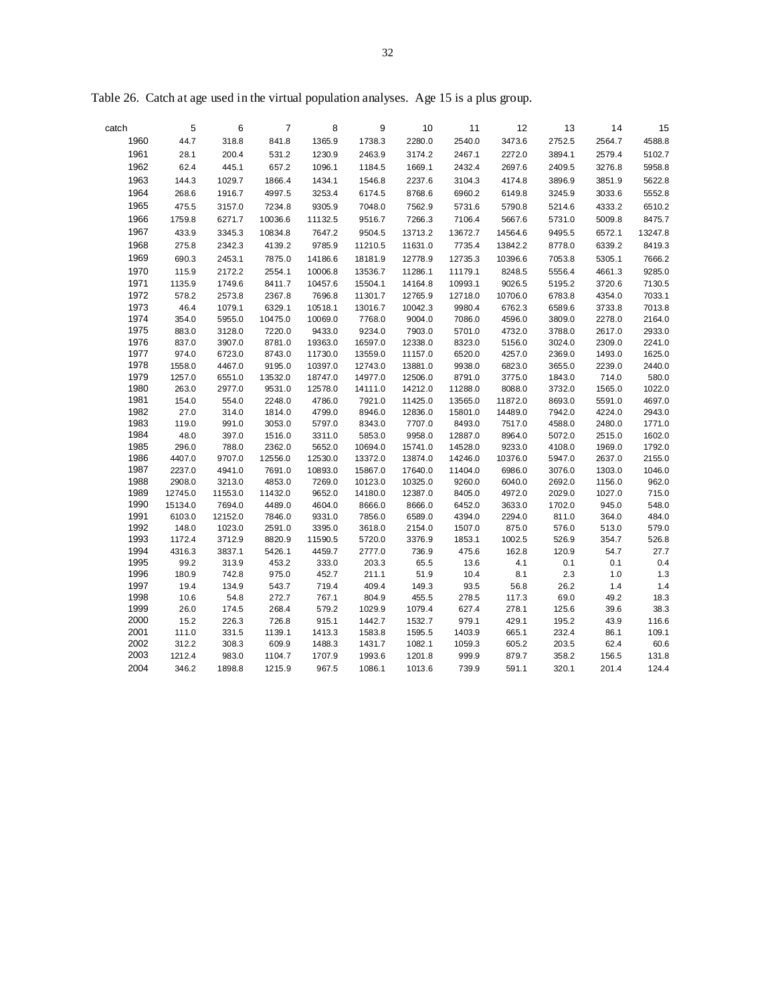| catch        | 5                 | 6                 | $\overline{7}$    | 8                  | 9                  | 10                 | 11               | 12               | 13               | 14               | 15              |
|--------------|-------------------|-------------------|-------------------|--------------------|--------------------|--------------------|------------------|------------------|------------------|------------------|-----------------|
| 1960         | 44.7              | 318.8             | 841.8             | 1365.9             | 1738.3             | 2280.0             | 2540.0           | 3473.6           | 2752.5           | 2564.7           | 4588.8          |
| 1961         | 28.1              | 200.4             | 531.2             | 1230.9             | 2463.9             | 3174.2             | 2467.1           | 2272.0           | 3894.1           | 2579.4           | 5102.7          |
| 1962         | 62.4              | 445.1             | 657.2             | 1096.1             | 1184.5             | 1669.1             | 2432.4           | 2697.6           | 2409.5           | 3276.8           | 5958.8          |
| 1963         | 144.3             | 1029.7            | 1866.4            | 1434.1             | 1546.8             | 2237.6             | 3104.3           | 4174.8           | 3896.9           | 3851.9           | 5622.8          |
| 1964         | 268.6             | 1916.7            | 4997.5            | 3253.4             | 6174.5             | 8768.6             | 6960.2           | 6149.8           | 3245.9           | 3033.6           | 5552.8          |
| 1965         | 475.5             | 3157.0            | 7234.8            | 9305.9             | 7048.0             | 7562.9             | 5731.6           | 5790.8           | 5214.6           | 4333.2           | 6510.2          |
| 1966         | 1759.8            | 6271.7            | 10036.6           | 11132.5            | 9516.7             | 7266.3             | 7106.4           | 5667.6           | 5731.0           | 5009.8           | 8475.7          |
| 1967         | 433.9             | 3345.3            | 10834.8           | 7647.2             | 9504.5             | 13713.2            | 13672.7          | 14564.6          | 9495.5           | 6572.1           | 13247.8         |
| 1968         | 275.8             | 2342.3            | 4139.2            | 9785.9             | 11210.5            | 11631.0            | 7735.4           | 13842.2          | 8778.0           | 6339.2           | 8419.3          |
| 1969         | 690.3             | 2453.1            | 7875.0            | 14186.6            | 18181.9            | 12778.9            | 12735.3          | 10396.6          | 7053.8           | 5305.1           | 7666.2          |
| 1970         | 115.9             | 2172.2            | 2554.1            | 10006.8            | 13536.7            | 11286.1            | 11179.1          | 8248.5           | 5556.4           | 4661.3           | 9285.0          |
| 1971         | 1135.9            | 1749.6            | 8411.7            | 10457.6            | 15504.1            | 14164.8            | 10993.1          | 9026.5           | 5195.2           | 3720.6           | 7130.5          |
| 1972         | 578.2             | 2573.8            | 2367.8            | 7696.8             | 11301.7            | 12765.9            | 12718.0          | 10706.0          | 6783.8           | 4354.0           | 7033.1          |
| 1973         | 46.4              | 1079.1            | 6329.1            | 10518.1            | 13016.7            | 10042.3            | 9980.4           | 6762.3           | 6589.6           | 3733.8           | 7013.8          |
| 1974         | 354.0             | 5955.0            | 10475.0           | 10069.0            | 7768.0             | 9004.0             | 7086.0           | 4596.0           | 3809.0           | 2278.0           | 2164.0          |
| 1975         | 883.0             | 3128.0            | 7220.0            | 9433.0             | 9234.0             | 7903.0             | 5701.0           | 4732.0           | 3788.0           | 2617.0           | 2933.0          |
| 1976         | 837.0             | 3907.0            | 8781.0            | 19363.0            | 16597.0            | 12338.0            | 8323.0           | 5156.0           | 3024.0           | 2309.0           | 2241.0          |
| 1977<br>1978 | 974.0<br>1558.0   | 6723.0<br>4467.0  | 8743.0<br>9195.0  | 11730.0<br>10397.0 | 13559.0<br>12743.0 | 11157.0<br>13881.0 | 6520.0<br>9938.0 | 4257.0<br>6823.0 | 2369.0<br>3655.0 | 1493.0<br>2239.0 | 1625.0          |
| 1979         | 1257.0            | 6551.0            | 13532.0           | 18747.0            | 14977.0            | 12506.0            | 8791.0           | 3775.0           | 1843.0           | 714.0            | 2440.0<br>580.0 |
| 1980         | 263.0             | 2977.0            | 9531.0            | 12578.0            | 14111.0            | 14212.0            | 11288.0          | 8088.0           | 3732.0           | 1565.0           | 1022.0          |
| 1981         | 154.0             | 554.0             | 2248.0            | 4786.0             | 7921.0             | 11425.0            | 13565.0          | 11872.0          | 8693.0           | 5591.0           | 4697.0          |
| 1982         | 27.0              | 314.0             | 1814.0            | 4799.0             | 8946.0             | 12836.0            | 15801.0          | 14489.0          | 7942.0           | 4224.0           | 2943.0          |
| 1983         | 119.0             | 991.0             | 3053.0            | 5797.0             | 8343.0             | 7707.0             | 8493.0           | 7517.0           | 4588.0           | 2480.0           | 1771.0          |
| 1984         | 48.0              | 397.0             | 1516.0            | 3311.0             | 5853.0             | 9958.0             | 12887.0          | 8964.0           | 5072.0           | 2515.0           | 1602.0          |
| 1985         | 296.0             | 788.0             | 2362.0            | 5652.0             | 10694.0            | 15741.0            | 14528.0          | 9233.0           | 4108.0           | 1969.0           | 1792.0          |
| 1986         | 4407.0            | 9707.0            | 12556.0           | 12530.0            | 13372.0            | 13874.0            | 14246.0          | 10376.0          | 5947.0           | 2637.0           | 2155.0          |
| 1987         | 2237.0            | 4941.0            | 7691.0            | 10893.0            | 15867.0            | 17640.0            | 11404.0          | 6986.0           | 3076.0           | 1303.0           | 1046.0          |
| 1988<br>1989 | 2908.0<br>12745.0 | 3213.0<br>11553.0 | 4853.0<br>11432.0 | 7269.0<br>9652.0   | 10123.0<br>14180.0 | 10325.0<br>12387.0 | 9260.0<br>8405.0 | 6040.0<br>4972.0 | 2692.0<br>2029.0 | 1156.0<br>1027.0 | 962.0<br>715.0  |
| 1990         | 15134.0           | 7694.0            | 4489.0            | 4604.0             | 8666.0             | 8666.0             | 6452.0           | 3633.0           | 1702.0           | 945.0            | 548.0           |
| 1991         | 6103.0            | 12152.0           | 7846.0            | 9331.0             | 7856.0             | 6589.0             | 4394.0           | 2294.0           | 811.0            | 364.0            | 484.0           |
| 1992         | 148.0             | 1023.0            | 2591.0            | 3395.0             | 3618.0             | 2154.0             | 1507.0           | 875.0            | 576.0            | 513.0            | 579.0           |
| 1993         | 1172.4            | 3712.9            | 8820.9            | 11590.5            | 5720.0             | 3376.9             | 1853.1           | 1002.5           | 526.9            | 354.7            | 526.8           |
| 1994         | 4316.3            | 3837.1            | 5426.1            | 4459.7             | 2777.0             | 736.9              | 475.6            | 162.8            | 120.9            | 54.7             | 27.7            |
| 1995         | 99.2              | 313.9             | 453.2             | 333.0              | 203.3              | 65.5               | 13.6             | 4.1              | 0.1              | 0.1              | 0.4             |
| 1996         | 180.9             | 742.8             | 975.0             | 452.7              | 211.1              | 51.9               | 10.4             | 8.1              | 2.3              | 1.0              | 1.3             |
| 1997         | 19.4              | 134.9             | 543.7             | 719.4              | 409.4              | 149.3              | 93.5             | 56.8             | 26.2             | $1.4$            | 1.4             |
| 1998<br>1999 | 10.6              | 54.8              | 272.7             | 767.1              | 804.9              | 455.5              | 278.5            | 117.3            | 69.0             | 49.2             | 18.3            |
| 2000         | 26.0<br>15.2      | 174.5<br>226.3    | 268.4<br>726.8    | 579.2<br>915.1     | 1029.9<br>1442.7   | 1079.4<br>1532.7   | 627.4<br>979.1   | 278.1<br>429.1   | 125.6<br>195.2   | 39.6<br>43.9     | 38.3<br>116.6   |
| 2001         | 111.0             | 331.5             | 1139.1            | 1413.3             | 1583.8             | 1595.5             | 1403.9           | 665.1            | 232.4            | 86.1             | 109.1           |
| 2002         | 312.2             | 308.3             | 609.9             | 1488.3             | 1431.7             | 1082.1             | 1059.3           | 605.2            | 203.5            | 62.4             | 60.6            |
| 2003         | 1212.4            | 983.0             | 1104.7            | 1707.9             | 1993.6             | 1201.8             | 999.9            | 879.7            | 358.2            | 156.5            | 131.8           |
| 2004         | 346.2             | 1898.8            | 1215.9            | 967.5              | 1086.1             | 1013.6             | 739.9            | 591.1            | 320.1            | 201.4            | 124.4           |

Table 26. Catch at age used in the virtual population analyses. Age 15 is a plus group.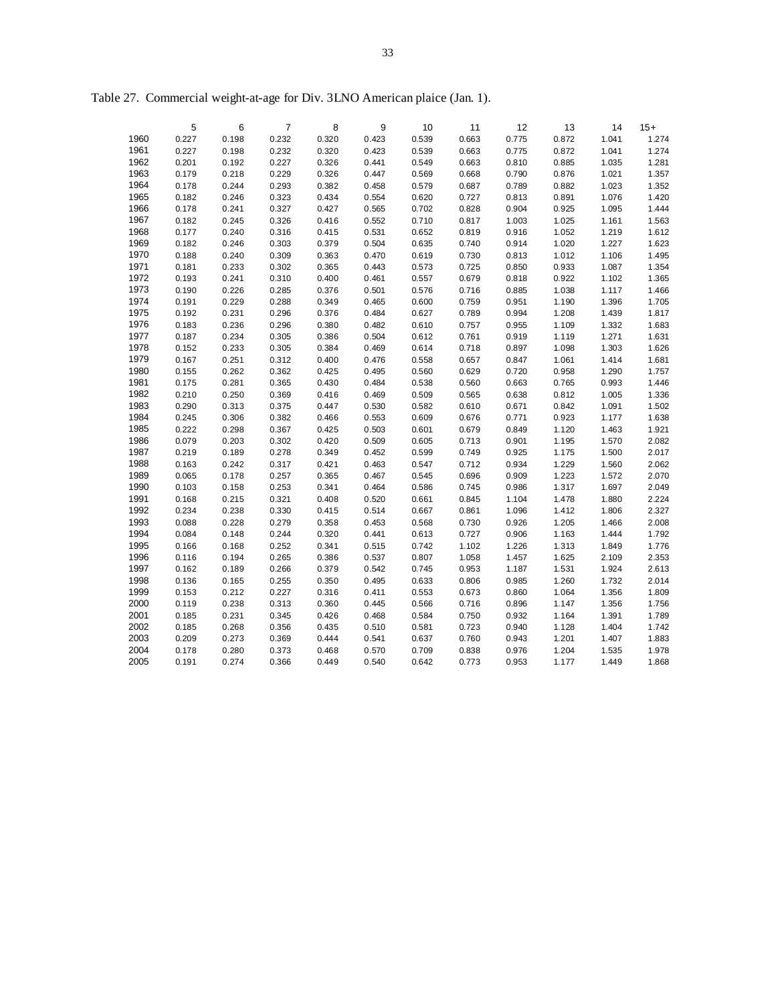|      | 5     | 6     | $\overline{7}$ | 8     | 9     | 10    | 11    | 12    | 13    | 14    | $15+$ |
|------|-------|-------|----------------|-------|-------|-------|-------|-------|-------|-------|-------|
| 1960 | 0.227 | 0.198 | 0.232          | 0.320 | 0.423 | 0.539 | 0.663 | 0.775 | 0.872 | 1.041 | 1.274 |
| 1961 | 0.227 | 0.198 | 0.232          | 0.320 | 0.423 | 0.539 | 0.663 | 0.775 | 0.872 | 1.041 | 1.274 |
| 1962 | 0.201 | 0.192 | 0.227          | 0.326 | 0.441 | 0.549 | 0.663 | 0.810 | 0.885 | 1.035 | 1.281 |
| 1963 | 0.179 | 0.218 | 0.229          | 0.326 | 0.447 | 0.569 | 0.668 | 0.790 | 0.876 | 1.021 | 1.357 |
| 1964 | 0.178 | 0.244 | 0.293          | 0.382 | 0.458 | 0.579 | 0.687 | 0.789 | 0.882 | 1.023 | 1.352 |
| 1965 | 0.182 | 0.246 | 0.323          | 0.434 | 0.554 | 0.620 | 0.727 | 0.813 | 0.891 | 1.076 | 1.420 |
| 1966 | 0.178 | 0.241 | 0.327          | 0.427 | 0.565 | 0.702 | 0.828 | 0.904 | 0.925 | 1.095 | 1.444 |
| 1967 | 0.182 | 0.245 | 0.326          | 0.416 | 0.552 | 0.710 | 0.817 | 1.003 | 1.025 | 1.161 | 1.563 |
| 1968 | 0.177 | 0.240 | 0.316          | 0.415 | 0.531 | 0.652 | 0.819 | 0.916 | 1.052 | 1.219 | 1.612 |
| 1969 | 0.182 | 0.246 | 0.303          | 0.379 | 0.504 | 0.635 | 0.740 | 0.914 | 1.020 | 1.227 | 1.623 |
| 1970 | 0.188 | 0.240 | 0.309          | 0.363 | 0.470 | 0.619 | 0.730 | 0.813 | 1.012 | 1.106 | 1.495 |
| 1971 | 0.181 | 0.233 | 0.302          | 0.365 | 0.443 | 0.573 | 0.725 | 0.850 | 0.933 | 1.087 | 1.354 |
| 1972 | 0.193 | 0.241 | 0.310          | 0.400 | 0.461 | 0.557 | 0.679 | 0.818 | 0.922 | 1.102 | 1.365 |
| 1973 | 0.190 | 0.226 | 0.285          | 0.376 | 0.501 | 0.576 | 0.716 | 0.885 | 1.038 | 1.117 | 1.466 |
| 1974 | 0.191 | 0.229 | 0.288          | 0.349 | 0.465 | 0.600 | 0.759 | 0.951 | 1.190 | 1.396 | 1.705 |
| 1975 | 0.192 | 0.231 | 0.296          | 0.376 | 0.484 | 0.627 | 0.789 | 0.994 | 1.208 | 1.439 | 1.817 |
| 1976 | 0.183 | 0.236 | 0.296          | 0.380 | 0.482 | 0.610 | 0.757 | 0.955 | 1.109 | 1.332 | 1.683 |
| 1977 | 0.187 | 0.234 | 0.305          | 0.386 | 0.504 | 0.612 | 0.761 | 0.919 | 1.119 | 1.271 | 1.631 |
| 1978 | 0.152 | 0.233 | 0.305          | 0.384 | 0.469 | 0.614 | 0.718 | 0.897 | 1.098 | 1.303 | 1.626 |
| 1979 | 0.167 | 0.251 | 0.312          | 0.400 | 0.476 | 0.558 | 0.657 | 0.847 | 1.061 | 1.414 | 1.681 |
| 1980 | 0.155 | 0.262 | 0.362          | 0.425 | 0.495 | 0.560 | 0.629 | 0.720 | 0.958 | 1.290 | 1.757 |
| 1981 | 0.175 | 0.281 | 0.365          | 0.430 | 0.484 | 0.538 | 0.560 | 0.663 | 0.765 | 0.993 | 1.446 |
| 1982 | 0.210 | 0.250 | 0.369          | 0.416 | 0.469 | 0.509 | 0.565 | 0.638 | 0.812 | 1.005 | 1.336 |
| 1983 | 0.290 | 0.313 | 0.375          | 0.447 | 0.530 | 0.582 | 0.610 | 0.671 | 0.842 | 1.091 | 1.502 |
| 1984 | 0.245 | 0.306 | 0.382          | 0.466 | 0.553 | 0.609 | 0.676 | 0.771 | 0.923 | 1.177 | 1.638 |
| 1985 | 0.222 | 0.298 | 0.367          | 0.425 | 0.503 | 0.601 | 0.679 | 0.849 | 1.120 | 1.463 | 1.921 |
| 1986 | 0.079 | 0.203 | 0.302          | 0.420 | 0.509 | 0.605 | 0.713 | 0.901 | 1.195 | 1.570 | 2.082 |
| 1987 | 0.219 | 0.189 | 0.278          | 0.349 | 0.452 | 0.599 | 0.749 | 0.925 | 1.175 | 1.500 | 2.017 |
| 1988 | 0.163 | 0.242 | 0.317          | 0.421 | 0.463 | 0.547 | 0.712 | 0.934 | 1.229 | 1.560 | 2.062 |
| 1989 | 0.065 | 0.178 | 0.257          | 0.365 | 0.467 | 0.545 | 0.696 | 0.909 | 1.223 | 1.572 | 2.070 |
| 1990 | 0.103 | 0.158 | 0.253          | 0.341 | 0.464 | 0.586 | 0.745 | 0.986 | 1.317 | 1.697 | 2.049 |
| 1991 | 0.168 | 0.215 | 0.321          | 0.408 | 0.520 | 0.661 | 0.845 | 1.104 | 1.478 | 1.880 | 2.224 |
| 1992 | 0.234 | 0.238 | 0.330          | 0.415 | 0.514 | 0.667 | 0.861 | 1.096 | 1.412 | 1.806 | 2.327 |
| 1993 | 0.088 | 0.228 | 0.279          | 0.358 | 0.453 | 0.568 | 0.730 | 0.926 | 1.205 | 1.466 | 2.008 |
| 1994 | 0.084 | 0.148 | 0.244          | 0.320 | 0.441 | 0.613 | 0.727 | 0.906 | 1.163 | 1.444 | 1.792 |
| 1995 | 0.166 | 0.168 | 0.252          | 0.341 | 0.515 | 0.742 | 1.102 | 1.226 | 1.313 | 1.849 | 1.776 |
| 1996 | 0.116 | 0.194 | 0.265          | 0.386 | 0.537 | 0.807 | 1.058 | 1.457 | 1.625 | 2.109 | 2.353 |
| 1997 | 0.162 | 0.189 | 0.266          | 0.379 | 0.542 | 0.745 | 0.953 | 1.187 | 1.531 | 1.924 | 2.613 |
| 1998 | 0.136 | 0.165 | 0.255          | 0.350 | 0.495 | 0.633 | 0.806 | 0.985 | 1.260 | 1.732 | 2.014 |
| 1999 | 0.153 | 0.212 | 0.227          | 0.316 | 0.411 | 0.553 | 0.673 | 0.860 | 1.064 | 1.356 | 1.809 |
| 2000 | 0.119 | 0.238 | 0.313          | 0.360 | 0.445 | 0.566 | 0.716 | 0.896 | 1.147 | 1.356 | 1.756 |
| 2001 | 0.185 | 0.231 | 0.345          | 0.426 | 0.468 | 0.584 | 0.750 | 0.932 | 1.164 | 1.391 | 1.789 |
| 2002 | 0.185 | 0.268 | 0.356          | 0.435 | 0.510 | 0.581 | 0.723 | 0.940 | 1.128 | 1.404 | 1.742 |
| 2003 | 0.209 | 0.273 | 0.369          | 0.444 | 0.541 | 0.637 | 0.760 | 0.943 | 1.201 | 1.407 | 1.883 |
| 2004 | 0.178 | 0.280 | 0.373          | 0.468 | 0.570 | 0.709 | 0.838 | 0.976 | 1.204 | 1.535 | 1.978 |
| 2005 | 0.191 | 0.274 | 0.366          | 0.449 | 0.540 | 0.642 | 0.773 | 0.953 | 1.177 | 1.449 | 1.868 |

Table 27. Commercial weight-at-age for Div. 3LNO American plaice (Jan. 1).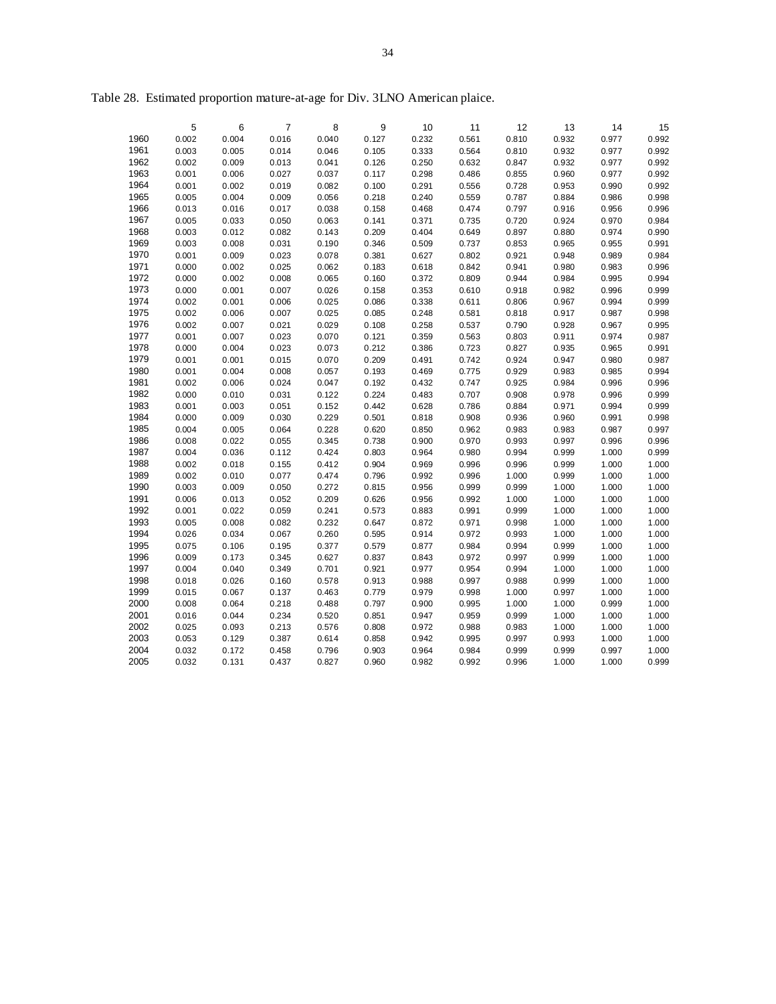|              | 5              | 6              | 7              | 8              | 9              | 10             | 11             | 12             | 13             | 14             | 15             |
|--------------|----------------|----------------|----------------|----------------|----------------|----------------|----------------|----------------|----------------|----------------|----------------|
| 1960         | 0.002          | 0.004          | 0.016          | 0.040          | 0.127          | 0.232          | 0.561          | 0.810          | 0.932          | 0.977          | 0.992          |
| 1961         | 0.003          | 0.005          | 0.014          | 0.046          | 0.105          | 0.333          | 0.564          | 0.810          | 0.932          | 0.977          | 0.992          |
| 1962         | 0.002          | 0.009          | 0.013          | 0.041          | 0.126          | 0.250          | 0.632          | 0.847          | 0.932          | 0.977          | 0.992          |
| 1963         | 0.001          | 0.006          | 0.027          | 0.037          | 0.117          | 0.298          | 0.486          | 0.855          | 0.960          | 0.977          | 0.992          |
| 1964         | 0.001          | 0.002          | 0.019          | 0.082          | 0.100          | 0.291          | 0.556          | 0.728          | 0.953          | 0.990          | 0.992          |
| 1965         | 0.005          | 0.004          | 0.009          | 0.056          | 0.218          | 0.240          | 0.559          | 0.787          | 0.884          | 0.986          | 0.998          |
| 1966         | 0.013          | 0.016          | 0.017          | 0.038          | 0.158          | 0.468          | 0.474          | 0.797          | 0.916          | 0.956          | 0.996          |
| 1967         | 0.005          | 0.033          | 0.050          | 0.063          | 0.141          | 0.371          | 0.735          | 0.720          | 0.924          | 0.970          | 0.984          |
| 1968<br>1969 | 0.003          | 0.012          | 0.082          | 0.143<br>0.190 | 0.209          | 0.404          | 0.649          | 0.897          | 0.880          | 0.974          | 0.990<br>0.991 |
| 1970         | 0.003<br>0.001 | 0.008<br>0.009 | 0.031<br>0.023 | 0.078          | 0.346<br>0.381 | 0.509          | 0.737<br>0.802 | 0.853<br>0.921 | 0.965<br>0.948 | 0.955<br>0.989 | 0.984          |
| 1971         | 0.000          | 0.002          | 0.025          | 0.062          | 0.183          | 0.627<br>0.618 | 0.842          | 0.941          | 0.980          | 0.983          | 0.996          |
| 1972         | 0.000          | 0.002          | 0.008          | 0.065          | 0.160          | 0.372          | 0.809          | 0.944          | 0.984          | 0.995          | 0.994          |
| 1973         | 0.000          | 0.001          | 0.007          | 0.026          | 0.158          | 0.353          | 0.610          | 0.918          | 0.982          | 0.996          | 0.999          |
| 1974         | 0.002          | 0.001          | 0.006          | 0.025          | 0.086          | 0.338          | 0.611          | 0.806          | 0.967          | 0.994          | 0.999          |
| 1975         | 0.002          | 0.006          | 0.007          | 0.025          | 0.085          | 0.248          | 0.581          | 0.818          | 0.917          | 0.987          | 0.998          |
| 1976         | 0.002          | 0.007          | 0.021          | 0.029          | 0.108          | 0.258          | 0.537          | 0.790          | 0.928          | 0.967          | 0.995          |
| 1977         | 0.001          | 0.007          | 0.023          | 0.070          | 0.121          | 0.359          | 0.563          | 0.803          | 0.911          | 0.974          | 0.987          |
| 1978         | 0.000          | 0.004          | 0.023          | 0.073          | 0.212          | 0.386          | 0.723          | 0.827          | 0.935          | 0.965          | 0.991          |
| 1979         | 0.001          | 0.001          | 0.015          | 0.070          | 0.209          | 0.491          | 0.742          | 0.924          | 0.947          | 0.980          | 0.987          |
| 1980         | 0.001          | 0.004          | 0.008          | 0.057          | 0.193          | 0.469          | 0.775          | 0.929          | 0.983          | 0.985          | 0.994          |
| 1981         | 0.002          | 0.006          | 0.024          | 0.047          | 0.192          | 0.432          | 0.747          | 0.925          | 0.984          | 0.996          | 0.996          |
| 1982         | 0.000          | 0.010          | 0.031          | 0.122          | 0.224          | 0.483          | 0.707          | 0.908          | 0.978          | 0.996          | 0.999          |
| 1983         | 0.001          | 0.003          | 0.051          | 0.152          | 0.442          | 0.628          | 0.786          | 0.884          | 0.971          | 0.994          | 0.999          |
| 1984         | 0.000          | 0.009          | 0.030          | 0.229          | 0.501          | 0.818          | 0.908          | 0.936          | 0.960          | 0.991          | 0.998          |
| 1985         | 0.004          | 0.005          | 0.064          | 0.228          | 0.620          | 0.850          | 0.962          | 0.983          | 0.983          | 0.987          | 0.997          |
| 1986         | 0.008          | 0.022          | 0.055          | 0.345          | 0.738          | 0.900          | 0.970          | 0.993          | 0.997          | 0.996          | 0.996          |
| 1987         | 0.004          | 0.036          | 0.112          | 0.424          | 0.803          | 0.964          | 0.980          | 0.994          | 0.999          | 1.000          | 0.999          |
| 1988<br>1989 | 0.002<br>0.002 | 0.018<br>0.010 | 0.155<br>0.077 | 0.412<br>0.474 | 0.904<br>0.796 | 0.969<br>0.992 | 0.996<br>0.996 | 0.996<br>1.000 | 0.999<br>0.999 | 1.000<br>1.000 | 1.000<br>1.000 |
| 1990         | 0.003          | 0.009          | 0.050          | 0.272          | 0.815          | 0.956          | 0.999          | 0.999          | 1.000          | 1.000          | 1.000          |
| 1991         | 0.006          | 0.013          | 0.052          | 0.209          | 0.626          | 0.956          | 0.992          | 1.000          | 1.000          | 1.000          | 1.000          |
| 1992         | 0.001          | 0.022          | 0.059          | 0.241          | 0.573          | 0.883          | 0.991          | 0.999          | 1.000          | 1.000          | 1.000          |
| 1993         | 0.005          | 0.008          | 0.082          | 0.232          | 0.647          | 0.872          | 0.971          | 0.998          | 1.000          | 1.000          | 1.000          |
| 1994         | 0.026          | 0.034          | 0.067          | 0.260          | 0.595          | 0.914          | 0.972          | 0.993          | 1.000          | 1.000          | 1.000          |
| 1995         | 0.075          | 0.106          | 0.195          | 0.377          | 0.579          | 0.877          | 0.984          | 0.994          | 0.999          | 1.000          | 1.000          |
| 1996         | 0.009          | 0.173          | 0.345          | 0.627          | 0.837          | 0.843          | 0.972          | 0.997          | 0.999          | 1.000          | 1.000          |
| 1997         | 0.004          | 0.040          | 0.349          | 0.701          | 0.921          | 0.977          | 0.954          | 0.994          | 1.000          | 1.000          | 1.000          |
| 1998         | 0.018          | 0.026          | 0.160          | 0.578          | 0.913          | 0.988          | 0.997          | 0.988          | 0.999          | 1.000          | 1.000          |
| 1999         | 0.015          | 0.067          | 0.137          | 0.463          | 0.779          | 0.979          | 0.998          | 1.000          | 0.997          | 1.000          | 1.000          |
| 2000         | 0.008          | 0.064          | 0.218          | 0.488          | 0.797          | 0.900          | 0.995          | 1.000          | 1.000          | 0.999          | 1.000          |
| 2001         | 0.016          | 0.044          | 0.234          | 0.520          | 0.851          | 0.947          | 0.959          | 0.999          | 1.000          | 1.000          | 1.000          |
| 2002         | 0.025          | 0.093          | 0.213          | 0.576          | 0.808          | 0.972          | 0.988          | 0.983          | 1.000          | 1.000          | 1.000          |
| 2003         | 0.053          | 0.129          | 0.387          | 0.614          | 0.858          | 0.942          | 0.995          | 0.997          | 0.993          | 1.000          | 1.000          |
| 2004         | 0.032          | 0.172          | 0.458          | 0.796          | 0.903          | 0.964          | 0.984          | 0.999          | 0.999          | 0.997          | 1.000          |
| 2005         | 0.032          | 0.131          | 0.437          | 0.827          | 0.960          | 0.982          | 0.992          | 0.996          | 1.000          | 1.000          | 0.999          |

Table 28. Estimated proportion mature-at-age for Div. 3LNO American plaice.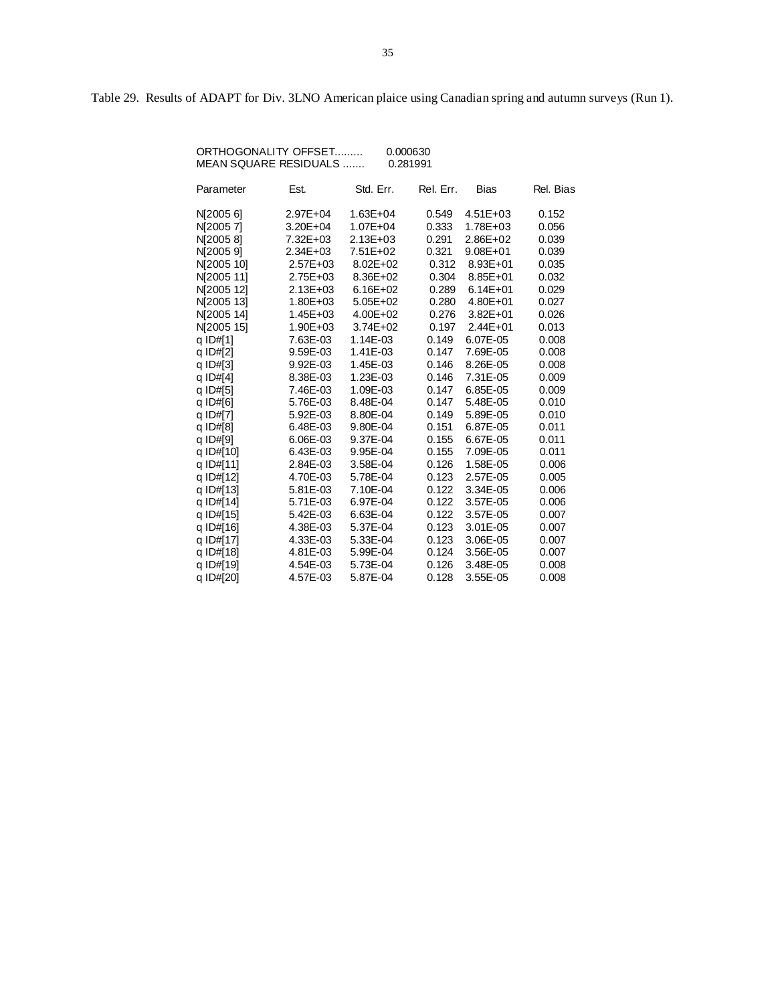Table 29. Results of ADAPT for Div. 3LNO American plaice using Canadian spring and autumn surveys (Run 1).

| ORTHOGONALITY OFFSET  | 0.000630 |
|-----------------------|----------|
| MEAN SQUARE RESIDUALS | 0.281991 |

| Parameter  | Est.         | Std. Err.    | Rel. Err. | Bias         | Rel. Bias |
|------------|--------------|--------------|-----------|--------------|-----------|
| N[2005 6]  | 2.97E+04     | 1.63E+04     | 0.549     | $4.51E + 03$ | 0.152     |
| N 2005 71  | 3.20E+04     | 1.07E+04     | 0.333     | 1.78E+03     | 0.056     |
| N[20058]   | 7.32E+03     | $2.13E + 03$ | 0.291     | $2.86E + 02$ | 0.039     |
| N[2005 9]  | 2.34E+03     | 7.51E+02     | 0.321     | $9.08E + 01$ | 0.039     |
| N 2005 101 | 2.57E+03     | 8.02E+02     | 0.312     | 8.93E+01     | 0.035     |
| NJ2005111  | 2.75E+03     | 8.36E+02     | 0.304     | 8.85E+01     | 0.032     |
| NJ2005 121 | $2.13E + 03$ | $6.16E + 02$ | 0.289     | $6.14E + 01$ | 0.029     |
| NJ2005 131 | 1.80E+03     | 5.05E+02     | 0.280     | 4.80E+01     | 0.027     |
| N[2005 14] | 1.45E+03     | 4.00E+02     | 0.276     | $3.82E + 01$ | 0.026     |
| N[2005 15] | 1.90E+03     | 3.74E+02     | 0.197     | $2.44E + 01$ | 0.013     |
| g ID#[1]   | 7.63E-03     | 1.14E-03     | 0.149     | 6.07E-05     | 0.008     |
| q ID#[2]   | 9.59E-03     | 1.41E-03     | 0.147     | 7.69E-05     | 0.008     |
| q ID#[3]   | 9.92E-03     | 1.45E-03     | 0.146     | 8.26E-05     | 0.008     |
| q ID#[4]   | 8.38E-03     | 1.23E-03     | 0.146     | 7.31E-05     | 0.009     |
| q ID#[5]   | 7.46E-03     | 1.09E-03     | 0.147     | 6.85E-05     | 0.009     |
| q ID#[6]   | 5.76E-03     | 8.48E-04     | 0.147     | 5.48E-05     | 0.010     |
| q ID#[7]   | 5.92E-03     | 8.80E-04     | 0.149     | 5.89E-05     | 0.010     |
| q ID#[8]   | 6.48E-03     | 9.80E-04     | 0.151     | 6.87E-05     | 0.011     |
| q ID#[9]   | 6.06E-03     | 9.37E-04     | 0.155     | 6.67E-05     | 0.011     |
| q ID#[10]  | 6.43E-03     | 9.95E-04     | 0.155     | 7.09E-05     | 0.011     |
| q ID#[11]  | 2.84E-03     | 3.58E-04     | 0.126     | 1.58E-05     | 0.006     |
| q ID#[12]  | 4.70E-03     | 5.78E-04     | 0.123     | 2.57E-05     | 0.005     |
| q ID#[13]  | 5.81E-03     | 7.10E-04     | 0.122     | 3.34E-05     | 0.006     |
| q ID#[14]  | 5.71E-03     | 6.97E-04     | 0.122     | 3.57E-05     | 0.006     |
| q ID#[15]  | 5.42E-03     | 6.63E-04     | 0.122     | 3.57E-05     | 0.007     |
| q ID#[16]  | 4.38E-03     | 5.37E-04     | 0.123     | 3.01E-05     | 0.007     |
| q ID#[17]  | 4.33E-03     | 5.33E-04     | 0.123     | 3.06E-05     | 0.007     |
| q ID#[18]  | 4.81E-03     | 5.99E-04     | 0.124     | 3.56E-05     | 0.007     |
| q ID#[19]  | 4.54E-03     | 5.73E-04     | 0.126     | 3.48E-05     | 0.008     |
| q ID#[20]  | 4.57E-03     | 5.87E-04     | 0.128     | 3.55E-05     | 0.008     |
|            |              |              |           |              |           |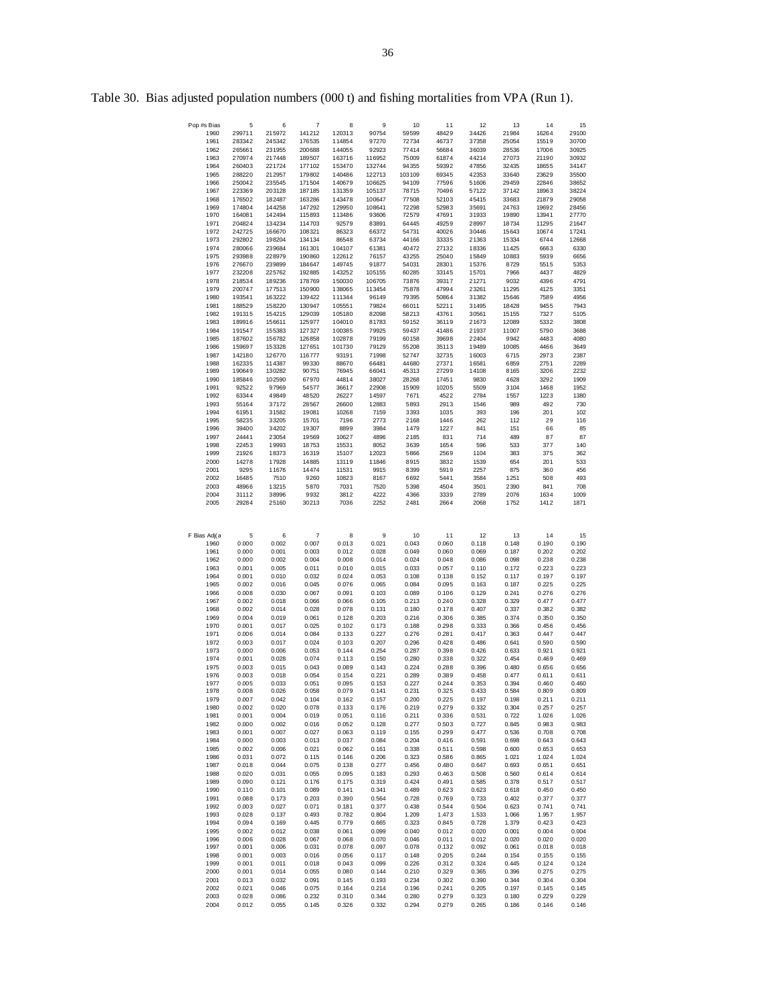| Pop #s Bias  | 5                | 6                | 7                | 8                | 9                | 10             | 11             | 12             | 13            | 14           | 15           |
|--------------|------------------|------------------|------------------|------------------|------------------|----------------|----------------|----------------|---------------|--------------|--------------|
| 1960         | 299711           | 215972           | 141212           | 120313           | 90754            | 59599          | 48429          | 34426          | 21984         | 16264        | 29100        |
| 1961         | 283342           | 245342           | 176535           | 114854           | 97270            | 72734          | 46737          | 37358          | 25054         | 15519        | 30700        |
| 1962         | 265661           | 231955           | 200688           | 144055           | 92923            | 77414          | 56684          | 36039          | 28536         | 17006        | 30925        |
| 1963         | 270974           | 217448           | 189507           | 163716           | 116952           | 75009          | 61874          | 44214          | 27073         | 21190        | 30932        |
| 1964         | 260403           | 221724           | 177102           | 153470           | 132744           | 94355          | 59392          | 47856          | 32435         | 18655        | 34147        |
| 1965         | 288220           | 212957           | 179802           | 140486           | 122713           | 103109         | 69345          | 42353          | 33640         | 23629        | 35500        |
| 1966         | 250042           | 235545           | 171504           | 140679           | 106625           | 94109          | 77596          | 51606          | 29459         | 22846        | 38652        |
| 1967         | 223369           | 203128           | 187185           | 131359           | 105137           | 78715          | 70496          | 57122          | 37142         | 18963        | 38224        |
| 1968         | 176502           | 182487           | 163286           | 143478           | 100647           | 77508          | 52103          | 45415          | 33683         | 21879        | 29058        |
| 1969         | 174804           | 144258           | 147292           | 129950           | 108641           | 72298          | 52983          | 35691          | 24763         | 19692        | 28456        |
| 1970         | 164081           | 142494           | 115893           | 113486           | 93606            | 72579          | 47691          | 31933          | 19890         | 13941        | 27770        |
| 1971         | 204824           | 134234           | 114703           | 92579            | 83891            | 64445          | 49259          | 28997          | 18734         | 11295        | 21647        |
| 1972         | 242725           | 166670           | 108321           | 86323            | 66372            | 54731          | 40026          | 30446          | 15643         | 10674        | 17241        |
| 1973         | 292802           | 198204           | 134134           | 86548            | 63734            | 44166          | 33335          | 21363          | 15334         | 6744         | 12668        |
| 1974         | 280066           | 239684           | 161301           | 104107           | 61381            | 40472          | 27132          | 18336          | 11425         | 6663         | 6330         |
| 1975         | 293988           | 228979           | 190860           | 122612           | 76157            | 43255          | 25040          | 15849          | 10883         | 5939         | 6656         |
| 1976         | 276670           | 239899           | 184647           | 149745           | 91877            | 54031          | 28301          | 15376          | 8729          | 5515         | 5353         |
|              |                  |                  |                  |                  |                  |                |                |                |               |              |              |
| 1977         | 232208<br>218534 | 225762<br>189236 | 192885           | 143252<br>150030 | 105155           | 60285          | 33145          | 15701          | 7966          | 4437         | 4829         |
| 1978<br>1979 | 200747           | 177513           | 178769<br>150900 | 138065           | 106705<br>113454 | 73876<br>75878 | 39317<br>47994 | 21271<br>23261 | 9032<br>11295 | 4396<br>4125 | 4791<br>3351 |
|              |                  | 163222           |                  |                  |                  |                |                |                |               |              | 4956         |
| 1980         | 193541           |                  | 139422           | 111344           | 96149            | 79395          | 50864          | 31382          | 15646         | 7589         |              |
| 1981         | 188529           | 158220           | 130947           | 105551           | 79824            | 66011          | 52211          | 31495          | 18428         | 9455         | 7943         |
| 1982         | 191315           | 154215           | 129039           | 105180           | 82098            | 58213          | 43761          | 30561          | 15155         | 7327         | 5105         |
| 1983         | 189916           | 156611           | 125977           | 104010           | 81783            | 59152          | 36119          | 21673          | 12089         | 5332         | 3808         |
| 1984         | 191547           | 155383           | 127327           | 100385           | 79925            | 59437          | 41486          | 21937          | 11007         | 5790         | 3688         |
| 1985         | 187602           | 156782           | 126858           | 102878           | 79199            | 60158          | 39698          | 22404          | 9942          | 4483         | 4080         |
| 1986         | 159697           | 153328           | 127651           | 101730           | 79129            | 55208          | 35113          | 19489          | 10085         | 4466         | 3649         |
| 1987         | 142180           | 126770           | 116777           | 93191            | 71998<br>66481   | 52747          | 32735          | 16003          | 6715          | 2973         | 2387         |
| 1988         | 162335           | 114387           | 99330            | 88670            |                  | 44680          | 27371<br>27299 | 16581<br>14108 | 6859          | 2751         | 2289         |
| 1989         | 190649           | 130282           | 90751            | 76945            | 66041            | 45313          |                |                | 8165          | 3206         | 2232         |
| 1990         | 185846           | 102590           | 67970            | 44814            | 38027            | 28268          | 17451          | 9830           | 4628          | 3292         | 1909         |
| 1991         | 92522            | 97969            | 54577            | 36617            | 22908            | 15909          | 10205          | 5509           | 3104          | 1468         | 1952         |
| 1992         | 63344            | 49849            | 48520            | 26227            | 14597            | 7671           | 4522           | 2784           | 1557          | 1223         | 1380         |
| 1993         | 55164            | 37172            | 28567            | 26600            | 12883            | 5893           | 2913           | 1546           | 989           | 492          | 730          |
| 1994         | 61951            | 31582            | 19081            | 10268            | 7159             | 3393           | 1035           | 393            | 196           | 201          | 102          |
| 1995         | 58235            | 33205            | 15701            | 7196             | 2773             | 2168           | 1446           | 262            | 112           | 29           | 116          |
| 1996         | 39400            | 34202            | 19307            | 8899             | 3984             | 1479           | 1227           | 841            | 151           | 66           | 85           |
| 1997         | 24441            | 23054            | 19569            | 10627            | 4896             | 2185           | 831            | 714            | 489           | 87           | 87           |
| 1998         | 22453            | 19993            | 18753            | 15531            | 8052             | 3639           | 1654           | 596            | 533           | 377          | 140          |
| 1999         | 21926            | 18373            | 16319            | 15107            | 12023            | 5866           | 2569           | 1104           | 383           | 375          | 362          |
| 2000         | 14278            | 17928            | 14885            | 13119            | 11846            | 8915           | 3832           | 1539           | 654           | 201          | 533          |
| 2001         | 9295             | 11676            | 14474            | 11531            | 9915             | 8399           | 5919           | 2257           | 875           | 360          | 456          |
| 2002         | 16485            | 7510             | 9260             | 10823            | 8167             | 6692           | 5441           | 3584           | 1251          | 508          | 493          |
| 2003         | 48966            | 13215            | 5870             | 7031             | 7520             | 5398           | 4504           | 3501           | 2390          | 841          | 708          |
| 2004         | 31112            | 38996            | 9932             | 3812             | 4222             | 4366           | 3339           | 2789           | 2076          | 1634         | 1009         |
| 2005         | 29284            | 25160            | 30213            | 7036             | 2252             | 2481           | 2664           | 2068           | 1752          | 1412         | 1871         |
|              |                  |                  |                  |                  |                  |                |                |                |               |              |              |
|              |                  |                  |                  |                  |                  |                |                |                |               |              |              |
|              |                  |                  |                  |                  |                  |                |                |                |               |              |              |
| F Bias Adj(a | 5                | 6                | $\overline{7}$   | 8                | 9                | 10             | 11             | 12             | 13            | 14           | 15           |
| 1960         | 0.000            | 0.002            | 0.007            | 0.013            | 0.021            | 0.043          | 0.060          | 0.118          | 0.148         | 0.190        | 0.190        |
| 1961         | 0.000            | 0.001            | 0.003            | 0.012            | 0.028            | 0.049          | 0.060          | 0.069          | 0.187         | 0.202        | 0.202        |
| 1962         | 0.000            | 0.002            | 0.004            | 0.008            | 0.014            | 0.024          | 0.048          | 0.086          | 0.098         | 0.238        | 0.238        |
| 1963         | 0.001            | 0.005            | 0.011            | 0.010            | 0.015            | 0.033          | 0.057          | 0.110          | 0.172         | 0.223        | 0.223        |
| 1964         | 0.001            | 0.010            | 0.032            | 0.024            | 0.053            | 0.108          | 0.138          | 0.152          | 0.117         | 0.197        | 0.197        |
| 1965         | 0.002            | 0.016            | 0.045            | 0.076            | 0.065            | 0.084          | 0.095          | 0.163          | 0.187         | 0.225        | 0.225        |
| 1966         | 0.008            | 0.030            | 0.067            | 0.091            | 0.103            | 0.089          | 0.106          | 0.129          | 0.241         | 0.276        | 0.276        |
| 1967         | 0.002            | 0.018            | 0.066            | 0.066            | 0.105            | 0.213          | 0.240          | 0.328          | 0.329         | 0.477        | 0.477        |
| 1968         | 0.002            | 0.014            | 0.028            | 0.078            | 0.131            | 0.180          | 0.178          | 0.407          | 0.337         | 0.382        | 0.382        |
| 1969         | 0.004            | 0.019            | 0.061            | 0.128            | 0.203            | 0.216          | 0.306          | 0.385          | 0.374         | 0.350        | 0.350        |
| 1970         | 0.001            | 0.017            | 0.025            | 0.102            | 0.173            | 0.188          | 0.298          | 0.333          | 0.366         | 0.456        | 0.456        |
| 1971         | 0.006            | 0.014            | 0.084            | 0.133            | 0.227            | 0.276          | 0.281          | 0.417          | 0.363         | 0.447        | 0.447        |
| 1972         | 0.003            | 0.017            | 0.024            | 0.103            | 0.207            | 0.296          | 0.428          | 0.486          | 0.641         | 0.590        | 0.590        |
| 1973         | 0.000            | 0.006            | 0.053            | 0.144            | 0.254            | 0.287          | 0.398          | 0.426          | 0.633         | 0.921        | 0.921        |
| 1974         | 0.001            | 0.028            | 0.074            | 0.113            | 0.150            | 0.280          | 0.338          | 0.322          | 0.454         | 0.469        | 0.469        |
| 1975         | 0.003            | 0.015            | 0.043            | 0.089            | 0.143            | 0.224          | 0.288          | 0.396          | 0.480         | 0.656        | 0.656        |
| 1976         | 0.003            | 0.018            | 0.054            | 0.154            | 0.221            | 0.289          | 0.389          | 0.458          | 0.477         | 0.611        | 0.611        |
| 1977         | 0.005            | 0.033            | 0.051            | 0.095            | 0.153            | 0.227          | 0.244          | 0.353          | 0.394         | 0.460        | 0.460        |
| 1978         | 0.008            | 0.026            | 0.058            | 0.079            | 0.141            | 0.231          | 0.325          | 0.433          | 0.584         | 0.809        | 0.809        |
| 1979         | 0.007            | 0.042            | 0.104            | 0.162            | 0.157            | 0.200          | 0.225          | 0.197          | 0.198         | 0.211        | 0.211        |
| 1980         | 0.002            | 0.020            | 0.078            | 0.133            | 0.176            | 0.219          | 0.279          | 0.332          | 0.304         | 0.257        | 0.257        |
| 1981         | 0.001            | 0.004            | 0.019            | 0.051            | 0.116            | 0.211          | 0.336          | 0.531          | 0.722         | 1.026        | 1.026        |
| 1982         | 0.000            | 0.002            | 0.016            | 0.052            | 0.128            | 0.277          | 0.503          | 0.727          | 0.845         | 0.983        | 0.983        |
| 1983         | 0.001            | 0.007            | 0.027            | 0.063            | 0.119            | 0.155          | 0.299          | 0.477          | 0.536         | 0.708        | 0.708        |
| 1984         | 0.000            | 0.003            | 0.013            | 0.037            | 0.084            | 0.204          | 0.416          | 0.591          | 0.698         | 0.643        | 0.643        |
| 1985         | 0.002            | 0.006            | 0.021            | 0.062            | 0.161            | 0.338          | 0.511          | 0.598          | 0.600         | 0.653        | 0.653        |
| 1986         | 0.031            | 0.072            | 0.115            | 0.146            | 0.206            | 0.323          | 0.586          | 0.865          | 1.021         | 1.024        | 1.024        |
| 1987         | 0.018            | 0.044            | 0.075            | 0.138            | 0.277            | 0.456          | 0.480          | 0.647          | 0.693         | 0.651        | 0.651        |
| 1988         | 0.020            | 0.031            | 0.055            | 0.095            | 0.183            | 0.293          | 0.463          | 0.508          | 0.560         | 0.614        | 0.614        |
| 1989         | 0.090            | 0.121            | 0.176            | 0.175            | 0.319            | 0.424          | 0.491          | 0.585          | 0.378         | 0.517        | 0.517        |
| 1990         | 0.110            | 0.101            | 0.089            | 0.141            | 0.341            | 0.489          | 0.623          | 0.623          | 0.618         | 0.450        | 0.450        |
| 1991         | 0.088            | 0.173            | 0.203            | 0.390            | 0.564            | 0.728          | 0.769          | 0.733          | 0.402         | 0.377        | 0.377        |
| 1992         | 0.003            | 0.027            | 0.071            | 0.181            | 0.377            | 0.438          | 0.544          | 0.504          | 0.623         | 0.741        | 0.741        |
| 1993         | 0.028            | 0.137            | 0.493            | 0.782            | 0.804            | 1.209          | 1.473          | 1.533          | 1.066         | 1.957        | 1.957        |
| 1994         | 0.094            | 0.169            | 0.445            | 0.779            | 0.665            | 0.323          | 0.845          | 0.728          | 1.379         | 0.423        | 0.423        |
| 1995         | 0.002            | 0.012            | 0.038            | 0.061            | 0.099            | 0.040          | 0.012          | 0.020          | 0.001         | 0.004        | 0.004        |
| 1996         | 0.006            | 0.028            | 0.067            | 0.068            | 0.070            | 0.046          | 0.011          | 0.012          | 0.020         | 0.020        | 0.020        |
| 1997         | 0.001            | 0.006            | 0.031            | 0.078            | 0.097            | 0.078          | 0.132          | 0.092          | 0.061         | 0.018        | 0.018        |
| 1998         | 0.001            | 0.003            | 0.016            | 0.056            | 0.117            | 0.148          | 0.205          | 0.244          | 0.154         | 0.155        | 0.155        |
| 1999         | 0.001            | 0.011            | 0.018            | 0.043            | 0.099            | 0.226          | 0.312          | 0.324          | 0.445         | 0.124        | 0.124        |
| 2000         | 0.001            | 0.014            | 0.055            | 0.080            | 0.144            | 0.210          | 0.329          | 0.365          | 0.396         | 0.275        | 0.275        |
| 2001         | 0.013            | 0.032            | 0.091            | 0.145            | 0.193            | 0.234          | 0.302          | 0.390          | 0.344         | 0.304        | 0.304        |
| 2002         | 0.021            | 0.046            | 0.075            | 0.164            | 0.214            | 0.196          | 0.241          | 0.205          | 0.197         | 0.145        | 0.145        |

2003 0.028 0.086 0.232 0.310 0.344 0.280 0.279 0.323 0.180 0.229 0.229 2004 0.012 0.055 0.145 0.326 0.332 0.294 0.279 0.265 0.186 0.146 0.146

Table 30. Bias adjusted population numbers (000 t) and fishing mortalities from VPA (Run 1).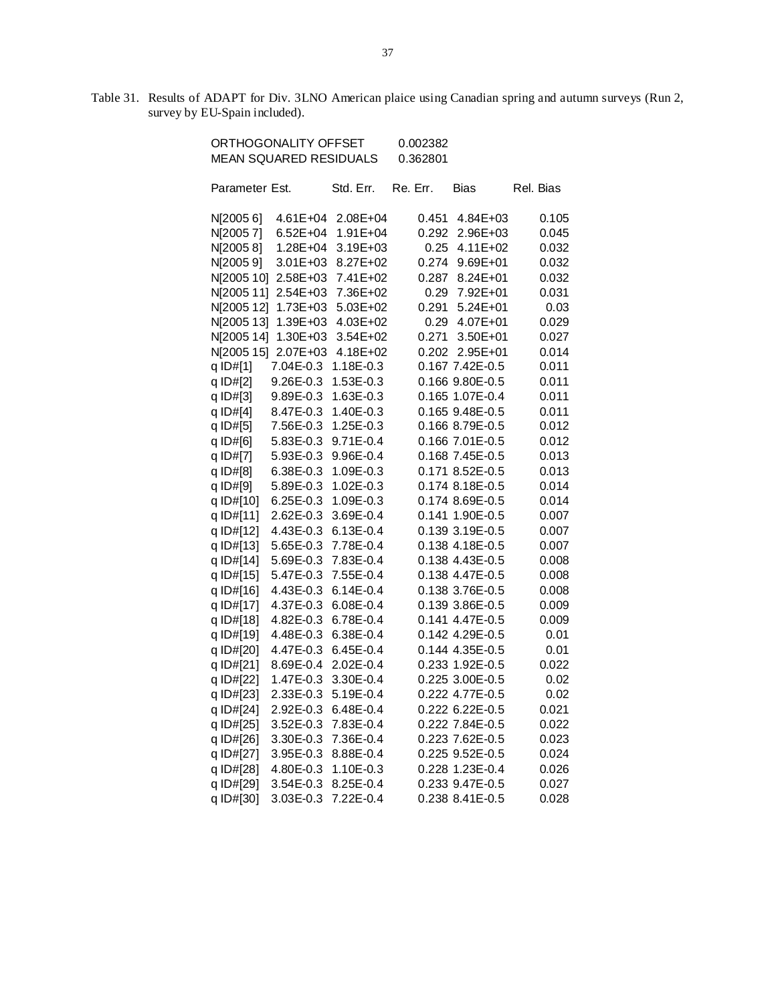Table 31. Results of ADAPT for Div. 3LNO American plaice using Canadian spring and autumn surveys (Run 2, survey by EU-Spain included).

| ORTHOGONALITY OFFSET          |              |               | 0.002382 |                 |           |
|-------------------------------|--------------|---------------|----------|-----------------|-----------|
| <b>MEAN SQUARED RESIDUALS</b> |              | 0.362801      |          |                 |           |
| Parameter Est.                |              | Std. Err.     | Re. Err. | <b>Bias</b>     | Rel. Bias |
|                               |              |               |          |                 |           |
| N[20056]                      | $4.61E + 04$ | 2.08E+04      | 0.451    | 4.84E+03        | 0.105     |
| N[20057]                      | $6.52E + 04$ | 1.91E+04      | 0.292    | 2.96E+03        | 0.045     |
| N[20058]                      | 1.28E+04     | 3.19E+03      | 0.25     | $4.11E + 02$    | 0.032     |
| N[20059]                      | 3.01E+03     | 8.27E+02      | 0.274    | 9.69E+01        | 0.032     |
| N[2005 10]                    | 2.58E+03     | 7.41E+02      | 0.287    | 8.24E+01        | 0.032     |
| N[2005 11]                    | 2.54E+03     | 7.36E+02      | 0.29     | 7.92E+01        | 0.031     |
| N[2005 12]                    | $1.73E + 03$ | 5.03E+02      | 0.291    | $5.24E + 01$    | 0.03      |
| N[2005 13]                    | 1.39E+03     | 4.03E+02      | 0.29     | 4.07E+01        | 0.029     |
| N[2005 14]                    | 1.30E+03     | 3.54E+02      | 0.271    | $3.50E + 01$    | 0.027     |
| N[2005 15]                    | $2.07E + 03$ | 4.18E+02      | 0.202    | $2.95E + 01$    | 0.014     |
| q ID#[1]                      | 7.04E-0.3    | 1.18E-0.3     |          | 0.167 7.42E-0.5 | 0.011     |
| q ID#[2]                      | 9.26E-0.3    | 1.53E-0.3     |          | 0.166 9.80E-0.5 | 0.011     |
| q ID#[3]                      | 9.89E-0.3    | 1.63E-0.3     |          | 0.165 1.07E-0.4 | 0.011     |
| q ID#[4]                      | 8.47E-0.3    | 1.40E-0.3     |          | 0.165 9.48E-0.5 | 0.011     |
| q ID#[5]                      | 7.56E-0.3    | 1.25E-0.3     |          | 0.166 8.79E-0.5 | 0.012     |
| q ID#[6]                      | 5.83E-0.3    | $9.71E - 0.4$ |          | 0.166 7.01E-0.5 | 0.012     |
| q ID#[7]                      | 5.93E-0.3    | 9.96E-0.4     |          | 0.168 7.45E-0.5 | 0.013     |
| q ID#[8]                      | 6.38E-0.3    | 1.09E-0.3     |          | 0.171 8.52E-0.5 | 0.013     |
| q ID#[9]                      | 5.89E-0.3    | 1.02E-0.3     |          | 0.174 8.18E-0.5 | 0.014     |
| q ID#[10]                     | 6.25E-0.3    | 1.09E-0.3     |          | 0.174 8.69E-0.5 | 0.014     |
| q ID#[11]                     | 2.62E-0.3    | 3.69E-0.4     |          | 0.141 1.90E-0.5 | 0.007     |
| q ID#[12]                     | 4.43E-0.3    | $6.13E - 0.4$ |          | 0.139 3.19E-0.5 | 0.007     |
| q ID#[13]                     | 5.65E-0.3    | 7.78E-0.4     |          | 0.138 4.18E-0.5 | 0.007     |
| q ID#[14]                     | 5.69E-0.3    | 7.83E-0.4     |          | 0.138 4.43E-0.5 | 0.008     |
| q ID#[15]                     | 5.47E-0.3    | 7.55E-0.4     |          | 0.138 4.47E-0.5 | 0.008     |
| q ID#[16]                     | 4.43E-0.3    | $6.14E - 0.4$ |          | 0.138 3.76E-0.5 | 0.008     |
| q ID#[17]                     | 4.37E-0.3    | 6.08E-0.4     |          | 0.139 3.86E-0.5 | 0.009     |
| q ID#[18]                     | 4.82E-0.3    | 6.78E-0.4     |          | 0.141 4.47E-0.5 | 0.009     |
| q ID#[19]                     | 4.48E-0.3    | 6.38E-0.4     |          | 0.142 4.29E-0.5 | 0.01      |
| q ID#[20]                     | 4.47E-0.3    | $6.45E - 0.4$ |          | 0.144 4.35E-0.5 | 0.01      |
| q ID#[21]                     | 8.69E-0.4    | 2.02E-0.4     |          | 0.233 1.92E-0.5 | 0.022     |
| q ID#[22]                     | 1.47E-0.3    | 3.30E-0.4     |          | 0.225 3.00E-0.5 | 0.02      |
| q ID#[23]                     | 2.33E-0.3    | 5.19E-0.4     |          | 0.222 4.77E-0.5 | 0.02      |
| q ID#[24]                     | 2.92E-0.3    | 6.48E-0.4     |          | 0.222 6.22E-0.5 | 0.021     |
| q ID#[25]                     | 3.52E-0.3    | 7.83E-0.4     |          | 0.222 7.84E-0.5 | 0.022     |
| q ID#[26]                     | 3.30E-0.3    | 7.36E-0.4     |          | 0.223 7.62E-0.5 | 0.023     |
| q ID#[27]                     | 3.95E-0.3    | 8.88E-0.4     |          | 0.225 9.52E-0.5 | 0.024     |
| q ID#[28]                     | 4.80E-0.3    | 1.10E-0.3     |          | 0.228 1.23E-0.4 | 0.026     |
| q ID#[29]                     | 3.54E-0.3    | 8.25E-0.4     |          | 0.233 9.47E-0.5 | 0.027     |
| q ID#[30]                     | 3.03E-0.3    | 7.22E-0.4     |          | 0.238 8.41E-0.5 | 0.028     |
|                               |              |               |          |                 |           |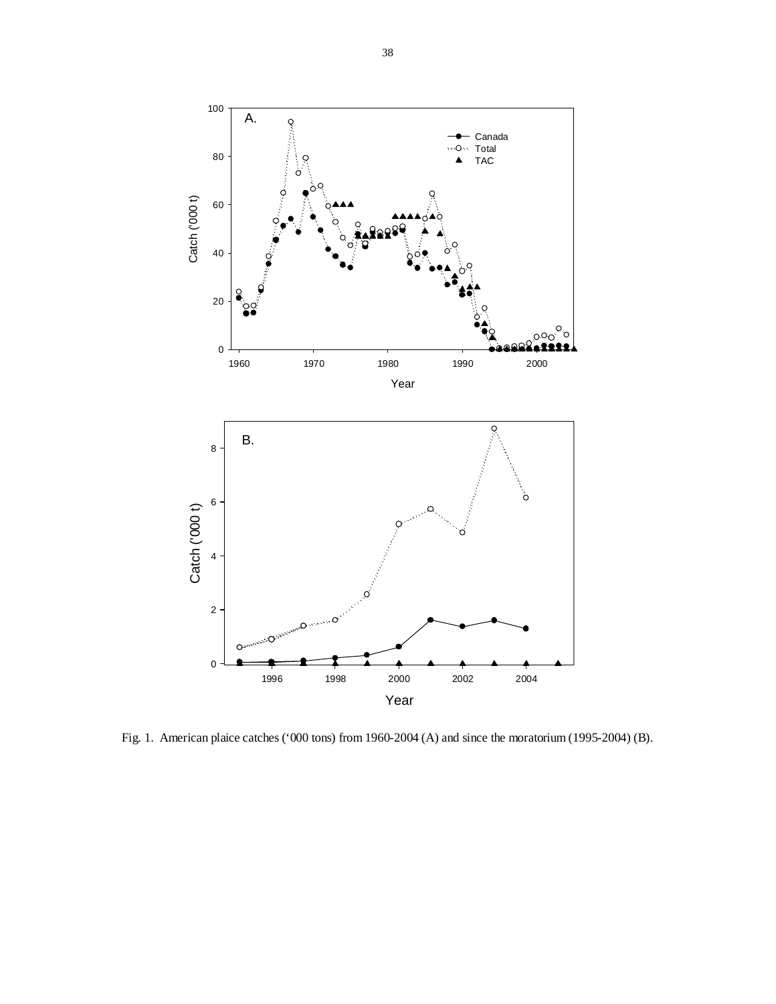

Fig. 1. American plaice catches ('000 tons) from 1960-2004 (A) and since the moratorium (1995-2004) (B).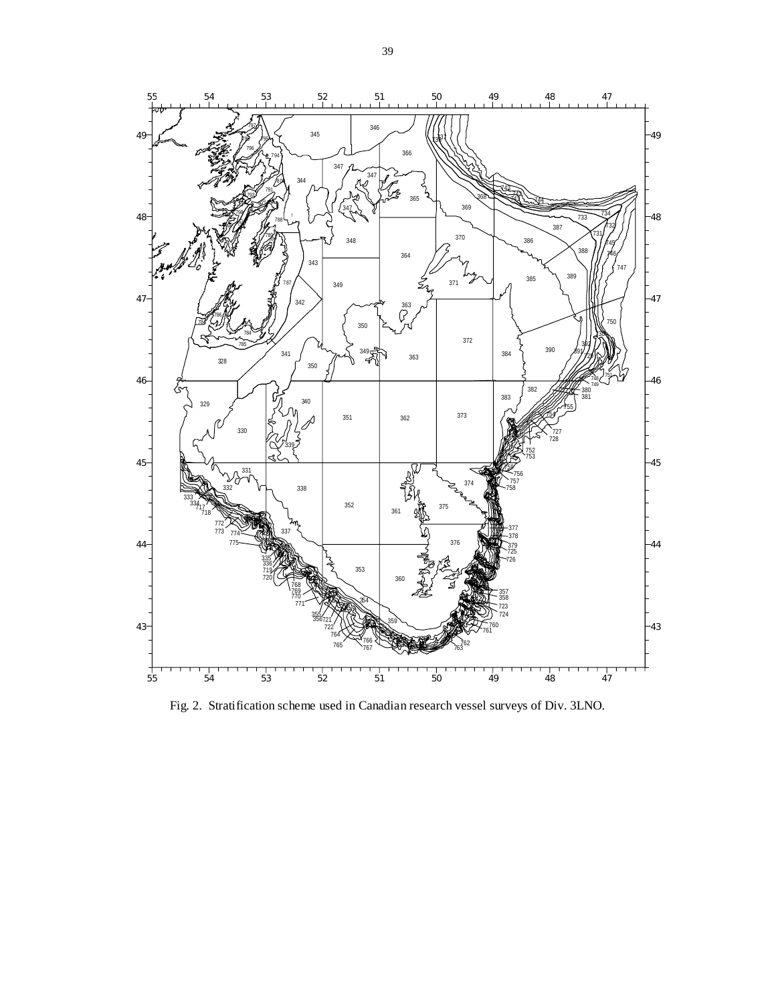

Fig. 2. Stratification scheme used in Canadian research vessel surveys of Div. 3LNO.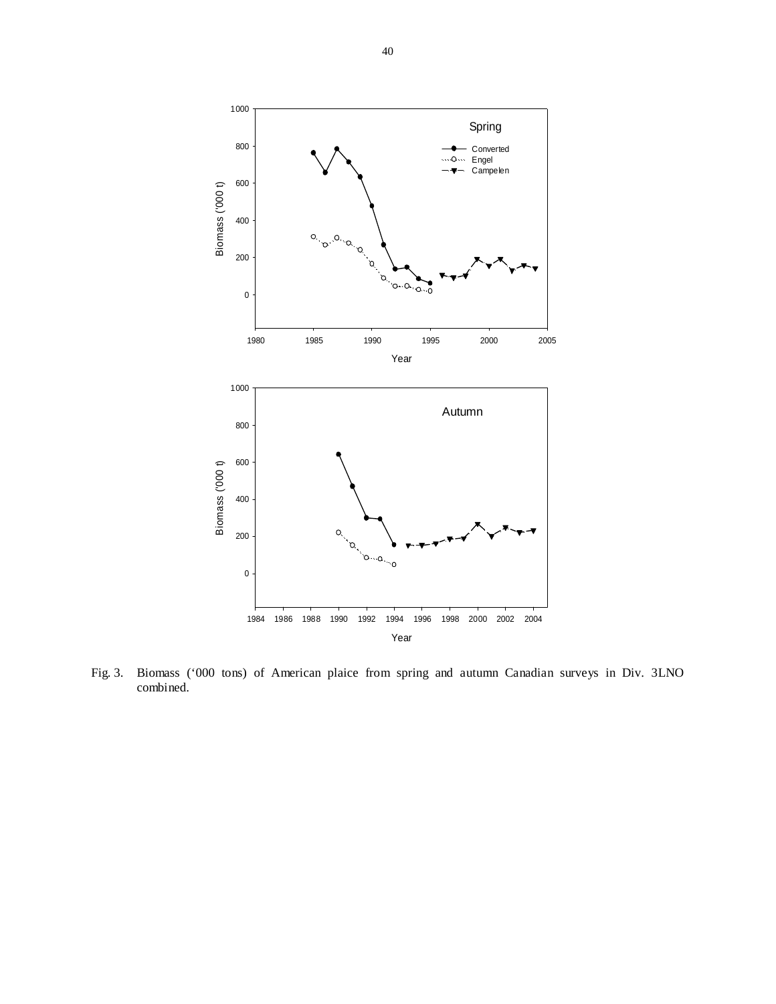

Fig. 3. Biomass ('000 tons) of American plaice from spring and autumn Canadian surveys in Div. 3LNO combined.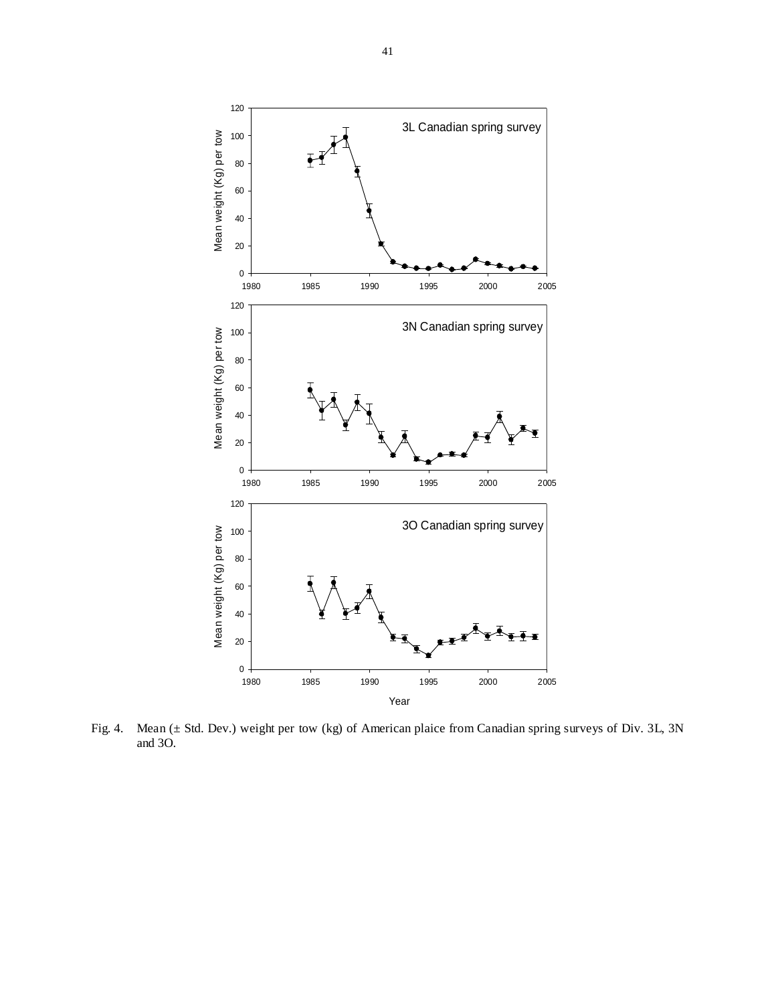

Fig. 4. Mean (± Std. Dev.) weight per tow (kg) of American plaice from Canadian spring surveys of Div. 3L, 3N and 3O.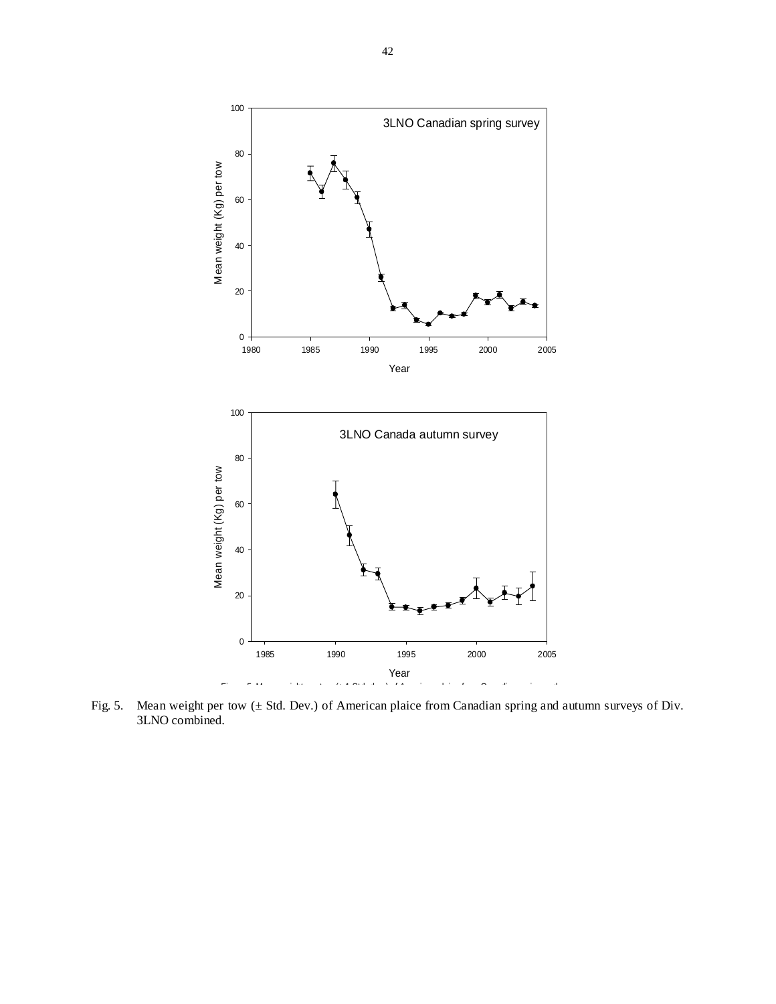

Fig. 5. Mean weight per tow (± Std. Dev.) of American plaice from Canadian spring and autumn surveys of Div. 3LNO combined.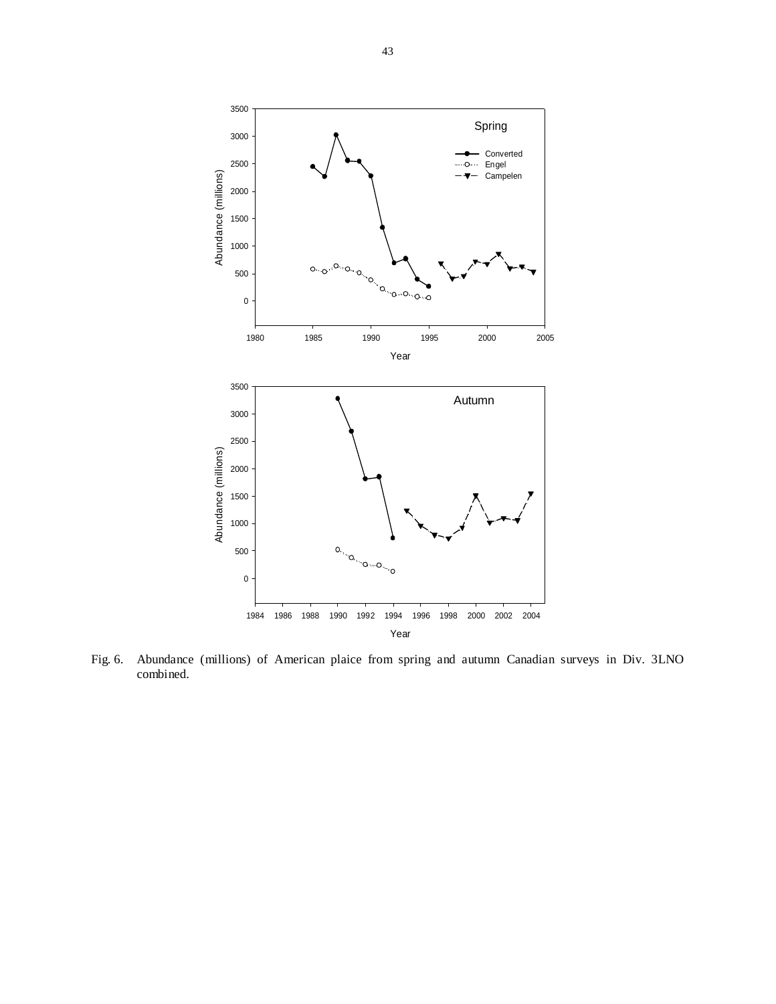

Fig. 6. Abundance (millions) of American plaice from spring and autumn Canadian surveys in Div. 3LNO combined.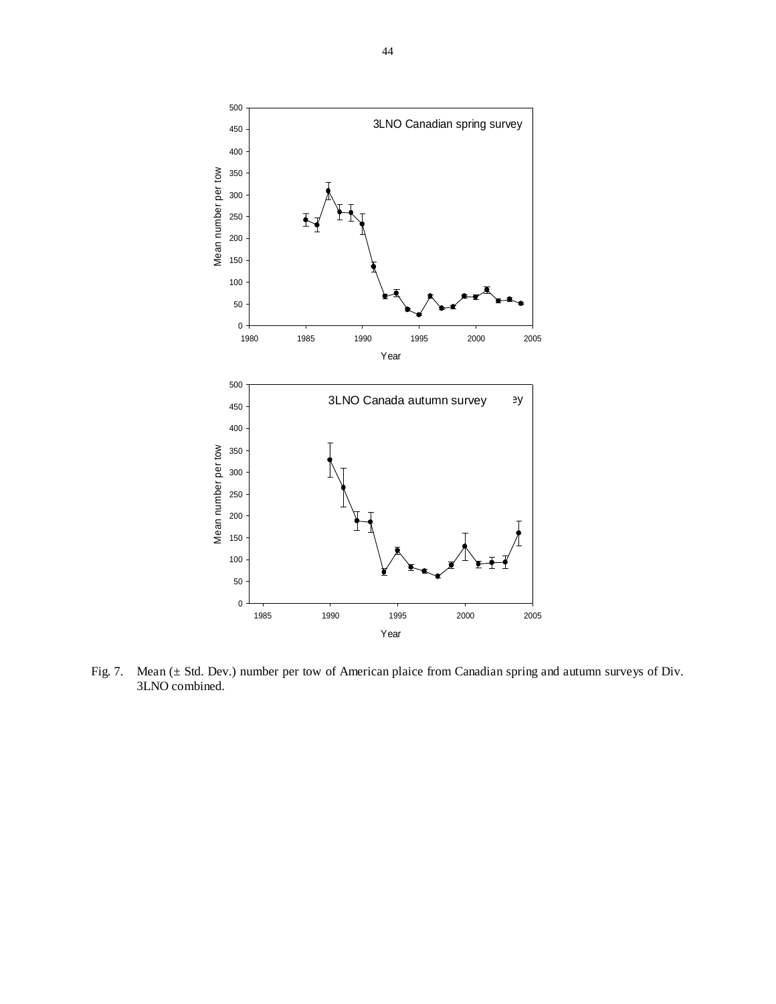

Fig. 7. Mean (± Std. Dev.) number per tow of American plaice from Canadian spring and autumn surveys of Div. 3LNO combined.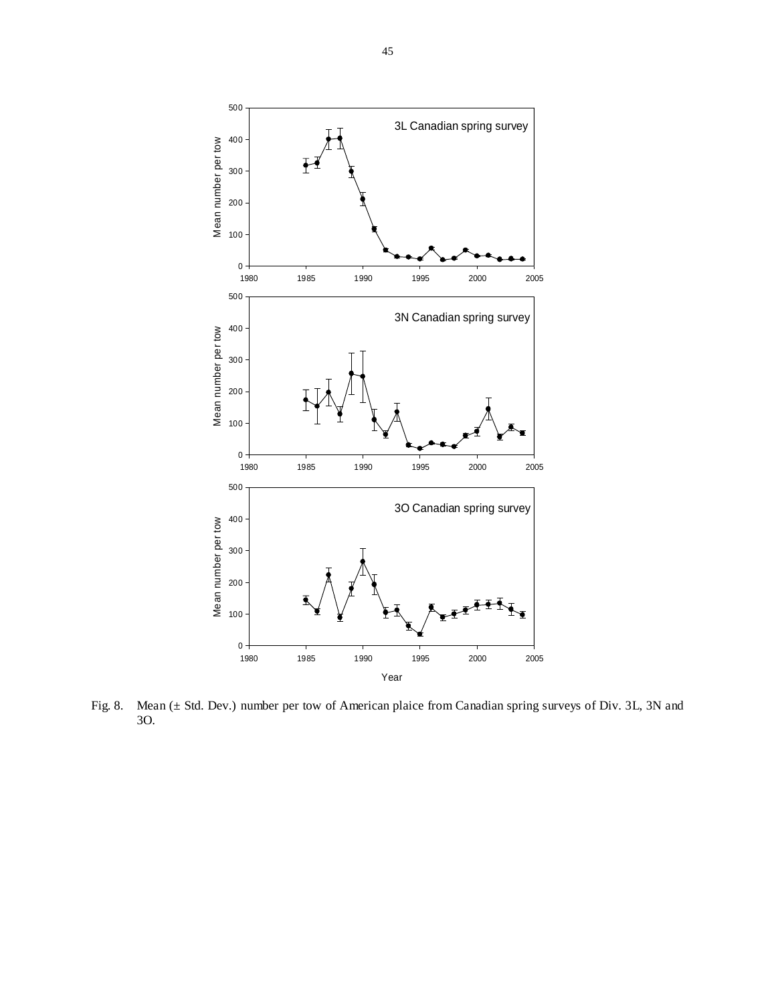

Fig. 8. Mean (± Std. Dev.) number per tow of American plaice from Canadian spring surveys of Div. 3L, 3N and 3O.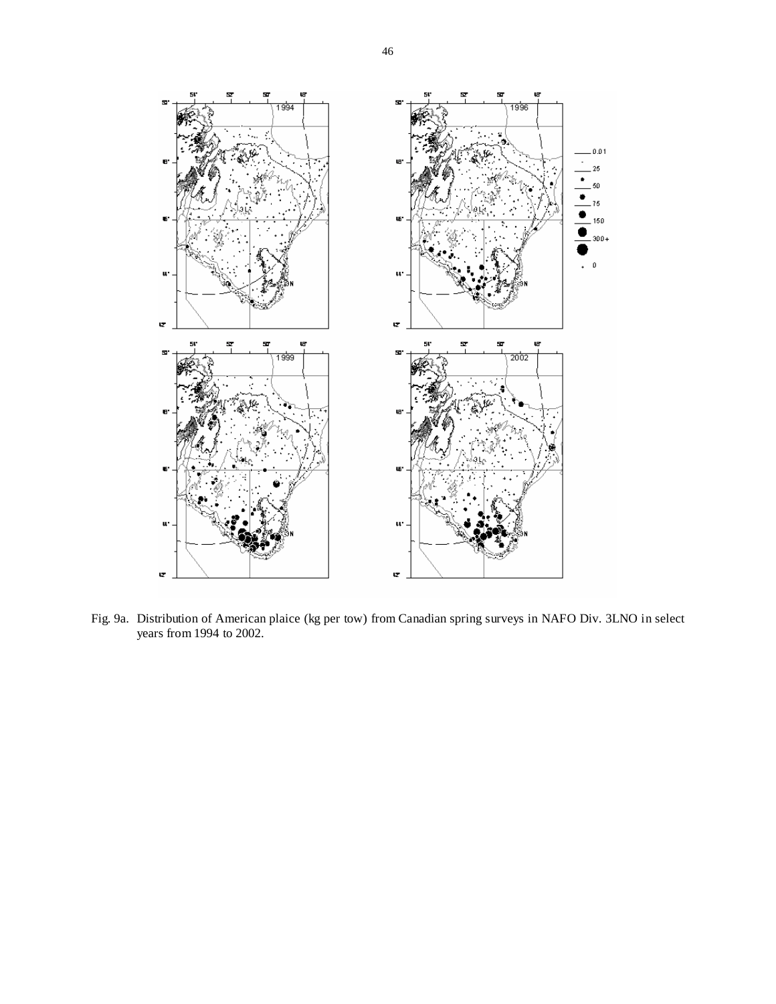

Fig. 9a. Distribution of American plaice (kg per tow) from Canadian spring surveys in NAFO Div. 3LNO in select years from 1994 to 2002.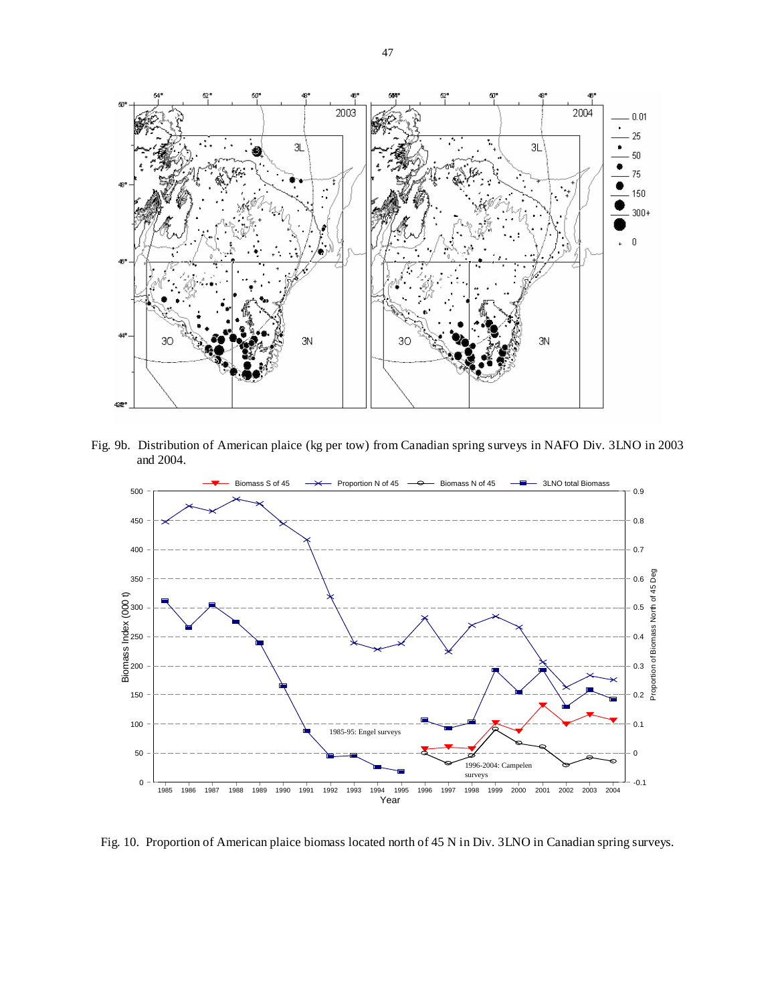

Fig. 9b. Distribution of American plaice (kg per tow) from Canadian spring surveys in NAFO Div. 3LNO in 2003 and 2004.



Fig. 10. Proportion of American plaice biomass located north of 45 N in Div. 3LNO in Canadian spring surveys.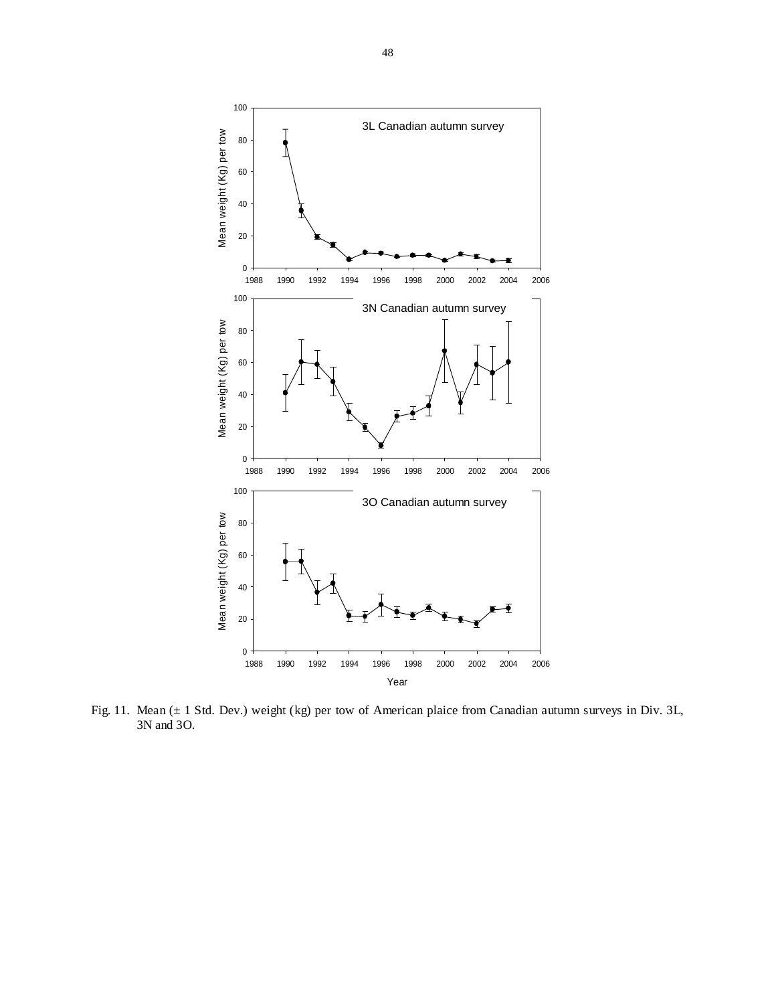

Fig. 11. Mean (± 1 Std. Dev.) weight (kg) per tow of American plaice from Canadian autumn surveys in Div. 3L, 3N and 3O.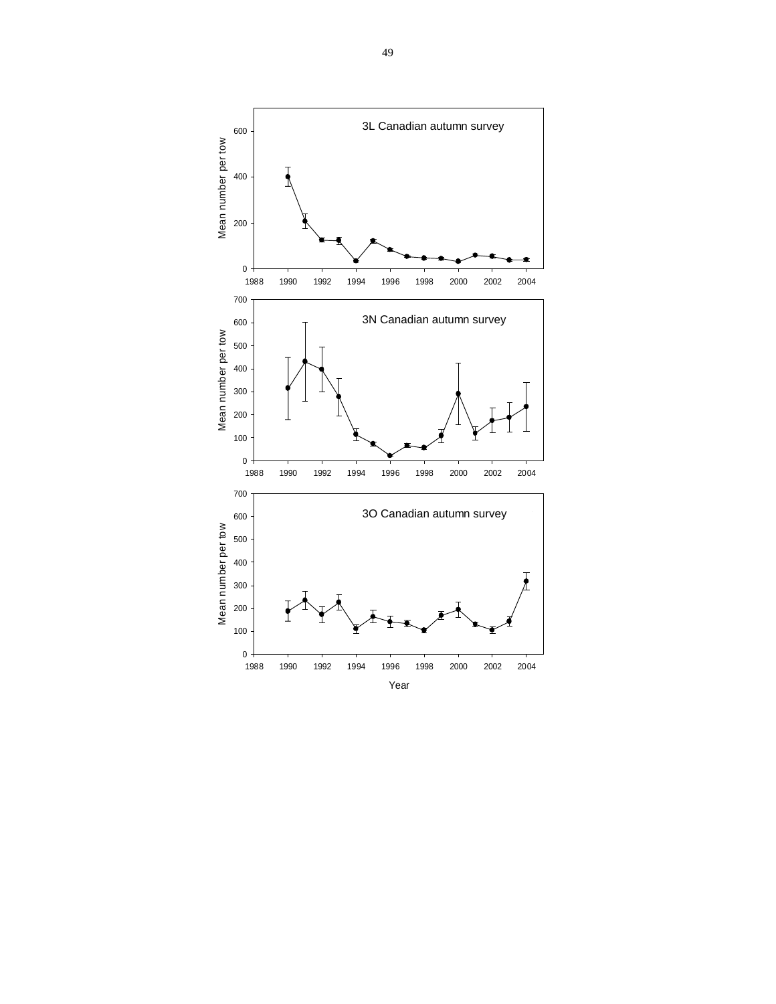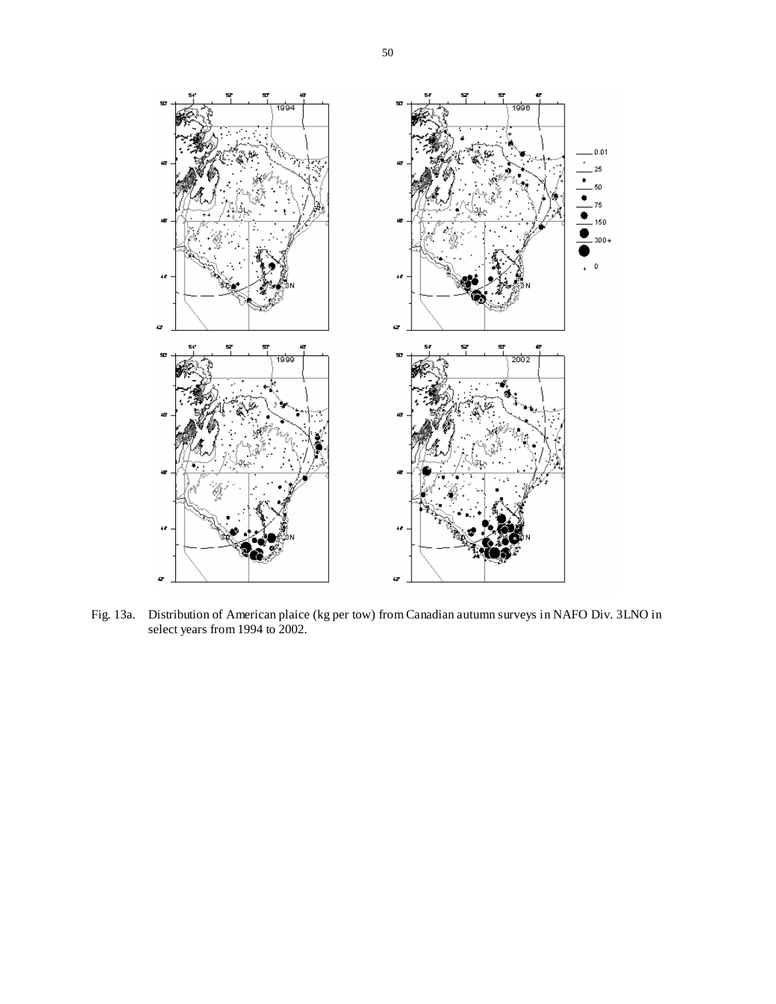

Fig. 13a. Distribution of American plaice (kg per tow) from Canadian autumn surveys in NAFO Div. 3LNO in select years from 1994 to 2002.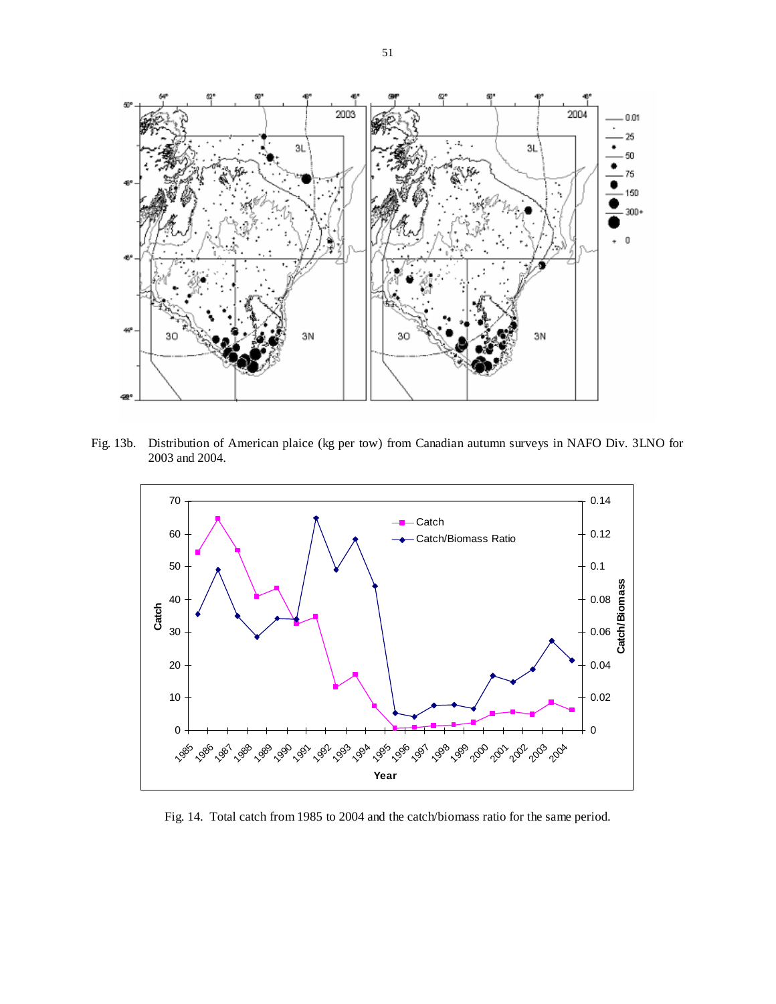

Fig. 13b. Distribution of American plaice (kg per tow) from Canadian autumn surveys in NAFO Div. 3LNO for 2003 and 2004.



Fig. 14. Total catch from 1985 to 2004 and the catch/biomass ratio for the same period.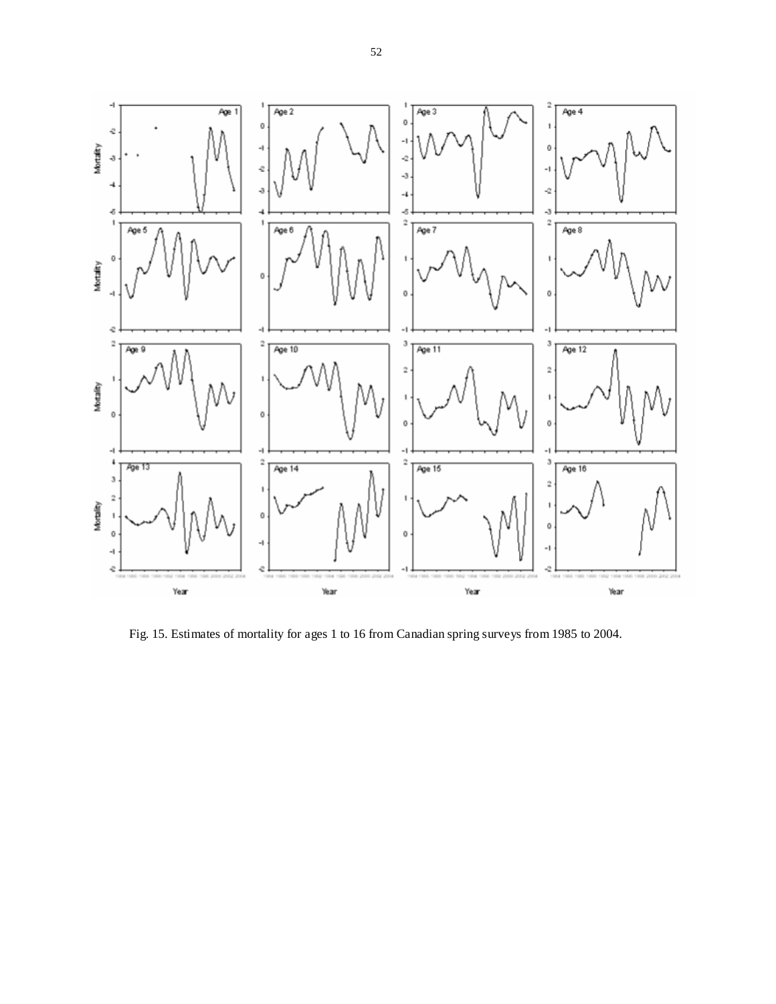

Fig. 15. Estimates of mortality for ages 1 to 16 from Canadian spring surveys from 1985 to 2004.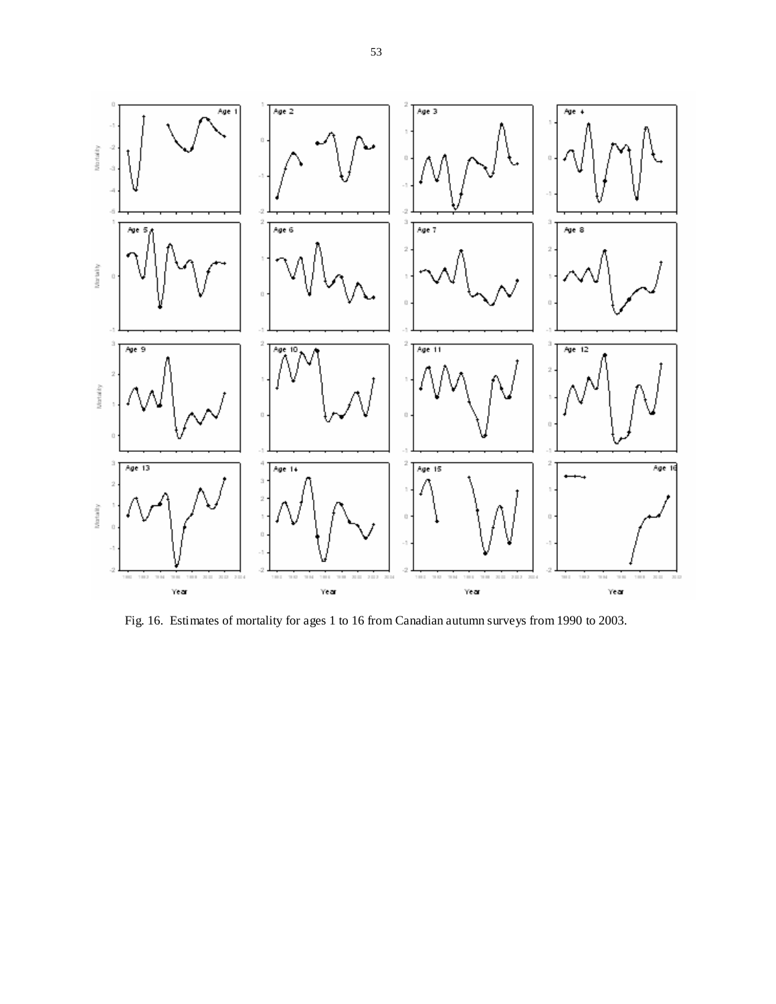

Fig. 16. Estimates of mortality for ages 1 to 16 from Canadian autumn surveys from 1990 to 2003.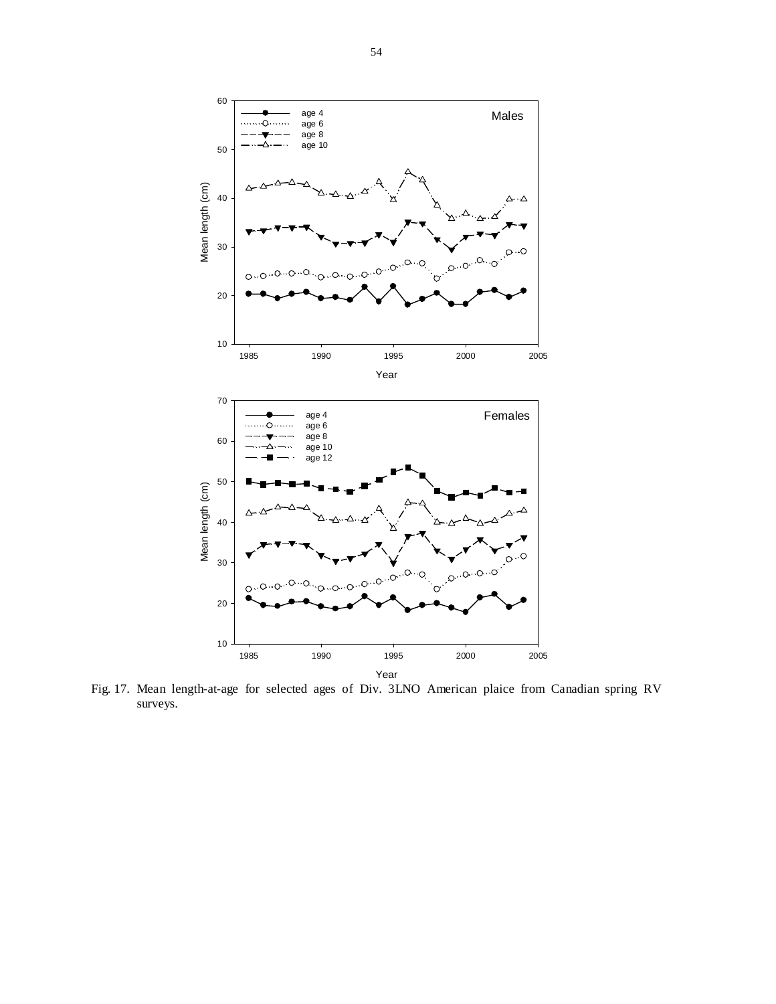

Fig. 17. Mean length-at-age for selected ages of Div. 3LNO American plaice from Canadian spring RV surveys.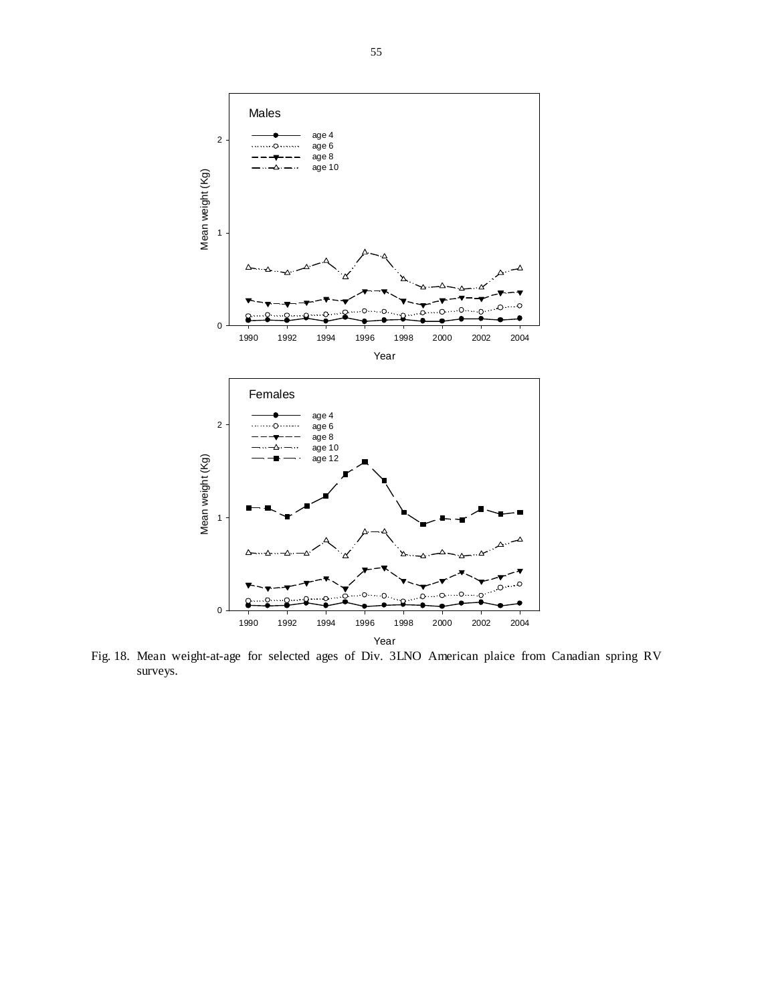

Fig. 18. Mean weight-at-age for selected ages of Div. 3LNO American plaice from Canadian spring RV surveys.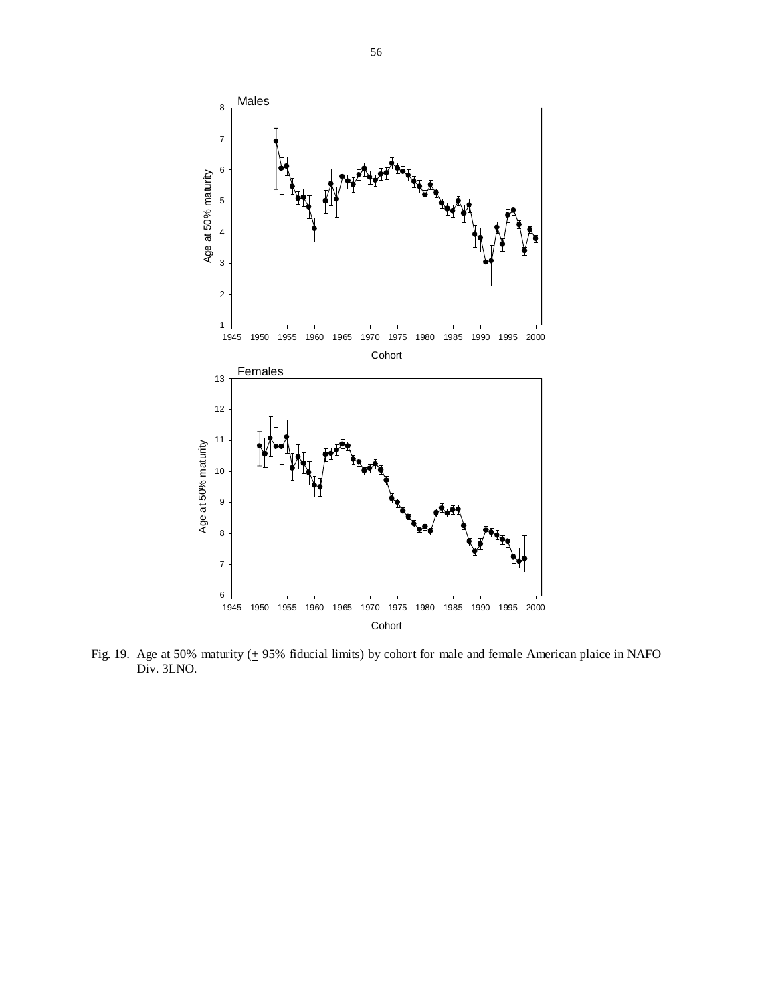

Fig. 19. Age at 50% maturity  $(\pm 95\%$  fiducial limits) by cohort for male and female American plaice in NAFO Div. 3LNO.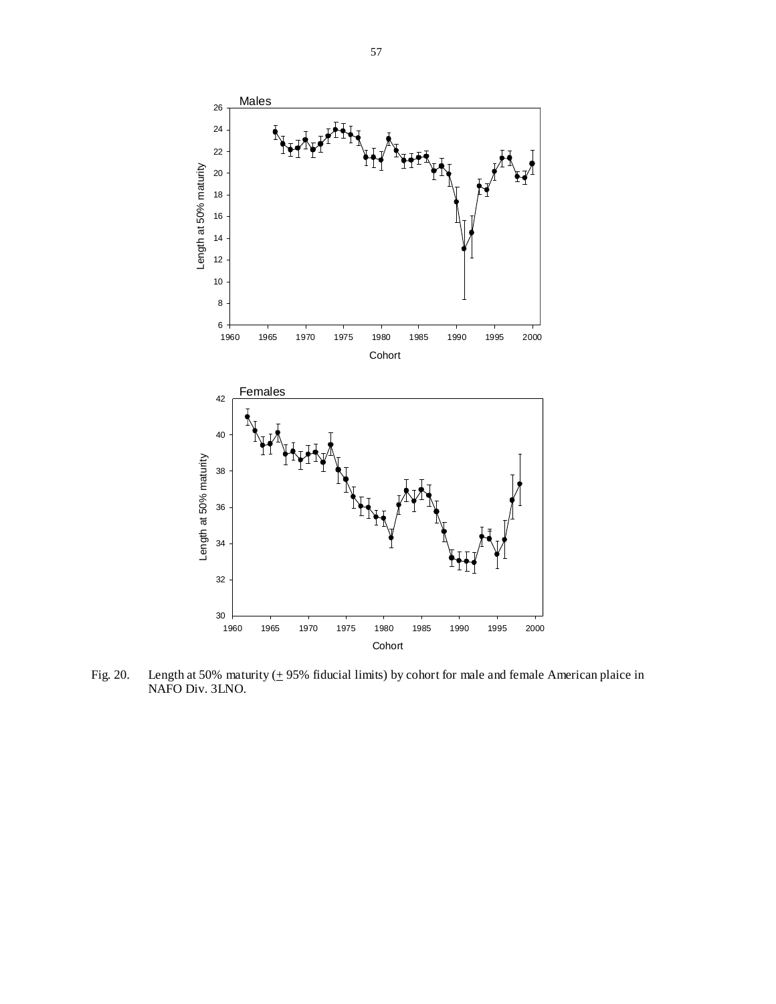

Fig. 20. Length at 50% maturity  $(\pm 95\%$  fiducial limits) by cohort for male and female American plaice in NAFO Div. 3LNO.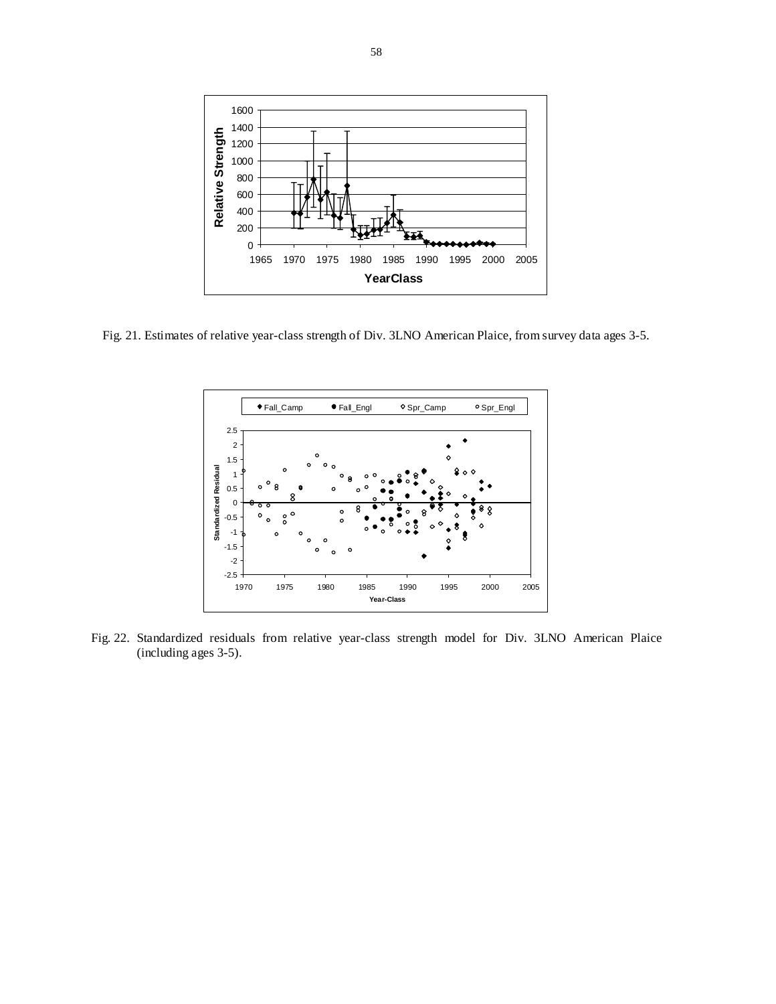

Fig. 21. Estimates of relative year-class strength of Div. 3LNO American Plaice, from survey data ages 3-5.



Fig. 22. Standardized residuals from relative year-class strength model for Div. 3LNO American Plaice (including ages 3-5).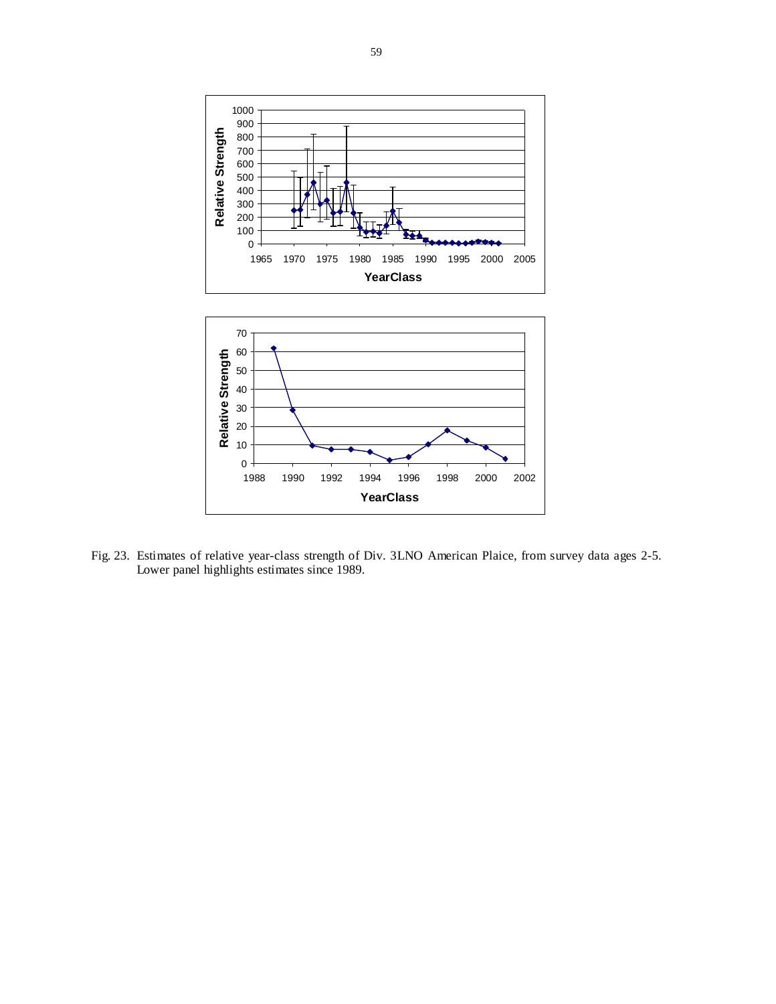

Fig. 23. Estimates of relative year-class strength of Div. 3LNO American Plaice, from survey data ages 2-5. Lower panel highlights estimates since 1989.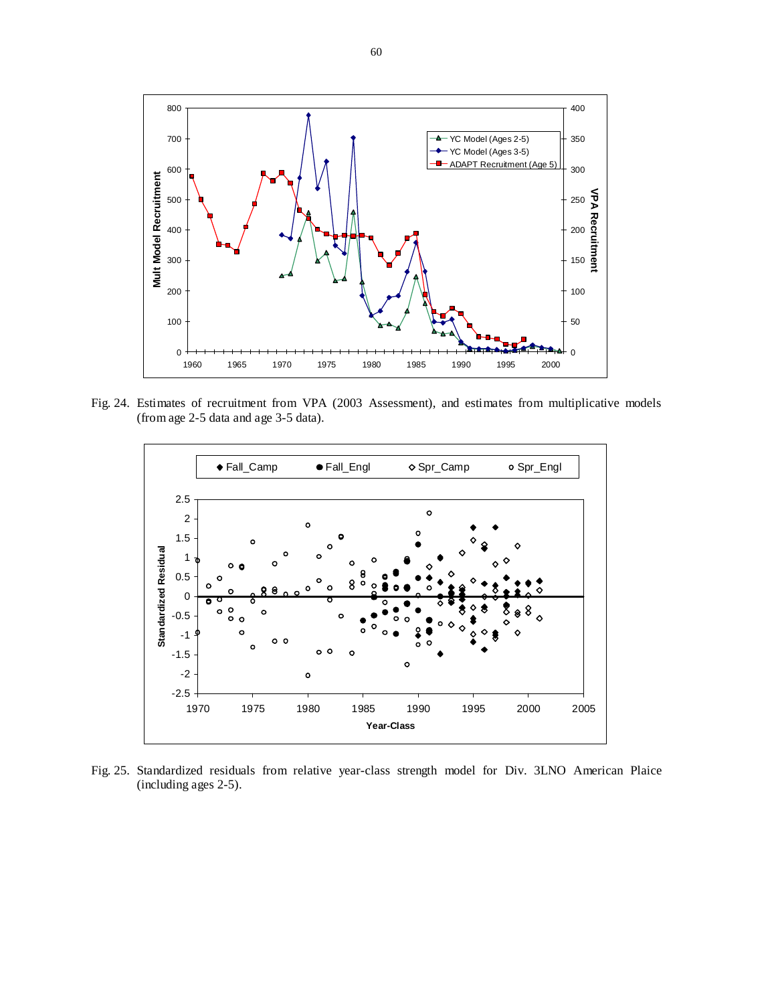

Fig. 24. Estimates of recruitment from VPA (2003 Assessment), and estimates from multiplicative models (from age 2-5 data and age 3-5 data).



Fig. 25. Standardized residuals from relative year-class strength model for Div. 3LNO American Plaice (including ages 2-5).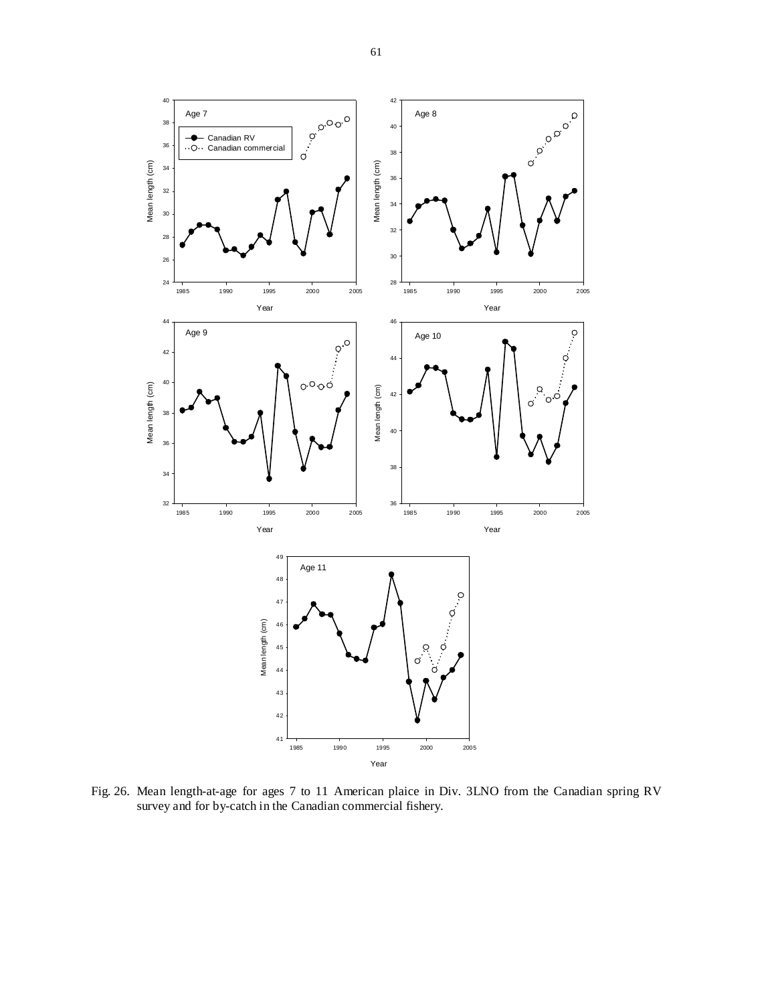

Fig. 26. Mean length-at-age for ages 7 to 11 American plaice in Div. 3LNO from the Canadian spring RV survey and for by-catch in the Canadian commercial fishery.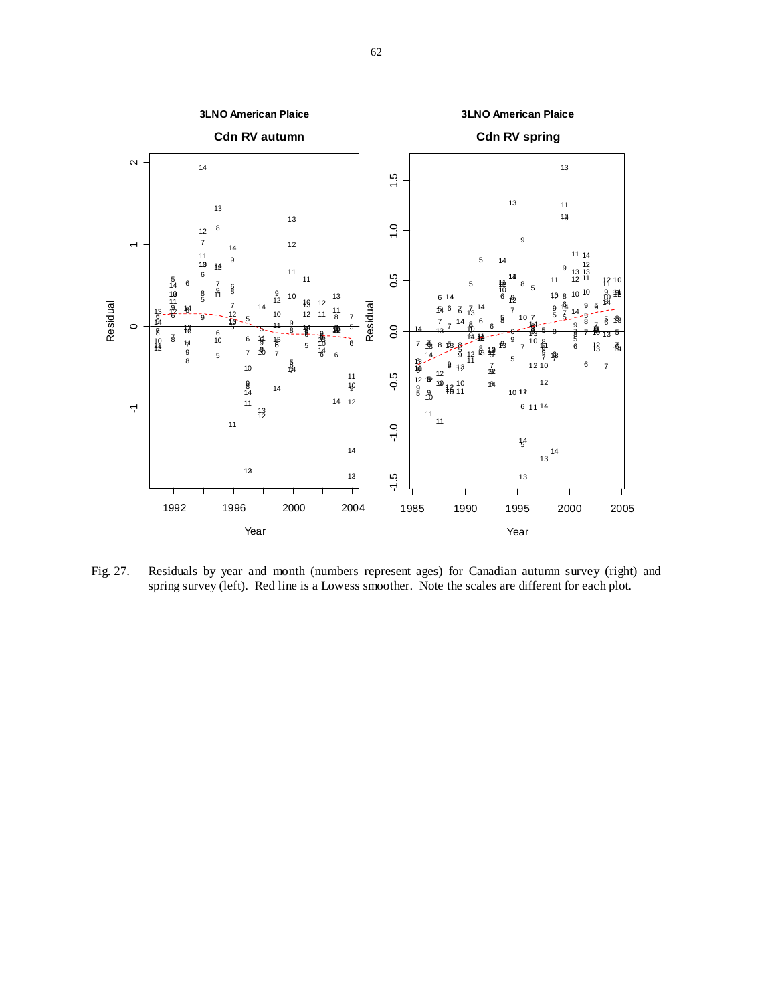

Fig. 27. Residuals by year and month (numbers represent ages) for Canadian autumn survey (right) and spring survey (left). Red line is a Lowess smoother. Note the scales are different for each plot.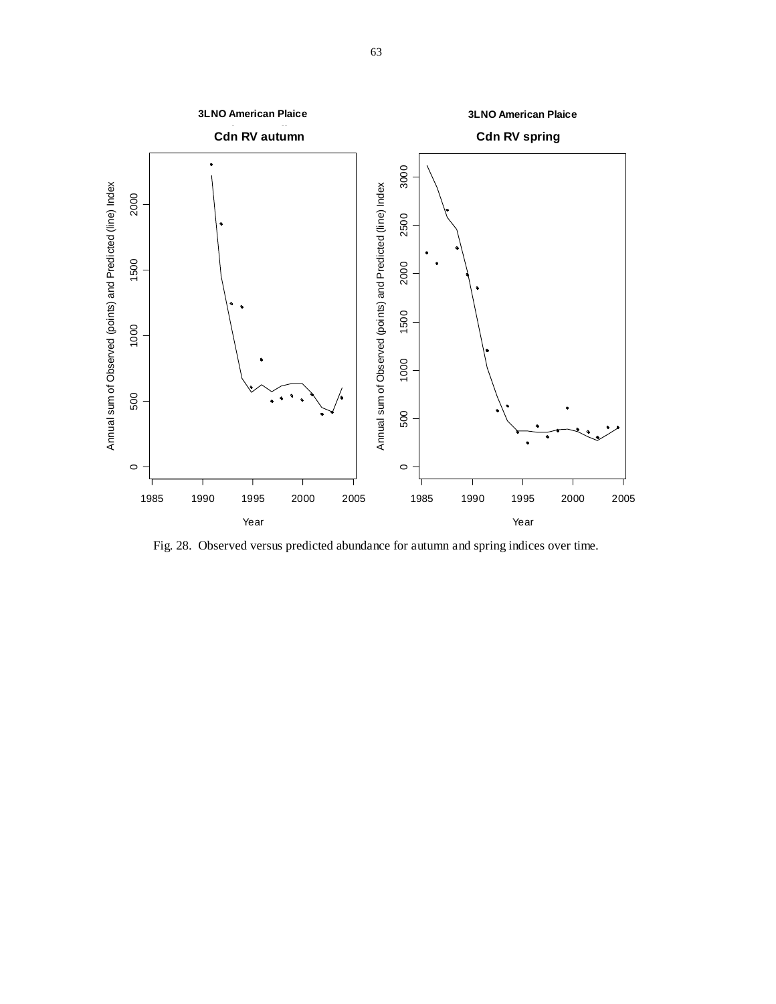

Fig. 28. Observed versus predicted abundance for autumn and spring indices over time.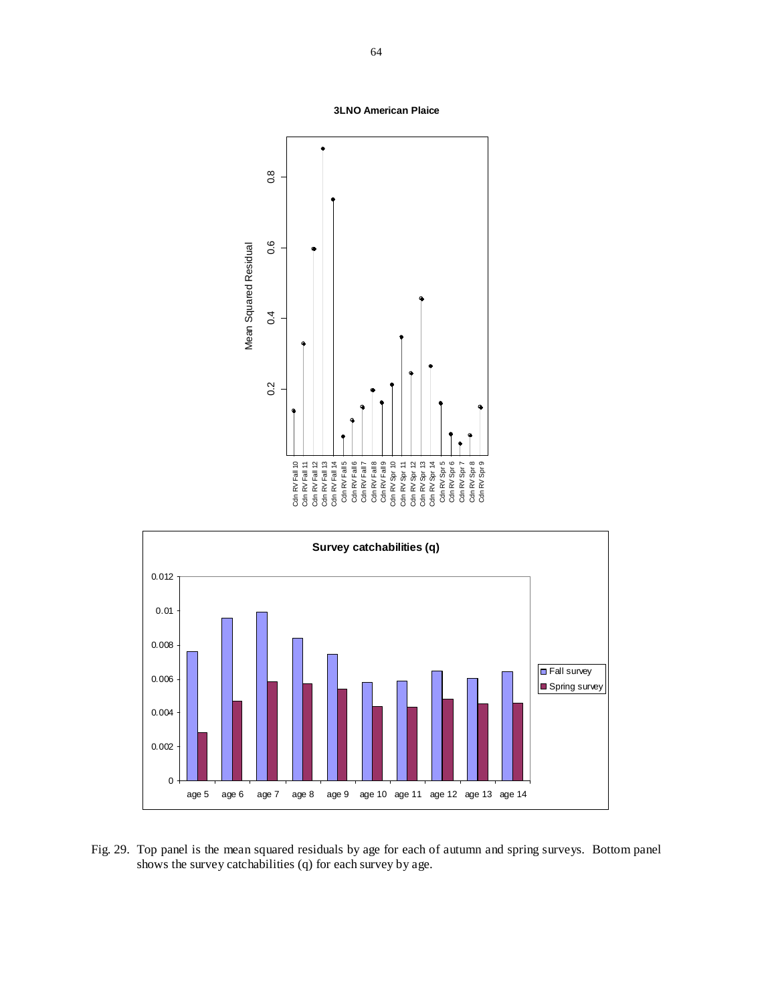



Fig. 29. Top panel is the mean squared residuals by age for each of autumn and spring surveys. Bottom panel shows the survey catchabilities (q) for each survey by age.

**3LNO American Plaice**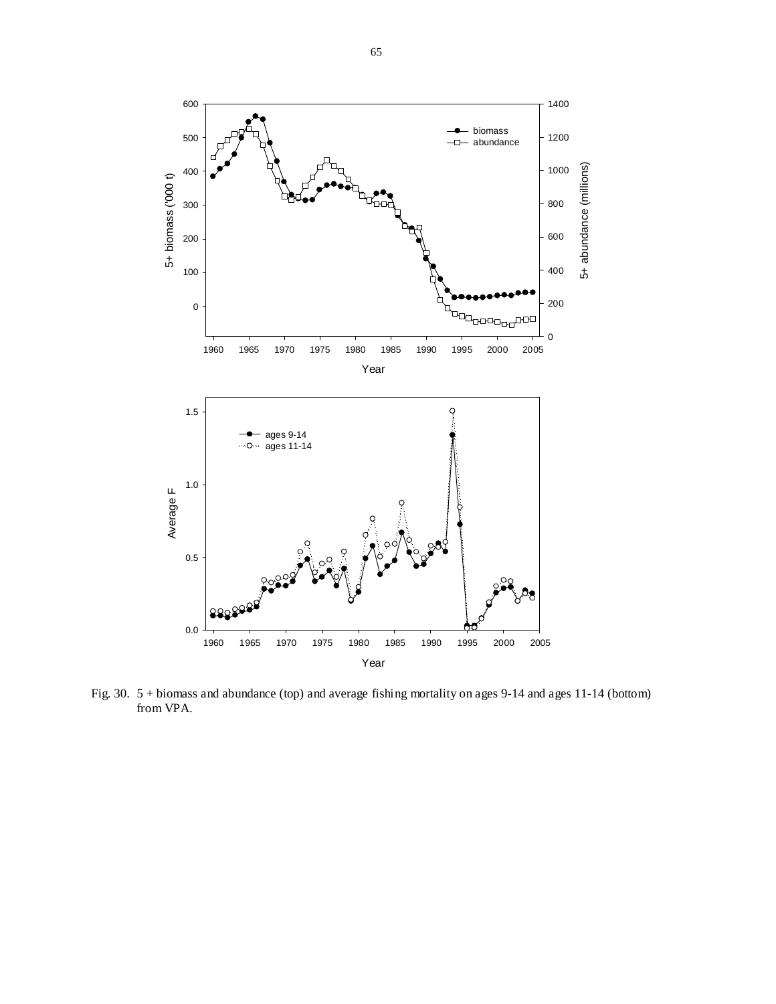

Fig. 30. 5 + biomass and abundance (top) and average fishing mortality on ages 9-14 and ages 11-14 (bottom) from VPA.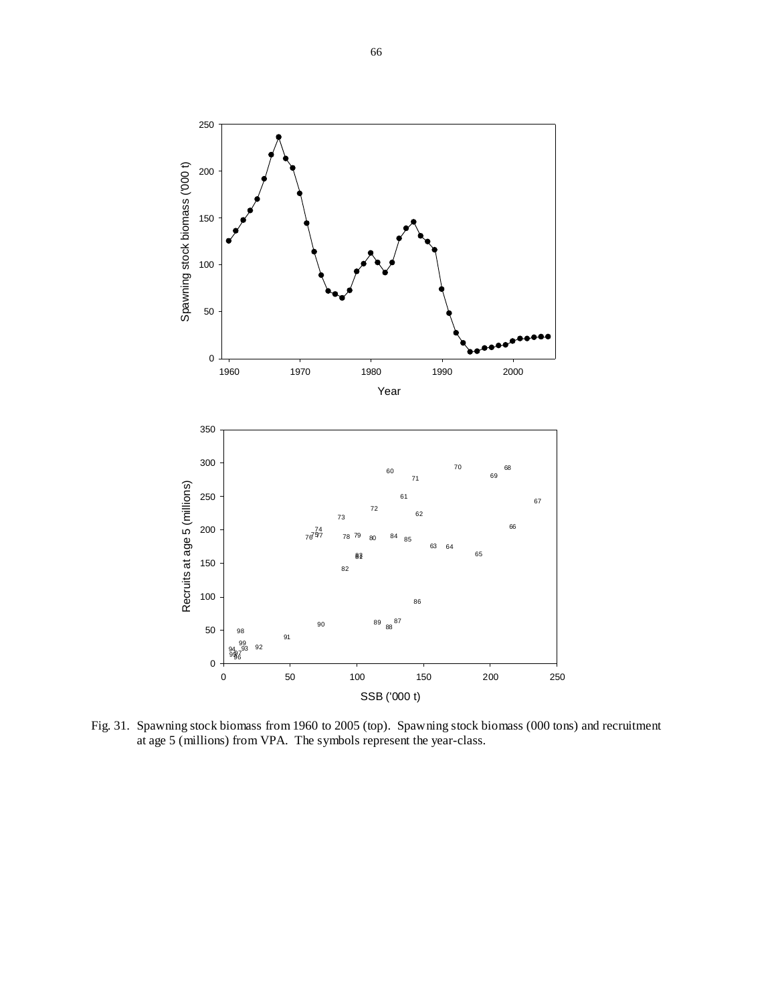

Fig. 31. Spawning stock biomass from 1960 to 2005 (top). Spawning stock biomass (000 tons) and recruitment at age 5 (millions) from VPA. The symbols represent the year-class.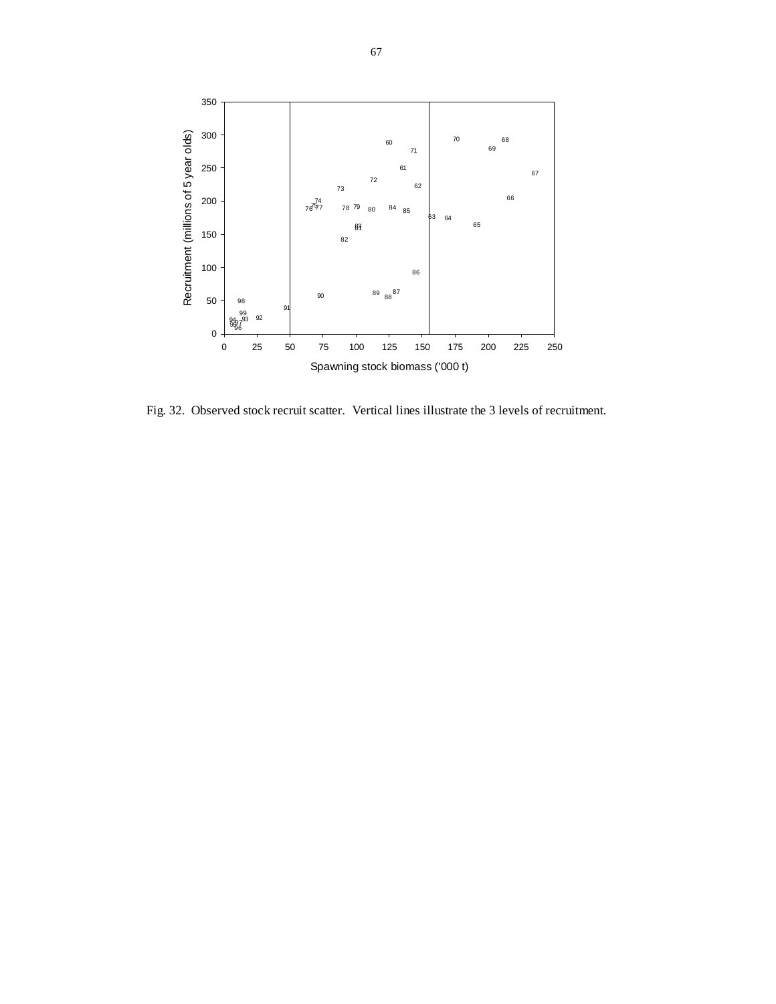

Fig. 32. Observed stock recruit scatter. Vertical lines illustrate the 3 levels of recruitment.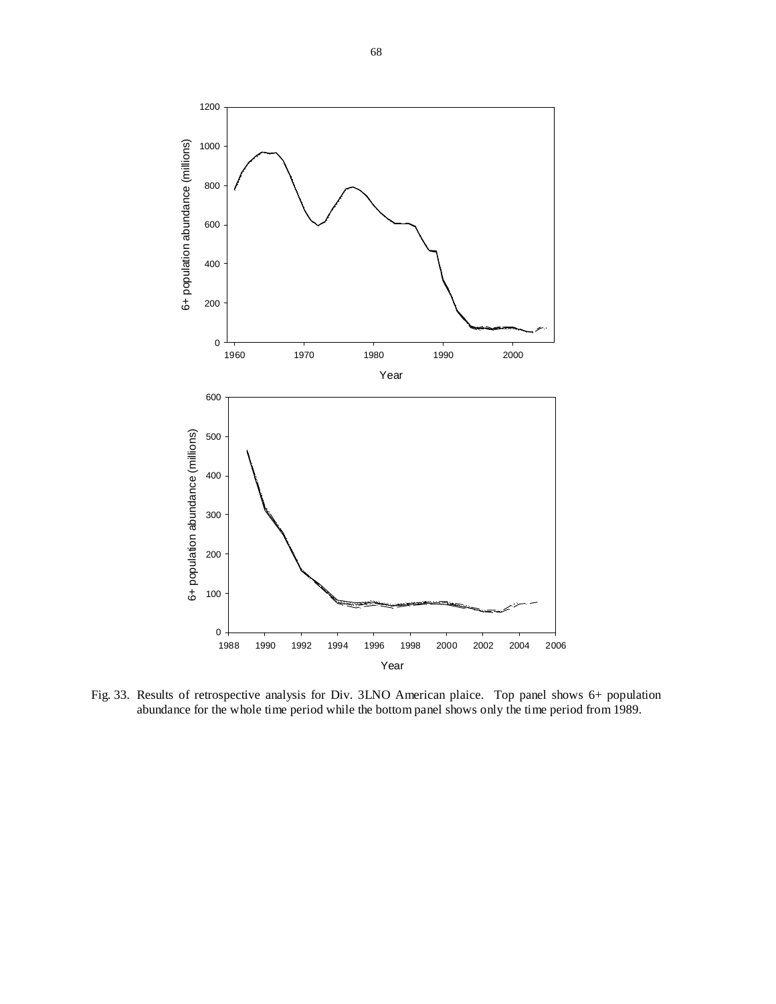

Fig. 33. Results of retrospective analysis for Div. 3LNO American plaice. Top panel shows 6+ population abundance for the whole time period while the bottom panel shows only the time period from 1989.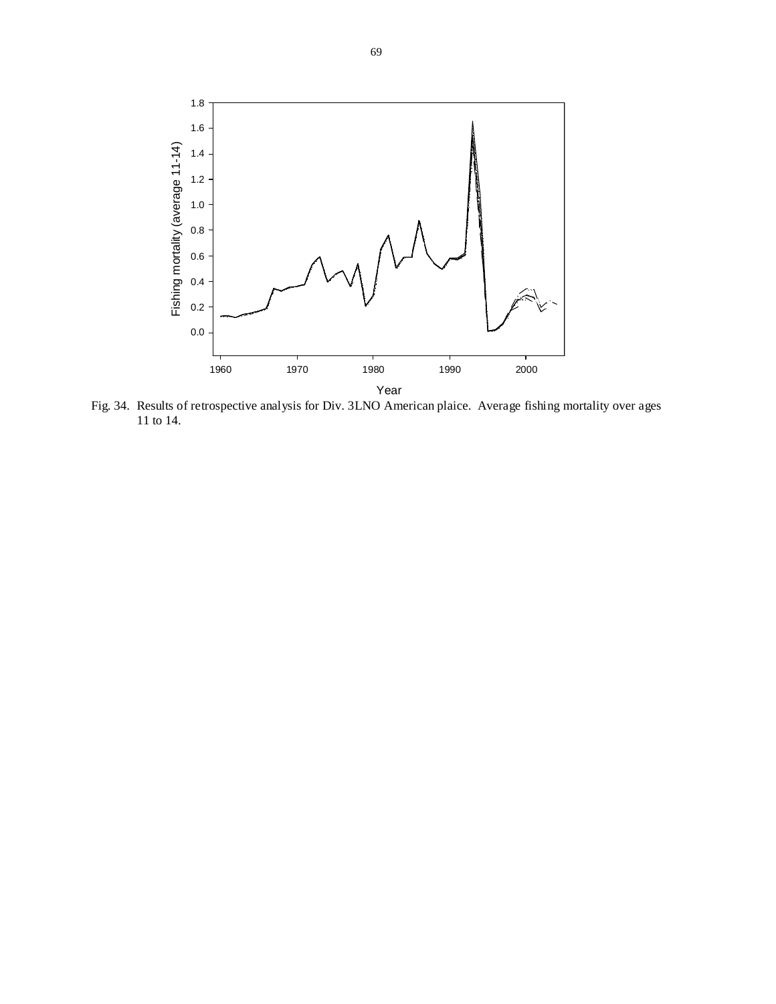

Fig. 34. Results of retrospective analysis for Div. 3LNO American plaice. Average fishing mortality over ages 11 to 14.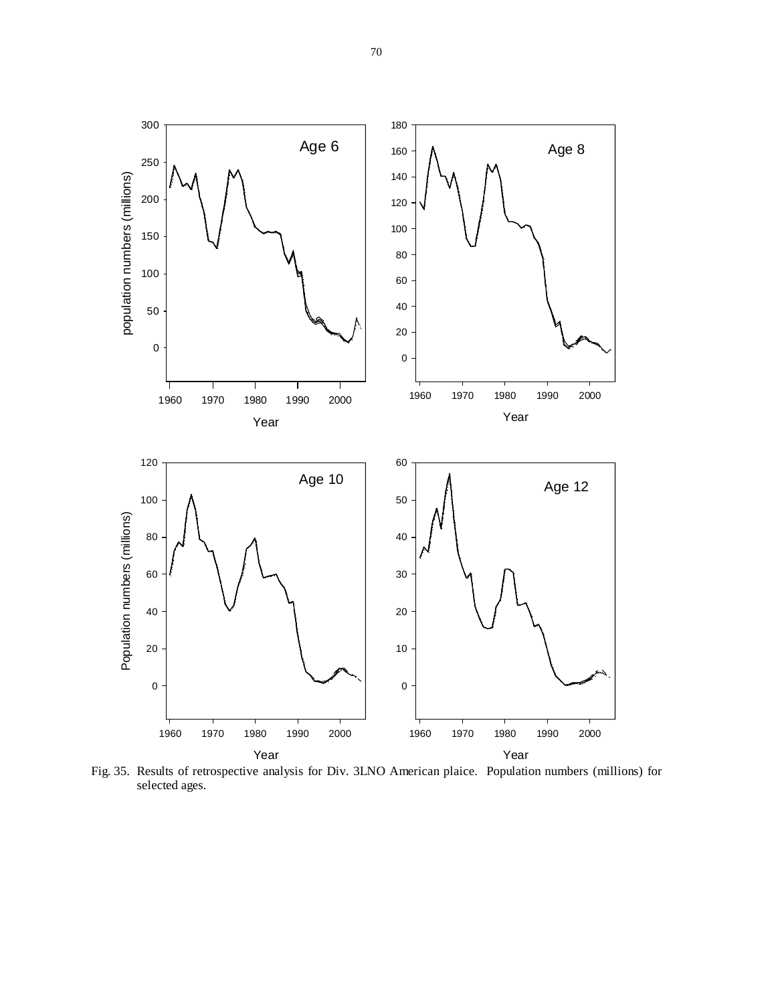

Fig. 35. Results of retrospective analysis for Div. 3LNO American plaice. Population numbers (millions) for selected ages.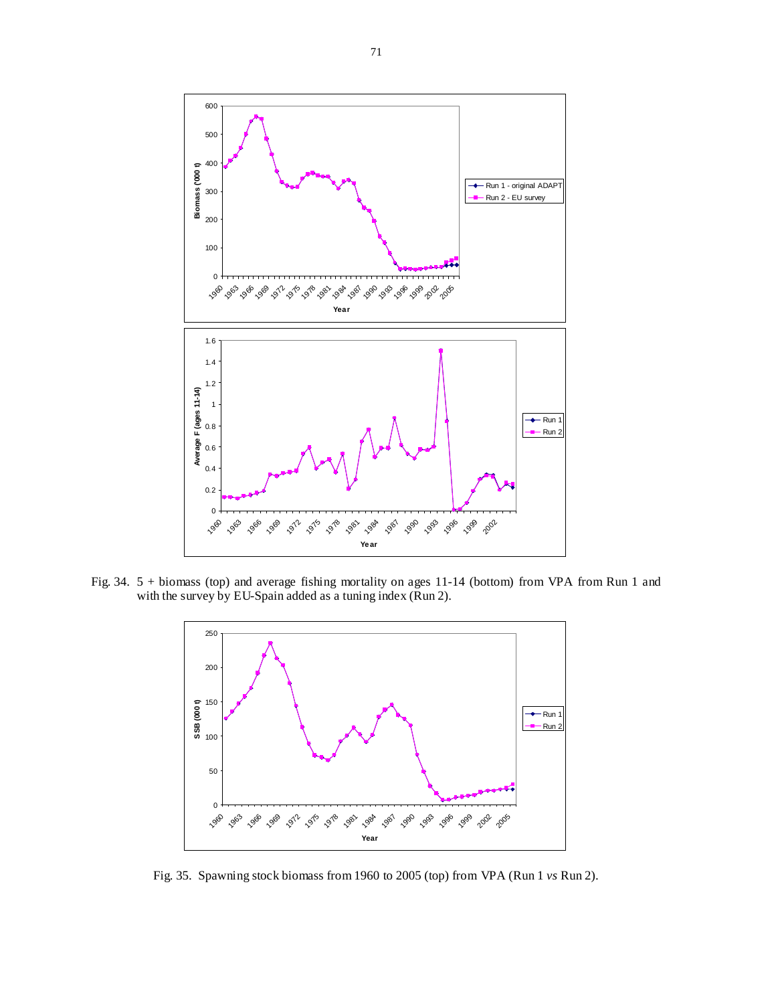

Fig. 34. 5 + biomass (top) and average fishing mortality on ages 11-14 (bottom) from VPA from Run 1 and with the survey by EU-Spain added as a tuning index (Run 2).



Fig. 35. Spawning stock biomass from 1960 to 2005 (top) from VPA (Run 1 *vs* Run 2).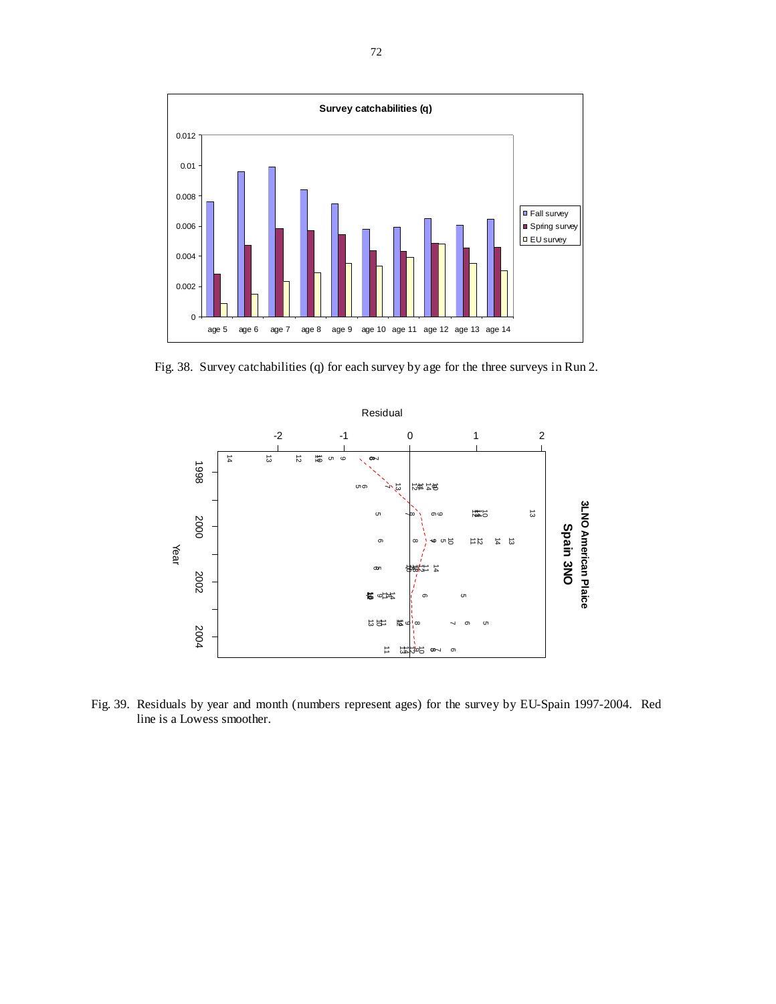

Fig. 38. Survey catchabilities (q) for each survey by age for the three surveys in Run 2.



Fig. 39. Residuals by year and month (numbers represent ages) for the survey by EU-Spain 1997-2004. Red line is a Lowess smoother.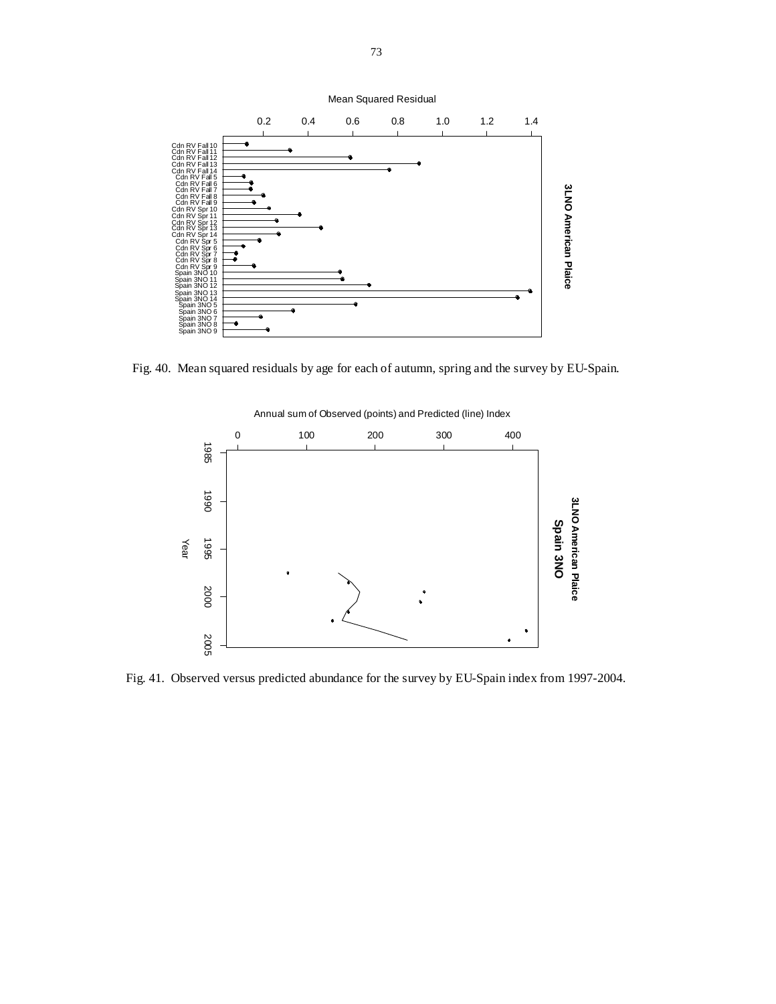

Fig. 40. Mean squared residuals by age for each of autumn, spring and the survey by EU-Spain.



Fig. 41. Observed versus predicted abundance for the survey by EU-Spain index from 1997-2004.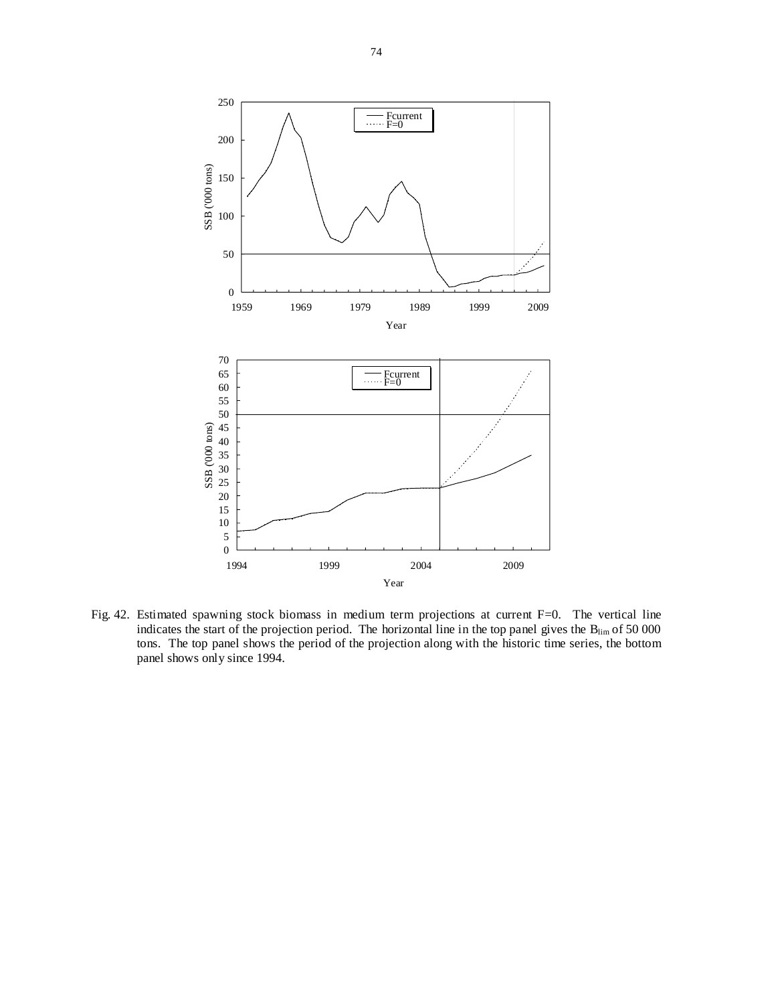

Fig. 42. Estimated spawning stock biomass in medium term projections at current F=0. The vertical line indicates the start of the projection period. The horizontal line in the top panel gives the  $B_{\text{lim}}$  of 50 000 tons. The top panel shows the period of the projection along with the historic time series, the bottom panel shows only since 1994.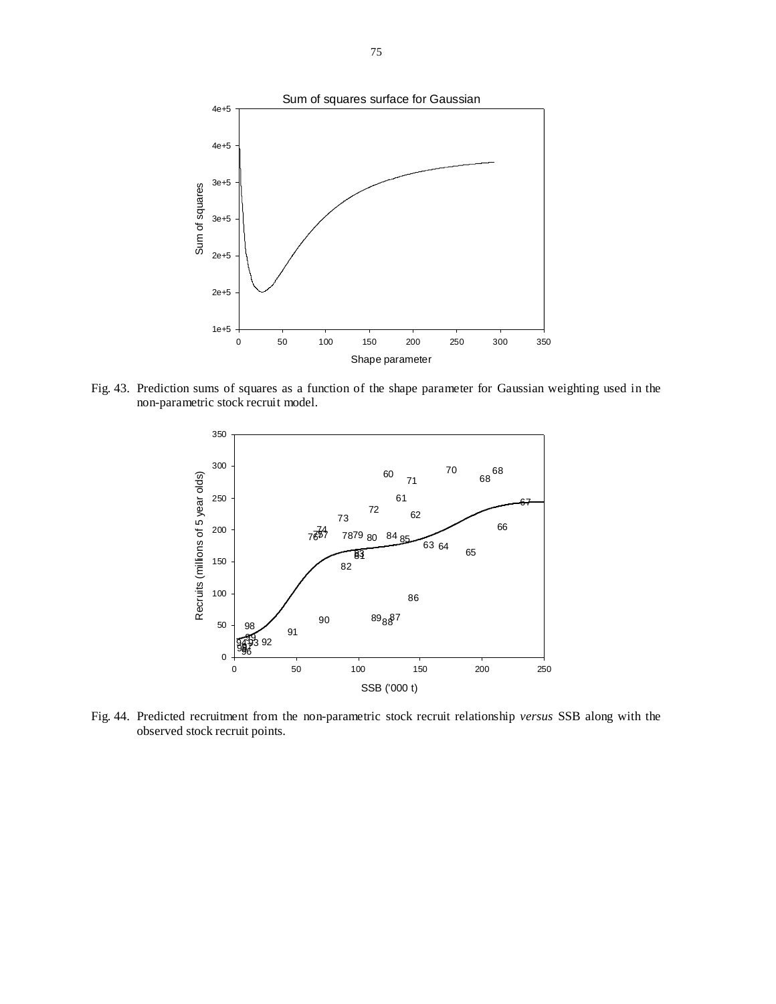

Fig. 43. Prediction sums of squares as a function of the shape parameter for Gaussian weighting used in the non-parametric stock recruit model.



Fig. 44. Predicted recruitment from the non-parametric stock recruit relationship *versus* SSB along with the observed stock recruit points.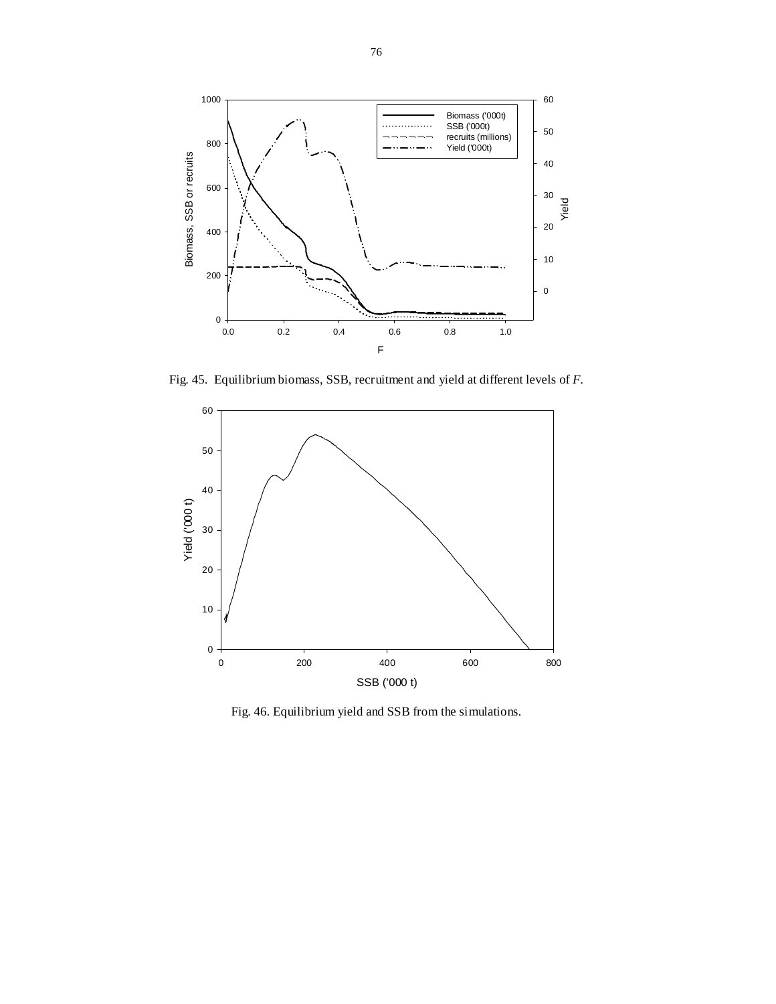

Fig. 45. Equilibrium biomass, SSB, recruitment and yield at different levels of *F*.



Fig. 46. Equilibrium yield and SSB from the simulations.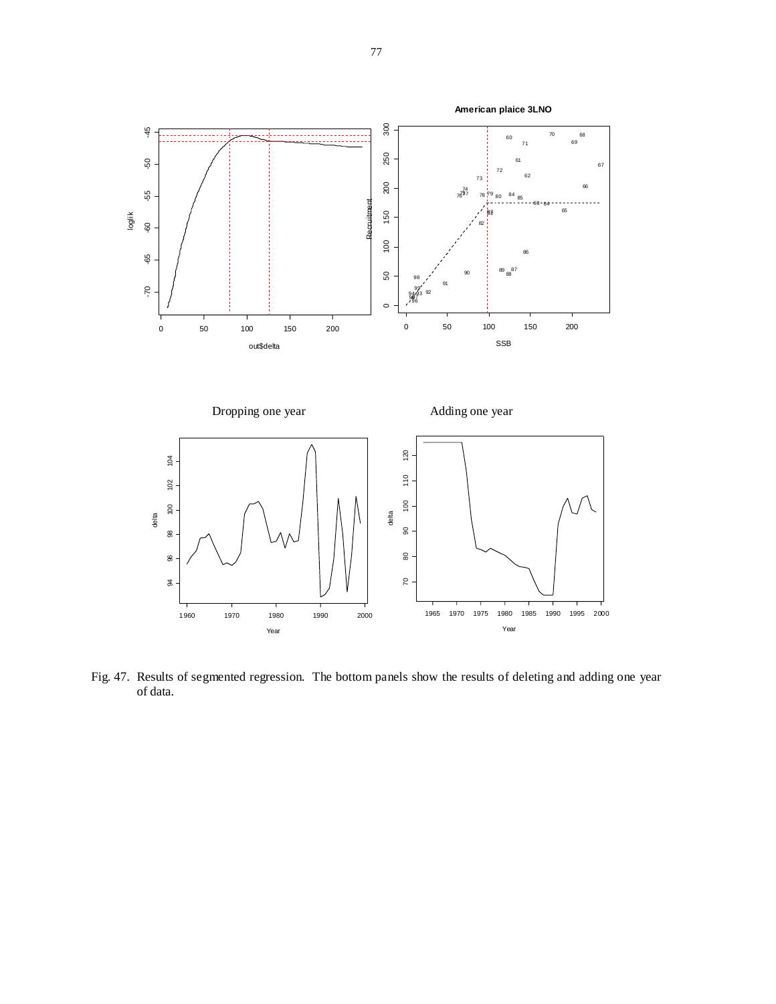

Fig. 47. Results of segmented regression. The bottom panels show the results of deleting and adding one year of data.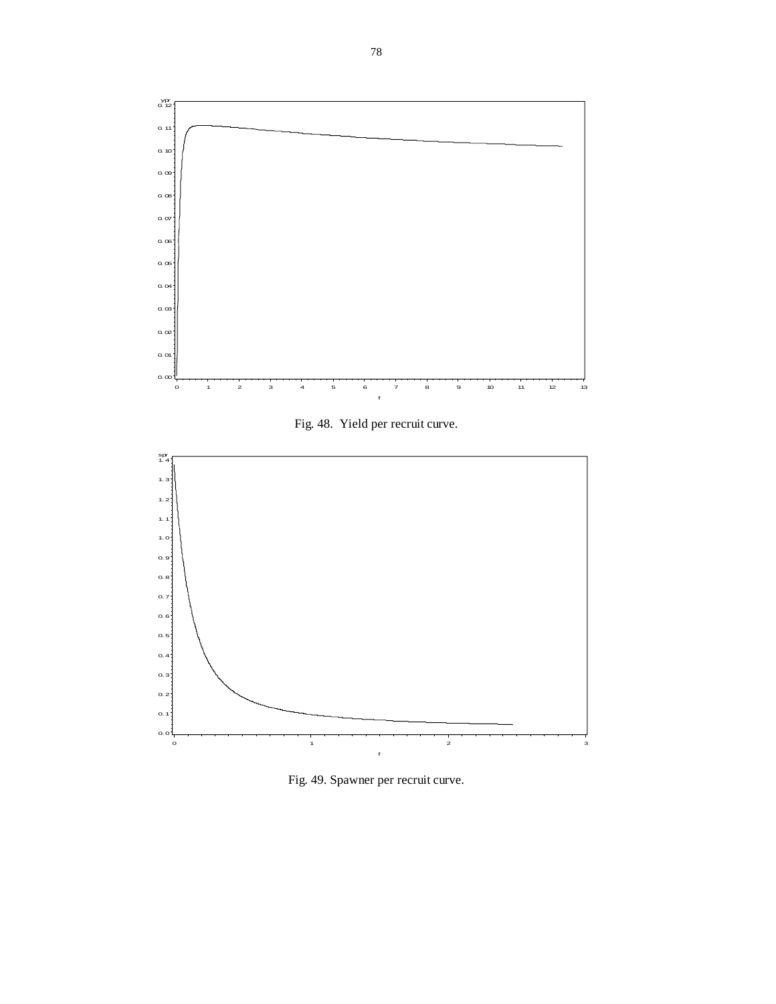

Fig. 48. Yield per recruit curve.



Fig. 49. Spawner per recruit curve.